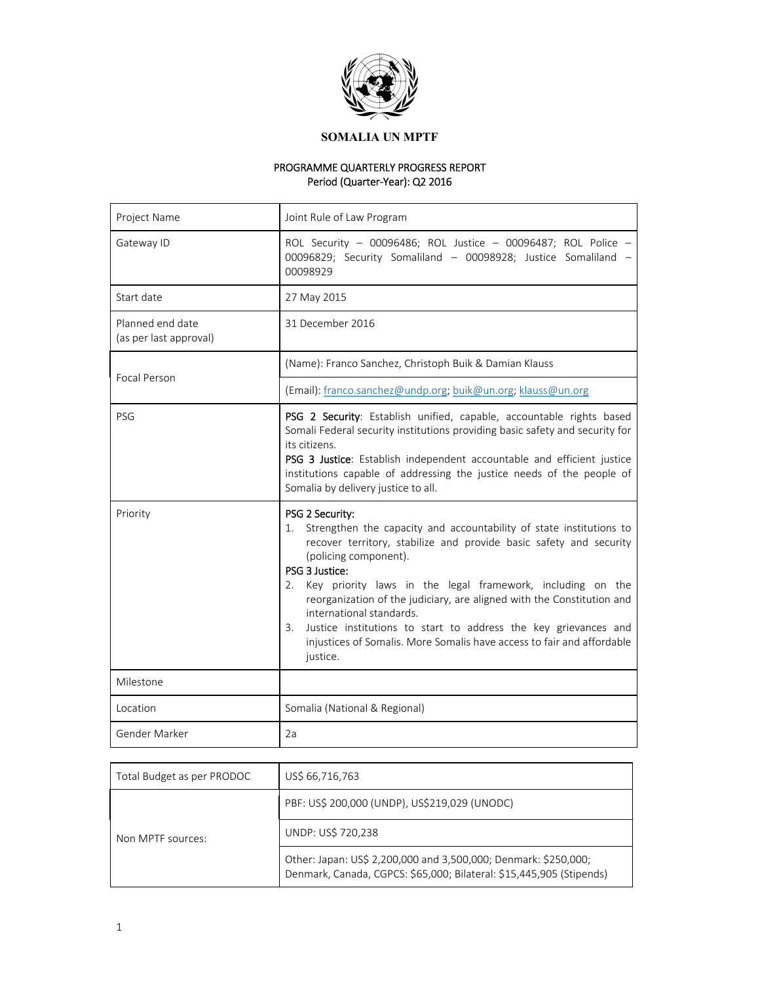

# PROGRAMME QUARTERLY PROGRESS REPORT Period (Quarter‐Year): Q2 2016

| Project Name                               | Joint Rule of Law Program                                                                                                                                                                                                                                                                                                                                                                                                                                                                                                                              |
|--------------------------------------------|--------------------------------------------------------------------------------------------------------------------------------------------------------------------------------------------------------------------------------------------------------------------------------------------------------------------------------------------------------------------------------------------------------------------------------------------------------------------------------------------------------------------------------------------------------|
| Gateway ID                                 | ROL Security - 00096486; ROL Justice - 00096487; ROL Police -<br>00096829; Security Somaliland - 00098928; Justice Somaliland -<br>00098929                                                                                                                                                                                                                                                                                                                                                                                                            |
| Start date                                 | 27 May 2015                                                                                                                                                                                                                                                                                                                                                                                                                                                                                                                                            |
| Planned end date<br>(as per last approval) | 31 December 2016                                                                                                                                                                                                                                                                                                                                                                                                                                                                                                                                       |
| Focal Person                               | (Name): Franco Sanchez, Christoph Buik & Damian Klauss                                                                                                                                                                                                                                                                                                                                                                                                                                                                                                 |
|                                            | (Email): franco.sanchez@undp.org; buik@un.org, klauss@un.org                                                                                                                                                                                                                                                                                                                                                                                                                                                                                           |
| PSG                                        | PSG 2 Security: Establish unified, capable, accountable rights based<br>Somali Federal security institutions providing basic safety and security for<br>its citizens.<br>PSG 3 Justice: Establish independent accountable and efficient justice<br>institutions capable of addressing the justice needs of the people of<br>Somalia by delivery justice to all.                                                                                                                                                                                        |
| Priority                                   | PSG 2 Security:<br>Strengthen the capacity and accountability of state institutions to<br>1.<br>recover territory, stabilize and provide basic safety and security<br>(policing component).<br>PSG 3 Justice:<br>Key priority laws in the legal framework, including on the<br>2.<br>reorganization of the judiciary, are aligned with the Constitution and<br>international standards.<br>Justice institutions to start to address the key grievances and<br>3.<br>injustices of Somalis. More Somalis have access to fair and affordable<br>justice. |
| Milestone                                  |                                                                                                                                                                                                                                                                                                                                                                                                                                                                                                                                                        |
| Location                                   | Somalia (National & Regional)                                                                                                                                                                                                                                                                                                                                                                                                                                                                                                                          |
| Gender Marker                              | 2a                                                                                                                                                                                                                                                                                                                                                                                                                                                                                                                                                     |

| Total Budget as per PRODOC | US\$ 66,716,763                                                                                                                         |
|----------------------------|-----------------------------------------------------------------------------------------------------------------------------------------|
|                            | PBF: US\$ 200,000 (UNDP), US\$219,029 (UNODC)                                                                                           |
| Non MPTF sources:          | UNDP: US\$ 720,238                                                                                                                      |
|                            | Other: Japan: US\$ 2,200,000 and 3,500,000; Denmark: \$250,000;<br>Denmark, Canada, CGPCS: \$65,000; Bilateral: \$15,445,905 (Stipends) |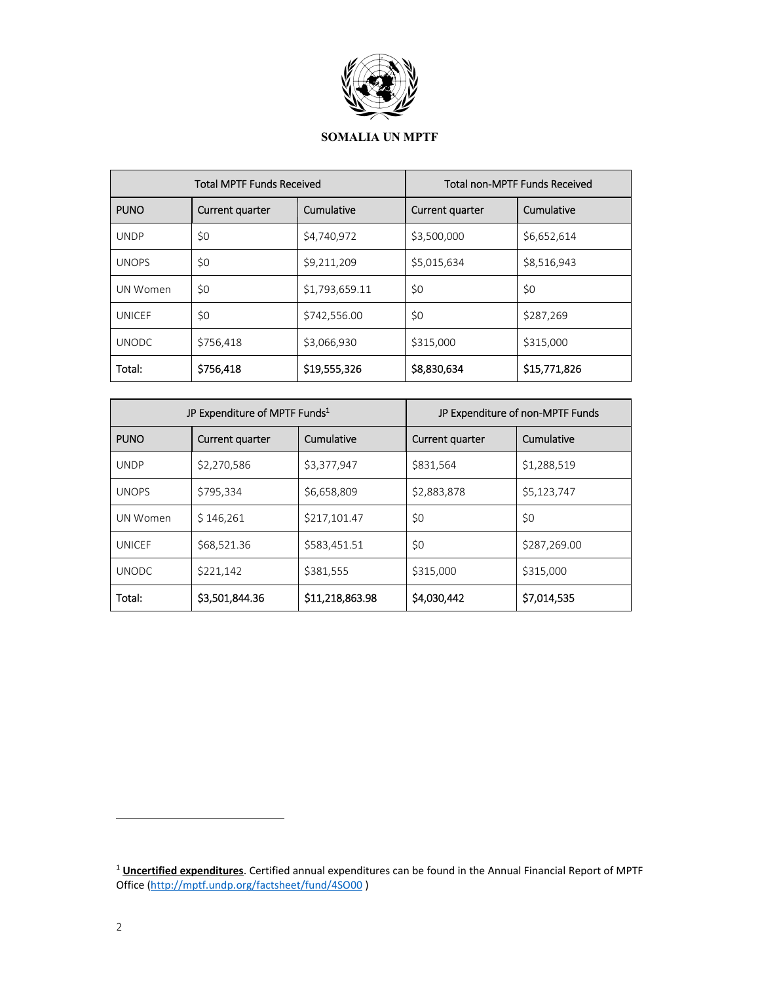

| <b>Total MPTF Funds Received</b> |                 | <b>Total non-MPTF Funds Received</b> |                 |              |
|----------------------------------|-----------------|--------------------------------------|-----------------|--------------|
| <b>PUNO</b>                      | Current quarter | Cumulative                           | Current quarter | Cumulative   |
| <b>UNDP</b>                      | \$0             | \$4,740,972                          | \$3,500,000     | \$6,652,614  |
| <b>UNOPS</b>                     | \$0             | \$9,211,209                          | \$5,015,634     | \$8,516,943  |
| UN Women                         | \$0             | \$1,793,659.11                       | \$0             | \$0          |
| UNICEF                           | \$0             | \$742,556.00                         | \$0             | \$287,269    |
| <b>UNODC</b>                     | \$756,418       | \$3,066,930                          | \$315,000       | \$315,000    |
| Total:                           | \$756,418       | \$19,555,326                         | \$8,830,634     | \$15,771,826 |

| JP Expenditure of MPTF Funds <sup>1</sup> |                 | JP Expenditure of non-MPTF Funds |                 |              |
|-------------------------------------------|-----------------|----------------------------------|-----------------|--------------|
| <b>PUNO</b>                               | Current quarter | Cumulative                       | Current quarter | Cumulative   |
| <b>UNDP</b>                               | \$2,270,586     | \$3,377,947                      | \$831,564       | \$1,288,519  |
| <b>UNOPS</b>                              | \$795,334       | \$6,658,809                      | \$2,883,878     | \$5,123,747  |
| UN Women                                  | \$146,261       | \$217,101.47                     | \$0             | \$0          |
| <b>UNICEF</b>                             | \$68,521.36     | \$583,451.51                     | \$0             | \$287,269.00 |
| <b>UNODC</b>                              | \$221,142       | \$381,555                        | \$315,000       | \$315,000    |
| Total:                                    | \$3,501,844.36  | \$11,218,863.98                  | \$4,030,442     | \$7,014,535  |

<sup>1</sup> **Uncertified expenditures**. Certified annual expenditures can be found in the Annual Financial Report of MPTF Office (http://mptf.undp.org/factsheet/fund/4SO00 )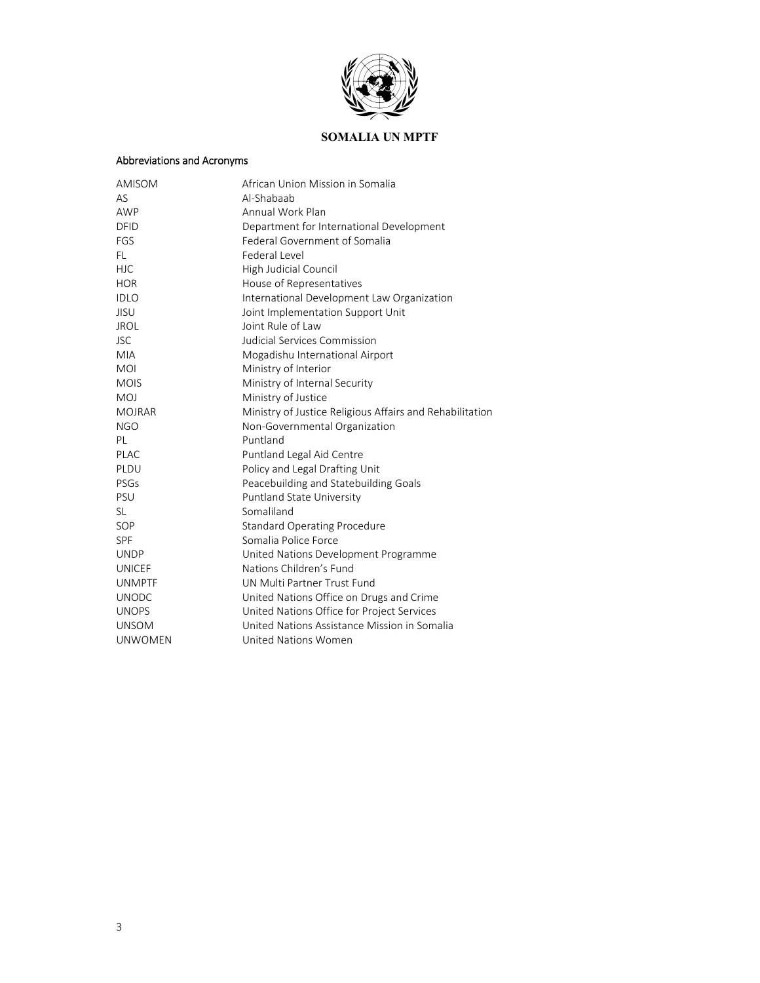

# Abbreviations and Acronyms

| AMISOM         | African Union Mission in Somalia                         |
|----------------|----------------------------------------------------------|
| AS             | Al-Shabaab                                               |
| AWP            | Annual Work Plan                                         |
| <b>DFID</b>    | Department for International Development                 |
| FGS            | Federal Government of Somalia                            |
| FL.            | Federal Level                                            |
| <b>HJC</b>     | High Judicial Council                                    |
| <b>HOR</b>     | House of Representatives                                 |
| <b>IDLO</b>    | International Development Law Organization               |
| JISU           | Joint Implementation Support Unit                        |
| <b>JROL</b>    | Joint Rule of Law                                        |
| <b>JSC</b>     | Judicial Services Commission                             |
| <b>MIA</b>     | Mogadishu International Airport                          |
| <b>MOI</b>     | Ministry of Interior                                     |
| <b>MOIS</b>    | Ministry of Internal Security                            |
| MOJ            | Ministry of Justice                                      |
| <b>MOJRAR</b>  | Ministry of Justice Religious Affairs and Rehabilitation |
| <b>NGO</b>     | Non-Governmental Organization                            |
| PL             | Puntland                                                 |
| PLAC           | Puntland Legal Aid Centre                                |
| PLDU           | Policy and Legal Drafting Unit                           |
| PSGs           | Peacebuilding and Statebuilding Goals                    |
| PSU            | Puntland State University                                |
| SL             | Somaliland                                               |
| SOP            | <b>Standard Operating Procedure</b>                      |
| SPF            | Somalia Police Force                                     |
| <b>UNDP</b>    | United Nations Development Programme                     |
| <b>UNICEF</b>  | Nations Children's Fund                                  |
| <b>UNMPTF</b>  | UN Multi Partner Trust Fund                              |
| <b>UNODC</b>   | United Nations Office on Drugs and Crime                 |
| <b>UNOPS</b>   | United Nations Office for Project Services               |
| <b>UNSOM</b>   | United Nations Assistance Mission in Somalia             |
| <b>UNWOMEN</b> | United Nations Women                                     |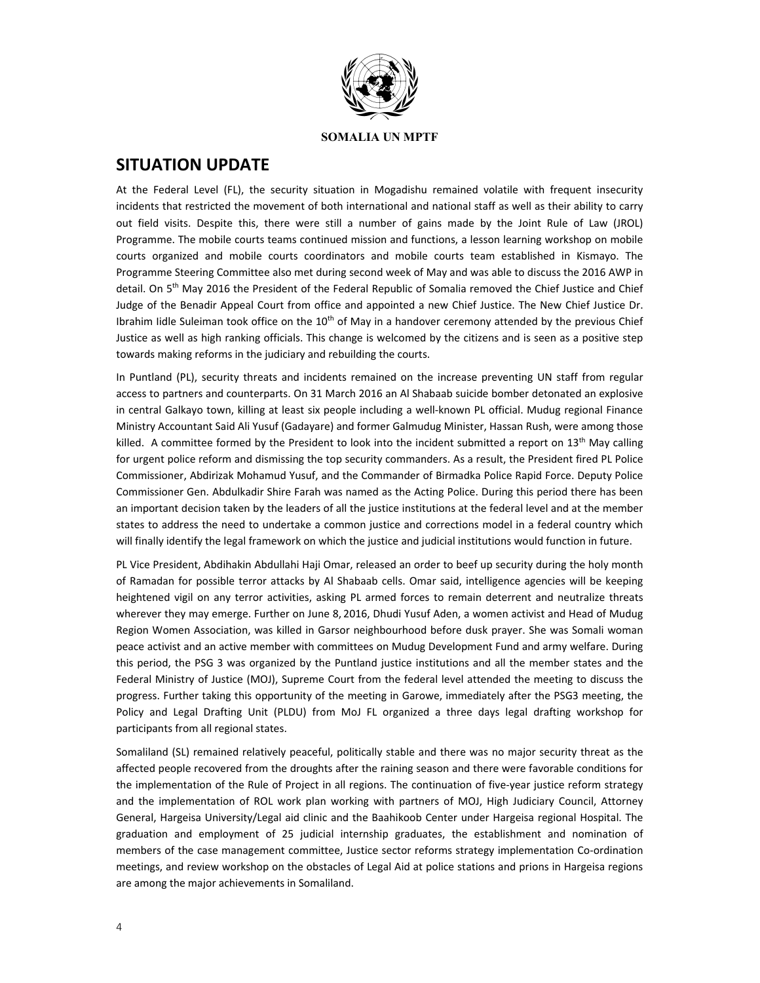

# **SITUATION UPDATE**

At the Federal Level (FL), the security situation in Mogadishu remained volatile with frequent insecurity incidents that restricted the movement of both international and national staff as well as their ability to carry out field visits. Despite this, there were still a number of gains made by the Joint Rule of Law (JROL) Programme. The mobile courts teams continued mission and functions, a lesson learning workshop on mobile courts organized and mobile courts coordinators and mobile courts team established in Kismayo. The Programme Steering Committee also met during second week of May and was able to discuss the 2016 AWP in detail. On 5<sup>th</sup> May 2016 the President of the Federal Republic of Somalia removed the Chief Justice and Chief Judge of the Benadir Appeal Court from office and appointed a new Chief Justice. The New Chief Justice Dr. Ibrahim Iidle Suleiman took office on the 10<sup>th</sup> of May in a handover ceremony attended by the previous Chief Justice as well as high ranking officials. This change is welcomed by the citizens and is seen as a positive step towards making reforms in the judiciary and rebuilding the courts.

In Puntland (PL), security threats and incidents remained on the increase preventing UN staff from regular access to partners and counterparts. On 31 March 2016 an Al Shabaab suicide bomber detonated an explosive in central Galkayo town, killing at least six people including a well‐known PL official. Mudug regional Finance Ministry Accountant Said Ali Yusuf (Gadayare) and former Galmudug Minister, Hassan Rush, were among those killed. A committee formed by the President to look into the incident submitted a report on  $13<sup>th</sup>$  May calling for urgent police reform and dismissing the top security commanders. As a result, the President fired PL Police Commissioner, Abdirizak Mohamud Yusuf, and the Commander of Birmadka Police Rapid Force. Deputy Police Commissioner Gen. Abdulkadir Shire Farah was named as the Acting Police. During this period there has been an important decision taken by the leaders of all the justice institutions at the federal level and at the member states to address the need to undertake a common justice and corrections model in a federal country which will finally identify the legal framework on which the justice and judicial institutions would function in future.

PL Vice President, Abdihakin Abdullahi Haji Omar, released an order to beef up security during the holy month of Ramadan for possible terror attacks by Al Shabaab cells. Omar said, intelligence agencies will be keeping heightened vigil on any terror activities, asking PL armed forces to remain deterrent and neutralize threats wherever they may emerge. Further on June 8, 2016, Dhudi Yusuf Aden, a women activist and Head of Mudug Region Women Association, was killed in Garsor neighbourhood before dusk prayer. She was Somali woman peace activist and an active member with committees on Mudug Development Fund and army welfare. During this period, the PSG 3 was organized by the Puntland justice institutions and all the member states and the Federal Ministry of Justice (MOJ), Supreme Court from the federal level attended the meeting to discuss the progress. Further taking this opportunity of the meeting in Garowe, immediately after the PSG3 meeting, the Policy and Legal Drafting Unit (PLDU) from MoJ FL organized a three days legal drafting workshop for participants from all regional states.

Somaliland (SL) remained relatively peaceful, politically stable and there was no major security threat as the affected people recovered from the droughts after the raining season and there were favorable conditions for the implementation of the Rule of Project in all regions. The continuation of five-year justice reform strategy and the implementation of ROL work plan working with partners of MOJ, High Judiciary Council, Attorney General, Hargeisa University/Legal aid clinic and the Baahikoob Center under Hargeisa regional Hospital. The graduation and employment of 25 judicial internship graduates, the establishment and nomination of members of the case management committee, Justice sector reforms strategy implementation Co-ordination meetings, and review workshop on the obstacles of Legal Aid at police stations and prions in Hargeisa regions are among the major achievements in Somaliland.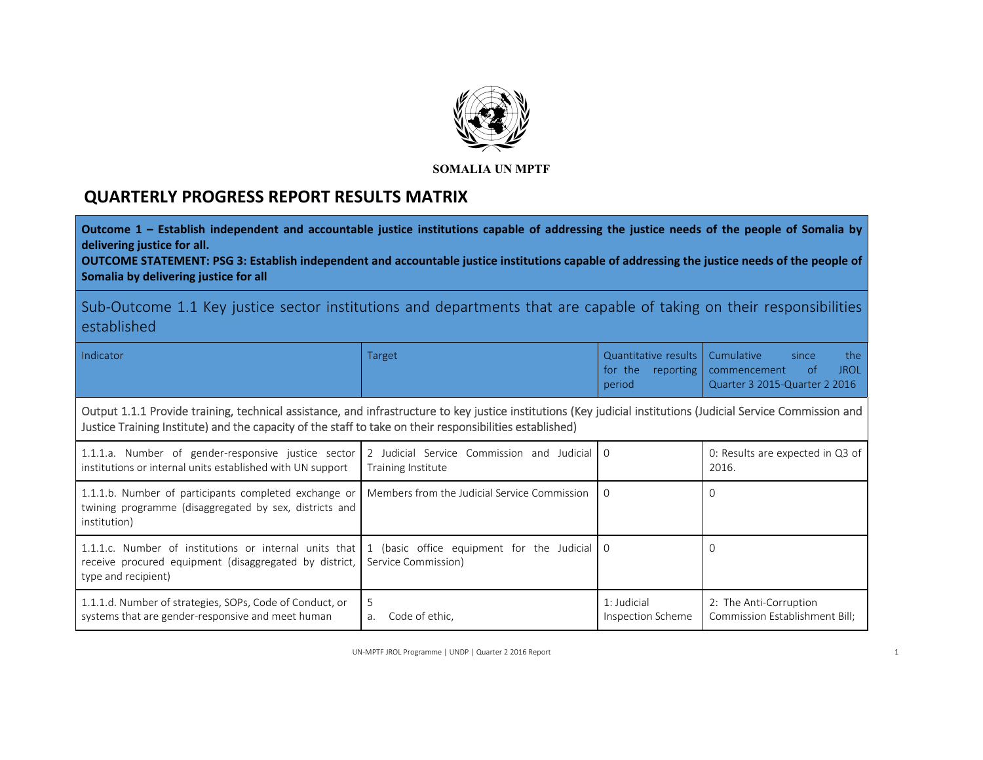

# **QUARTERLY PROGRESS REPORT RESULTS MATRIX**

Outcome 1 – Establish independent and accountable justice institutions capable of addressing the justice needs of the people of Somalia by **delivering justice for all.** 

**OUTCOME STATEMENT: PSG 3: Establish independent and accountable justice institutions capable of addressing the justice needs of the people of Somalia by delivering justice for all** 

Sub-Outcome 1.1 Key justice sector institutions and departments that are capable of taking on their responsibilities established

Indicator

| Target |        | Quantitative results   Cumulative | since | the     |
|--------|--------|-----------------------------------|-------|---------|
|        |        | for the reporting commencement    |       | of JROL |
|        | period | Quarter 3 2015-Quarter 2 2016     |       |         |

Output 1.1.1 Provide training, technical assistance, and infrastructure to key justice institutions (Key judicial institutions (Judicial Service Commission and Justice Training Institute) and the capacity of the staff to take on their responsibilities established)

| 1.1.1.a. Number of gender-responsive justice sector 2 Judicial Service Commission and Judicial 0<br>institutions or internal units established with UN support                                           | Training Institute                     |                                  | 0: Results are expected in Q3 of<br>2016.                |
|----------------------------------------------------------------------------------------------------------------------------------------------------------------------------------------------------------|----------------------------------------|----------------------------------|----------------------------------------------------------|
| 1.1.1.b. Number of participants completed exchange or   Members from the Judicial Service Commission<br>twining programme (disaggregated by sex, districts and<br>institution)                           |                                        | ΙO                               |                                                          |
| 1.1.1.c. Number of institutions or internal units that 1 (basic office equipment for the Judicial 0<br>receive procured equipment (disaggregated by district, Service Commission)<br>type and recipient) |                                        |                                  |                                                          |
| 1.1.1.d. Number of strategies, SOPs, Code of Conduct, or<br>systems that are gender-responsive and meet human                                                                                            | -5<br>Code of ethic.<br>a <sub>1</sub> | 1: Judicial<br>Inspection Scheme | 2: The Anti-Corruption<br>Commission Establishment Bill; |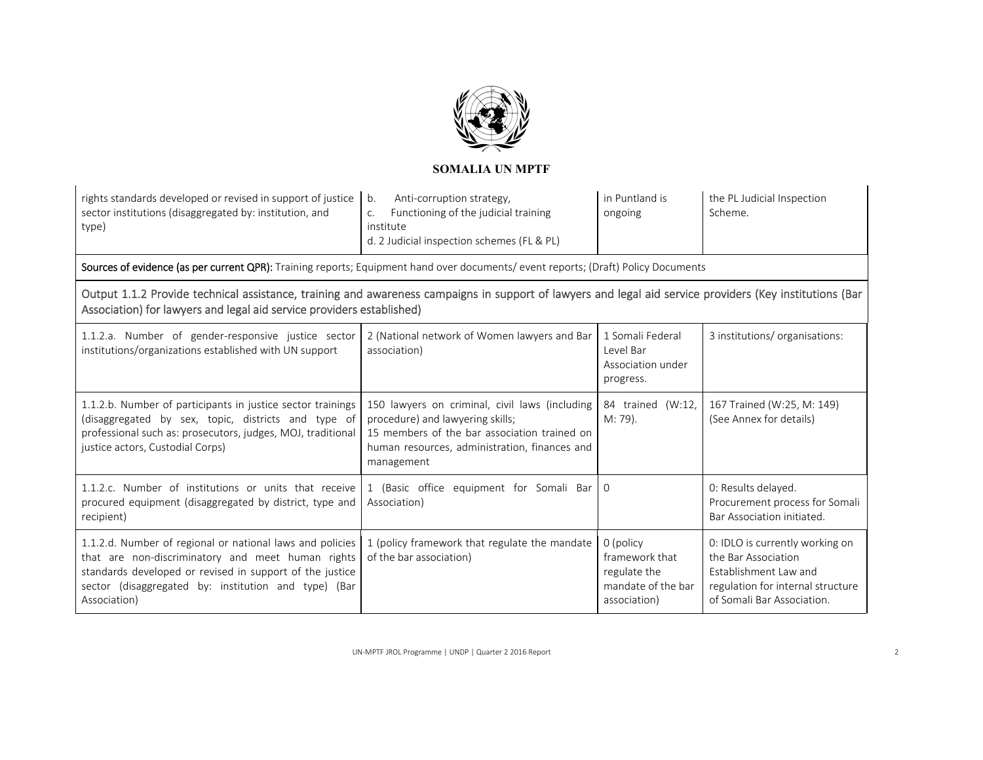

| Anti-corruption strategy,            | in Puntland is                                                                                                 | the PL Judicial Inspection |
|--------------------------------------|----------------------------------------------------------------------------------------------------------------|----------------------------|
| Functioning of the judicial training | ongoing                                                                                                        | Scheme.                    |
| institute                            |                                                                                                                |                            |
|                                      |                                                                                                                |                            |
|                                      | rights standards developed or revised in support of justice   b.<br>d. 2 Judicial inspection schemes (FL & PL) |                            |

Sources of evidence (as per current QPR): Training reports; Equipment hand over documents/ event reports; (Draft) Policy Documents

Output 1.1.2 Provide technical assistance, training and awareness campaigns in support of lawyers and legal aid service providers (Key institutions (Bar Association) for lawyers and legal aid service providers established)

| 1.1.2.a. Number of gender-responsive justice sector<br>institutions/organizations established with UN support                                                                                                                                      | 2 (National network of Women lawyers and Bar<br>association)                                                                                                                                      | 1 Somali Federal<br>Level Bar<br>Association under<br>progress.                   | 3 institutions/organisations:                                                                                                                      |
|----------------------------------------------------------------------------------------------------------------------------------------------------------------------------------------------------------------------------------------------------|---------------------------------------------------------------------------------------------------------------------------------------------------------------------------------------------------|-----------------------------------------------------------------------------------|----------------------------------------------------------------------------------------------------------------------------------------------------|
| 1.1.2.b. Number of participants in justice sector trainings<br>(disaggregated by sex, topic, districts and type of<br>professional such as: prosecutors, judges, MOJ, traditional<br>justice actors, Custodial Corps)                              | 150 lawyers on criminal, civil laws (including<br>procedure) and lawyering skills;<br>15 members of the bar association trained on<br>human resources, administration, finances and<br>management | 84 trained (W:12,<br>M: 79).                                                      | 167 Trained (W:25, M: 149)<br>(See Annex for details)                                                                                              |
| 1.1.2.c. Number of institutions or units that receive<br>procured equipment (disaggregated by district, type and<br>recipient)                                                                                                                     | 1 (Basic office equipment for Somali Bar 0<br>Association)                                                                                                                                        |                                                                                   | 0: Results delayed.<br>Procurement process for Somali<br>Bar Association initiated.                                                                |
| 1.1.2.d. Number of regional or national laws and policies<br>that are non-discriminatory and meet human rights<br>standards developed or revised in support of the justice<br>sector (disaggregated by: institution and type) (Bar<br>Association) | 1 (policy framework that regulate the mandate<br>of the bar association)                                                                                                                          | 0 (policy<br>framework that<br>regulate the<br>mandate of the bar<br>association) | 0: IDLO is currently working on<br>the Bar Association<br>Establishment Law and<br>regulation for internal structure<br>of Somali Bar Association. |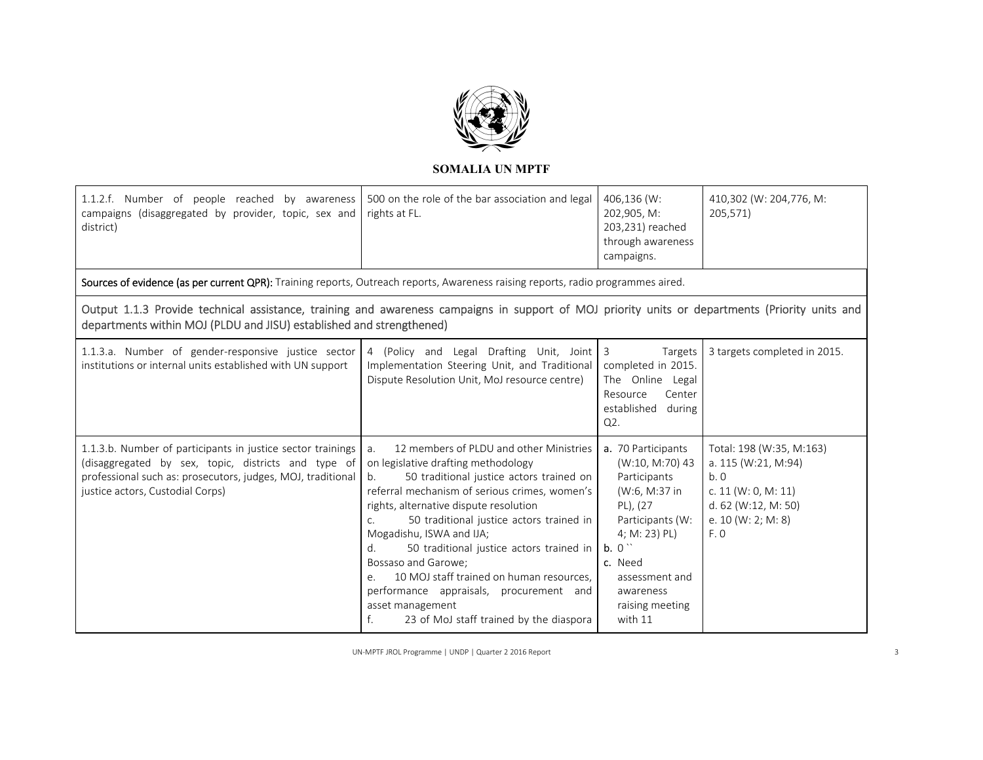

| 1.1.2.f. Number of people reached by awareness<br>campaigns (disaggregated by provider, topic, sex and<br>district)                                                                                                     | 500 on the role of the bar association and legal<br>rights at FL.                                                                                                                                                                                                                                                                                                                                                                                                                                                                                          | 406,136 (W:<br>202,905, M:<br>203,231) reached<br>through awareness<br>campaigns.                                                                                                                       | 410,302 (W: 204,776, M:<br>205,571)                                                                                                   |
|-------------------------------------------------------------------------------------------------------------------------------------------------------------------------------------------------------------------------|------------------------------------------------------------------------------------------------------------------------------------------------------------------------------------------------------------------------------------------------------------------------------------------------------------------------------------------------------------------------------------------------------------------------------------------------------------------------------------------------------------------------------------------------------------|---------------------------------------------------------------------------------------------------------------------------------------------------------------------------------------------------------|---------------------------------------------------------------------------------------------------------------------------------------|
| Sources of evidence (as per current QPR): Training reports, Outreach reports, Awareness raising reports, radio programmes aired.                                                                                        |                                                                                                                                                                                                                                                                                                                                                                                                                                                                                                                                                            |                                                                                                                                                                                                         |                                                                                                                                       |
| Output 1.1.3 Provide technical assistance, training and awareness campaigns in support of MOJ priority units or departments (Priority units and<br>departments within MOJ (PLDU and JISU) established and strengthened) |                                                                                                                                                                                                                                                                                                                                                                                                                                                                                                                                                            |                                                                                                                                                                                                         |                                                                                                                                       |
| 1.1.3.a. Number of gender-responsive justice sector<br>institutions or internal units established with UN support                                                                                                       | 4 (Policy and Legal Drafting Unit, Joint 3<br>Implementation Steering Unit, and Traditional<br>Dispute Resolution Unit, MoJ resource centre)                                                                                                                                                                                                                                                                                                                                                                                                               | Targets<br>completed in 2015.<br>The Online Legal<br>Center<br>Resource<br>established during<br>Q2.                                                                                                    | 3 targets completed in 2015.                                                                                                          |
| 1.1.3.b. Number of participants in justice sector trainings<br>(disaggregated by sex, topic, districts and type of<br>professional such as: prosecutors, judges, MOJ, traditional<br>justice actors, Custodial Corps)   | 12 members of PLDU and other Ministries<br>a.<br>on legislative drafting methodology<br>50 traditional justice actors trained on<br>b.<br>referral mechanism of serious crimes, women's<br>rights, alternative dispute resolution<br>50 traditional justice actors trained in<br>C.<br>Mogadishu, ISWA and IJA;<br>50 traditional justice actors trained in<br>d.<br>Bossaso and Garowe;<br>10 MOJ staff trained on human resources.<br>e.<br>performance appraisals, procurement and<br>asset management<br>23 of MoJ staff trained by the diaspora<br>f. | a. 70 Participants<br>(W:10, M:70) 43<br>Participants<br>(W:6, M:37 in<br>PL), (27<br>Participants (W:<br>4; M: 23) PL)<br>b. 0<br>c. Need<br>assessment and<br>awareness<br>raising meeting<br>with 11 | Total: 198 (W:35, M:163)<br>a. 115 (W:21, M:94)<br>b.0<br>c. $11 (W: 0, M: 11)$<br>d. 62 (W:12, M: 50)<br>e. $10 (W: 2; M: 8)$<br>F.0 |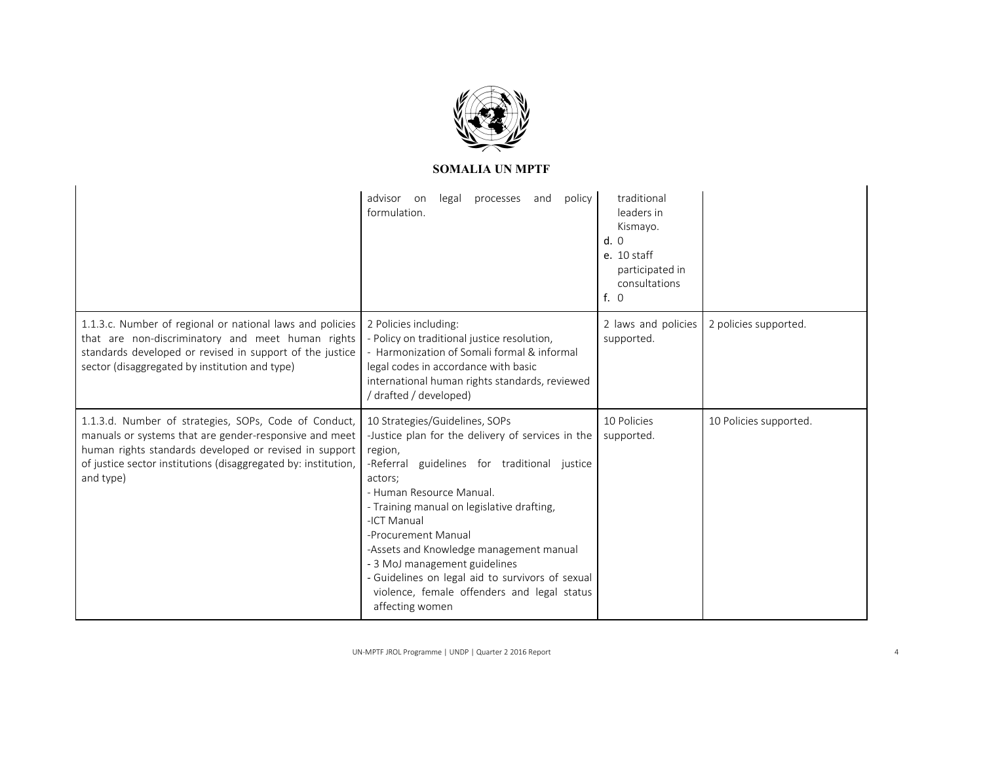

|                                                                                                                                                                                                                                                          | policy<br>advisor<br>legal<br>processes<br>and<br>on<br>formulation.                                                                                                                                                                                                                                                                                                                                                                                                        | traditional<br>leaders in<br>Kismayo.<br>d.0<br>$e. 10$ staff<br>participated in<br>consultations<br>f. 0 |                        |
|----------------------------------------------------------------------------------------------------------------------------------------------------------------------------------------------------------------------------------------------------------|-----------------------------------------------------------------------------------------------------------------------------------------------------------------------------------------------------------------------------------------------------------------------------------------------------------------------------------------------------------------------------------------------------------------------------------------------------------------------------|-----------------------------------------------------------------------------------------------------------|------------------------|
| 1.1.3.c. Number of regional or national laws and policies<br>that are non-discriminatory and meet human rights<br>standards developed or revised in support of the justice<br>sector (disaggregated by institution and type)                             | 2 Policies including:<br>- Policy on traditional justice resolution,<br>- Harmonization of Somali formal & informal<br>legal codes in accordance with basic<br>international human rights standards, reviewed<br>/ drafted / developed)                                                                                                                                                                                                                                     | 2 laws and policies<br>supported.                                                                         | 2 policies supported.  |
| 1.1.3.d. Number of strategies, SOPs, Code of Conduct,<br>manuals or systems that are gender-responsive and meet<br>human rights standards developed or revised in support<br>of justice sector institutions (disaggregated by: institution,<br>and type) | 10 Strategies/Guidelines, SOPs<br>-Justice plan for the delivery of services in the<br>region,<br>-Referral guidelines for traditional justice<br>actors:<br>- Human Resource Manual.<br>- Training manual on legislative drafting,<br>-ICT Manual<br>-Procurement Manual<br>-Assets and Knowledge management manual<br>- 3 MoJ management guidelines<br>- Guidelines on legal aid to survivors of sexual<br>violence, female offenders and legal status<br>affecting women | 10 Policies<br>supported.                                                                                 | 10 Policies supported. |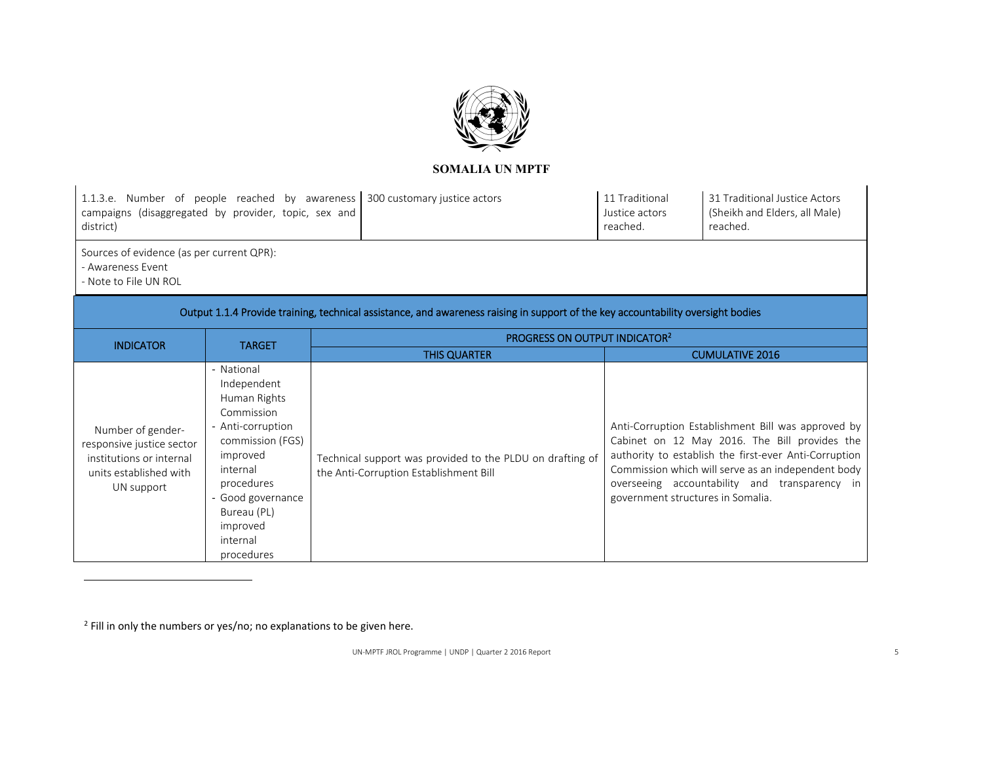

| campaigns (disaggregated by provider, topic, sex and<br>district)                                                  |                                                                                                                                                                                                                  | 1.1.3.e. Number of people reached by awareness 300 customary justice actors                                                      | 11 Traditional<br>Justice actors<br>reached. | 31 Traditional Justice Actors<br>(Sheikh and Elders, all Male)<br>reached.                                                                                                                                                                                          |
|--------------------------------------------------------------------------------------------------------------------|------------------------------------------------------------------------------------------------------------------------------------------------------------------------------------------------------------------|----------------------------------------------------------------------------------------------------------------------------------|----------------------------------------------|---------------------------------------------------------------------------------------------------------------------------------------------------------------------------------------------------------------------------------------------------------------------|
| Sources of evidence (as per current QPR):<br>- Awareness Event<br>- Note to File UN ROL                            |                                                                                                                                                                                                                  |                                                                                                                                  |                                              |                                                                                                                                                                                                                                                                     |
|                                                                                                                    |                                                                                                                                                                                                                  | Output 1.1.4 Provide training, technical assistance, and awareness raising in support of the key accountability oversight bodies |                                              |                                                                                                                                                                                                                                                                     |
| <b>INDICATOR</b>                                                                                                   | <b>TARGET</b>                                                                                                                                                                                                    | PROGRESS ON OUTPUT INDICATOR <sup>2</sup>                                                                                        |                                              |                                                                                                                                                                                                                                                                     |
|                                                                                                                    |                                                                                                                                                                                                                  | <b>THIS QUARTER</b>                                                                                                              |                                              | <b>CUMULATIVE 2016</b>                                                                                                                                                                                                                                              |
| Number of gender-<br>responsive justice sector<br>institutions or internal<br>units established with<br>UN support | - National<br>Independent<br>Human Rights<br>Commission<br>- Anti-corruption<br>commission (FGS)<br>improved<br>internal<br>procedures<br>- Good governance<br>Bureau (PL)<br>improved<br>internal<br>procedures | Technical support was provided to the PLDU on drafting of<br>the Anti-Corruption Establishment Bill                              | government structures in Somalia.            | Anti-Corruption Establishment Bill was approved by<br>Cabinet on 12 May 2016. The Bill provides the<br>authority to establish the first-ever Anti-Corruption<br>Commission which will serve as an independent body<br>overseeing accountability and transparency in |

<sup>2</sup> Fill in only the numbers or yes/no; no explanations to be given here.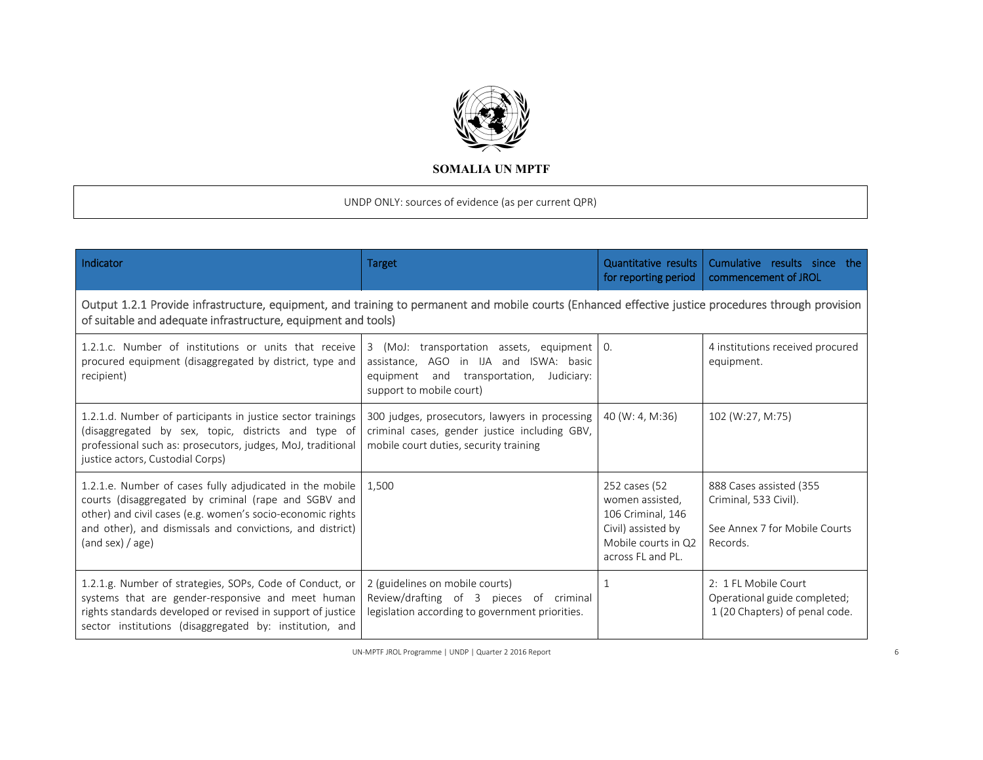

UNDP ONLY: sources of evidence (as per current QPR)

| Indicator                                                                                                                                                                                                                                                       | <b>Target</b>                                                                                                                                                    | Quantitative results<br>for reporting period                                                                            | Cumulative results since the<br>commencement of JROL                                          |  |  |  |
|-----------------------------------------------------------------------------------------------------------------------------------------------------------------------------------------------------------------------------------------------------------------|------------------------------------------------------------------------------------------------------------------------------------------------------------------|-------------------------------------------------------------------------------------------------------------------------|-----------------------------------------------------------------------------------------------|--|--|--|
| Output 1.2.1 Provide infrastructure, equipment, and training to permanent and mobile courts (Enhanced effective justice procedures through provision<br>of suitable and adequate infrastructure, equipment and tools)                                           |                                                                                                                                                                  |                                                                                                                         |                                                                                               |  |  |  |
| 1.2.1.c. Number of institutions or units that receive<br>procured equipment (disaggregated by district, type and<br>recipient)                                                                                                                                  | 3 (MoJ: transportation assets, equipment 0.<br>assistance, AGO in IJA and ISWA: basic<br>equipment and transportation,<br>Judiciary:<br>support to mobile court) |                                                                                                                         | 4 institutions received procured<br>equipment.                                                |  |  |  |
| 1.2.1.d. Number of participants in justice sector trainings<br>(disaggregated by sex, topic, districts and type of<br>professional such as: prosecutors, judges, MoJ, traditional<br>justice actors, Custodial Corps)                                           | 300 judges, prosecutors, lawyers in processing<br>criminal cases, gender justice including GBV,<br>mobile court duties, security training                        | 40 (W: 4, M:36)                                                                                                         | 102 (W:27, M:75)                                                                              |  |  |  |
| 1.2.1.e. Number of cases fully adjudicated in the mobile<br>courts (disaggregated by criminal (rape and SGBV and<br>other) and civil cases (e.g. women's socio-economic rights<br>and other), and dismissals and convictions, and district)<br>(and sex) / age) | 1.500                                                                                                                                                            | 252 cases (52<br>women assisted,<br>106 Criminal, 146<br>Civil) assisted by<br>Mobile courts in Q2<br>across FL and PL. | 888 Cases assisted (355<br>Criminal, 533 Civil).<br>See Annex 7 for Mobile Courts<br>Records. |  |  |  |
| 1.2.1.g. Number of strategies, SOPs, Code of Conduct, or<br>systems that are gender-responsive and meet human<br>rights standards developed or revised in support of justice<br>sector institutions (disaggregated by: institution, and                         | 2 (guidelines on mobile courts)<br>Review/drafting of 3 pieces of criminal<br>legislation according to government priorities.                                    | $\mathbf{1}$                                                                                                            | 2: 1 FL Mobile Court<br>Operational guide completed;<br>1 (20 Chapters) of penal code.        |  |  |  |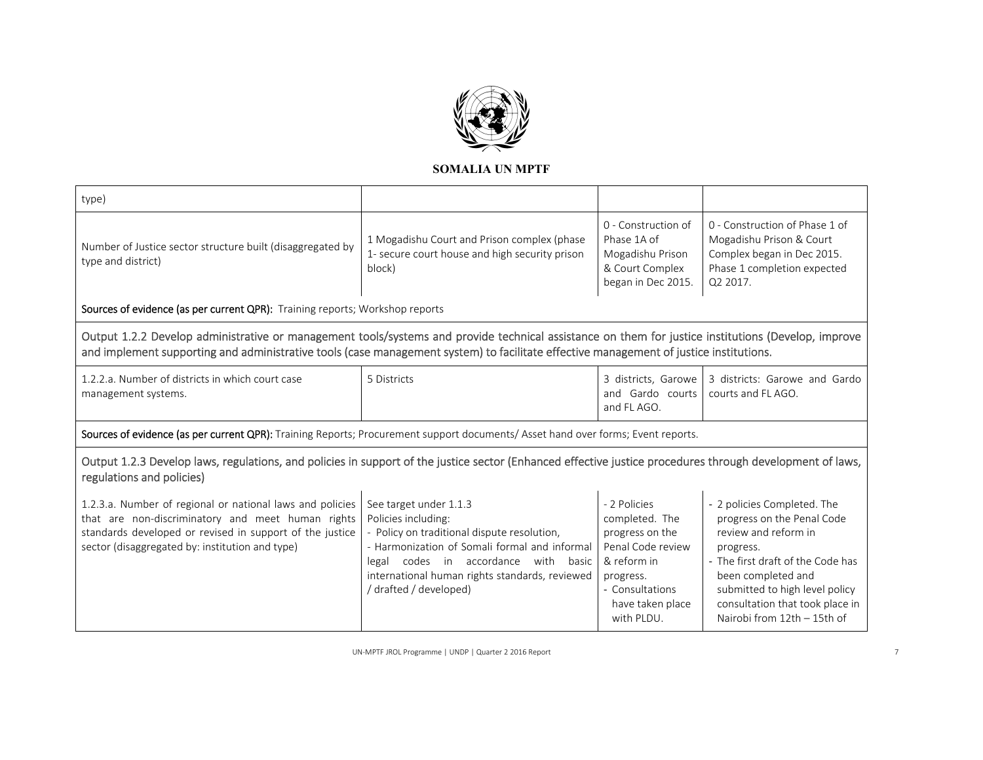

| type)                                                                            |                                                                                                         |                                                                                                 |                                                                                                                                     |
|----------------------------------------------------------------------------------|---------------------------------------------------------------------------------------------------------|-------------------------------------------------------------------------------------------------|-------------------------------------------------------------------------------------------------------------------------------------|
| Number of Justice sector structure built (disaggregated by<br>type and district) | 1 Mogadishu Court and Prison complex (phase<br>1- secure court house and high security prison<br>block) | 0 - Construction of<br>Phase 1A of<br>Mogadishu Prison<br>& Court Complex<br>began in Dec 2015. | 0 - Construction of Phase 1 of<br>Mogadishu Prison & Court<br>Complex began in Dec 2015.<br>Phase 1 completion expected<br>Q2 2017. |

Sources of evidence (as per current QPR): Training reports; Workshop reports

Output 1.2.2 Develop administrative or management tools/systems and provide technical assistance on them for justice institutions (Develop, improve and implement supporting and administrative tools (case management system) to facilitate effective management of justice institutions.

| 1.2.2.a. Number of districts in which court case | 5 Districts |                                    | 3 districts, Garowe 3 districts: Garowe and Gardo |
|--------------------------------------------------|-------------|------------------------------------|---------------------------------------------------|
| management systems.                              |             | and Gardo courts courts and FLAGO. |                                                   |
|                                                  |             | and FL AGO.                        |                                                   |

Sources of evidence (as per current QPR): Training Reports; Procurement support documents/ Asset hand over forms; Event reports.

# Output 1.2.3 Develop laws, regulations, and policies in support of the justice sector (Enhanced effective justice procedures through development of laws, regulations and policies)

| [1.2.3.a. Number of regional or national laws and policies   See target under 1.1.3<br>  that are non-discriminatory and meet human rights   Policies including:<br>standards developed or revised in support of the justice<br>sector (disaggregated by: institution and type) | - Policy on traditional dispute resolution,<br>- Harmonization of Somali formal and informal<br>codes in accordance<br>basic<br>with<br>legal<br>international human rights standards, reviewed<br>/drafted / developed) | - 2 Policies<br>completed. The<br>progress on the<br>Penal Code review<br>& reform in<br>progress.<br>- Consultations<br>have taken place | - 2 policies Completed. The<br>progress on the Penal Code<br>review and reform in<br>progress.<br>- The first draft of the Code has<br>been completed and<br>submitted to high level policy<br>consultation that took place in |
|---------------------------------------------------------------------------------------------------------------------------------------------------------------------------------------------------------------------------------------------------------------------------------|--------------------------------------------------------------------------------------------------------------------------------------------------------------------------------------------------------------------------|-------------------------------------------------------------------------------------------------------------------------------------------|--------------------------------------------------------------------------------------------------------------------------------------------------------------------------------------------------------------------------------|
|                                                                                                                                                                                                                                                                                 |                                                                                                                                                                                                                          | with PLDU.                                                                                                                                | Nairobi from 12th - 15th of                                                                                                                                                                                                    |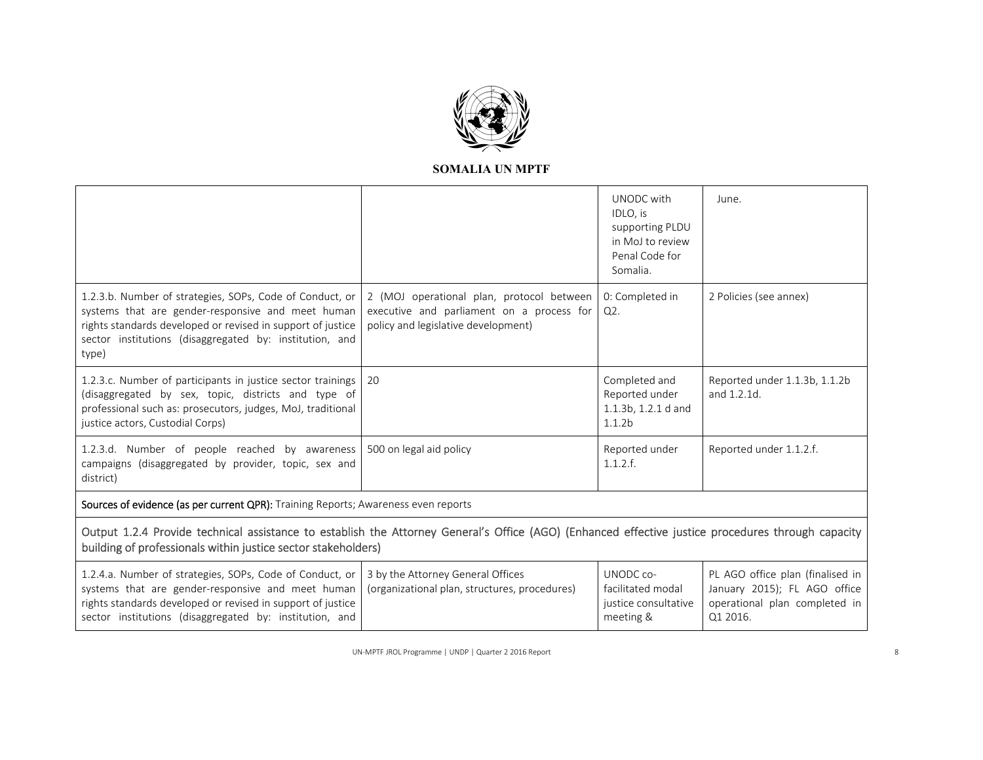

|                                                                                                                                                                                                                                                  |                                                                                                                               | UNODC with<br>IDLO, is<br>supporting PLDU<br>in MoJ to review<br>Penal Code for<br>Somalia. | June.                                                                                                         |
|--------------------------------------------------------------------------------------------------------------------------------------------------------------------------------------------------------------------------------------------------|-------------------------------------------------------------------------------------------------------------------------------|---------------------------------------------------------------------------------------------|---------------------------------------------------------------------------------------------------------------|
| 1.2.3.b. Number of strategies, SOPs, Code of Conduct, or<br>systems that are gender-responsive and meet human<br>rights standards developed or revised in support of justice<br>sector institutions (disaggregated by: institution, and<br>type) | 2 (MOJ operational plan, protocol between<br>executive and parliament on a process for<br>policy and legislative development) | 0: Completed in<br>Q2.                                                                      | 2 Policies (see annex)                                                                                        |
| 1.2.3.c. Number of participants in justice sector trainings<br>(disaggregated by sex, topic, districts and type of<br>professional such as: prosecutors, judges, MoJ, traditional<br>justice actors, Custodial Corps)                            | 20                                                                                                                            | Completed and<br>Reported under<br>1.1.3b, 1.2.1 d and<br>1.1.2 <sub>b</sub>                | Reported under 1.1.3b, 1.1.2b<br>and 1.2.1d.                                                                  |
| 1.2.3.d. Number of people reached by awareness<br>campaigns (disaggregated by provider, topic, sex and<br>district)                                                                                                                              | 500 on legal aid policy                                                                                                       | Reported under<br>1.1.2.f.                                                                  | Reported under 1.1.2.f.                                                                                       |
| Sources of evidence (as per current QPR): Training Reports; Awareness even reports                                                                                                                                                               |                                                                                                                               |                                                                                             |                                                                                                               |
| Output 1.2.4 Provide technical assistance to establish the Attorney General's Office (AGO) (Enhanced effective justice procedures through capacity<br>building of professionals within justice sector stakeholders)                              |                                                                                                                               |                                                                                             |                                                                                                               |
| 1.2.4.a. Number of strategies, SOPs, Code of Conduct, or<br>systems that are gender-responsive and meet human<br>rights standards developed or revised in support of justice<br>sector institutions (disaggregated by: institution, and          | 3 by the Attorney General Offices<br>(organizational plan, structures, procedures)                                            | UNODC co-<br>facilitated modal<br>justice consultative<br>meeting &                         | PL AGO office plan (finalised in<br>January 2015); FL AGO office<br>operational plan completed in<br>Q1 2016. |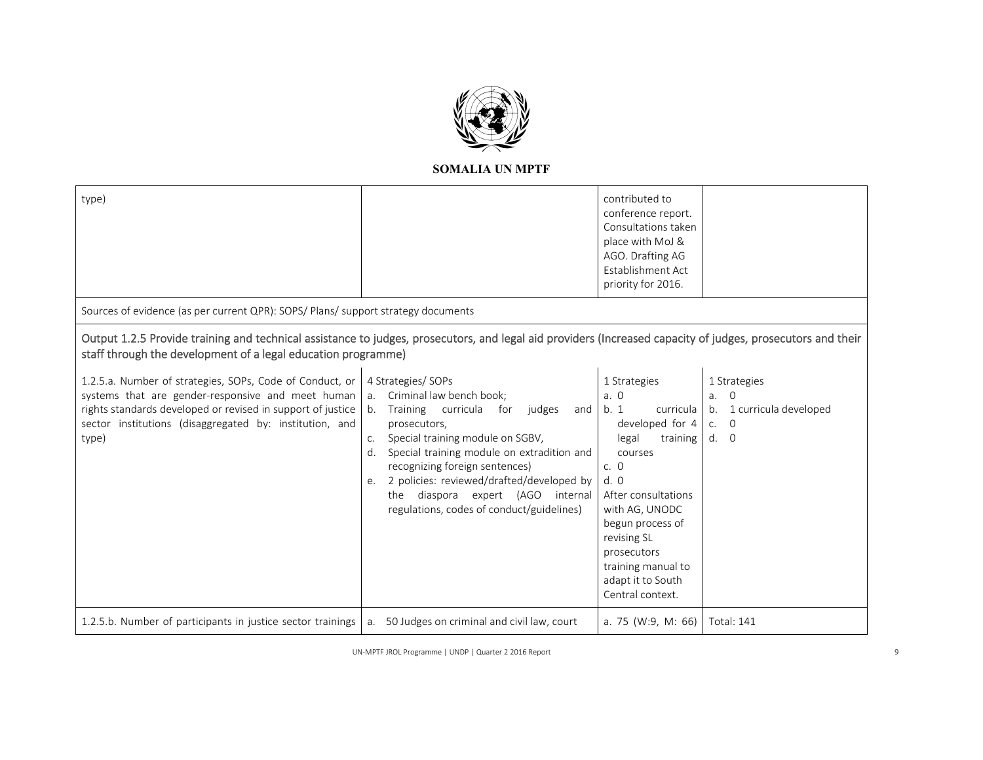

| type) | contributed to      |  |
|-------|---------------------|--|
|       | conference report.  |  |
|       | Consultations taken |  |
|       | place with MoJ &    |  |
|       | AGO. Drafting AG    |  |
|       | Establishment Act   |  |
|       | priority for 2016.  |  |
|       |                     |  |

Sources of evidence (as per current QPR): SOPS/ Plans/ support strategy documents

# Output 1.2.5 Provide training and technical assistance to judges, prosecutors, and legal aid providers (Increased capacity of judges, prosecutors and their staff through the development of a legal education programme)

| 1.2.5.a. Number of strategies, SOPs, Code of Conduct, or<br>systems that are gender-responsive and meet human<br>rights standards developed or revised in support of justice<br>sector institutions (disaggregated by: institution, and<br>type) | 4 Strategies/ SOPs<br>Criminal law bench book;<br>$a_{1}$<br>Training curricula<br>judges<br>b.<br>for<br>and<br>prosecutors,<br>Special training module on SGBV,<br>C.<br>Special training module on extradition and<br>d.<br>recognizing foreign sentences)<br>2 policies: reviewed/drafted/developed by<br>e.<br>diaspora expert (AGO<br>internal<br>the<br>regulations, codes of conduct/guidelines) | 1 Strategies<br>a. 0<br>b. 1<br>curricula<br>developed for 4<br>training<br>legal<br>courses<br>c. $\theta$<br>d.0<br>After consultations<br>with AG, UNODC<br>begun process of<br>revising SL<br>prosecutors<br>training manual to<br>adapt it to South | 1 Strategies<br>$\overline{0}$<br>a.<br>1 curricula developed<br>b.<br>$\overline{0}$<br>C <sub>1</sub><br>d. 0 |
|--------------------------------------------------------------------------------------------------------------------------------------------------------------------------------------------------------------------------------------------------|----------------------------------------------------------------------------------------------------------------------------------------------------------------------------------------------------------------------------------------------------------------------------------------------------------------------------------------------------------------------------------------------------------|----------------------------------------------------------------------------------------------------------------------------------------------------------------------------------------------------------------------------------------------------------|-----------------------------------------------------------------------------------------------------------------|
|                                                                                                                                                                                                                                                  |                                                                                                                                                                                                                                                                                                                                                                                                          | Central context.                                                                                                                                                                                                                                         |                                                                                                                 |
| 1.2.5.b. Number of participants in justice sector trainings                                                                                                                                                                                      | 50 Judges on criminal and civil law, court<br>a.                                                                                                                                                                                                                                                                                                                                                         | a. 75 (W:9, M: 66)                                                                                                                                                                                                                                       | <b>Total: 141</b>                                                                                               |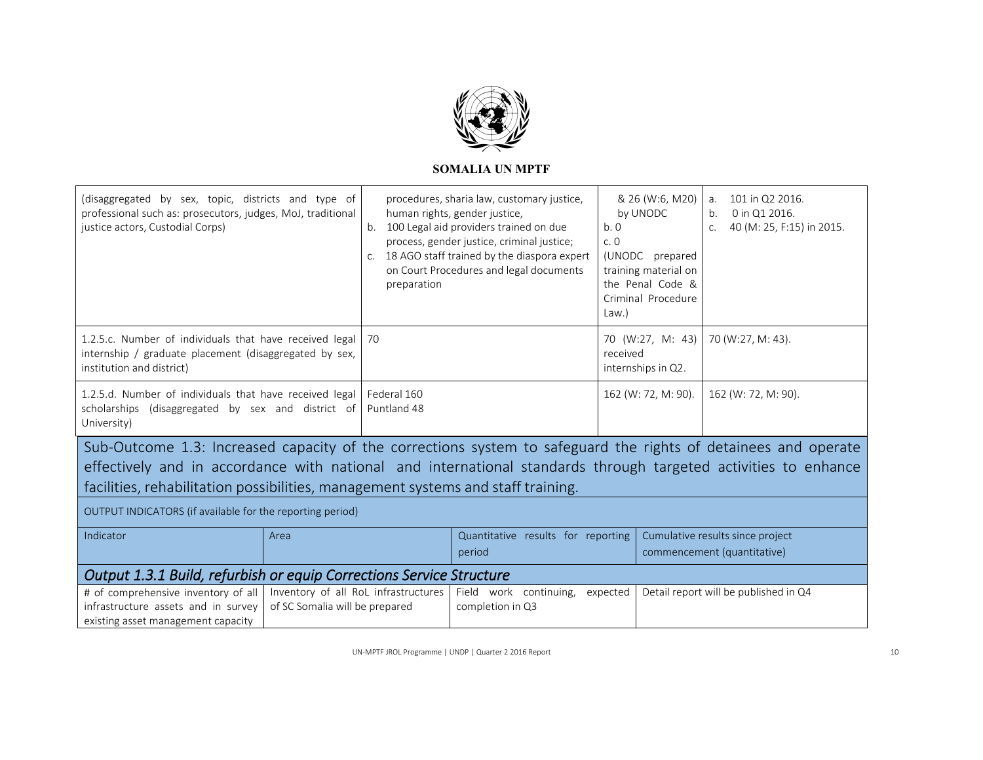

| (disaggregated by sex, topic, districts and type of<br>professional such as: prosecutors, judges, MoJ, traditional<br>justice actors, Custodial Corps)                                                                                                                                                               |                                                                        | b.<br>preparation          | procedures, sharia law, customary justice,<br>human rights, gender justice,<br>100 Legal aid providers trained on due<br>process, gender justice, criminal justice;<br>c. 18 AGO staff trained by the diaspora expert<br>on Court Procedures and legal documents | b.0<br>c.0<br>$Law.$ ) | & 26 (W:6, M20)<br>by UNODC<br>(UNODC prepared<br>training material on<br>the Penal Code &<br>Criminal Procedure | a.<br>b.<br>C. | 101 in Q2 2016.<br>0 in Q1 2016.<br>40 (M: 25, F:15) in 2015.   |
|----------------------------------------------------------------------------------------------------------------------------------------------------------------------------------------------------------------------------------------------------------------------------------------------------------------------|------------------------------------------------------------------------|----------------------------|------------------------------------------------------------------------------------------------------------------------------------------------------------------------------------------------------------------------------------------------------------------|------------------------|------------------------------------------------------------------------------------------------------------------|----------------|-----------------------------------------------------------------|
| 1.2.5.c. Number of individuals that have received legal<br>internship / graduate placement (disaggregated by sex,<br>institution and district)                                                                                                                                                                       |                                                                        | 70                         |                                                                                                                                                                                                                                                                  | received               | 70 (W:27, M: 43)<br>internships in Q2.                                                                           |                | 70 (W:27, M: 43).                                               |
| 1.2.5.d. Number of individuals that have received legal<br>scholarships (disaggregated by sex and district of<br>University)                                                                                                                                                                                         |                                                                        | Federal 160<br>Puntland 48 |                                                                                                                                                                                                                                                                  |                        | 162 (W: 72, M: 90).                                                                                              |                | 162 (W: 72, M: 90).                                             |
| Sub-Outcome 1.3: Increased capacity of the corrections system to safeguard the rights of detainees and operate<br>effectively and in accordance with national and international standards through targeted activities to enhance<br>facilities, rehabilitation possibilities, management systems and staff training. |                                                                        |                            |                                                                                                                                                                                                                                                                  |                        |                                                                                                                  |                |                                                                 |
| OUTPUT INDICATORS (if available for the reporting period)                                                                                                                                                                                                                                                            |                                                                        |                            |                                                                                                                                                                                                                                                                  |                        |                                                                                                                  |                |                                                                 |
| Indicator                                                                                                                                                                                                                                                                                                            | Area                                                                   |                            | Quantitative results for reporting<br>period                                                                                                                                                                                                                     |                        |                                                                                                                  |                | Cumulative results since project<br>commencement (quantitative) |
| <b>Output 1.3.1 Build, refurbish or equip Corrections Service Structure</b>                                                                                                                                                                                                                                          |                                                                        |                            |                                                                                                                                                                                                                                                                  |                        |                                                                                                                  |                |                                                                 |
| # of comprehensive inventory of all<br>infrastructure assets and in survey<br>existing asset management capacity                                                                                                                                                                                                     | Inventory of all RoL infrastructures<br>of SC Somalia will be prepared |                            | Field work continuing,<br>completion in Q3                                                                                                                                                                                                                       | expected               |                                                                                                                  |                | Detail report will be published in Q4                           |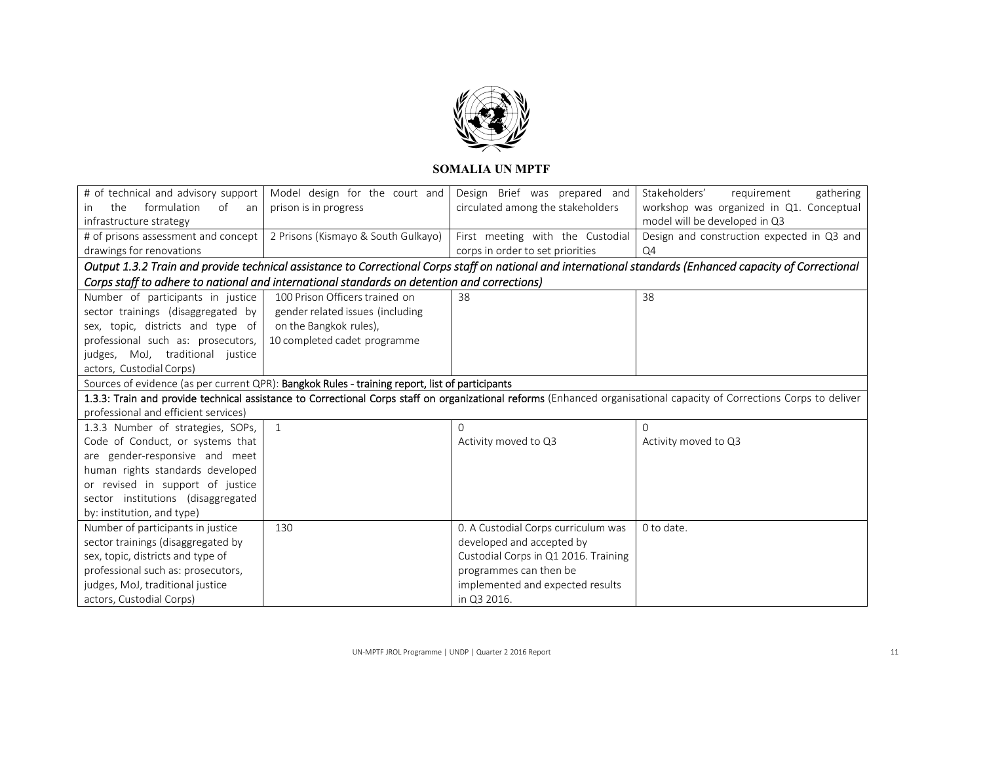

|                                                                                                                                                            | # of technical and advisory support   Model design for the court and                            | Design Brief was prepared and        | Stakeholders'<br>gathering<br>requirement                                                                                                                             |  |  |
|------------------------------------------------------------------------------------------------------------------------------------------------------------|-------------------------------------------------------------------------------------------------|--------------------------------------|-----------------------------------------------------------------------------------------------------------------------------------------------------------------------|--|--|
| formulation<br>the<br>of<br><i>in</i><br>an                                                                                                                | prison is in progress                                                                           | circulated among the stakeholders    | workshop was organized in Q1. Conceptual                                                                                                                              |  |  |
| infrastructure strategy                                                                                                                                    |                                                                                                 |                                      | model will be developed in Q3                                                                                                                                         |  |  |
|                                                                                                                                                            | # of prisons assessment and concept   2 Prisons (Kismayo & South Gulkayo)                       | First meeting with the Custodial     | Design and construction expected in Q3 and                                                                                                                            |  |  |
| drawings for renovations                                                                                                                                   |                                                                                                 | corps in order to set priorities     | Q4                                                                                                                                                                    |  |  |
| Output 1.3.2 Train and provide technical assistance to Correctional Corps staff on national and international standards (Enhanced capacity of Correctional |                                                                                                 |                                      |                                                                                                                                                                       |  |  |
|                                                                                                                                                            | Corps staff to adhere to national and international standards on detention and corrections)     |                                      |                                                                                                                                                                       |  |  |
| Number of participants in justice                                                                                                                          | 100 Prison Officers trained on                                                                  | 38                                   | 38                                                                                                                                                                    |  |  |
| sector trainings (disaggregated by                                                                                                                         | gender related issues (including                                                                |                                      |                                                                                                                                                                       |  |  |
| sex, topic, districts and type of                                                                                                                          | on the Bangkok rules),                                                                          |                                      |                                                                                                                                                                       |  |  |
| professional such as: prosecutors,                                                                                                                         | 10 completed cadet programme                                                                    |                                      |                                                                                                                                                                       |  |  |
| judges, MoJ, traditional justice                                                                                                                           |                                                                                                 |                                      |                                                                                                                                                                       |  |  |
| actors, Custodial Corps)                                                                                                                                   |                                                                                                 |                                      |                                                                                                                                                                       |  |  |
|                                                                                                                                                            | Sources of evidence (as per current QPR): Bangkok Rules - training report, list of participants |                                      |                                                                                                                                                                       |  |  |
|                                                                                                                                                            |                                                                                                 |                                      | 1.3.3: Train and provide technical assistance to Correctional Corps staff on organizational reforms (Enhanced organisational capacity of Corrections Corps to deliver |  |  |
| professional and efficient services)                                                                                                                       |                                                                                                 |                                      |                                                                                                                                                                       |  |  |
| 1.3.3 Number of strategies, SOPs,                                                                                                                          | $\mathbf{1}$                                                                                    | $\Omega$                             | $\Omega$                                                                                                                                                              |  |  |
| Code of Conduct, or systems that                                                                                                                           |                                                                                                 | Activity moved to Q3                 | Activity moved to Q3                                                                                                                                                  |  |  |
| are gender-responsive and meet                                                                                                                             |                                                                                                 |                                      |                                                                                                                                                                       |  |  |
| human rights standards developed                                                                                                                           |                                                                                                 |                                      |                                                                                                                                                                       |  |  |
| or revised in support of justice                                                                                                                           |                                                                                                 |                                      |                                                                                                                                                                       |  |  |
| sector institutions (disaggregated                                                                                                                         |                                                                                                 |                                      |                                                                                                                                                                       |  |  |
| by: institution, and type)                                                                                                                                 |                                                                                                 |                                      |                                                                                                                                                                       |  |  |
| Number of participants in justice                                                                                                                          | 130                                                                                             | 0. A Custodial Corps curriculum was  | 0 to date.                                                                                                                                                            |  |  |
| sector trainings (disaggregated by                                                                                                                         |                                                                                                 | developed and accepted by            |                                                                                                                                                                       |  |  |
| sex, topic, districts and type of                                                                                                                          |                                                                                                 | Custodial Corps in Q1 2016. Training |                                                                                                                                                                       |  |  |
| professional such as: prosecutors,                                                                                                                         |                                                                                                 | programmes can then be               |                                                                                                                                                                       |  |  |
| judges, MoJ, traditional justice                                                                                                                           |                                                                                                 | implemented and expected results     |                                                                                                                                                                       |  |  |
| actors, Custodial Corps)                                                                                                                                   |                                                                                                 | in Q3 2016.                          |                                                                                                                                                                       |  |  |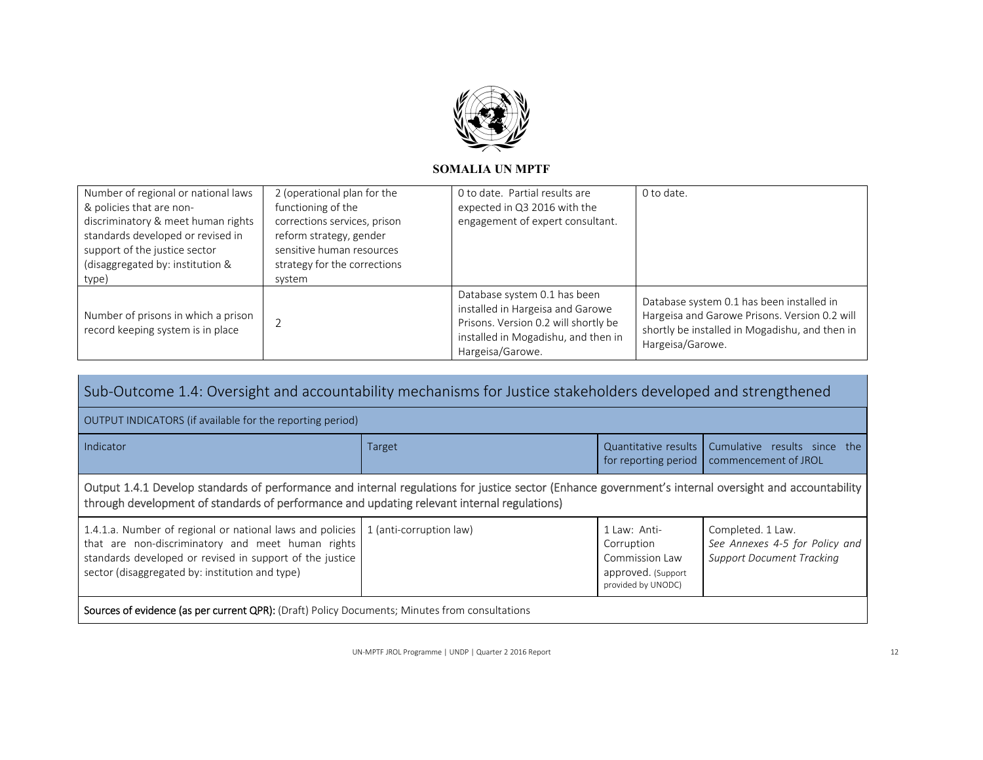

| Number of regional or national laws<br>& policies that are non-<br>discriminatory & meet human rights<br>standards developed or revised in<br>support of the justice sector<br>(disaggregated by: institution &<br>type) | 2 (operational plan for the<br>functioning of the<br>corrections services, prison<br>reform strategy, gender<br>sensitive human resources<br>strategy for the corrections<br>system | 0 to date. Partial results are<br>expected in Q3 2016 with the<br>engagement of expert consultant.                                                                  | 0 to date.                                                                                                                                                       |
|--------------------------------------------------------------------------------------------------------------------------------------------------------------------------------------------------------------------------|-------------------------------------------------------------------------------------------------------------------------------------------------------------------------------------|---------------------------------------------------------------------------------------------------------------------------------------------------------------------|------------------------------------------------------------------------------------------------------------------------------------------------------------------|
| Number of prisons in which a prison<br>record keeping system is in place                                                                                                                                                 |                                                                                                                                                                                     | Database system 0.1 has been<br>installed in Hargeisa and Garowe<br>Prisons. Version 0.2 will shortly be<br>installed in Mogadishu, and then in<br>Hargeisa/Garowe. | Database system 0.1 has been installed in<br>Hargeisa and Garowe Prisons. Version 0.2 will<br>shortly be installed in Mogadishu, and then in<br>Hargeisa/Garowe. |

| Sub-Outcome 1.4: Oversight and accountability mechanisms for Justice stakeholders developed and strengthened                                                                                                                                                                                                                                                                                                                                    |        |                                              |                                                      |  |  |  |
|-------------------------------------------------------------------------------------------------------------------------------------------------------------------------------------------------------------------------------------------------------------------------------------------------------------------------------------------------------------------------------------------------------------------------------------------------|--------|----------------------------------------------|------------------------------------------------------|--|--|--|
| OUTPUT INDICATORS (if available for the reporting period)                                                                                                                                                                                                                                                                                                                                                                                       |        |                                              |                                                      |  |  |  |
| Indicator                                                                                                                                                                                                                                                                                                                                                                                                                                       | Target | Quantitative results<br>for reporting period | Cumulative results since the<br>commencement of JROL |  |  |  |
| Output 1.4.1 Develop standards of performance and internal regulations for justice sector (Enhance government's internal oversight and accountability<br>through development of standards of performance and updating relevant internal regulations)                                                                                                                                                                                            |        |                                              |                                                      |  |  |  |
| 1.4.1.a. Number of regional or national laws and policies<br>1 (anti-corruption law)<br>1 Law: Anti-<br>Completed. 1 Law.<br>that are non-discriminatory and meet human rights<br>See Annexes 4-5 for Policy and<br>Corruption<br>standards developed or revised in support of the justice<br><b>Support Document Tracking</b><br>Commission Law<br>sector (disaggregated by: institution and type)<br>approved. (Support<br>provided by UNODC) |        |                                              |                                                      |  |  |  |
| <b>Sources of evidence (as per current QPR):</b> (Draft) Policy Documents; Minutes from consultations                                                                                                                                                                                                                                                                                                                                           |        |                                              |                                                      |  |  |  |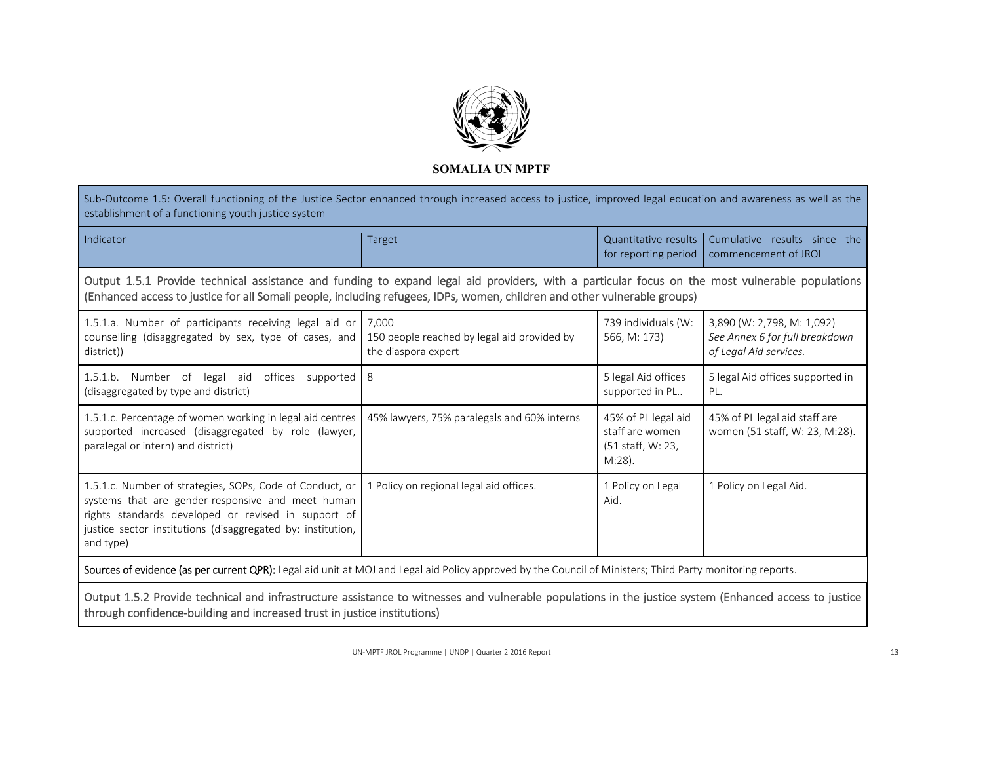

Sub-Outcome 1.5: Overall functioning of the Justice Sector enhanced through increased access to justice, improved legal education and awareness as well as the establishment of a functioning youth justice system Indicator Target Quantitative results Cumulative results since the for reporting period | commencement of JROL Output 1.5.1 Provide technical assistance and funding to expand legal aid providers, with <sup>a</sup> particular focus on the most vulnerable populations (Enhanced access to justice for all Somali people, including refugees, IDPs, women, children and other vulnerable groups) 1.5.1.a. Number of participants receiving legal aid or 7,000 counselling (disaggregated by sex, type of cases, and 150 people reached by legal aid provided by 739 individuals (W: 566, M: 173) 3,890 (W: 2,798, M: 1,092) *See Annex 6 for full breakdown* 

| district))                                                                                                                                                                                                                                       | the diaspora expert                         |                                                                          | of Legal Aid services.                                          |
|--------------------------------------------------------------------------------------------------------------------------------------------------------------------------------------------------------------------------------------------------|---------------------------------------------|--------------------------------------------------------------------------|-----------------------------------------------------------------|
| 1.5.1.b. Number of<br>offices<br>legal aid<br>supported 8<br>(disaggregated by type and district)                                                                                                                                                |                                             | 5 legal Aid offices<br>supported in PL                                   | 5 legal Aid offices supported in<br>PL.                         |
| 1.5.1.c. Percentage of women working in legal aid centres<br>supported increased (disaggregated by role (lawyer,<br>paralegal or intern) and district)                                                                                           | 45% lawyers, 75% paralegals and 60% interns | 45% of PL legal aid<br>staff are women<br>(51 staff, W: 23,<br>$M:28$ ). | 45% of PL legal aid staff are<br>women (51 staff, W: 23, M:28). |
| 1.5.1.c. Number of strategies, SOPs, Code of Conduct, or<br>systems that are gender-responsive and meet human<br>rights standards developed or revised in support of<br>justice sector institutions (disaggregated by: institution,<br>and type) | 1 Policy on regional legal aid offices.     | 1 Policy on Legal<br>Aid.                                                | 1 Policy on Legal Aid.                                          |

Sources of evidence (as per current QPR): Legal aid unit at MOJ and Legal aid Policy approved by the Council of Ministers; Third Party monitoring reports.

Output 1.5.2 Provide technical and infrastructure assistance to witnesses and vulnerable populations in the justice system (Enhanced access to justice through confidence‐building and increased trust in justice institutions)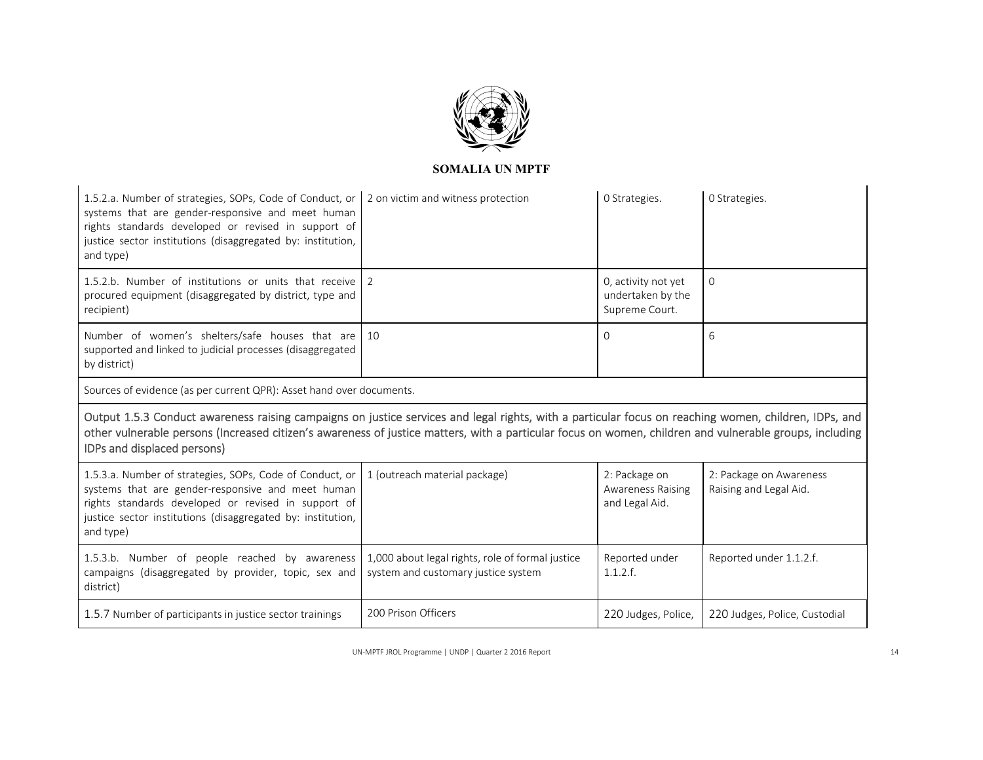

| 1.5.2.a. Number of strategies, SOPs, Code of Conduct, or<br>systems that are gender-responsive and meet human<br>rights standards developed or revised in support of<br>justice sector institutions (disaggregated by: institution,<br>and type)                                                                                                | 2 on victim and witness protection                                                      | O Strategies.                                               | O Strategies.                                     |  |  |
|-------------------------------------------------------------------------------------------------------------------------------------------------------------------------------------------------------------------------------------------------------------------------------------------------------------------------------------------------|-----------------------------------------------------------------------------------------|-------------------------------------------------------------|---------------------------------------------------|--|--|
| 1.5.2.b. Number of institutions or units that receive<br>procured equipment (disaggregated by district, type and<br>recipient)                                                                                                                                                                                                                  | $\overline{2}$                                                                          | 0, activity not yet<br>undertaken by the<br>Supreme Court.  | $\Omega$                                          |  |  |
| Number of women's shelters/safe houses that are<br>supported and linked to judicial processes (disaggregated<br>by district)                                                                                                                                                                                                                    | 10                                                                                      | $\mathbf{O}$                                                | 6                                                 |  |  |
| Sources of evidence (as per current QPR): Asset hand over documents.                                                                                                                                                                                                                                                                            |                                                                                         |                                                             |                                                   |  |  |
|                                                                                                                                                                                                                                                                                                                                                 |                                                                                         |                                                             |                                                   |  |  |
| Output 1.5.3 Conduct awareness raising campaigns on justice services and legal rights, with a particular focus on reaching women, children, IDPs, and<br>other vulnerable persons (Increased citizen's awareness of justice matters, with a particular focus on women, children and vulnerable groups, including<br>IDPs and displaced persons) |                                                                                         |                                                             |                                                   |  |  |
| 1.5.3.a. Number of strategies, SOPs, Code of Conduct, or<br>systems that are gender-responsive and meet human<br>rights standards developed or revised in support of<br>justice sector institutions (disaggregated by: institution,<br>and type)                                                                                                | 1 (outreach material package)                                                           | 2: Package on<br><b>Awareness Raising</b><br>and Legal Aid. | 2: Package on Awareness<br>Raising and Legal Aid. |  |  |
| 1.5.3.b. Number of people reached by awareness<br>campaigns (disaggregated by provider, topic, sex and<br>district)                                                                                                                                                                                                                             | 1,000 about legal rights, role of formal justice<br>system and customary justice system | Reported under<br>1.1.2.f.                                  | Reported under 1.1.2.f.                           |  |  |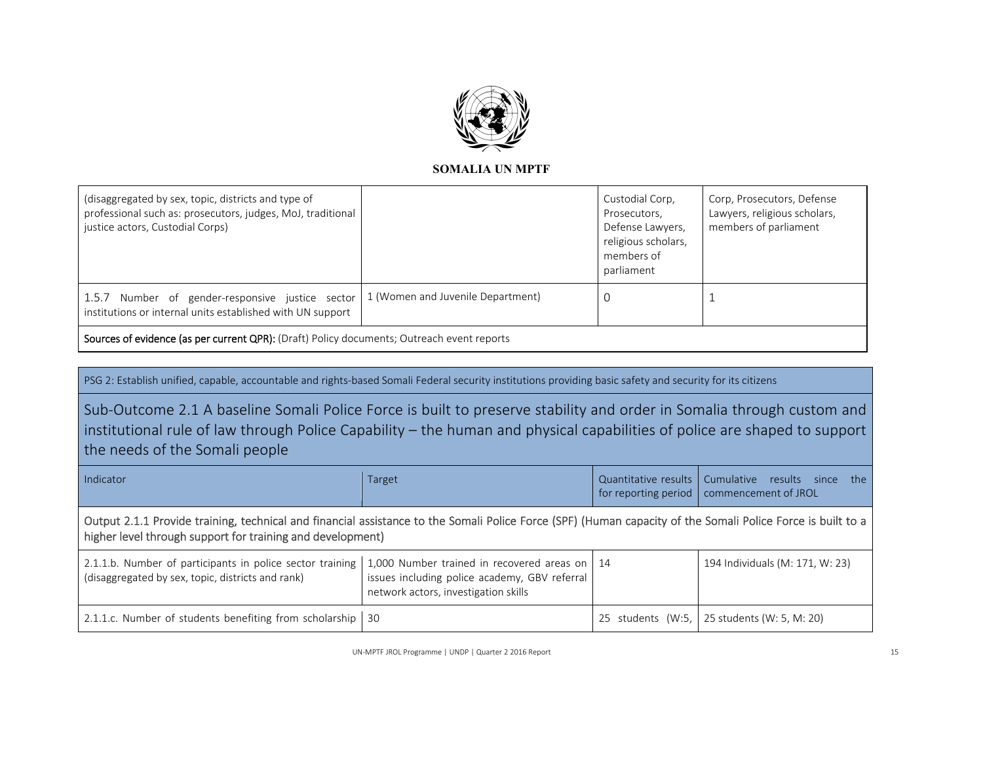

| (disaggregated by sex, topic, districts and type of<br>professional such as: prosecutors, judges, MoJ, traditional<br>justice actors, Custodial Corps) |  | Custodial Corp,<br>Prosecutors,<br>Defense Lawyers,<br>religious scholars,<br>members of<br>parliament | Corp, Prosecutors, Defense<br>Lawyers, religious scholars,<br>members of parliament |
|--------------------------------------------------------------------------------------------------------------------------------------------------------|--|--------------------------------------------------------------------------------------------------------|-------------------------------------------------------------------------------------|
| 1.5.7 Number of gender-responsive justice sector   1 (Women and Juvenile Department)<br>institutions or internal units established with UN support     |  |                                                                                                        |                                                                                     |
| Sources of evidence (as per current QPR): (Draft) Policy documents; Outreach event reports                                                             |  |                                                                                                        |                                                                                     |

PSG 2: Establish unified, capable, accountable and rights-based Somali Federal security institutions providing basic safety and security for its citizens

Sub‐Outcome 2.1 A baseline Somali Police Force is built to preserve stability and order in Somalia through custom and institutional rule of law through Police Capability – the human and physical capabilities of police are shaped to support the needs of the Somali people

| Indicator                                                                                                                                                                                                                 | Target                                                                                |  | Quantitative results   Cumulative results since the<br>for reporting period   commencement of JROL |  |
|---------------------------------------------------------------------------------------------------------------------------------------------------------------------------------------------------------------------------|---------------------------------------------------------------------------------------|--|----------------------------------------------------------------------------------------------------|--|
| Output 2.1.1 Provide training, technical and financial assistance to the Somali Police Force (SPF) (Human capacity of the Somali Police Force is built to a<br>higher level through support for training and development) |                                                                                       |  |                                                                                                    |  |
| 2.1.1.b. Number of participants in police sector training   1,000 Number trained in recovered areas on   14<br>(disaggregated by sex, topic, districts and rank)                                                          | issues including police academy, GBV referral<br>network actors, investigation skills |  | 194 Individuals (M: 171, W: 23)                                                                    |  |
| 2.1.1.c. Number of students benefiting from scholarship   30                                                                                                                                                              |                                                                                       |  | 25 students (W:5, 25 students (W: 5, M: 20)                                                        |  |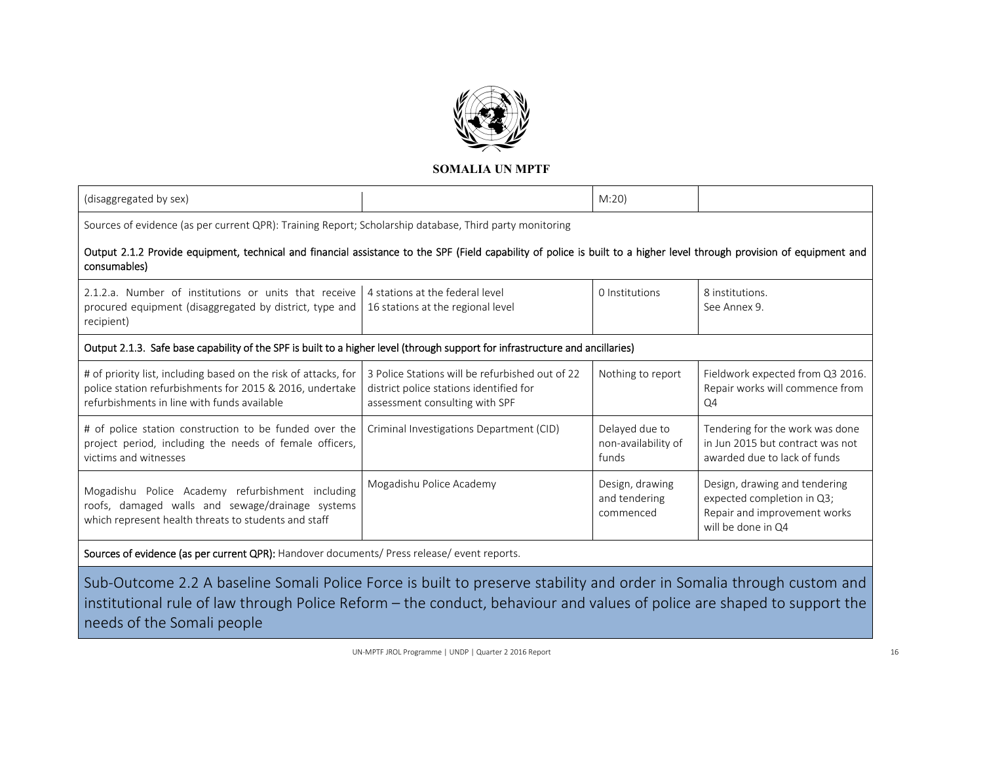

| (disaggregated by sex)                                                                                                                                                                  |                                                                                                                              | M:20                                           |                                                                                                                   |  |  |
|-----------------------------------------------------------------------------------------------------------------------------------------------------------------------------------------|------------------------------------------------------------------------------------------------------------------------------|------------------------------------------------|-------------------------------------------------------------------------------------------------------------------|--|--|
| Sources of evidence (as per current QPR): Training Report; Scholarship database, Third party monitoring                                                                                 |                                                                                                                              |                                                |                                                                                                                   |  |  |
| Output 2.1.2 Provide equipment, technical and financial assistance to the SPF (Field capability of police is built to a higher level through provision of equipment and<br>consumables) |                                                                                                                              |                                                |                                                                                                                   |  |  |
| 2.1.2.a. Number of institutions or units that receive<br>procured equipment (disaggregated by district, type and<br>recipient)                                                          | 4 stations at the federal level<br>16 stations at the regional level                                                         | 0 Institutions                                 | 8 institutions.<br>See Annex 9.                                                                                   |  |  |
| Output 2.1.3. Safe base capability of the SPF is built to a higher level (through support for infrastructure and ancillaries)                                                           |                                                                                                                              |                                                |                                                                                                                   |  |  |
| # of priority list, including based on the risk of attacks, for<br>police station refurbishments for 2015 & 2016, undertake<br>refurbishments in line with funds available              | 3 Police Stations will be refurbished out of 22<br>district police stations identified for<br>assessment consulting with SPF | Nothing to report                              | Fieldwork expected from Q3 2016.<br>Repair works will commence from<br>Q <sub>4</sub>                             |  |  |
| # of police station construction to be funded over the<br>project period, including the needs of female officers,<br>victims and witnesses                                              | Criminal Investigations Department (CID)                                                                                     | Delayed due to<br>non-availability of<br>funds | Tendering for the work was done<br>in Jun 2015 but contract was not<br>awarded due to lack of funds               |  |  |
| Mogadishu Police Academy refurbishment including<br>roofs, damaged walls and sewage/drainage systems<br>which represent health threats to students and staff                            | Mogadishu Police Academy                                                                                                     | Design, drawing<br>and tendering<br>commenced  | Design, drawing and tendering<br>expected completion in Q3;<br>Repair and improvement works<br>will be done in Q4 |  |  |

Sources of evidence (as per current QPR): Handover documents/ Press release/ event reports.

Sub‐Outcome 2.2 A baseline Somali Police Force is built to preserve stability and order in Somalia through custom and institutional rule of law through Police Reform – the conduct, behaviour and values of police are shaped to support the needs of the Somali people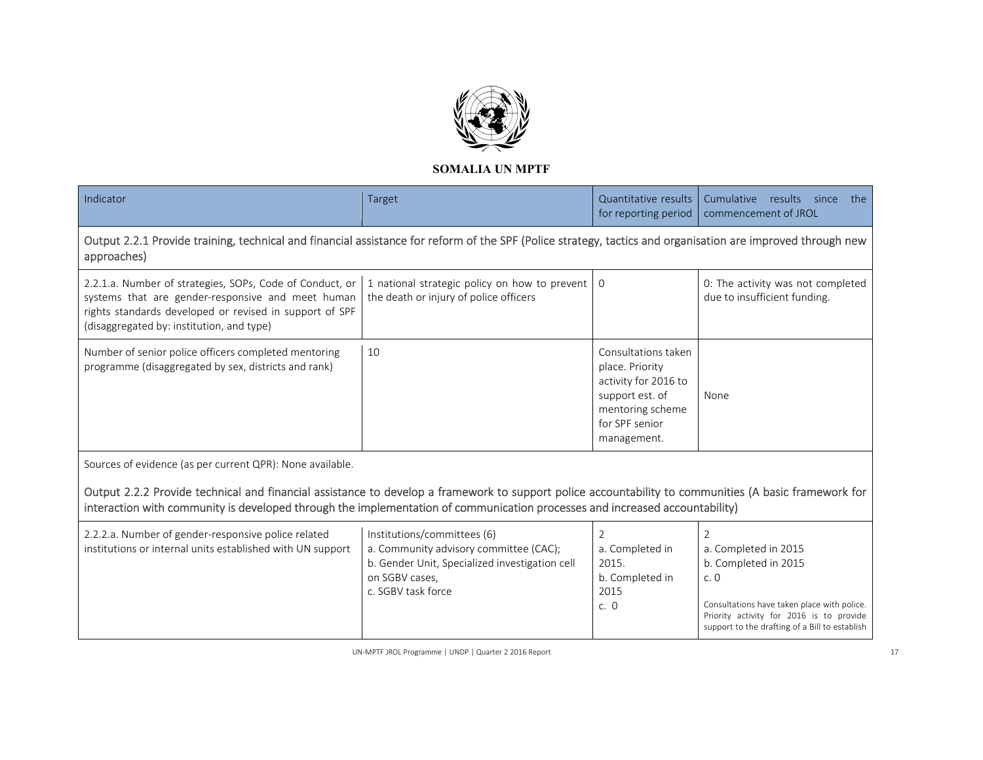

| Indicator                                                                                                                                                                                                                                                                            | Target                                                                                                                                                          | Quantitative results<br>for reporting period                                                                                           | Cumulative results since<br>the<br>commencement of JROL                                                                                                                                                            |
|--------------------------------------------------------------------------------------------------------------------------------------------------------------------------------------------------------------------------------------------------------------------------------------|-----------------------------------------------------------------------------------------------------------------------------------------------------------------|----------------------------------------------------------------------------------------------------------------------------------------|--------------------------------------------------------------------------------------------------------------------------------------------------------------------------------------------------------------------|
| Output 2.2.1 Provide training, technical and financial assistance for reform of the SPF (Police strategy, tactics and organisation are improved through new<br>approaches)                                                                                                           |                                                                                                                                                                 |                                                                                                                                        |                                                                                                                                                                                                                    |
| 2.2.1.a. Number of strategies, SOPs, Code of Conduct, or<br>systems that are gender-responsive and meet human<br>rights standards developed or revised in support of SPF<br>(disaggregated by: institution, and type)                                                                | 1 national strategic policy on how to prevent<br>the death or injury of police officers                                                                         | $\Omega$                                                                                                                               | 0: The activity was not completed<br>due to insufficient funding.                                                                                                                                                  |
| Number of senior police officers completed mentoring<br>programme (disaggregated by sex, districts and rank)                                                                                                                                                                         | 10                                                                                                                                                              | Consultations taken<br>place. Priority<br>activity for 2016 to<br>support est. of<br>mentoring scheme<br>for SPF senior<br>management. | None                                                                                                                                                                                                               |
| Sources of evidence (as per current QPR): None available.                                                                                                                                                                                                                            |                                                                                                                                                                 |                                                                                                                                        |                                                                                                                                                                                                                    |
| Output 2.2.2 Provide technical and financial assistance to develop a framework to support police accountability to communities (A basic framework for<br>interaction with community is developed through the implementation of communication processes and increased accountability) |                                                                                                                                                                 |                                                                                                                                        |                                                                                                                                                                                                                    |
| 2.2.2.a. Number of gender-responsive police related<br>institutions or internal units established with UN support                                                                                                                                                                    | Institutions/committees (6)<br>a. Community advisory committee (CAC);<br>b. Gender Unit, Specialized investigation cell<br>on SGBV cases,<br>c. SGBV task force | $\overline{2}$<br>a. Completed in<br>2015.<br>b. Completed in<br>2015<br>c. 0                                                          | $\overline{2}$<br>a. Completed in 2015<br>b. Completed in 2015<br>c.0<br>Consultations have taken place with police.<br>Priority activity for 2016 is to provide<br>support to the drafting of a Bill to establish |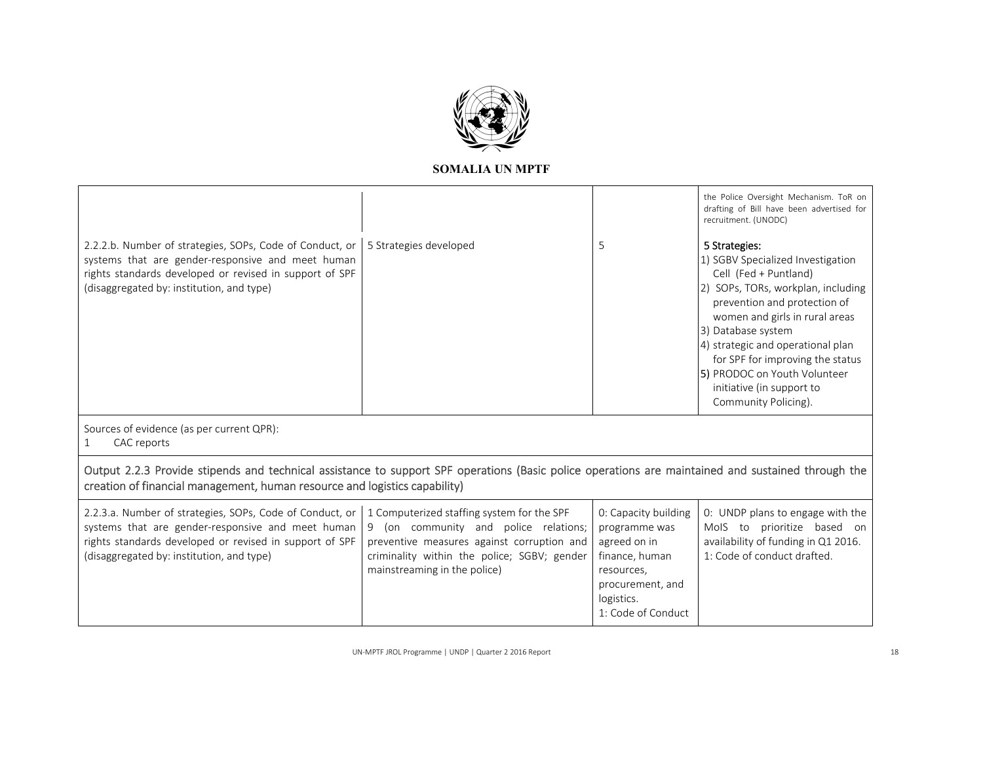

|                                                                                                                                                                                                                                  |                                                                                                                                                                                                                     |                                                                                                                         | the Police Oversight Mechanism. ToR on<br>drafting of Bill have been advertised for<br>recruitment. (UNODC)                                                                                                                                                                                                                                                             |
|----------------------------------------------------------------------------------------------------------------------------------------------------------------------------------------------------------------------------------|---------------------------------------------------------------------------------------------------------------------------------------------------------------------------------------------------------------------|-------------------------------------------------------------------------------------------------------------------------|-------------------------------------------------------------------------------------------------------------------------------------------------------------------------------------------------------------------------------------------------------------------------------------------------------------------------------------------------------------------------|
| 2.2.2.b. Number of strategies, SOPs, Code of Conduct, or<br>systems that are gender-responsive and meet human<br>rights standards developed or revised in support of SPF<br>(disaggregated by: institution, and type)            | 5 Strategies developed                                                                                                                                                                                              | 5                                                                                                                       | 5 Strategies:<br>1) SGBV Specialized Investigation<br>Cell (Fed + Puntland)<br>2) SOPs, TORs, workplan, including<br>prevention and protection of<br>women and girls in rural areas<br>3) Database system<br>4) strategic and operational plan<br>for SPF for improving the status<br>5) PRODOC on Youth Volunteer<br>initiative (in support to<br>Community Policing). |
| Sources of evidence (as per current QPR):<br>CAC reports                                                                                                                                                                         |                                                                                                                                                                                                                     |                                                                                                                         |                                                                                                                                                                                                                                                                                                                                                                         |
| Output 2.2.3 Provide stipends and technical assistance to support SPF operations (Basic police operations are maintained and sustained through the<br>creation of financial management, human resource and logistics capability) |                                                                                                                                                                                                                     |                                                                                                                         |                                                                                                                                                                                                                                                                                                                                                                         |
| 2.2.3.a. Number of strategies, SOPs, Code of Conduct, or<br>systems that are gender-responsive and meet human<br>rights standards developed or revised in support of SPF<br>(disaggregated by: institution, and type)            | 1 Computerized staffing system for the SPF<br>(on community and police relations;<br>9<br>preventive measures against corruption and<br>criminality within the police; SGBV; gender<br>mainstreaming in the police) | 0: Capacity building<br>programme was<br>agreed on in<br>finance, human<br>resources,<br>procurement, and<br>logistics. | 0: UNDP plans to engage with the<br>MoIS to prioritize based on<br>availability of funding in Q1 2016.<br>1: Code of conduct drafted.                                                                                                                                                                                                                                   |

1: Code of Conduct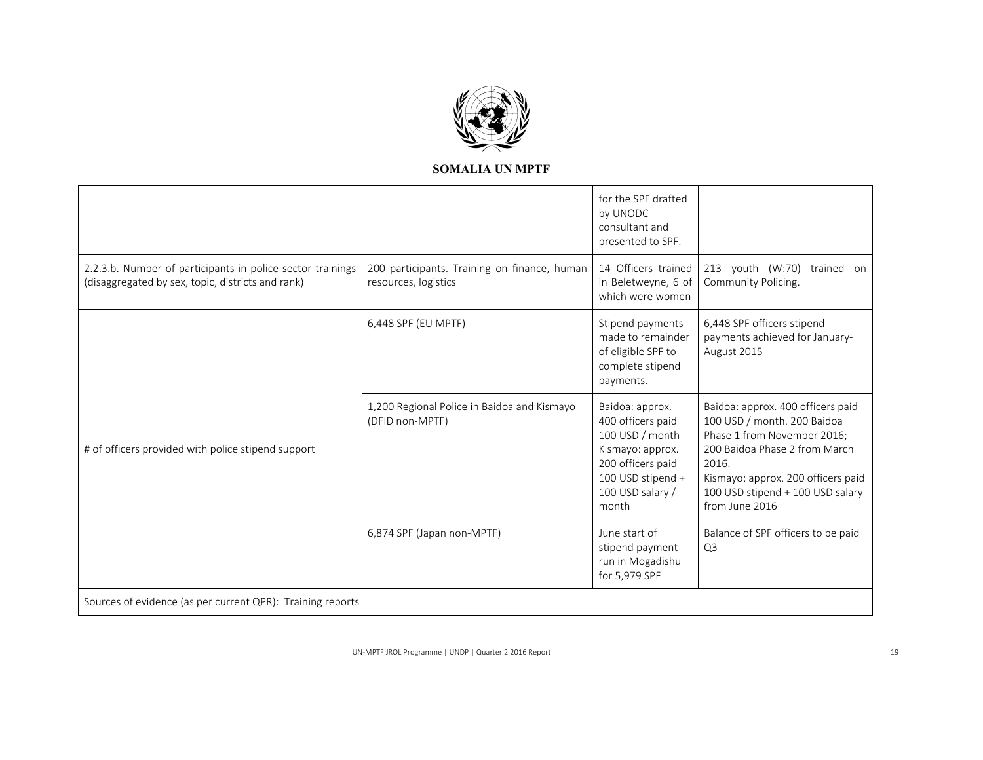

|                                                                                                                 |                                                                      | for the SPF drafted<br>by UNODC<br>consultant and<br>presented to SPF.                                                                             |                                                                                                                                                                                                                                       |
|-----------------------------------------------------------------------------------------------------------------|----------------------------------------------------------------------|----------------------------------------------------------------------------------------------------------------------------------------------------|---------------------------------------------------------------------------------------------------------------------------------------------------------------------------------------------------------------------------------------|
| 2.2.3.b. Number of participants in police sector trainings<br>(disaggregated by sex, topic, districts and rank) | 200 participants. Training on finance, human<br>resources, logistics | 14 Officers trained<br>in Beletweyne, 6 of<br>which were women                                                                                     | 213 youth (W:70)<br>trained on<br>Community Policing.                                                                                                                                                                                 |
|                                                                                                                 | 6,448 SPF (EU MPTF)                                                  | Stipend payments<br>made to remainder<br>of eligible SPF to<br>complete stipend<br>payments.                                                       | 6,448 SPF officers stipend<br>payments achieved for January-<br>August 2015                                                                                                                                                           |
| # of officers provided with police stipend support                                                              | 1,200 Regional Police in Baidoa and Kismayo<br>(DFID non-MPTF)       | Baidoa: approx.<br>400 officers paid<br>100 USD / month<br>Kismayo: approx.<br>200 officers paid<br>100 USD stipend +<br>100 USD salary /<br>month | Baidoa: approx. 400 officers paid<br>100 USD / month. 200 Baidoa<br>Phase 1 from November 2016;<br>200 Baidoa Phase 2 from March<br>2016.<br>Kismayo: approx. 200 officers paid<br>100 USD stipend + 100 USD salary<br>from June 2016 |
|                                                                                                                 | 6,874 SPF (Japan non-MPTF)                                           | June start of<br>stipend payment<br>run in Mogadishu<br>for 5,979 SPF                                                                              | Balance of SPF officers to be paid<br>Q <sub>3</sub>                                                                                                                                                                                  |
| Sources of evidence (as per current QPR): Training reports                                                      |                                                                      |                                                                                                                                                    |                                                                                                                                                                                                                                       |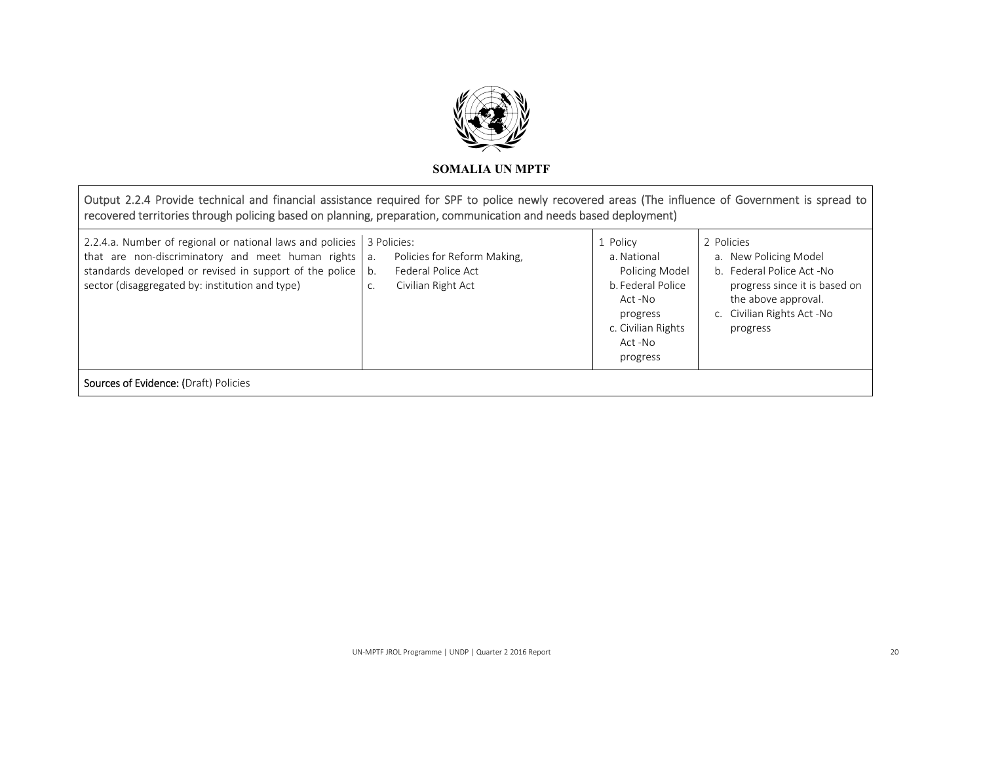

# Output 2.2.4 Provide technical and financial assistance required for SPF to police newly recovered areas (The influence of Government is spread to recovered territories through policing based on planning, preparation, communication and needs based deployment)

| 2.2.4.a. Number of regional or national laws and policies<br>that are non-discriminatory and meet human rights<br>standards developed or revised in support of the police<br>sector (disaggregated by: institution and type) | 3 Policies:<br>Policies for Reform Making,<br>a.<br>Federal Police Act<br>b.<br>Civilian Right Act<br>C. | 1 Policy<br>a. National<br>Policing Model<br>b. Federal Police<br>Act -No<br>progress<br>c. Civilian Rights<br>Act -No<br>progress | 2 Policies<br>a. New Policing Model<br>b. Federal Police Act -No<br>progress since it is based on<br>the above approval.<br>c. Civilian Rights Act -No<br>progress |  |
|------------------------------------------------------------------------------------------------------------------------------------------------------------------------------------------------------------------------------|----------------------------------------------------------------------------------------------------------|------------------------------------------------------------------------------------------------------------------------------------|--------------------------------------------------------------------------------------------------------------------------------------------------------------------|--|
| <b>Sources of Evidence: (Draft) Policies</b>                                                                                                                                                                                 |                                                                                                          |                                                                                                                                    |                                                                                                                                                                    |  |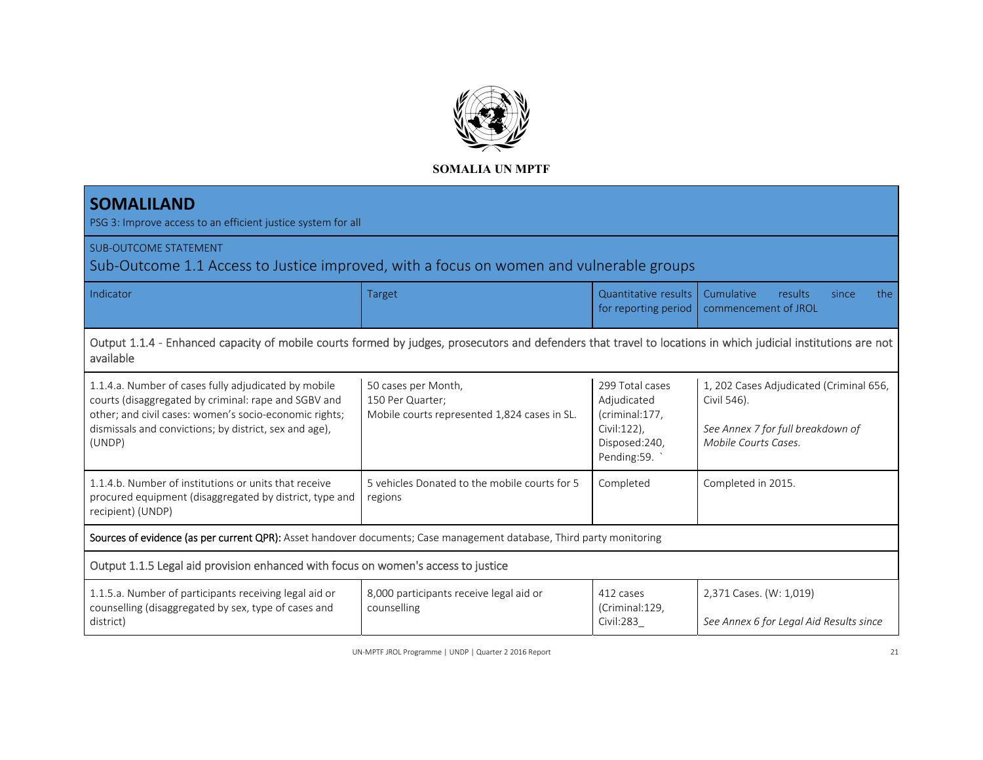

| <b>SOMALILAND</b><br>PSG 3: Improve access to an efficient justice system for all                                                                                                                                                          |                                                                                         |                                                                                                 |                                                                                                                     |  |  |
|--------------------------------------------------------------------------------------------------------------------------------------------------------------------------------------------------------------------------------------------|-----------------------------------------------------------------------------------------|-------------------------------------------------------------------------------------------------|---------------------------------------------------------------------------------------------------------------------|--|--|
| <b>SUB-OUTCOME STATEMENT</b><br>Sub-Outcome 1.1 Access to Justice improved, with a focus on women and vulnerable groups                                                                                                                    |                                                                                         |                                                                                                 |                                                                                                                     |  |  |
| Indicator                                                                                                                                                                                                                                  | <b>Target</b>                                                                           | Quantitative results<br>for reporting period                                                    | Cumulative<br><b>results</b><br>the<br>since<br>commencement of JROL                                                |  |  |
| Output 1.1.4 - Enhanced capacity of mobile courts formed by judges, prosecutors and defenders that travel to locations in which judicial institutions are not<br>available                                                                 |                                                                                         |                                                                                                 |                                                                                                                     |  |  |
| 1.1.4.a. Number of cases fully adjudicated by mobile<br>courts (disaggregated by criminal: rape and SGBV and<br>other; and civil cases: women's socio-economic rights;<br>dismissals and convictions; by district, sex and age),<br>(UNDP) | 50 cases per Month,<br>150 Per Quarter;<br>Mobile courts represented 1,824 cases in SL. | 299 Total cases<br>Adjudicated<br>(criminal:177,<br>Civil:122),<br>Disposed:240,<br>Pending:59. | 1, 202 Cases Adjudicated (Criminal 656,<br>Civil 546).<br>See Annex 7 for full breakdown of<br>Mobile Courts Cases. |  |  |
| 1.1.4.b. Number of institutions or units that receive<br>procured equipment (disaggregated by district, type and<br>recipient) (UNDP)                                                                                                      | 5 vehicles Donated to the mobile courts for 5<br>regions                                | Completed                                                                                       | Completed in 2015.                                                                                                  |  |  |
| Sources of evidence (as per current QPR): Asset handover documents; Case management database, Third party monitoring                                                                                                                       |                                                                                         |                                                                                                 |                                                                                                                     |  |  |
| Output 1.1.5 Legal aid provision enhanced with focus on women's access to justice                                                                                                                                                          |                                                                                         |                                                                                                 |                                                                                                                     |  |  |
| 1.1.5.a. Number of participants receiving legal aid or<br>counselling (disaggregated by sex, type of cases and<br>district)                                                                                                                | 8,000 participants receive legal aid or<br>counselling                                  | 412 cases<br>(Criminal:129,<br>Civil:283                                                        | 2,371 Cases. (W: 1,019)<br>See Annex 6 for Legal Aid Results since                                                  |  |  |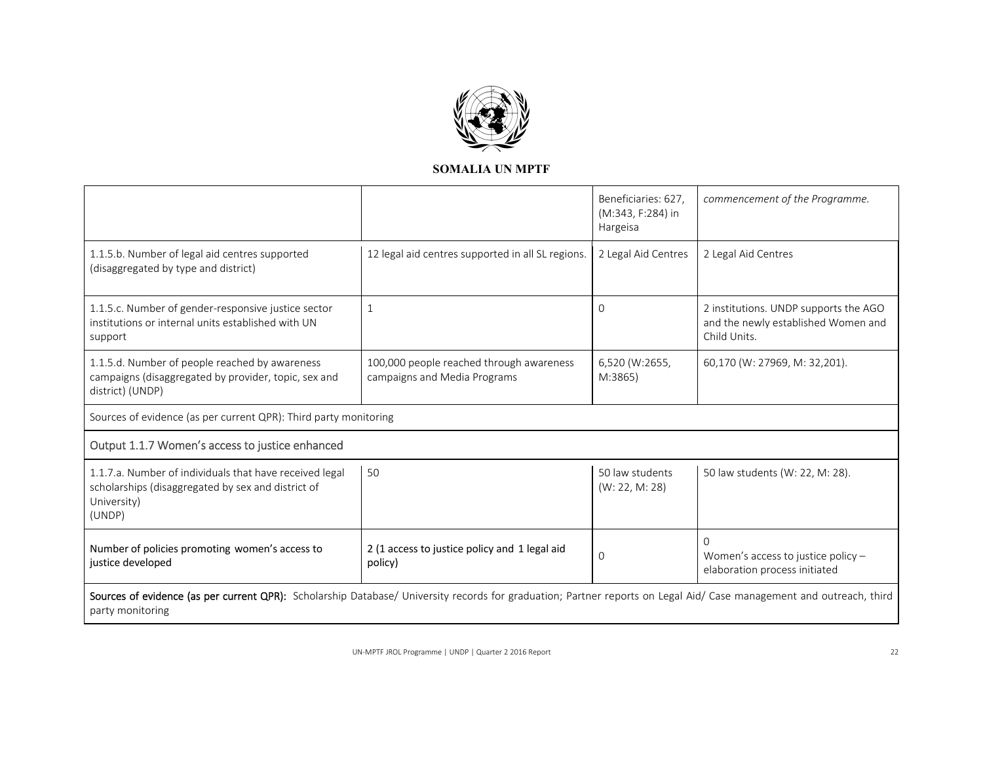

|                                                                                                                                                                                          |                                                                          | Beneficiaries: 627,<br>(M:343, F:284) in<br>Hargeisa | commencement of the Programme.                                                               |
|------------------------------------------------------------------------------------------------------------------------------------------------------------------------------------------|--------------------------------------------------------------------------|------------------------------------------------------|----------------------------------------------------------------------------------------------|
| 1.1.5.b. Number of legal aid centres supported<br>(disaggregated by type and district)                                                                                                   | 12 legal aid centres supported in all SL regions.                        | 2 Legal Aid Centres                                  | 2 Legal Aid Centres                                                                          |
| 1.1.5.c. Number of gender-responsive justice sector<br>institutions or internal units established with UN<br>support                                                                     | $\mathbf{1}$                                                             | $\Omega$                                             | 2 institutions. UNDP supports the AGO<br>and the newly established Women and<br>Child Units. |
| 1.1.5.d. Number of people reached by awareness<br>campaigns (disaggregated by provider, topic, sex and<br>district) (UNDP)                                                               | 100,000 people reached through awareness<br>campaigns and Media Programs | 6,520 (W:2655,<br>M:3865)                            | 60,170 (W: 27969, M: 32,201).                                                                |
| Sources of evidence (as per current QPR): Third party monitoring                                                                                                                         |                                                                          |                                                      |                                                                                              |
| Output 1.1.7 Women's access to justice enhanced                                                                                                                                          |                                                                          |                                                      |                                                                                              |
| 1.1.7.a. Number of individuals that have received legal<br>scholarships (disaggregated by sex and district of<br>University)<br>(UNDP)                                                   | 50                                                                       | 50 law students<br>(W: 22, M: 28)                    | 50 law students (W: 22, M: 28).                                                              |
| Number of policies promoting women's access to<br>justice developed                                                                                                                      | 2 (1 access to justice policy and 1 legal aid<br>policy)                 | $\Omega$                                             | $\Omega$<br>Women's access to justice policy -<br>elaboration process initiated              |
| Sources of evidence (as per current QPR): Scholarship Database/ University records for graduation; Partner reports on Legal Aid/ Case management and outreach, third<br>party monitoring |                                                                          |                                                      |                                                                                              |

 $\overline{\phantom{0}}$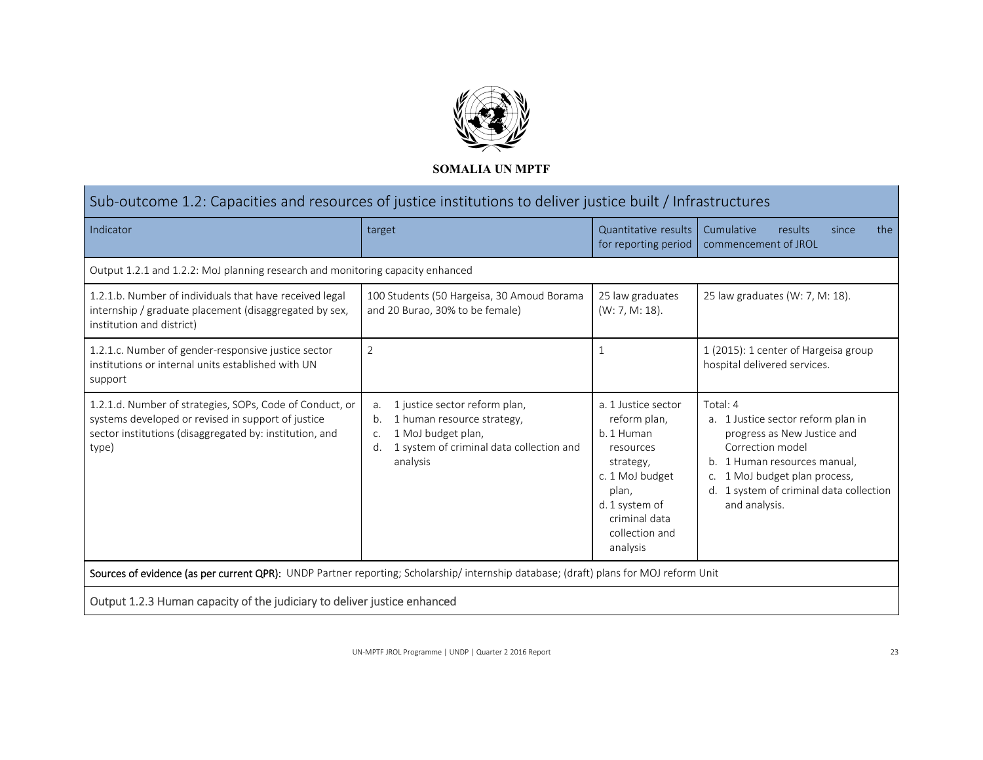

| Sub-outcome 1.2: Capacities and resources of justice institutions to deliver justice built / Infrastructures                                                                       |                                                                                                                                                                   |                                                                                                                                                                          |                                                                                                                                                                                                                                |  |
|------------------------------------------------------------------------------------------------------------------------------------------------------------------------------------|-------------------------------------------------------------------------------------------------------------------------------------------------------------------|--------------------------------------------------------------------------------------------------------------------------------------------------------------------------|--------------------------------------------------------------------------------------------------------------------------------------------------------------------------------------------------------------------------------|--|
| Indicator                                                                                                                                                                          | target                                                                                                                                                            | Quantitative results<br>for reporting period                                                                                                                             | Cumulative<br>results<br>the<br>since<br>commencement of JROL                                                                                                                                                                  |  |
| Output 1.2.1 and 1.2.2: MoJ planning research and monitoring capacity enhanced                                                                                                     |                                                                                                                                                                   |                                                                                                                                                                          |                                                                                                                                                                                                                                |  |
| 1.2.1.b. Number of individuals that have received legal<br>internship / graduate placement (disaggregated by sex,<br>institution and district)                                     | 100 Students (50 Hargeisa, 30 Amoud Borama<br>and 20 Burao, 30% to be female)                                                                                     | 25 law graduates<br>$(W: 7, M: 18)$ .                                                                                                                                    | 25 law graduates (W: 7, M: 18).                                                                                                                                                                                                |  |
| 1.2.1.c. Number of gender-responsive justice sector<br>institutions or internal units established with UN<br>support                                                               | $\overline{2}$                                                                                                                                                    | 1                                                                                                                                                                        | 1 (2015): 1 center of Hargeisa group<br>hospital delivered services.                                                                                                                                                           |  |
| 1.2.1.d. Number of strategies, SOPs, Code of Conduct, or<br>systems developed or revised in support of justice<br>sector institutions (disaggregated by: institution, and<br>type) | 1 justice sector reform plan,<br>a.<br>1 human resource strategy,<br>b.<br>1 MoJ budget plan,<br>C.<br>1 system of criminal data collection and<br>d.<br>analysis | a. 1 Justice sector<br>reform plan,<br>b. 1 Human<br>resources<br>strategy,<br>c. 1 MoJ budget<br>plan,<br>d. 1 system of<br>criminal data<br>collection and<br>analysis | Total: 4<br>a. 1 Justice sector reform plan in<br>progress as New Justice and<br>Correction model<br>b. 1 Human resources manual,<br>c. 1 MoJ budget plan process,<br>d. 1 system of criminal data collection<br>and analysis. |  |
| Sources of evidence (as per current QPR): UNDP Partner reporting; Scholarship/internship database; (draft) plans for MOJ reform Unit                                               |                                                                                                                                                                   |                                                                                                                                                                          |                                                                                                                                                                                                                                |  |
|                                                                                                                                                                                    |                                                                                                                                                                   |                                                                                                                                                                          |                                                                                                                                                                                                                                |  |

Output 1.2.3 Human capacity of the judiciary to deliver justice enhanced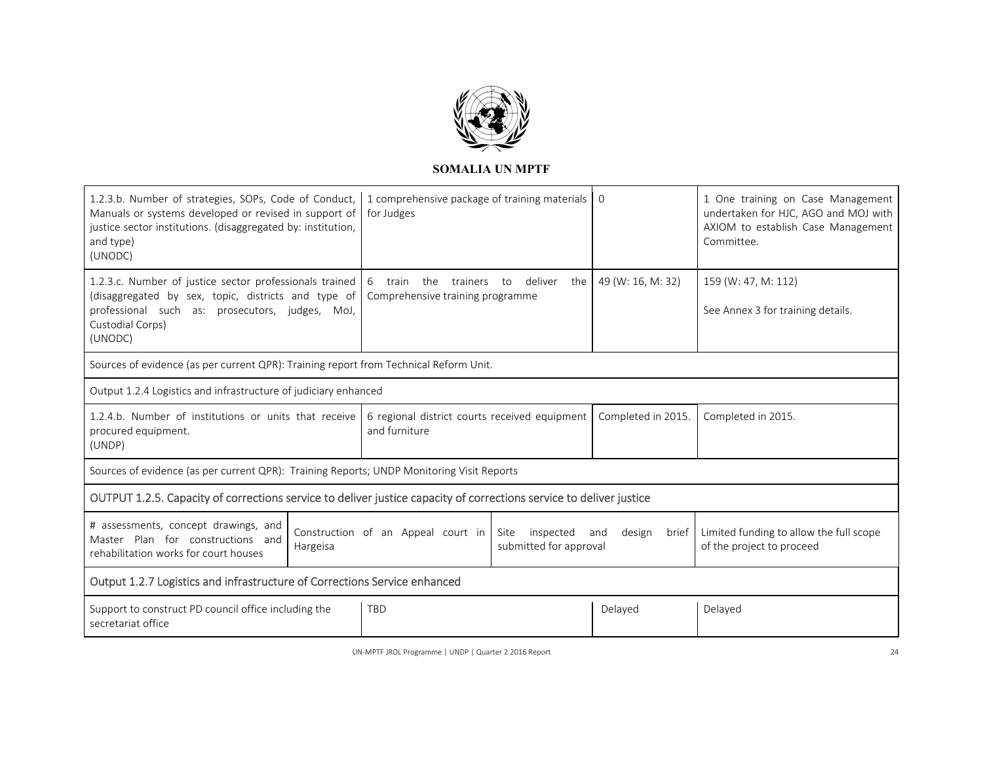

.

 $\overline{\phantom{a}}$ 

| 1.2.3.b. Number of strategies, SOPs, Code of Conduct,<br>Manuals or systems developed or revised in support of<br>justice sector institutions. (disaggregated by: institution,<br>and type)<br>(UNODC) |                                                                           | 1 comprehensive package of training materials   0<br>for Judges                          |                      |                    | 1 One training on Case Management<br>undertaken for HJC, AGO and MOJ with<br>AXIOM to establish Case Management<br>Committee. |  |
|--------------------------------------------------------------------------------------------------------------------------------------------------------------------------------------------------------|---------------------------------------------------------------------------|------------------------------------------------------------------------------------------|----------------------|--------------------|-------------------------------------------------------------------------------------------------------------------------------|--|
| 1.2.3.c. Number of justice sector professionals trained<br>(disaggregated by sex, topic, districts and type of<br>professional such as: prosecutors, judges, MoJ,<br>Custodial Corps)<br>(UNODC)       |                                                                           | 6<br>train<br>the<br>trainers<br>Comprehensive training programme                        | deliver<br>the<br>to | 49 (W: 16, M: 32)  | 159 (W: 47, M: 112)<br>See Annex 3 for training details.                                                                      |  |
| Sources of evidence (as per current QPR): Training report from Technical Reform Unit.                                                                                                                  |                                                                           |                                                                                          |                      |                    |                                                                                                                               |  |
|                                                                                                                                                                                                        | Output 1.2.4 Logistics and infrastructure of judiciary enhanced           |                                                                                          |                      |                    |                                                                                                                               |  |
| 1.2.4.b. Number of institutions or units that receive<br>procured equipment.<br>(UNDP)                                                                                                                 |                                                                           | 6 regional district courts received equipment<br>and furniture                           |                      | Completed in 2015. | Completed in 2015.                                                                                                            |  |
| Sources of evidence (as per current QPR): Training Reports; UNDP Monitoring Visit Reports                                                                                                              |                                                                           |                                                                                          |                      |                    |                                                                                                                               |  |
| OUTPUT 1.2.5. Capacity of corrections service to deliver justice capacity of corrections service to deliver justice                                                                                    |                                                                           |                                                                                          |                      |                    |                                                                                                                               |  |
| # assessments, concept drawings, and<br>Master Plan for constructions and<br>rehabilitation works for court houses                                                                                     | Hargeisa                                                                  | Construction of an Appeal court in<br>Site<br>inspected<br>and<br>submitted for approval |                      | design<br>brief    | Limited funding to allow the full scope<br>of the project to proceed                                                          |  |
|                                                                                                                                                                                                        | Output 1.2.7 Logistics and infrastructure of Corrections Service enhanced |                                                                                          |                      |                    |                                                                                                                               |  |
| Support to construct PD council office including the<br>secretariat office                                                                                                                             |                                                                           | <b>TBD</b>                                                                               |                      | Delayed            | Delayed                                                                                                                       |  |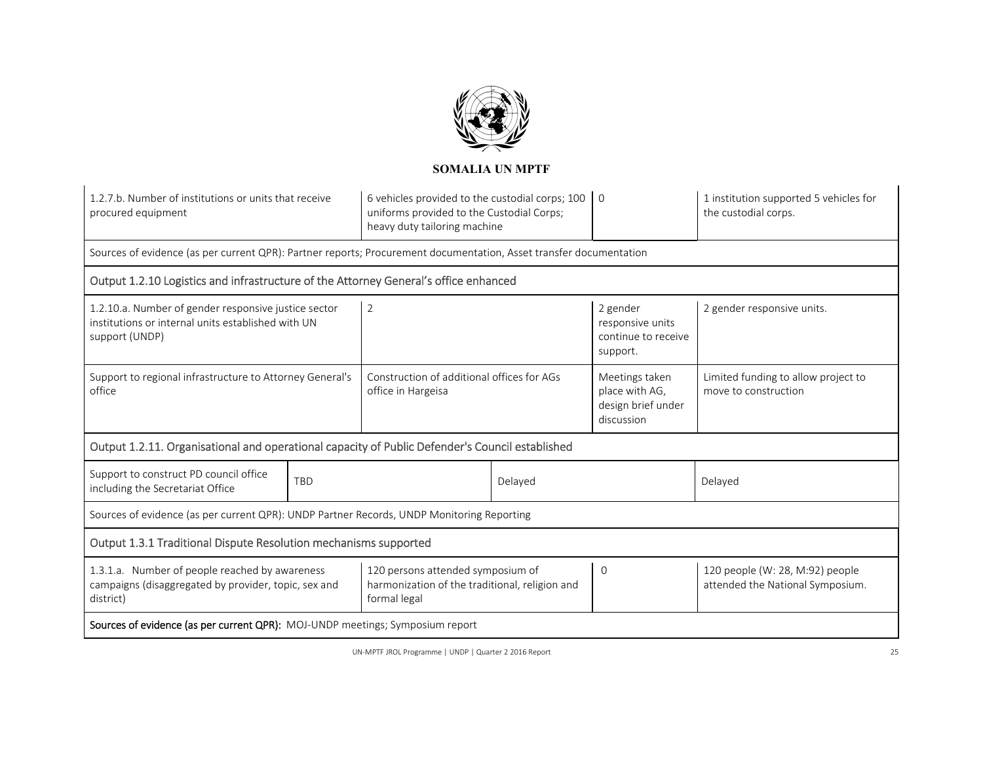

| 1.2.7.b. Number of institutions or units that receive<br>procured equipment                                                                                                                                                |                                                                                                                              | 6 vehicles provided to the custodial corps; 100<br>uniforms provided to the Custodial Corps;<br>heavy duty tailoring machine |          | $\overline{0}$                                                       | 1 institution supported 5 vehicles for<br>the custodial corps. |
|----------------------------------------------------------------------------------------------------------------------------------------------------------------------------------------------------------------------------|------------------------------------------------------------------------------------------------------------------------------|------------------------------------------------------------------------------------------------------------------------------|----------|----------------------------------------------------------------------|----------------------------------------------------------------|
| Sources of evidence (as per current QPR): Partner reports; Procurement documentation, Asset transfer documentation                                                                                                         |                                                                                                                              |                                                                                                                              |          |                                                                      |                                                                |
| Output 1.2.10 Logistics and infrastructure of the Attorney General's office enhanced                                                                                                                                       |                                                                                                                              |                                                                                                                              |          |                                                                      |                                                                |
| support (UNDP)                                                                                                                                                                                                             | $\overline{2}$<br>1.2.10.a. Number of gender responsive justice sector<br>institutions or internal units established with UN |                                                                                                                              |          | 2 gender<br>responsive units<br>continue to receive<br>support.      | 2 gender responsive units.                                     |
| Support to regional infrastructure to Attorney General's<br>office                                                                                                                                                         |                                                                                                                              | Construction of additional offices for AGs<br>office in Hargeisa                                                             |          | Meetings taken<br>place with AG,<br>design brief under<br>discussion | Limited funding to allow project to<br>move to construction    |
| Output 1.2.11. Organisational and operational capacity of Public Defender's Council established                                                                                                                            |                                                                                                                              |                                                                                                                              |          |                                                                      |                                                                |
| Support to construct PD council office<br>including the Secretariat Office                                                                                                                                                 | <b>TBD</b>                                                                                                                   |                                                                                                                              | Delayed  |                                                                      | Delayed                                                        |
| Sources of evidence (as per current QPR): UNDP Partner Records, UNDP Monitoring Reporting                                                                                                                                  |                                                                                                                              |                                                                                                                              |          |                                                                      |                                                                |
| Output 1.3.1 Traditional Dispute Resolution mechanisms supported                                                                                                                                                           |                                                                                                                              |                                                                                                                              |          |                                                                      |                                                                |
| 1.3.1.a. Number of people reached by awareness<br>120 persons attended symposium of<br>harmonization of the traditional, religion and<br>campaigns (disaggregated by provider, topic, sex and<br>district)<br>formal legal |                                                                                                                              |                                                                                                                              | $\Omega$ | 120 people (W: 28, M:92) people<br>attended the National Symposium.  |                                                                |
| Sources of evidence (as per current QPR): MOJ-UNDP meetings; Symposium report                                                                                                                                              |                                                                                                                              |                                                                                                                              |          |                                                                      |                                                                |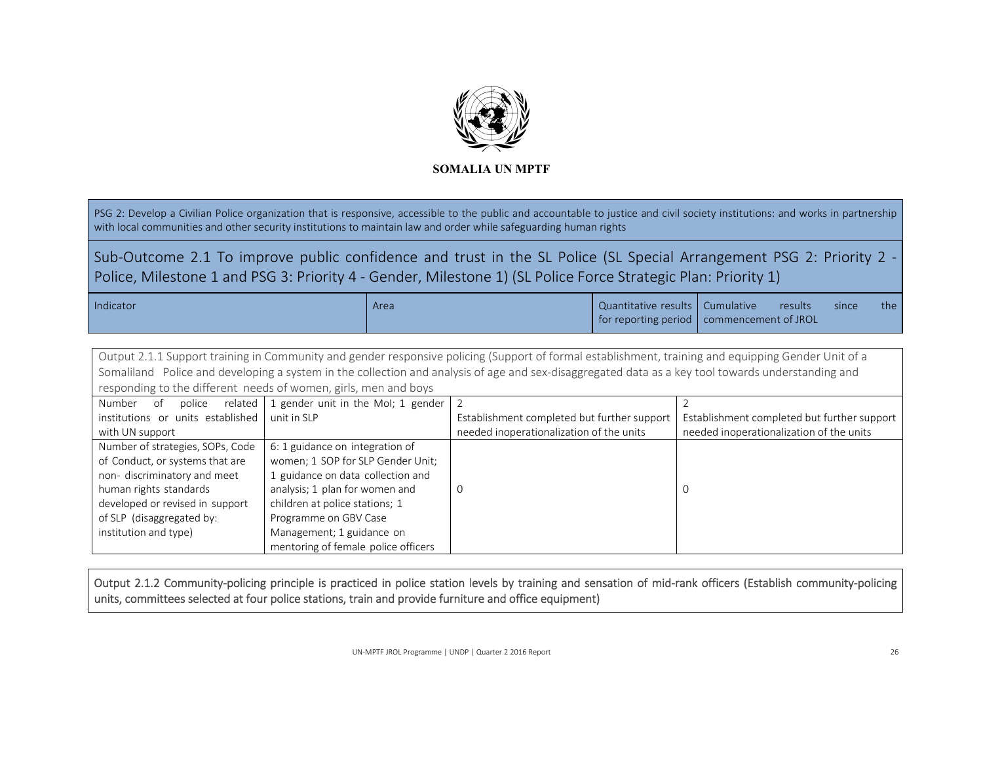

PSG 2: Develop a Civilian Police organization that is responsive, accessible to the public and accountable to justice and civil society institutions: and works in partnership with local communities and other security institutions to maintain law and order while safeguarding human rights

Sub-Outcome 2.1 To improve public confidence and trust in the SL Police (SL Special Arrangement PSG 2: Priority 2 -Police, Milestone 1 and PSG 3: Priority 4 ‐ Gender, Milestone 1) (SL Police Force Strategic Plan: Priority 1)

| Indicator | Area | Quantitative results   Cumulative         | results | since | the <b>the</b> |
|-----------|------|-------------------------------------------|---------|-------|----------------|
|           |      | for reporting period commencement of JROL |         |       |                |

| Output 2.1.1 Support training in Community and gender responsive policing (Support of formal establishment, training and equipping Gender Unit of a |                                                               |  |  |  |  |  |
|-----------------------------------------------------------------------------------------------------------------------------------------------------|---------------------------------------------------------------|--|--|--|--|--|
| Somaliland Police and developing a system in the collection and analysis of age and sex-disaggregated data as a key tool towards understanding and  |                                                               |  |  |  |  |  |
| responding to the different needs of women, girls, men and boys                                                                                     |                                                               |  |  |  |  |  |
|                                                                                                                                                     | Number of police related 1 gender unit in the MoI; 1 gender 2 |  |  |  |  |  |

| 13 U LL LUCT<br>- 91              | police $\Box$ related $\Box$ genuer unit in the non, $\Box$ genuer $\Box$ |                                             |                                             |
|-----------------------------------|---------------------------------------------------------------------------|---------------------------------------------|---------------------------------------------|
| institutions or units established | unit in SLP                                                               | Establishment completed but further support | Establishment completed but further support |
| with UN support                   |                                                                           | needed inoperationalization of the units    | needed inoperationalization of the units    |
| Number of strategies, SOPs, Code  | 6: 1 guidance on integration of                                           |                                             |                                             |
| of Conduct, or systems that are   | women; 1 SOP for SLP Gender Unit;                                         |                                             |                                             |
| non-discriminatory and meet       | 1 guidance on data collection and                                         |                                             |                                             |
| human rights standards            | analysis; 1 plan for women and                                            |                                             |                                             |
| developed or revised in support   | children at police stations; 1                                            |                                             |                                             |
| of SLP (disaggregated by:         | Programme on GBV Case                                                     |                                             |                                             |
| institution and type)             | Management; 1 guidance on                                                 |                                             |                                             |
|                                   | mentoring of female police officers                                       |                                             |                                             |

Output 2.1.2 Community-policing principle is practiced in police station levels by training and sensation of mid-rank officers (Establish community-policing units, committees selected at four police stations, train and provide furniture and office equipment)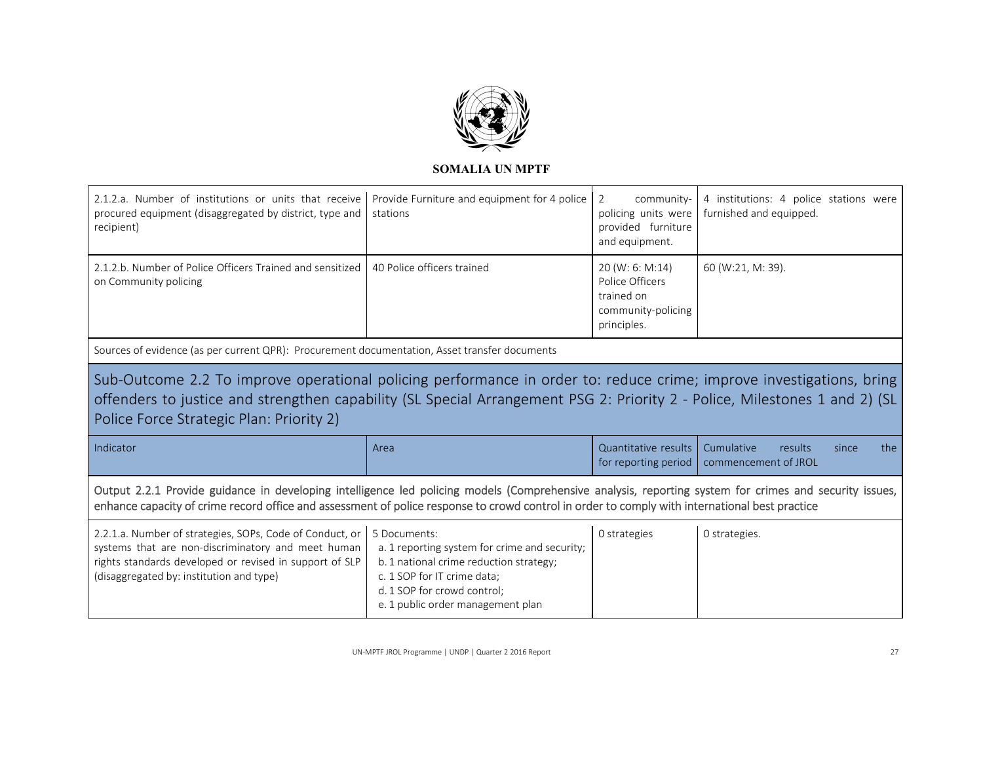

| 2.1.2.a. Number of institutions or units that receive                                                                                                                                                                                                                                                    |                                                          |                                                                                       |                                                                   |
|----------------------------------------------------------------------------------------------------------------------------------------------------------------------------------------------------------------------------------------------------------------------------------------------------------|----------------------------------------------------------|---------------------------------------------------------------------------------------|-------------------------------------------------------------------|
| procured equipment (disaggregated by district, type and<br>recipient)                                                                                                                                                                                                                                    | Provide Furniture and equipment for 4 police<br>stations | 2<br>community-<br>policing units were<br>provided furniture<br>and equipment.        | 4 institutions: 4 police stations were<br>furnished and equipped. |
| 2.1.2.b. Number of Police Officers Trained and sensitized 140 Police officers trained<br>on Community policing                                                                                                                                                                                           |                                                          | 20 (W: 6: M:14)<br>Police Officers<br>trained on<br>community-policing<br>principles. | 60 (W:21, M: 39).                                                 |
| Sources of evidence (as per current QPR): Procurement documentation, Asset transfer documents                                                                                                                                                                                                            |                                                          |                                                                                       |                                                                   |
| Sub-Outcome 2.2 To improve operational policing performance in order to: reduce crime; improve investigations, bring                                                                                                                                                                                     |                                                          |                                                                                       |                                                                   |
| offenders to justice and strengthen capability (SL Special Arrangement PSG 2: Priority 2 - Police, Milestones 1 and 2) (SL<br>Police Force Strategic Plan: Priority 2)                                                                                                                                   |                                                          |                                                                                       |                                                                   |
| Indicator                                                                                                                                                                                                                                                                                                | Area                                                     | Quantitative results<br>for reporting period                                          | Cumulative<br>results<br>since<br>the<br>commencement of JROL     |
| Output 2.2.1 Provide guidance in developing intelligence led policing models (Comprehensive analysis, reporting system for crimes and security issues,<br>enhance capacity of crime record office and assessment of police response to crowd control in order to comply with international best practice |                                                          |                                                                                       |                                                                   |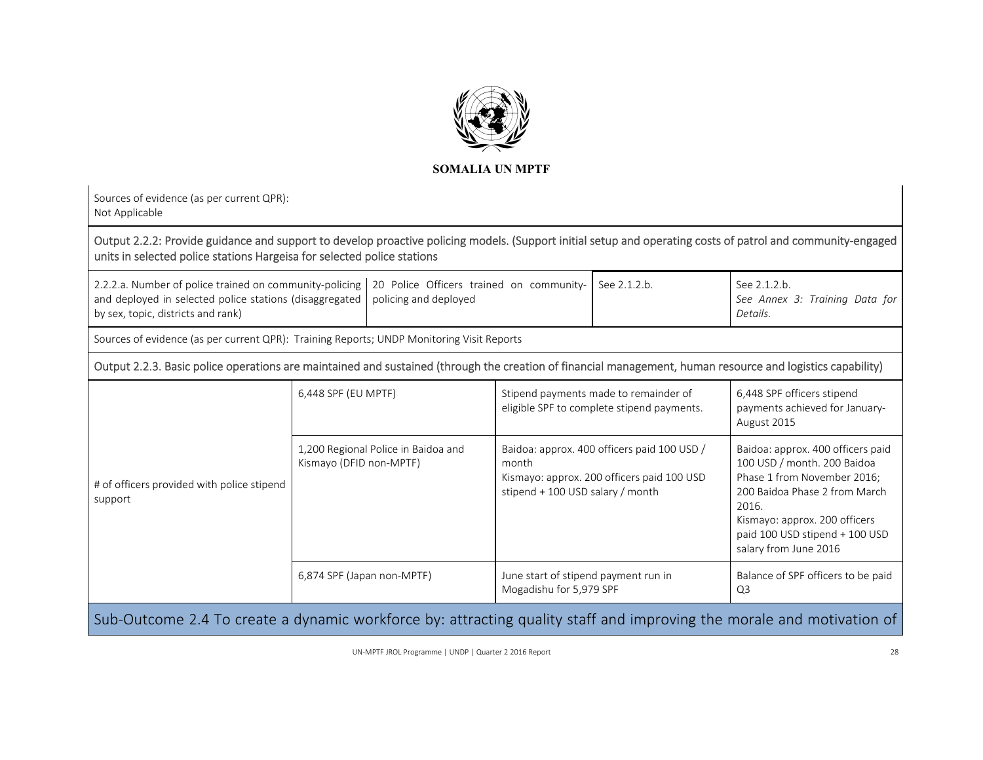

|                                            | policing and deployed                                                                                |                                                                                                                                                                                                | See 2.1.2.b.                                                                                                                                                                                  | See 2.1.2.b.<br>See Annex 3: Training Data for<br>Details.                                                                                                                                                                                                                                                                                                                                                                                                                                                                    |
|--------------------------------------------|------------------------------------------------------------------------------------------------------|------------------------------------------------------------------------------------------------------------------------------------------------------------------------------------------------|-----------------------------------------------------------------------------------------------------------------------------------------------------------------------------------------------|-------------------------------------------------------------------------------------------------------------------------------------------------------------------------------------------------------------------------------------------------------------------------------------------------------------------------------------------------------------------------------------------------------------------------------------------------------------------------------------------------------------------------------|
|                                            |                                                                                                      |                                                                                                                                                                                                |                                                                                                                                                                                               |                                                                                                                                                                                                                                                                                                                                                                                                                                                                                                                               |
|                                            |                                                                                                      |                                                                                                                                                                                                |                                                                                                                                                                                               |                                                                                                                                                                                                                                                                                                                                                                                                                                                                                                                               |
|                                            |                                                                                                      | Stipend payments made to remainder of<br>eligible SPF to complete stipend payments.                                                                                                            |                                                                                                                                                                                               | 6,448 SPF officers stipend<br>payments achieved for January-<br>August 2015                                                                                                                                                                                                                                                                                                                                                                                                                                                   |
|                                            |                                                                                                      | month                                                                                                                                                                                          |                                                                                                                                                                                               | Baidoa: approx. 400 officers paid<br>100 USD / month. 200 Baidoa<br>Phase 1 from November 2016;<br>200 Baidoa Phase 2 from March<br>2016.<br>Kismayo: approx. 200 officers<br>paid 100 USD stipend + 100 USD<br>salary from June 2016                                                                                                                                                                                                                                                                                         |
|                                            |                                                                                                      |                                                                                                                                                                                                |                                                                                                                                                                                               | Balance of SPF officers to be paid<br>Q <sub>3</sub>                                                                                                                                                                                                                                                                                                                                                                                                                                                                          |
| # of officers provided with police stipend | Sources of evidence (as per current QPR):<br>and deployed in selected police stations (disaggregated | units in selected police stations Hargeisa for selected police stations<br>6,448 SPF (EU MPTF)<br>1,200 Regional Police in Baidoa and<br>Kismayo (DFID non-MPTF)<br>6,874 SPF (Japan non-MPTF) | 2.2.2.a. Number of police trained on community-policing 20 Police Officers trained on community-<br>Sources of evidence (as per current QPR): Training Reports; UNDP Monitoring Visit Reports | Output 2.2.2: Provide guidance and support to develop proactive policing models. (Support initial setup and operating costs of patrol and community-engaged<br>Output 2.2.3. Basic police operations are maintained and sustained (through the creation of financial management, human resource and logistics capability)<br>Baidoa: approx. 400 officers paid 100 USD /<br>Kismayo: approx. 200 officers paid 100 USD<br>stipend + 100 USD salary / month<br>June start of stipend payment run in<br>Mogadishu for 5,979 SPF |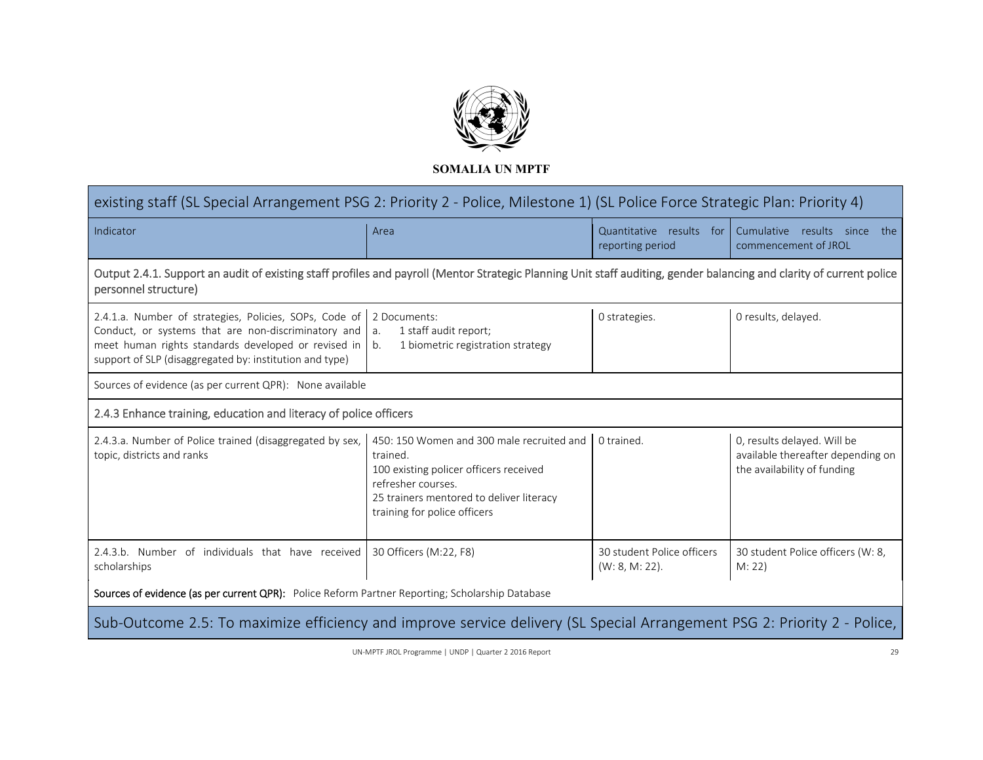

| existing staff (SL Special Arrangement PSG 2: Priority 2 - Police, Milestone 1) (SL Police Force Strategic Plan: Priority 4)                                                                                                                           |                                                                                                                                                                                                   |                                                 |                                                                                                 |  |  |
|--------------------------------------------------------------------------------------------------------------------------------------------------------------------------------------------------------------------------------------------------------|---------------------------------------------------------------------------------------------------------------------------------------------------------------------------------------------------|-------------------------------------------------|-------------------------------------------------------------------------------------------------|--|--|
| Indicator                                                                                                                                                                                                                                              | Area                                                                                                                                                                                              | Quantitative results for<br>reporting period    | Cumulative results since<br>the<br>commencement of JROL                                         |  |  |
| Output 2.4.1. Support an audit of existing staff profiles and payroll (Mentor Strategic Planning Unit staff auditing, gender balancing and clarity of current police<br>personnel structure)                                                           |                                                                                                                                                                                                   |                                                 |                                                                                                 |  |  |
| 2.4.1.a. Number of strategies, Policies, SOPs, Code of 2 Documents:<br>Conduct, or systems that are non-discriminatory and $\int$ a.<br>meet human rights standards developed or revised in<br>support of SLP (disaggregated by: institution and type) | 1 staff audit report;<br>1 biometric registration strategy<br>$\mathsf{I}$ b.                                                                                                                     | 0 strategies.                                   | 0 results, delayed.                                                                             |  |  |
| Sources of evidence (as per current QPR): None available                                                                                                                                                                                               |                                                                                                                                                                                                   |                                                 |                                                                                                 |  |  |
| 2.4.3 Enhance training, education and literacy of police officers                                                                                                                                                                                      |                                                                                                                                                                                                   |                                                 |                                                                                                 |  |  |
| 2.4.3.a. Number of Police trained (disaggregated by sex,<br>topic, districts and ranks                                                                                                                                                                 | 450: 150 Women and 300 male recruited and<br>trained.<br>100 existing policer officers received<br>refresher courses.<br>25 trainers mentored to deliver literacy<br>training for police officers | 0 trained.                                      | 0, results delayed. Will be<br>available thereafter depending on<br>the availability of funding |  |  |
| 2.4.3.b. Number of individuals that have received<br>scholarships                                                                                                                                                                                      | 30 Officers (M:22, F8)                                                                                                                                                                            | 30 student Police officers<br>$(W: 8, M: 22)$ . | 30 student Police officers (W: 8,<br>M: 22)                                                     |  |  |
| Sources of evidence (as per current QPR): Police Reform Partner Reporting; Scholarship Database                                                                                                                                                        |                                                                                                                                                                                                   |                                                 |                                                                                                 |  |  |
| Sub-Outcome 2.5: To maximize efficiency and improve service delivery (SL Special Arrangement PSG 2: Priority 2 - Police,                                                                                                                               |                                                                                                                                                                                                   |                                                 |                                                                                                 |  |  |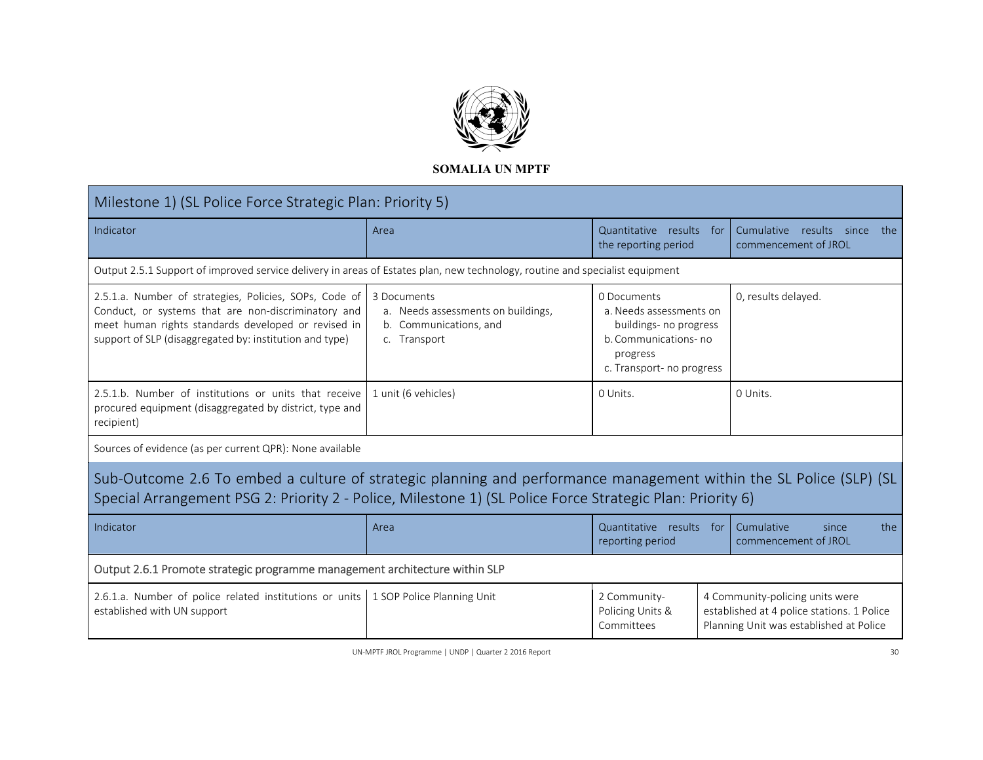

| Milestone 1) (SL Police Force Strategic Plan: Priority 5)                                                                                                                                                                       |                                                                                             |                                                                                                                                   |                                                                                                                          |  |  |
|---------------------------------------------------------------------------------------------------------------------------------------------------------------------------------------------------------------------------------|---------------------------------------------------------------------------------------------|-----------------------------------------------------------------------------------------------------------------------------------|--------------------------------------------------------------------------------------------------------------------------|--|--|
| Indicator                                                                                                                                                                                                                       | Area                                                                                        | Quantitative results<br>the reporting period                                                                                      | Cumulative results since<br>for<br>the<br>commencement of JROL                                                           |  |  |
| Output 2.5.1 Support of improved service delivery in areas of Estates plan, new technology, routine and specialist equipment                                                                                                    |                                                                                             |                                                                                                                                   |                                                                                                                          |  |  |
| 2.5.1.a. Number of strategies, Policies, SOPs, Code of<br>Conduct, or systems that are non-discriminatory and<br>meet human rights standards developed or revised in<br>support of SLP (disaggregated by: institution and type) | 3 Documents<br>a. Needs assessments on buildings,<br>b. Communications, and<br>c. Transport | 0 Documents<br>a. Needs assessments on<br>buildings- no progress<br>b. Communications-no<br>progress<br>c. Transport- no progress | 0, results delayed.                                                                                                      |  |  |
| 2.5.1.b. Number of institutions or units that receive<br>procured equipment (disaggregated by district, type and<br>recipient)                                                                                                  | 1 unit (6 vehicles)                                                                         | 0 Units.                                                                                                                          | 0 Units.                                                                                                                 |  |  |
| Sources of evidence (as per current QPR): None available                                                                                                                                                                        |                                                                                             |                                                                                                                                   |                                                                                                                          |  |  |
| Sub-Outcome 2.6 To embed a culture of strategic planning and performance management within the SL Police (SLP) (SL<br>Special Arrangement PSG 2: Priority 2 - Police, Milestone 1) (SL Police Force Strategic Plan: Priority 6) |                                                                                             |                                                                                                                                   |                                                                                                                          |  |  |
| Indicator                                                                                                                                                                                                                       | Area                                                                                        | Quantitative results for<br>reporting period                                                                                      | Cumulative<br>the<br>since<br>commencement of JROL                                                                       |  |  |
| Output 2.6.1 Promote strategic programme management architecture within SLP                                                                                                                                                     |                                                                                             |                                                                                                                                   |                                                                                                                          |  |  |
| 2.6.1.a. Number of police related institutions or units   1 SOP Police Planning Unit<br>established with UN support                                                                                                             |                                                                                             | 2 Community-<br>Policing Units &<br>Committees                                                                                    | 4 Community-policing units were<br>established at 4 police stations. 1 Police<br>Planning Unit was established at Police |  |  |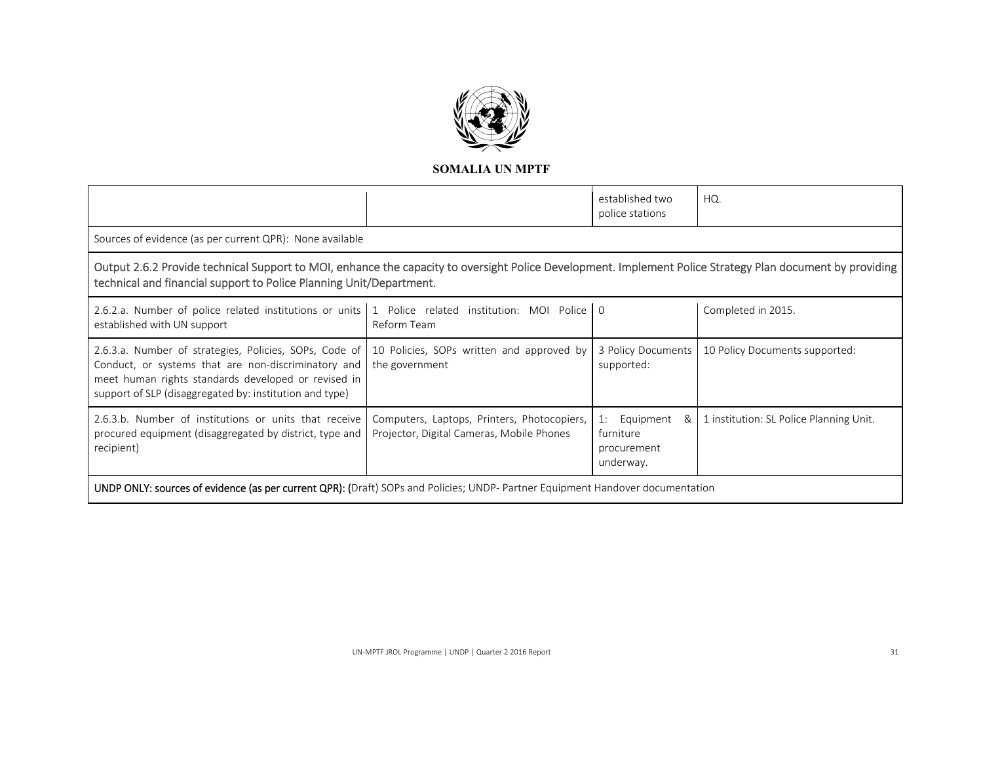

|                                                                                                                                                                                                                                  |                                                                                          | established two<br>police stations                            | HQ.                                     |  |
|----------------------------------------------------------------------------------------------------------------------------------------------------------------------------------------------------------------------------------|------------------------------------------------------------------------------------------|---------------------------------------------------------------|-----------------------------------------|--|
| Sources of evidence (as per current QPR): None available                                                                                                                                                                         |                                                                                          |                                                               |                                         |  |
| Output 2.6.2 Provide technical Support to MOI, enhance the capacity to oversight Police Development. Implement Police Strategy Plan document by providing<br>technical and financial support to Police Planning Unit/Department. |                                                                                          |                                                               |                                         |  |
| 2.6.2.a. Number of police related institutions or units 1 Police related institution: MOI Police 0<br>established with UN support                                                                                                | Reform Team                                                                              |                                                               | Completed in 2015.                      |  |
| 2.6.3.a. Number of strategies, Policies, SOPs, Code of<br>Conduct, or systems that are non-discriminatory and<br>meet human rights standards developed or revised in<br>support of SLP (disaggregated by: institution and type)  | 10 Policies, SOPs written and approved by<br>the government                              | 3 Policy Documents<br>supported:                              | 10 Policy Documents supported:          |  |
| 2.6.3.b. Number of institutions or units that receive<br>procured equipment (disaggregated by district, type and<br>recipient)                                                                                                   | Computers, Laptops, Printers, Photocopiers,<br>Projector, Digital Cameras, Mobile Phones | Equipment<br>1:<br>&<br>furniture<br>procurement<br>underway. | 1 institution: SL Police Planning Unit. |  |
| UNDP ONLY: sources of evidence (as per current QPR): (Draft) SOPs and Policies; UNDP- Partner Equipment Handover documentation                                                                                                   |                                                                                          |                                                               |                                         |  |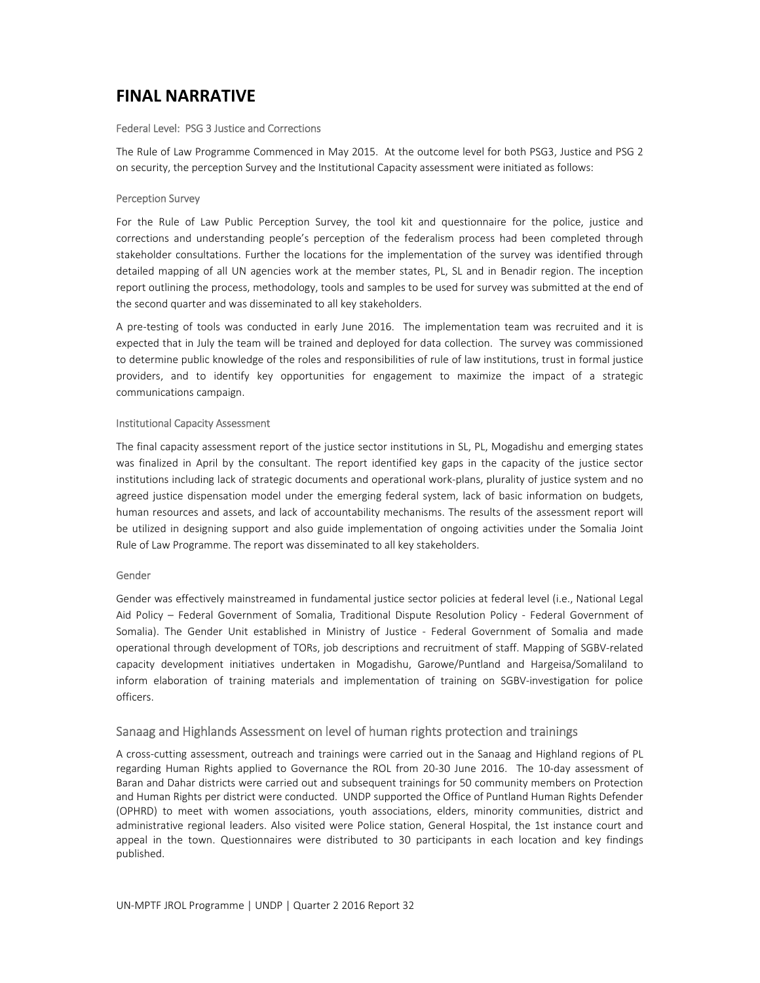# **FINAL NARRATIVE**

#### Federal Level: PSG 3 Justice and Corrections

The Rule of Law Programme Commenced in May 2015. At the outcome level for both PSG3, Justice and PSG 2 on security, the perception Survey and the Institutional Capacity assessment were initiated as follows:

#### Perception Survey

For the Rule of Law Public Perception Survey, the tool kit and questionnaire for the police, justice and corrections and understanding people's perception of the federalism process had been completed through stakeholder consultations. Further the locations for the implementation of the survey was identified through detailed mapping of all UN agencies work at the member states, PL, SL and in Benadir region. The inception report outlining the process, methodology, tools and samples to be used for survey was submitted at the end of the second quarter and was disseminated to all key stakeholders.

A pre-testing of tools was conducted in early June 2016. The implementation team was recruited and it is expected that in July the team will be trained and deployed for data collection. The survey was commissioned to determine public knowledge of the roles and responsibilities of rule of law institutions, trust in formal justice providers, and to identify key opportunities for engagement to maximize the impact of a strategic communications campaign.

#### Institutional Capacity Assessment

The final capacity assessment report of the justice sector institutions in SL, PL, Mogadishu and emerging states was finalized in April by the consultant. The report identified key gaps in the capacity of the justice sector institutions including lack of strategic documents and operational work‐plans, plurality of justice system and no agreed justice dispensation model under the emerging federal system, lack of basic information on budgets, human resources and assets, and lack of accountability mechanisms. The results of the assessment report will be utilized in designing support and also guide implementation of ongoing activities under the Somalia Joint Rule of Law Programme. The report was disseminated to all key stakeholders.

#### Gender

Gender was effectively mainstreamed in fundamental justice sector policies at federal level (i.e., National Legal Aid Policy – Federal Government of Somalia, Traditional Dispute Resolution Policy ‐ Federal Government of Somalia). The Gender Unit established in Ministry of Justice - Federal Government of Somalia and made operational through development of TORs, job descriptions and recruitment of staff. Mapping of SGBV‐related capacity development initiatives undertaken in Mogadishu, Garowe/Puntland and Hargeisa/Somaliland to inform elaboration of training materials and implementation of training on SGBV‐investigation for police officers.

# Sanaag and Highlands Assessment on level of human rights protection and trainings

A cross‐cutting assessment, outreach and trainings were carried out in the Sanaag and Highland regions of PL regarding Human Rights applied to Governance the ROL from 20-30 June 2016. The 10-day assessment of Baran and Dahar districts were carried out and subsequent trainings for 50 community members on Protection and Human Rights per district were conducted. UNDP supported the Office of Puntland Human Rights Defender (OPHRD) to meet with women associations, youth associations, elders, minority communities, district and administrative regional leaders. Also visited were Police station, General Hospital, the 1st instance court and appeal in the town. Questionnaires were distributed to 30 participants in each location and key findings published.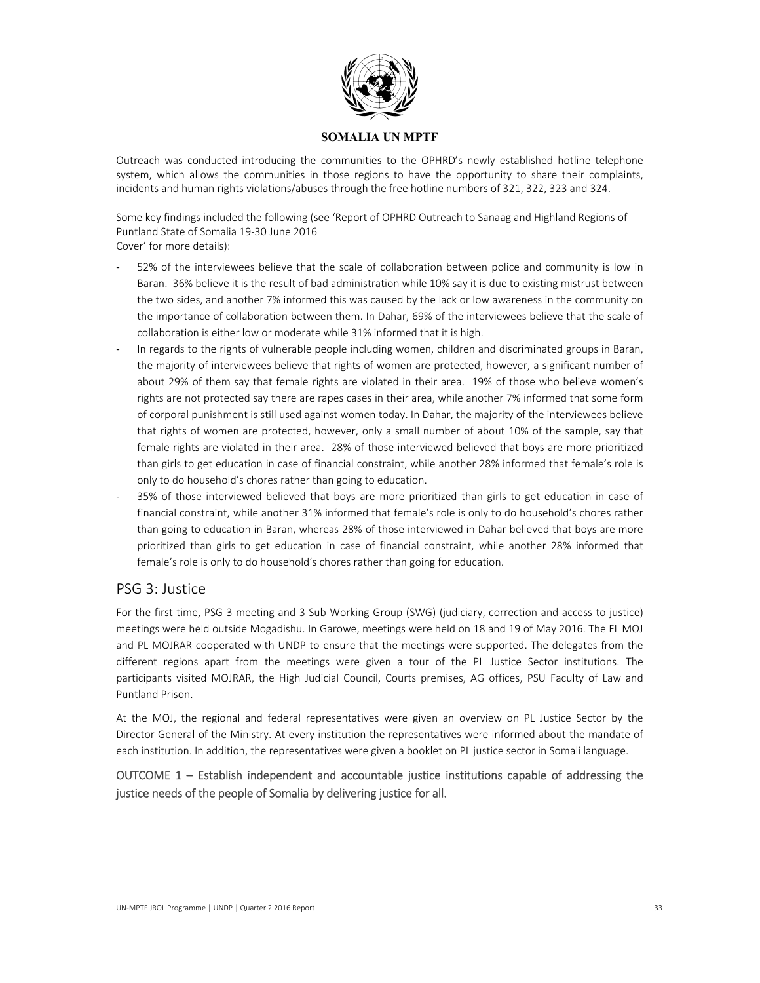

Outreach was conducted introducing the communities to the OPHRD's newly established hotline telephone system, which allows the communities in those regions to have the opportunity to share their complaints, incidents and human rights violations/abuses through the free hotline numbers of 321, 322, 323 and 324.

Some key findings included the following (see 'Report of OPHRD Outreach to Sanaag and Highland Regions of Puntland State of Somalia 19‐30 June 2016 Cover' for more details):

- 52% of the interviewees believe that the scale of collaboration between police and community is low in Baran. 36% believe it is the result of bad administration while 10% say it is due to existing mistrust between the two sides, and another 7% informed this was caused by the lack or low awareness in the community on the importance of collaboration between them. In Dahar, 69% of the interviewees believe that the scale of collaboration is either low or moderate while 31% informed that it is high.
- ‐ In regards to the rights of vulnerable people including women, children and discriminated groups in Baran, the majority of interviewees believe that rights of women are protected, however, a significant number of about 29% of them say that female rights are violated in their area. 19% of those who believe women's rights are not protected say there are rapes cases in their area, while another 7% informed that some form of corporal punishment is still used against women today. In Dahar, the majority of the interviewees believe that rights of women are protected, however, only a small number of about 10% of the sample, say that female rights are violated in their area. 28% of those interviewed believed that boys are more prioritized than girls to get education in case of financial constraint, while another 28% informed that female's role is only to do household's chores rather than going to education.
- 35% of those interviewed believed that boys are more prioritized than girls to get education in case of financial constraint, while another 31% informed that female's role is only to do household's chores rather than going to education in Baran, whereas 28% of those interviewed in Dahar believed that boys are more prioritized than girls to get education in case of financial constraint, while another 28% informed that female's role is only to do household's chores rather than going for education.

## PSG 3: Justice

For the first time, PSG 3 meeting and 3 Sub Working Group (SWG) (judiciary, correction and access to justice) meetings were held outside Mogadishu. In Garowe, meetings were held on 18 and 19 of May 2016. The FL MOJ and PL MOJRAR cooperated with UNDP to ensure that the meetings were supported. The delegates from the different regions apart from the meetings were given a tour of the PL Justice Sector institutions. The participants visited MOJRAR, the High Judicial Council, Courts premises, AG offices, PSU Faculty of Law and Puntland Prison.

At the MOJ, the regional and federal representatives were given an overview on PL Justice Sector by the Director General of the Ministry. At every institution the representatives were informed about the mandate of each institution. In addition, the representatives were given a booklet on PL justice sector in Somali language.

OUTCOME 1 – Establish independent and accountable justice institutions capable of addressing the justice needs of the people of Somalia by delivering justice for all.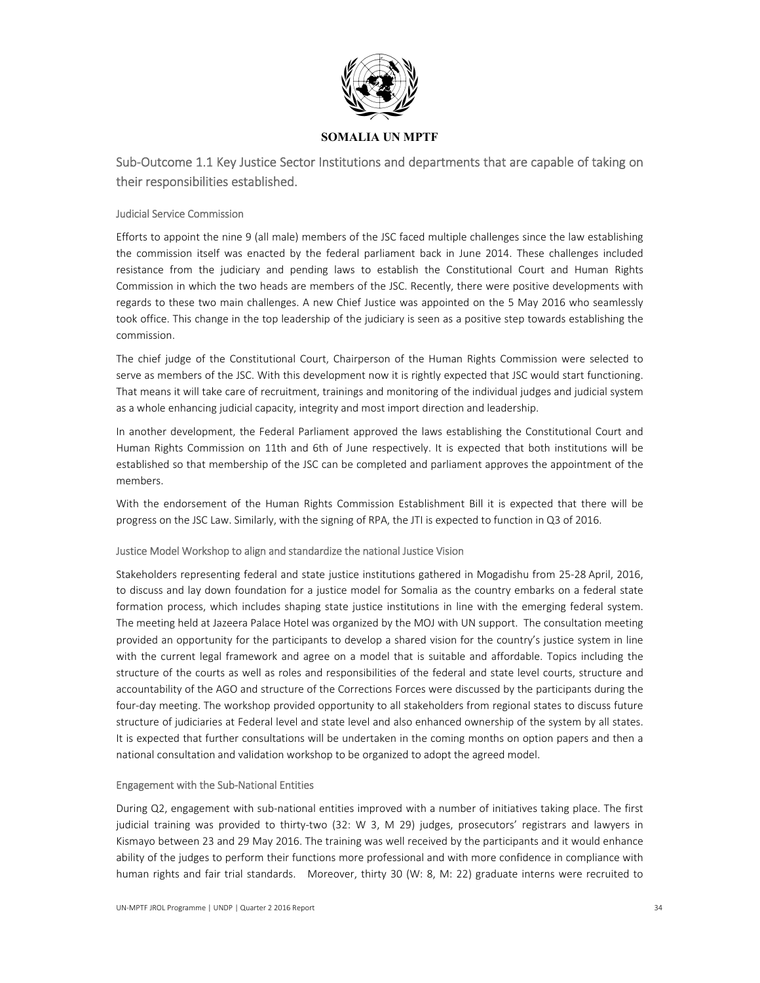

Sub‐Outcome 1.1 Key Justice Sector Institutions and departments that are capable of taking on their responsibilities established.

#### Judicial Service Commission

Efforts to appoint the nine 9 (all male) members of the JSC faced multiple challenges since the law establishing the commission itself was enacted by the federal parliament back in June 2014. These challenges included resistance from the judiciary and pending laws to establish the Constitutional Court and Human Rights Commission in which the two heads are members of the JSC. Recently, there were positive developments with regards to these two main challenges. A new Chief Justice was appointed on the 5 May 2016 who seamlessly took office. This change in the top leadership of the judiciary is seen as a positive step towards establishing the commission.

The chief judge of the Constitutional Court, Chairperson of the Human Rights Commission were selected to serve as members of the JSC. With this development now it is rightly expected that JSC would start functioning. That means it will take care of recruitment, trainings and monitoring of the individual judges and judicial system as a whole enhancing judicial capacity, integrity and most import direction and leadership.

In another development, the Federal Parliament approved the laws establishing the Constitutional Court and Human Rights Commission on 11th and 6th of June respectively. It is expected that both institutions will be established so that membership of the JSC can be completed and parliament approves the appointment of the members.

With the endorsement of the Human Rights Commission Establishment Bill it is expected that there will be progress on the JSC Law. Similarly, with the signing of RPA, the JTI is expected to function in Q3 of 2016.

#### Justice Model Workshop to align and standardize the national Justice Vision

Stakeholders representing federal and state justice institutions gathered in Mogadishu from 25‐28 April, 2016, to discuss and lay down foundation for a justice model for Somalia as the country embarks on a federal state formation process, which includes shaping state justice institutions in line with the emerging federal system. The meeting held at Jazeera Palace Hotel was organized by the MOJ with UN support. The consultation meeting provided an opportunity for the participants to develop a shared vision for the country's justice system in line with the current legal framework and agree on a model that is suitable and affordable. Topics including the structure of the courts as well as roles and responsibilities of the federal and state level courts, structure and accountability of the AGO and structure of the Corrections Forces were discussed by the participants during the four‐day meeting. The workshop provided opportunity to all stakeholders from regional states to discuss future structure of judiciaries at Federal level and state level and also enhanced ownership of the system by all states. It is expected that further consultations will be undertaken in the coming months on option papers and then a national consultation and validation workshop to be organized to adopt the agreed model.

#### Engagement with the Sub‐National Entities

During Q2, engagement with sub‐national entities improved with a number of initiatives taking place. The first judicial training was provided to thirty-two (32: W 3, M 29) judges, prosecutors' registrars and lawyers in Kismayo between 23 and 29 May 2016. The training was well received by the participants and it would enhance ability of the judges to perform their functions more professional and with more confidence in compliance with human rights and fair trial standards. Moreover, thirty 30 (W: 8, M: 22) graduate interns were recruited to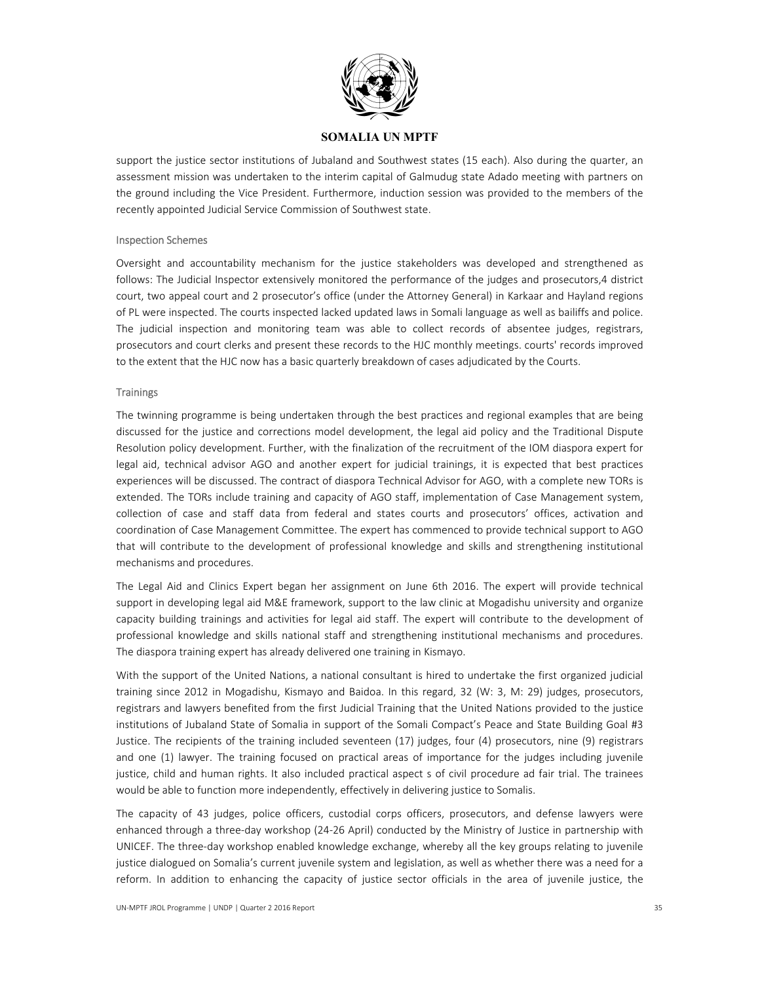

support the justice sector institutions of Jubaland and Southwest states (15 each). Also during the quarter, an assessment mission was undertaken to the interim capital of Galmudug state Adado meeting with partners on the ground including the Vice President. Furthermore, induction session was provided to the members of the recently appointed Judicial Service Commission of Southwest state.

#### Inspection Schemes

Oversight and accountability mechanism for the justice stakeholders was developed and strengthened as follows: The Judicial Inspector extensively monitored the performance of the judges and prosecutors,4 district court, two appeal court and 2 prosecutor's office (under the Attorney General) in Karkaar and Hayland regions of PL were inspected. The courts inspected lacked updated laws in Somali language as well as bailiffs and police. The judicial inspection and monitoring team was able to collect records of absentee judges, registrars, prosecutors and court clerks and present these records to the HJC monthly meetings. courts' records improved to the extent that the HJC now has a basic quarterly breakdown of cases adjudicated by the Courts.

#### **Trainings**

The twinning programme is being undertaken through the best practices and regional examples that are being discussed for the justice and corrections model development, the legal aid policy and the Traditional Dispute Resolution policy development. Further, with the finalization of the recruitment of the IOM diaspora expert for legal aid, technical advisor AGO and another expert for judicial trainings, it is expected that best practices experiences will be discussed. The contract of diaspora Technical Advisor for AGO, with a complete new TORs is extended. The TORs include training and capacity of AGO staff, implementation of Case Management system, collection of case and staff data from federal and states courts and prosecutors' offices, activation and coordination of Case Management Committee. The expert has commenced to provide technical support to AGO that will contribute to the development of professional knowledge and skills and strengthening institutional mechanisms and procedures.

The Legal Aid and Clinics Expert began her assignment on June 6th 2016. The expert will provide technical support in developing legal aid M&E framework, support to the law clinic at Mogadishu university and organize capacity building trainings and activities for legal aid staff. The expert will contribute to the development of professional knowledge and skills national staff and strengthening institutional mechanisms and procedures. The diaspora training expert has already delivered one training in Kismayo.

With the support of the United Nations, a national consultant is hired to undertake the first organized judicial training since 2012 in Mogadishu, Kismayo and Baidoa. In this regard, 32 (W: 3, M: 29) judges, prosecutors, registrars and lawyers benefited from the first Judicial Training that the United Nations provided to the justice institutions of Jubaland State of Somalia in support of the Somali Compact's Peace and State Building Goal #3 Justice. The recipients of the training included seventeen (17) judges, four (4) prosecutors, nine (9) registrars and one (1) lawyer. The training focused on practical areas of importance for the judges including juvenile justice, child and human rights. It also included practical aspect s of civil procedure ad fair trial. The trainees would be able to function more independently, effectively in delivering justice to Somalis.

The capacity of 43 judges, police officers, custodial corps officers, prosecutors, and defense lawyers were enhanced through a three‐day workshop (24‐26 April) conducted by the Ministry of Justice in partnership with UNICEF. The three‐day workshop enabled knowledge exchange, whereby all the key groups relating to juvenile justice dialogued on Somalia's current juvenile system and legislation, as well as whether there was a need for a reform. In addition to enhancing the capacity of justice sector officials in the area of juvenile justice, the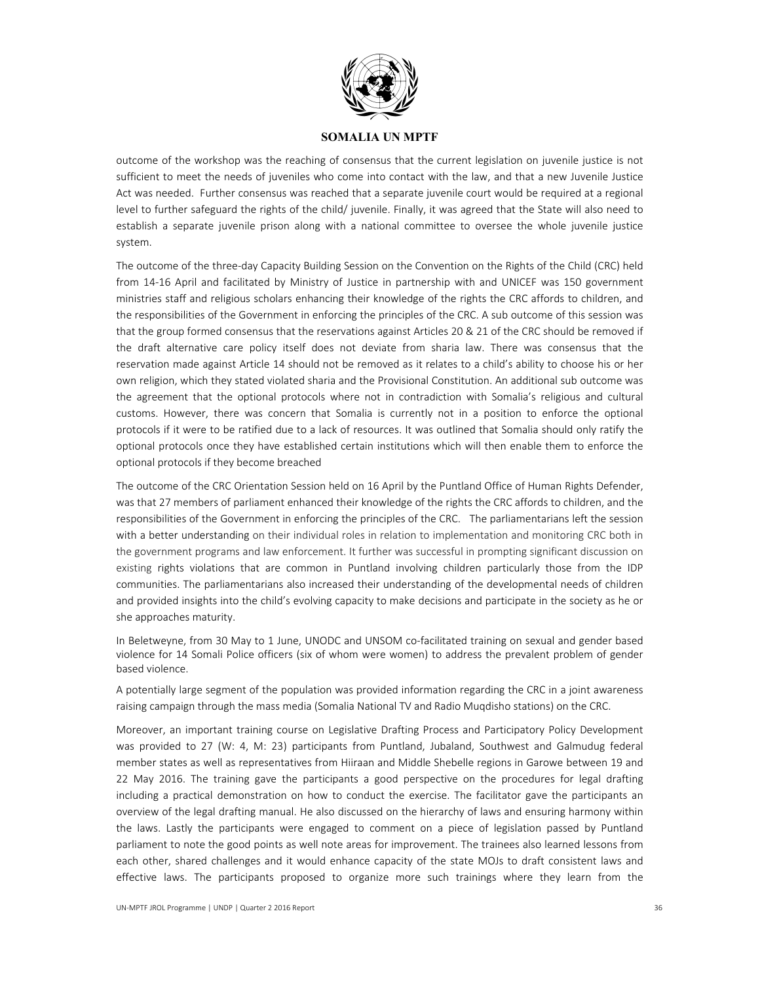

outcome of the workshop was the reaching of consensus that the current legislation on juvenile justice is not sufficient to meet the needs of juveniles who come into contact with the law, and that a new Juvenile Justice Act was needed. Further consensus was reached that a separate juvenile court would be required at a regional level to further safeguard the rights of the child/ juvenile. Finally, it was agreed that the State will also need to establish a separate juvenile prison along with a national committee to oversee the whole juvenile justice system.

The outcome of the three‐day Capacity Building Session on the Convention on the Rights of the Child (CRC) held from 14-16 April and facilitated by Ministry of Justice in partnership with and UNICEF was 150 government ministries staff and religious scholars enhancing their knowledge of the rights the CRC affords to children, and the responsibilities of the Government in enforcing the principles of the CRC. A sub outcome of this session was that the group formed consensus that the reservations against Articles 20 & 21 of the CRC should be removed if the draft alternative care policy itself does not deviate from sharia law. There was consensus that the reservation made against Article 14 should not be removed as it relates to a child's ability to choose his or her own religion, which they stated violated sharia and the Provisional Constitution. An additional sub outcome was the agreement that the optional protocols where not in contradiction with Somalia's religious and cultural customs. However, there was concern that Somalia is currently not in a position to enforce the optional protocols if it were to be ratified due to a lack of resources. It was outlined that Somalia should only ratify the optional protocols once they have established certain institutions which will then enable them to enforce the optional protocols if they become breached

The outcome of the CRC Orientation Session held on 16 April by the Puntland Office of Human Rights Defender, was that 27 members of parliament enhanced their knowledge of the rights the CRC affords to children, and the responsibilities of the Government in enforcing the principles of the CRC. The parliamentarians left the session with a better understanding on their individual roles in relation to implementation and monitoring CRC both in the government programs and law enforcement. It further was successful in prompting significant discussion on existing rights violations that are common in Puntland involving children particularly those from the IDP communities. The parliamentarians also increased their understanding of the developmental needs of children and provided insights into the child's evolving capacity to make decisions and participate in the society as he or she approaches maturity.

In Beletweyne, from 30 May to 1 June, UNODC and UNSOM co-facilitated training on sexual and gender based violence for 14 Somali Police officers (six of whom were women) to address the prevalent problem of gender based violence.

A potentially large segment of the population was provided information regarding the CRC in a joint awareness raising campaign through the mass media (Somalia National TV and Radio Muqdisho stations) on the CRC.

Moreover, an important training course on Legislative Drafting Process and Participatory Policy Development was provided to 27 (W: 4, M: 23) participants from Puntland, Jubaland, Southwest and Galmudug federal member states as well as representatives from Hiiraan and Middle Shebelle regions in Garowe between 19 and 22 May 2016. The training gave the participants a good perspective on the procedures for legal drafting including a practical demonstration on how to conduct the exercise. The facilitator gave the participants an overview of the legal drafting manual. He also discussed on the hierarchy of laws and ensuring harmony within the laws. Lastly the participants were engaged to comment on a piece of legislation passed by Puntland parliament to note the good points as well note areas for improvement. The trainees also learned lessons from each other, shared challenges and it would enhance capacity of the state MOJs to draft consistent laws and effective laws. The participants proposed to organize more such trainings where they learn from the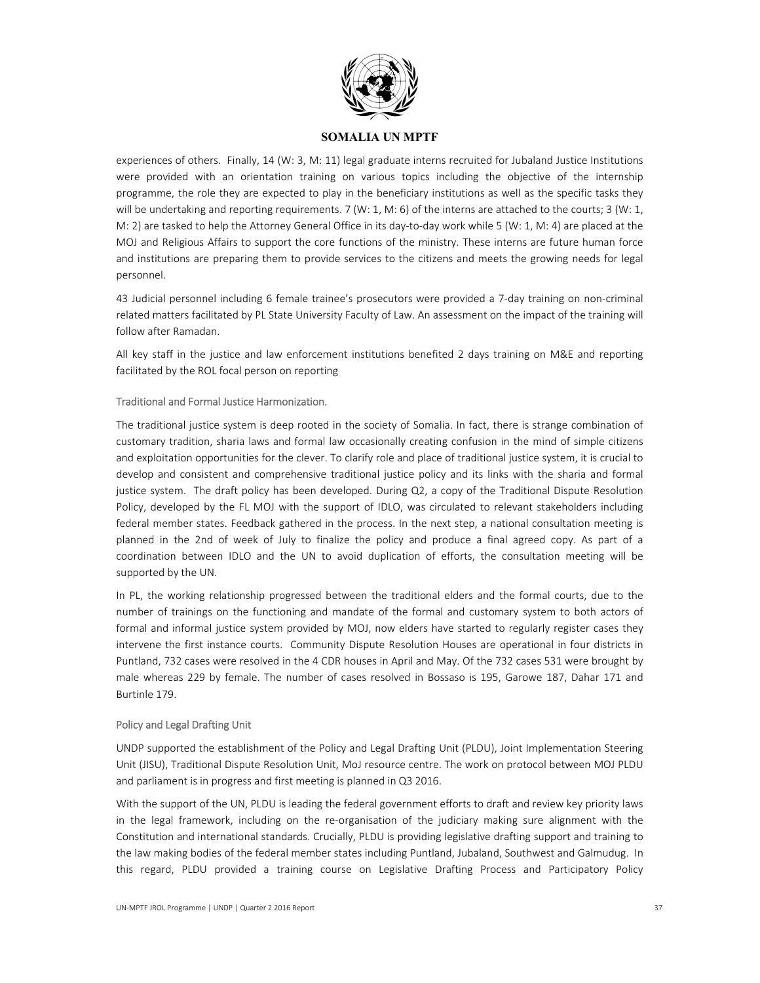

experiences of others. Finally, 14 (W: 3, M: 11) legal graduate interns recruited for Jubaland Justice Institutions were provided with an orientation training on various topics including the objective of the internship programme, the role they are expected to play in the beneficiary institutions as well as the specific tasks they will be undertaking and reporting requirements. 7 (W: 1, M: 6) of the interns are attached to the courts; 3 (W: 1, M: 2) are tasked to help the Attorney General Office in its day-to-day work while 5 (W: 1, M: 4) are placed at the MOJ and Religious Affairs to support the core functions of the ministry. These interns are future human force and institutions are preparing them to provide services to the citizens and meets the growing needs for legal personnel.

43 Judicial personnel including 6 female trainee's prosecutors were provided a 7‐day training on non‐criminal related matters facilitated by PL State University Faculty of Law. An assessment on the impact of the training will follow after Ramadan.

All key staff in the justice and law enforcement institutions benefited 2 days training on M&E and reporting facilitated by the ROL focal person on reporting

#### Traditional and Formal Justice Harmonization.

The traditional justice system is deep rooted in the society of Somalia. In fact, there is strange combination of customary tradition, sharia laws and formal law occasionally creating confusion in the mind of simple citizens and exploitation opportunities for the clever. To clarify role and place of traditional justice system, it is crucial to develop and consistent and comprehensive traditional justice policy and its links with the sharia and formal justice system. The draft policy has been developed. During Q2, a copy of the Traditional Dispute Resolution Policy, developed by the FL MOJ with the support of IDLO, was circulated to relevant stakeholders including federal member states. Feedback gathered in the process. In the next step, a national consultation meeting is planned in the 2nd of week of July to finalize the policy and produce a final agreed copy. As part of a coordination between IDLO and the UN to avoid duplication of efforts, the consultation meeting will be supported by the UN.

In PL, the working relationship progressed between the traditional elders and the formal courts, due to the number of trainings on the functioning and mandate of the formal and customary system to both actors of formal and informal justice system provided by MOJ, now elders have started to regularly register cases they intervene the first instance courts. Community Dispute Resolution Houses are operational in four districts in Puntland, 732 cases were resolved in the 4 CDR houses in April and May. Of the 732 cases 531 were brought by male whereas 229 by female. The number of cases resolved in Bossaso is 195, Garowe 187, Dahar 171 and Burtinle 179.

#### Policy and Legal Drafting Unit

UNDP supported the establishment of the Policy and Legal Drafting Unit (PLDU), Joint Implementation Steering Unit (JISU), Traditional Dispute Resolution Unit, MoJ resource centre. The work on protocol between MOJ PLDU and parliament is in progress and first meeting is planned in Q3 2016.

With the support of the UN, PLDU is leading the federal government efforts to draft and review key priority laws in the legal framework, including on the re-organisation of the judiciary making sure alignment with the Constitution and international standards. Crucially, PLDU is providing legislative drafting support and training to the law making bodies of the federal member states including Puntland, Jubaland, Southwest and Galmudug. In this regard, PLDU provided a training course on Legislative Drafting Process and Participatory Policy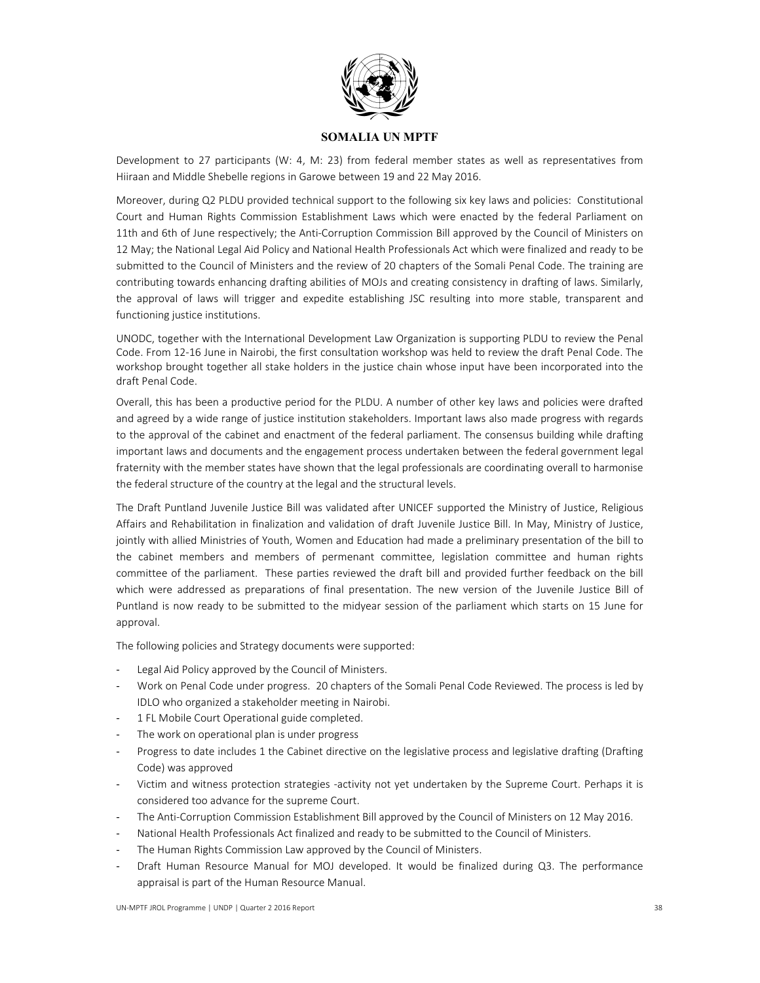

Development to 27 participants (W: 4, M: 23) from federal member states as well as representatives from Hiiraan and Middle Shebelle regions in Garowe between 19 and 22 May 2016.

Moreover, during Q2 PLDU provided technical support to the following six key laws and policies: Constitutional Court and Human Rights Commission Establishment Laws which were enacted by the federal Parliament on 11th and 6th of June respectively; the Anti‐Corruption Commission Bill approved by the Council of Ministers on 12 May; the National Legal Aid Policy and National Health Professionals Act which were finalized and ready to be submitted to the Council of Ministers and the review of 20 chapters of the Somali Penal Code. The training are contributing towards enhancing drafting abilities of MOJs and creating consistency in drafting of laws. Similarly, the approval of laws will trigger and expedite establishing JSC resulting into more stable, transparent and functioning justice institutions.

UNODC, together with the International Development Law Organization is supporting PLDU to review the Penal Code. From 12‐16 June in Nairobi, the first consultation workshop was held to review the draft Penal Code. The workshop brought together all stake holders in the justice chain whose input have been incorporated into the draft Penal Code.

Overall, this has been a productive period for the PLDU. A number of other key laws and policies were drafted and agreed by a wide range of justice institution stakeholders. Important laws also made progress with regards to the approval of the cabinet and enactment of the federal parliament. The consensus building while drafting important laws and documents and the engagement process undertaken between the federal government legal fraternity with the member states have shown that the legal professionals are coordinating overall to harmonise the federal structure of the country at the legal and the structural levels.

The Draft Puntland Juvenile Justice Bill was validated after UNICEF supported the Ministry of Justice, Religious Affairs and Rehabilitation in finalization and validation of draft Juvenile Justice Bill. In May, Ministry of Justice, jointly with allied Ministries of Youth, Women and Education had made a preliminary presentation of the bill to the cabinet members and members of permenant committee, legislation committee and human rights committee of the parliament. These parties reviewed the draft bill and provided further feedback on the bill which were addressed as preparations of final presentation. The new version of the Juvenile Justice Bill of Puntland is now ready to be submitted to the midyear session of the parliament which starts on 15 June for approval.

The following policies and Strategy documents were supported:

- Legal Aid Policy approved by the Council of Ministers.
- ‐ Work on Penal Code under progress. 20 chapters of the Somali Penal Code Reviewed. The process is led by IDLO who organized a stakeholder meeting in Nairobi.
- 1 FL Mobile Court Operational guide completed.
- The work on operational plan is under progress
- ‐ Progress to date includes 1 the Cabinet directive on the legislative process and legislative drafting (Drafting Code) was approved
- ‐ Victim and witness protection strategies ‐activity not yet undertaken by the Supreme Court. Perhaps it is considered too advance for the supreme Court.
- The Anti-Corruption Commission Establishment Bill approved by the Council of Ministers on 12 May 2016.
- National Health Professionals Act finalized and ready to be submitted to the Council of Ministers.
- The Human Rights Commission Law approved by the Council of Ministers.
- ‐ Draft Human Resource Manual for MOJ developed. It would be finalized during Q3. The performance appraisal is part of the Human Resource Manual.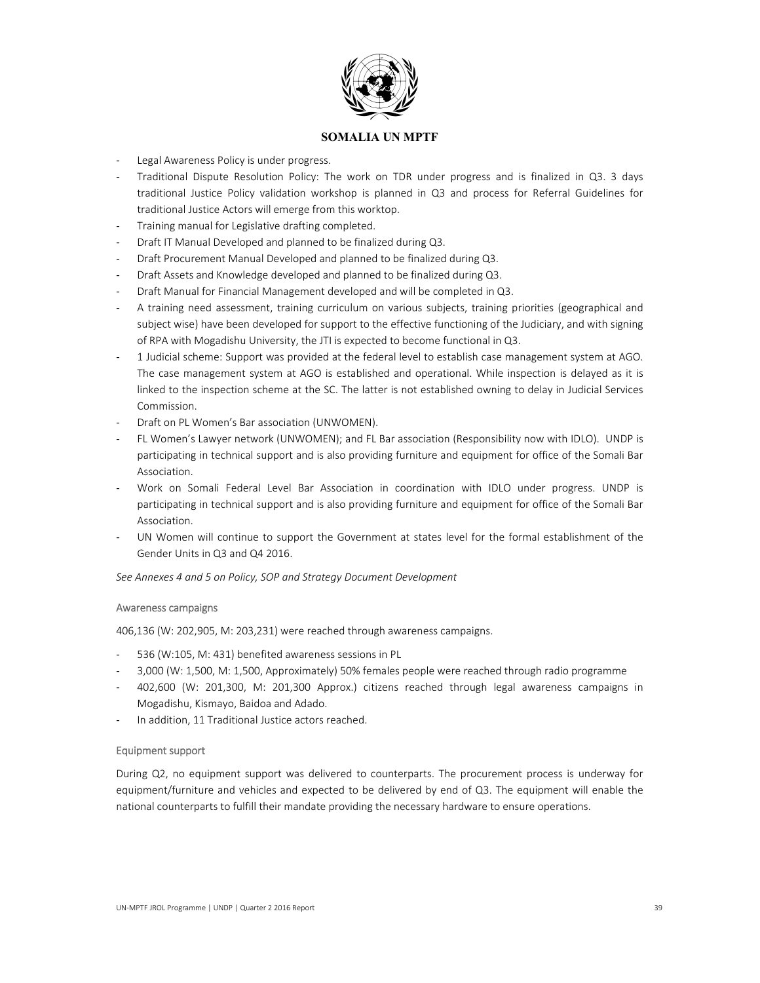

- Legal Awareness Policy is under progress.
- ‐ Traditional Dispute Resolution Policy: The work on TDR under progress and is finalized in Q3. 3 days traditional Justice Policy validation workshop is planned in Q3 and process for Referral Guidelines for traditional Justice Actors will emerge from this worktop.
- ‐ Training manual for Legislative drafting completed.
- ‐ Draft IT Manual Developed and planned to be finalized during Q3.
- ‐ Draft Procurement Manual Developed and planned to be finalized during Q3.
- ‐ Draft Assets and Knowledge developed and planned to be finalized during Q3.
- ‐ Draft Manual for Financial Management developed and will be completed in Q3.
- ‐ A training need assessment, training curriculum on various subjects, training priorities (geographical and subject wise) have been developed for support to the effective functioning of the Judiciary, and with signing of RPA with Mogadishu University, the JTI is expected to become functional in Q3.
- ‐ 1 Judicial scheme: Support was provided at the federal level to establish case management system at AGO. The case management system at AGO is established and operational. While inspection is delayed as it is linked to the inspection scheme at the SC. The latter is not established owning to delay in Judicial Services Commission.
- Draft on PL Women's Bar association (UNWOMEN).
- ‐ FL Women's Lawyer network (UNWOMEN); and FL Bar association (Responsibility now with IDLO). UNDP is participating in technical support and is also providing furniture and equipment for office of the Somali Bar Association.
- ‐ Work on Somali Federal Level Bar Association in coordination with IDLO under progress. UNDP is participating in technical support and is also providing furniture and equipment for office of the Somali Bar Association.
- UN Women will continue to support the Government at states level for the formal establishment of the Gender Units in Q3 and Q4 2016.

*See Annexes 4 and 5 on Policy, SOP and Strategy Document Development* 

#### Awareness campaigns

406,136 (W: 202,905, M: 203,231) were reached through awareness campaigns.

- 536 (W:105, M: 431) benefited awareness sessions in PL
- ‐ 3,000 (W: 1,500, M: 1,500, Approximately) 50% females people were reached through radio programme
- ‐ 402,600 (W: 201,300, M: 201,300 Approx.) citizens reached through legal awareness campaigns in Mogadishu, Kismayo, Baidoa and Adado.
- In addition, 11 Traditional Justice actors reached.

#### Equipment support

During Q2, no equipment support was delivered to counterparts. The procurement process is underway for equipment/furniture and vehicles and expected to be delivered by end of Q3. The equipment will enable the national counterparts to fulfill their mandate providing the necessary hardware to ensure operations.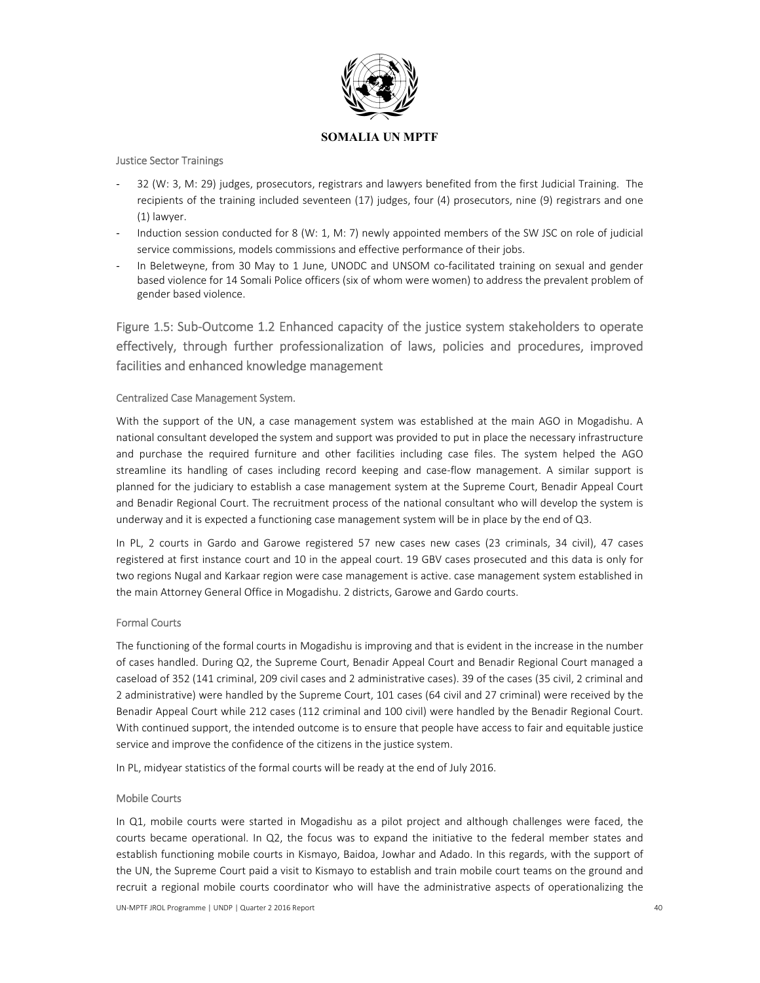

#### Justice Sector Trainings

- ‐ 32 (W: 3, M: 29) judges, prosecutors, registrars and lawyers benefited from the first Judicial Training. The recipients of the training included seventeen (17) judges, four (4) prosecutors, nine (9) registrars and one (1) lawyer.
- Induction session conducted for 8 (W: 1, M: 7) newly appointed members of the SW JSC on role of judicial service commissions, models commissions and effective performance of their jobs.
- In Beletweyne, from 30 May to 1 June, UNODC and UNSOM co-facilitated training on sexual and gender based violence for 14 Somali Police officers (six of whom were women) to address the prevalent problem of gender based violence.

Figure 1.5: Sub‐Outcome 1.2 Enhanced capacity of the justice system stakeholders to operate effectively, through further professionalization of laws, policies and procedures, improved facilities and enhanced knowledge management

#### Centralized Case Management System.

With the support of the UN, a case management system was established at the main AGO in Mogadishu. A national consultant developed the system and support was provided to put in place the necessary infrastructure and purchase the required furniture and other facilities including case files. The system helped the AGO streamline its handling of cases including record keeping and case-flow management. A similar support is planned for the judiciary to establish a case management system at the Supreme Court, Benadir Appeal Court and Benadir Regional Court. The recruitment process of the national consultant who will develop the system is underway and it is expected a functioning case management system will be in place by the end of Q3.

In PL, 2 courts in Gardo and Garowe registered 57 new cases new cases (23 criminals, 34 civil), 47 cases registered at first instance court and 10 in the appeal court. 19 GBV cases prosecuted and this data is only for two regions Nugal and Karkaar region were case management is active. case management system established in the main Attorney General Office in Mogadishu. 2 districts, Garowe and Gardo courts.

## Formal Courts

The functioning of the formal courts in Mogadishu is improving and that is evident in the increase in the number of cases handled. During Q2, the Supreme Court, Benadir Appeal Court and Benadir Regional Court managed a caseload of 352 (141 criminal, 209 civil cases and 2 administrative cases). 39 of the cases (35 civil, 2 criminal and 2 administrative) were handled by the Supreme Court, 101 cases (64 civil and 27 criminal) were received by the Benadir Appeal Court while 212 cases (112 criminal and 100 civil) were handled by the Benadir Regional Court. With continued support, the intended outcome is to ensure that people have access to fair and equitable justice service and improve the confidence of the citizens in the justice system.

In PL, midyear statistics of the formal courts will be ready at the end of July 2016.

#### Mobile Courts

In Q1, mobile courts were started in Mogadishu as a pilot project and although challenges were faced, the courts became operational. In Q2, the focus was to expand the initiative to the federal member states and establish functioning mobile courts in Kismayo, Baidoa, Jowhar and Adado. In this regards, with the support of the UN, the Supreme Court paid a visit to Kismayo to establish and train mobile court teams on the ground and recruit a regional mobile courts coordinator who will have the administrative aspects of operationalizing the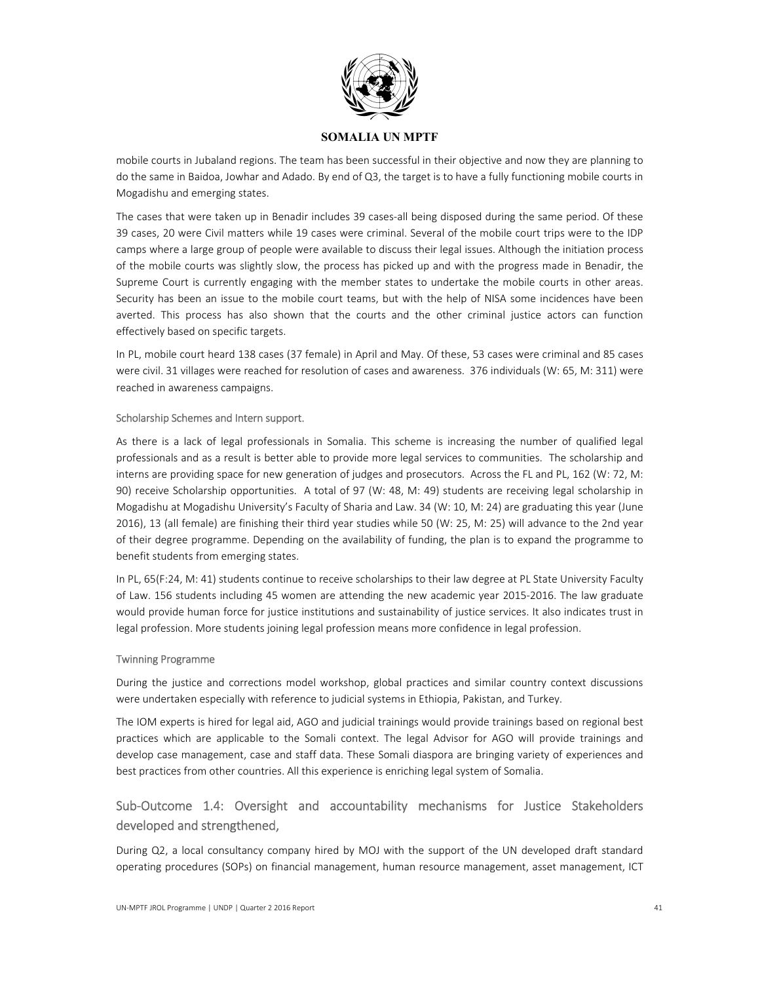

mobile courts in Jubaland regions. The team has been successful in their objective and now they are planning to do the same in Baidoa, Jowhar and Adado. By end of Q3, the target is to have a fully functioning mobile courts in Mogadishu and emerging states.

The cases that were taken up in Benadir includes 39 cases-all being disposed during the same period. Of these 39 cases, 20 were Civil matters while 19 cases were criminal. Several of the mobile court trips were to the IDP camps where a large group of people were available to discuss their legal issues. Although the initiation process of the mobile courts was slightly slow, the process has picked up and with the progress made in Benadir, the Supreme Court is currently engaging with the member states to undertake the mobile courts in other areas. Security has been an issue to the mobile court teams, but with the help of NISA some incidences have been averted. This process has also shown that the courts and the other criminal justice actors can function effectively based on specific targets.

In PL, mobile court heard 138 cases (37 female) in April and May. Of these, 53 cases were criminal and 85 cases were civil. 31 villages were reached for resolution of cases and awareness. 376 individuals (W: 65, M: 311) were reached in awareness campaigns.

#### Scholarship Schemes and Intern support.

As there is a lack of legal professionals in Somalia. This scheme is increasing the number of qualified legal professionals and as a result is better able to provide more legal services to communities. The scholarship and interns are providing space for new generation of judges and prosecutors. Across the FL and PL, 162 (W: 72, M: 90) receive Scholarship opportunities. A total of 97 (W: 48, M: 49) students are receiving legal scholarship in Mogadishu at Mogadishu University's Faculty of Sharia and Law. 34 (W: 10, M: 24) are graduating this year (June 2016), 13 (all female) are finishing their third year studies while 50 (W: 25, M: 25) will advance to the 2nd year of their degree programme. Depending on the availability of funding, the plan is to expand the programme to benefit students from emerging states.

In PL, 65(F:24, M: 41) students continue to receive scholarships to their law degree at PL State University Faculty of Law. 156 students including 45 women are attending the new academic year 2015‐2016. The law graduate would provide human force for justice institutions and sustainability of justice services. It also indicates trust in legal profession. More students joining legal profession means more confidence in legal profession.

#### Twinning Programme

During the justice and corrections model workshop, global practices and similar country context discussions were undertaken especially with reference to judicial systems in Ethiopia, Pakistan, and Turkey.

The IOM experts is hired for legal aid, AGO and judicial trainings would provide trainings based on regional best practices which are applicable to the Somali context. The legal Advisor for AGO will provide trainings and develop case management, case and staff data. These Somali diaspora are bringing variety of experiences and best practices from other countries. All this experience is enriching legal system of Somalia.

# Sub-Outcome 1.4: Oversight and accountability mechanisms for Justice Stakeholders developed and strengthened,

During Q2, a local consultancy company hired by MOJ with the support of the UN developed draft standard operating procedures (SOPs) on financial management, human resource management, asset management, ICT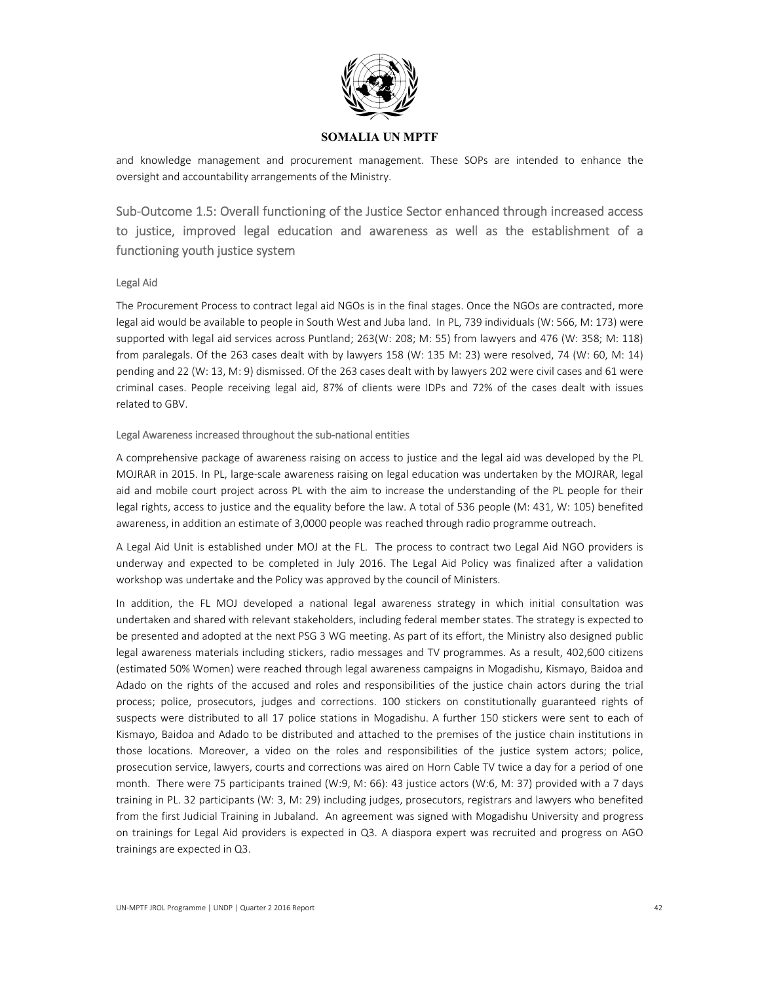

and knowledge management and procurement management. These SOPs are intended to enhance the oversight and accountability arrangements of the Ministry.

Sub-Outcome 1.5: Overall functioning of the Justice Sector enhanced through increased access to justice, improved legal education and awareness as well as the establishment of a functioning youth justice system

#### Legal Aid

The Procurement Process to contract legal aid NGOs is in the final stages. Once the NGOs are contracted, more legal aid would be available to people in South West and Juba land. In PL, 739 individuals (W: 566, M: 173) were supported with legal aid services across Puntland; 263(W: 208; M: 55) from lawyers and 476 (W: 358; M: 118) from paralegals. Of the 263 cases dealt with by lawyers 158 (W: 135 M: 23) were resolved, 74 (W: 60, M: 14) pending and 22 (W: 13, M: 9) dismissed. Of the 263 cases dealt with by lawyers 202 were civil cases and 61 were criminal cases. People receiving legal aid, 87% of clients were IDPs and 72% of the cases dealt with issues related to GBV.

#### Legal Awareness increased throughout the sub‐national entities

A comprehensive package of awareness raising on access to justice and the legal aid was developed by the PL MOJRAR in 2015. In PL, large‐scale awareness raising on legal education was undertaken by the MOJRAR, legal aid and mobile court project across PL with the aim to increase the understanding of the PL people for their legal rights, access to justice and the equality before the law. A total of 536 people (M: 431, W: 105) benefited awareness, in addition an estimate of 3,0000 people was reached through radio programme outreach.

A Legal Aid Unit is established under MOJ at the FL. The process to contract two Legal Aid NGO providers is underway and expected to be completed in July 2016. The Legal Aid Policy was finalized after a validation workshop was undertake and the Policy was approved by the council of Ministers.

In addition, the FL MOJ developed a national legal awareness strategy in which initial consultation was undertaken and shared with relevant stakeholders, including federal member states. The strategy is expected to be presented and adopted at the next PSG 3 WG meeting. As part of its effort, the Ministry also designed public legal awareness materials including stickers, radio messages and TV programmes. As a result, 402,600 citizens (estimated 50% Women) were reached through legal awareness campaigns in Mogadishu, Kismayo, Baidoa and Adado on the rights of the accused and roles and responsibilities of the justice chain actors during the trial process; police, prosecutors, judges and corrections. 100 stickers on constitutionally guaranteed rights of suspects were distributed to all 17 police stations in Mogadishu. A further 150 stickers were sent to each of Kismayo, Baidoa and Adado to be distributed and attached to the premises of the justice chain institutions in those locations. Moreover, a video on the roles and responsibilities of the justice system actors; police, prosecution service, lawyers, courts and corrections was aired on Horn Cable TV twice a day for a period of one month. There were 75 participants trained (W:9, M: 66): 43 justice actors (W:6, M: 37) provided with a 7 days training in PL. 32 participants (W: 3, M: 29) including judges, prosecutors, registrars and lawyers who benefited from the first Judicial Training in Jubaland. An agreement was signed with Mogadishu University and progress on trainings for Legal Aid providers is expected in Q3. A diaspora expert was recruited and progress on AGO trainings are expected in Q3.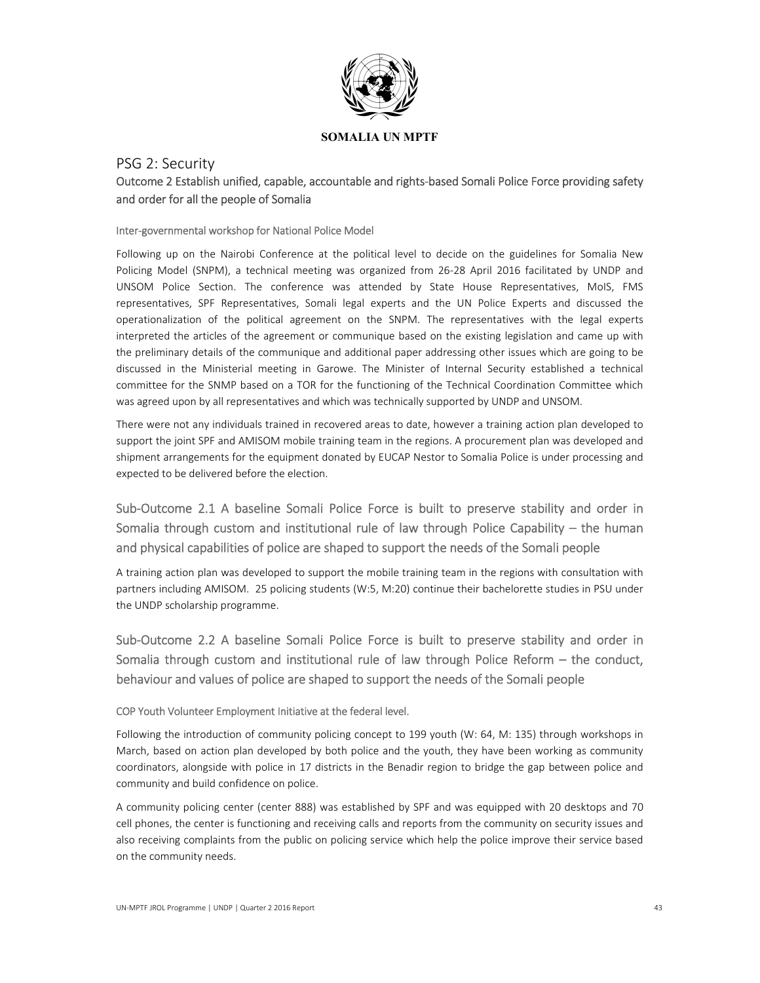

# PSG 2: Security Outcome 2 Establish unified, capable, accountable and rights‐based Somali Police Force providing safety and order for all the people of Somalia

#### Inter‐governmental workshop for National Police Model

Following up on the Nairobi Conference at the political level to decide on the guidelines for Somalia New Policing Model (SNPM), a technical meeting was organized from 26-28 April 2016 facilitated by UNDP and UNSOM Police Section. The conference was attended by State House Representatives, MoIS, FMS representatives, SPF Representatives, Somali legal experts and the UN Police Experts and discussed the operationalization of the political agreement on the SNPM. The representatives with the legal experts interpreted the articles of the agreement or communique based on the existing legislation and came up with the preliminary details of the communique and additional paper addressing other issues which are going to be discussed in the Ministerial meeting in Garowe. The Minister of Internal Security established a technical committee for the SNMP based on a TOR for the functioning of the Technical Coordination Committee which was agreed upon by all representatives and which was technically supported by UNDP and UNSOM.

There were not any individuals trained in recovered areas to date, however a training action plan developed to support the joint SPF and AMISOM mobile training team in the regions. A procurement plan was developed and shipment arrangements for the equipment donated by EUCAP Nestor to Somalia Police is under processing and expected to be delivered before the election.

# Sub-Outcome 2.1 A baseline Somali Police Force is built to preserve stability and order in Somalia through custom and institutional rule of law through Police Capability  $-$  the human and physical capabilities of police are shaped to support the needs of the Somali people

A training action plan was developed to support the mobile training team in the regions with consultation with partners including AMISOM. 25 policing students (W:5, M:20) continue their bachelorette studies in PSU under the UNDP scholarship programme.

Sub-Outcome 2.2 A baseline Somali Police Force is built to preserve stability and order in Somalia through custom and institutional rule of law through Police Reform - the conduct, behaviour and values of police are shaped to support the needs of the Somali people

## COP Youth Volunteer Employment Initiative at the federal level.

Following the introduction of community policing concept to 199 youth (W: 64, M: 135) through workshops in March, based on action plan developed by both police and the youth, they have been working as community coordinators, alongside with police in 17 districts in the Benadir region to bridge the gap between police and community and build confidence on police.

A community policing center (center 888) was established by SPF and was equipped with 20 desktops and 70 cell phones, the center is functioning and receiving calls and reports from the community on security issues and also receiving complaints from the public on policing service which help the police improve their service based on the community needs.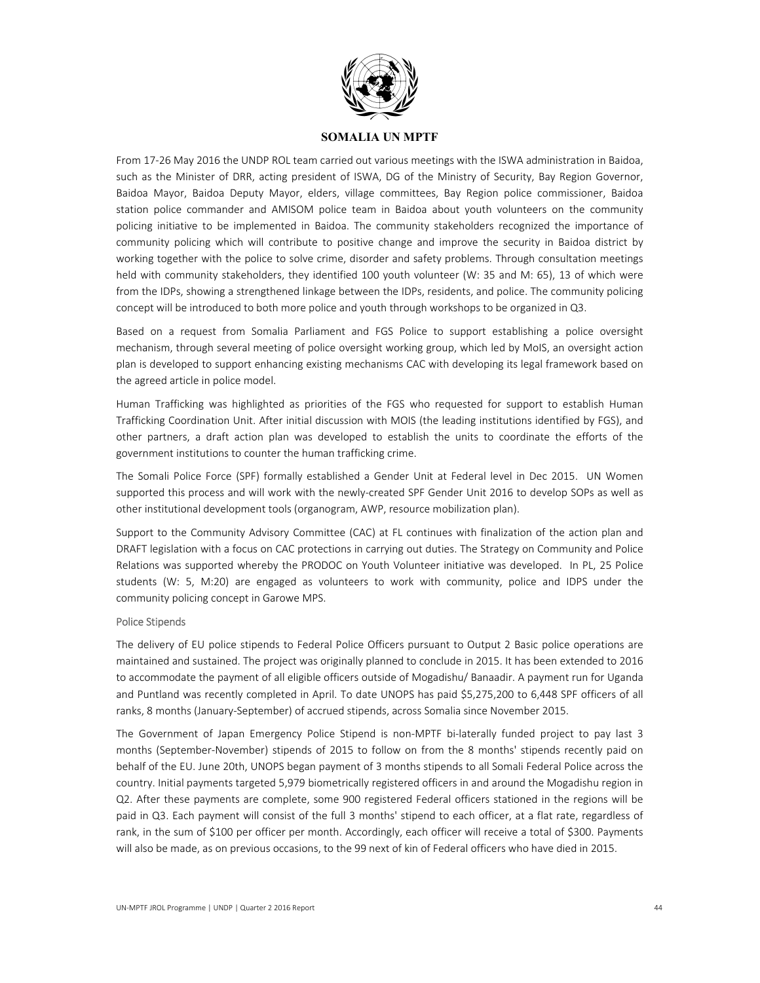

From 17‐26 May 2016 the UNDP ROL team carried out various meetings with the ISWA administration in Baidoa, such as the Minister of DRR, acting president of ISWA, DG of the Ministry of Security, Bay Region Governor, Baidoa Mayor, Baidoa Deputy Mayor, elders, village committees, Bay Region police commissioner, Baidoa station police commander and AMISOM police team in Baidoa about youth volunteers on the community policing initiative to be implemented in Baidoa. The community stakeholders recognized the importance of community policing which will contribute to positive change and improve the security in Baidoa district by working together with the police to solve crime, disorder and safety problems. Through consultation meetings held with community stakeholders, they identified 100 youth volunteer (W: 35 and M: 65), 13 of which were from the IDPs, showing a strengthened linkage between the IDPs, residents, and police. The community policing concept will be introduced to both more police and youth through workshops to be organized in Q3.

Based on a request from Somalia Parliament and FGS Police to support establishing a police oversight mechanism, through several meeting of police oversight working group, which led by MoIS, an oversight action plan is developed to support enhancing existing mechanisms CAC with developing its legal framework based on the agreed article in police model.

Human Trafficking was highlighted as priorities of the FGS who requested for support to establish Human Trafficking Coordination Unit. After initial discussion with MOIS (the leading institutions identified by FGS), and other partners, a draft action plan was developed to establish the units to coordinate the efforts of the government institutions to counter the human trafficking crime.

The Somali Police Force (SPF) formally established a Gender Unit at Federal level in Dec 2015. UN Women supported this process and will work with the newly-created SPF Gender Unit 2016 to develop SOPs as well as other institutional development tools (organogram, AWP, resource mobilization plan).

Support to the Community Advisory Committee (CAC) at FL continues with finalization of the action plan and DRAFT legislation with a focus on CAC protections in carrying out duties. The Strategy on Community and Police Relations was supported whereby the PRODOC on Youth Volunteer initiative was developed. In PL, 25 Police students (W: 5, M:20) are engaged as volunteers to work with community, police and IDPS under the community policing concept in Garowe MPS.

#### Police Stipends

The delivery of EU police stipends to Federal Police Officers pursuant to Output 2 Basic police operations are maintained and sustained. The project was originally planned to conclude in 2015. It has been extended to 2016 to accommodate the payment of all eligible officers outside of Mogadishu/ Banaadir. A payment run for Uganda and Puntland was recently completed in April. To date UNOPS has paid \$5,275,200 to 6,448 SPF officers of all ranks, 8 months (January‐September) of accrued stipends, across Somalia since November 2015.

The Government of Japan Emergency Police Stipend is non-MPTF bi-laterally funded project to pay last 3 months (September-November) stipends of 2015 to follow on from the 8 months' stipends recently paid on behalf of the EU. June 20th, UNOPS began payment of 3 months stipends to all Somali Federal Police across the country. Initial payments targeted 5,979 biometrically registered officers in and around the Mogadishu region in Q2. After these payments are complete, some 900 registered Federal officers stationed in the regions will be paid in Q3. Each payment will consist of the full 3 months' stipend to each officer, at a flat rate, regardless of rank, in the sum of \$100 per officer per month. Accordingly, each officer will receive a total of \$300. Payments will also be made, as on previous occasions, to the 99 next of kin of Federal officers who have died in 2015.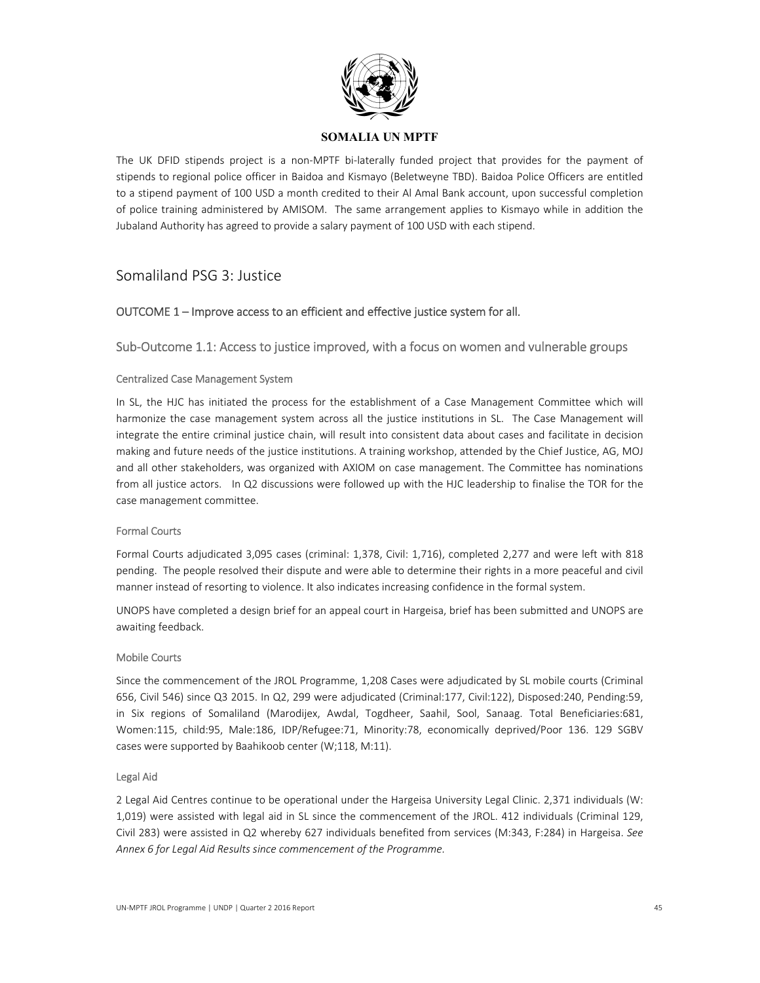

The UK DFID stipends project is a non-MPTF bi-laterally funded project that provides for the payment of stipends to regional police officer in Baidoa and Kismayo (Beletweyne TBD). Baidoa Police Officers are entitled to a stipend payment of 100 USD a month credited to their Al Amal Bank account, upon successful completion of police training administered by AMISOM. The same arrangement applies to Kismayo while in addition the Jubaland Authority has agreed to provide a salary payment of 100 USD with each stipend.

# Somaliland PSG 3: Justice

## OUTCOME 1 – Improve access to an efficient and effective justice system for all.

## Sub‐Outcome 1.1: Access to justice improved, with a focus on women and vulnerable groups

#### Centralized Case Management System

In SL, the HJC has initiated the process for the establishment of a Case Management Committee which will harmonize the case management system across all the justice institutions in SL. The Case Management will integrate the entire criminal justice chain, will result into consistent data about cases and facilitate in decision making and future needs of the justice institutions. A training workshop, attended by the Chief Justice, AG, MOJ and all other stakeholders, was organized with AXIOM on case management. The Committee has nominations from all justice actors. In Q2 discussions were followed up with the HJC leadership to finalise the TOR for the case management committee.

#### Formal Courts

Formal Courts adjudicated 3,095 cases (criminal: 1,378, Civil: 1,716), completed 2,277 and were left with 818 pending. The people resolved their dispute and were able to determine their rights in a more peaceful and civil manner instead of resorting to violence. It also indicates increasing confidence in the formal system.

UNOPS have completed a design brief for an appeal court in Hargeisa, brief has been submitted and UNOPS are awaiting feedback.

#### Mobile Courts

Since the commencement of the JROL Programme, 1,208 Cases were adjudicated by SL mobile courts (Criminal 656, Civil 546) since Q3 2015. In Q2, 299 were adjudicated (Criminal:177, Civil:122), Disposed:240, Pending:59, in Six regions of Somaliland (Marodijex, Awdal, Togdheer, Saahil, Sool, Sanaag. Total Beneficiaries:681, Women:115, child:95, Male:186, IDP/Refugee:71, Minority:78, economically deprived/Poor 136. 129 SGBV cases were supported by Baahikoob center (W;118, M:11).

#### Legal Aid

2 Legal Aid Centres continue to be operational under the Hargeisa University Legal Clinic. 2,371 individuals (W: 1,019) were assisted with legal aid in SL since the commencement of the JROL. 412 individuals (Criminal 129, Civil 283) were assisted in Q2 whereby 627 individuals benefited from services (M:343, F:284) in Hargeisa. *See Annex 6 for Legal Aid Results since commencement of the Programme.*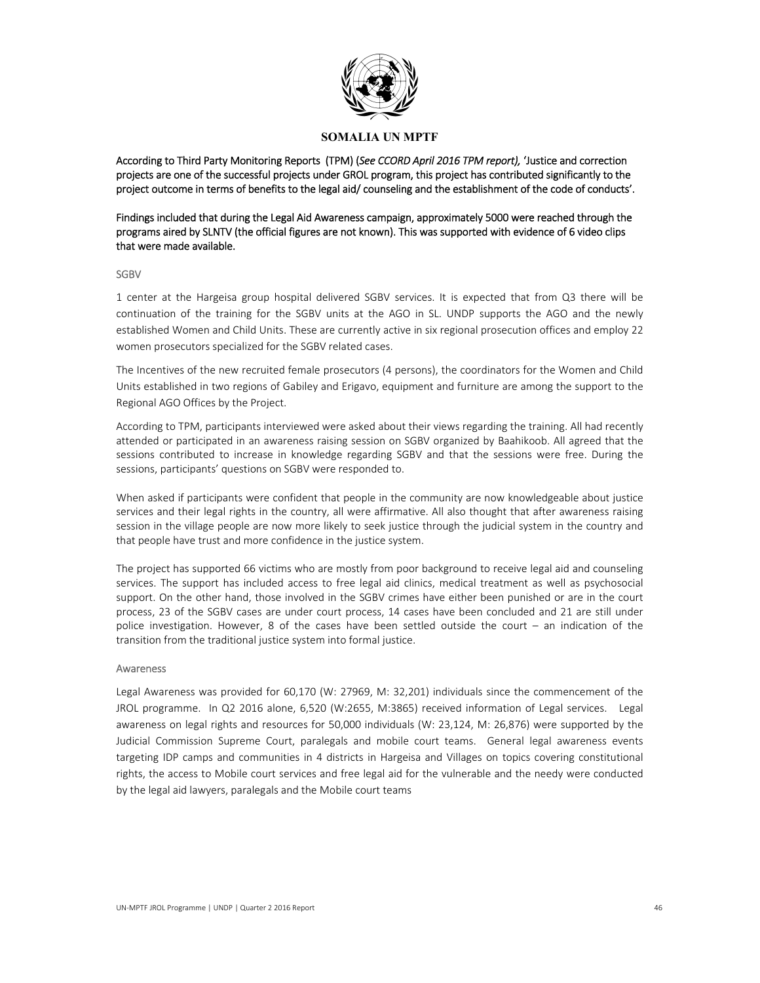

According to Third Party Monitoring Reports (TPM) (*See CCORD April 2016 TPM report),* 'Justice and correction projects are one of the successful projects under GROL program, this project has contributed significantly to the project outcome in terms of benefits to the legal aid/ counseling and the establishment of the code of conducts'.

Findings included that during the Legal Aid Awareness campaign, approximately 5000 were reached through the programs aired by SLNTV (the official figures are not known). This was supported with evidence of 6 video clips that were made available.

#### SGBV

1 center at the Hargeisa group hospital delivered SGBV services. It is expected that from Q3 there will be continuation of the training for the SGBV units at the AGO in SL. UNDP supports the AGO and the newly established Women and Child Units. These are currently active in six regional prosecution offices and employ 22 women prosecutors specialized for the SGBV related cases.

The Incentives of the new recruited female prosecutors (4 persons), the coordinators for the Women and Child Units established in two regions of Gabiley and Erigavo, equipment and furniture are among the support to the Regional AGO Offices by the Project.

According to TPM, participants interviewed were asked about their views regarding the training. All had recently attended or participated in an awareness raising session on SGBV organized by Baahikoob. All agreed that the sessions contributed to increase in knowledge regarding SGBV and that the sessions were free. During the sessions, participants' questions on SGBV were responded to.

When asked if participants were confident that people in the community are now knowledgeable about justice services and their legal rights in the country, all were affirmative. All also thought that after awareness raising session in the village people are now more likely to seek justice through the judicial system in the country and that people have trust and more confidence in the justice system.

The project has supported 66 victims who are mostly from poor background to receive legal aid and counseling services. The support has included access to free legal aid clinics, medical treatment as well as psychosocial support. On the other hand, those involved in the SGBV crimes have either been punished or are in the court process, 23 of the SGBV cases are under court process, 14 cases have been concluded and 21 are still under police investigation. However, 8 of the cases have been settled outside the court – an indication of the transition from the traditional justice system into formal justice.

#### Awareness

Legal Awareness was provided for 60,170 (W: 27969, M: 32,201) individuals since the commencement of the JROL programme. In Q2 2016 alone, 6,520 (W:2655, M:3865) received information of Legal services. Legal awareness on legal rights and resources for 50,000 individuals (W: 23,124, M: 26,876) were supported by the Judicial Commission Supreme Court, paralegals and mobile court teams. General legal awareness events targeting IDP camps and communities in 4 districts in Hargeisa and Villages on topics covering constitutional rights, the access to Mobile court services and free legal aid for the vulnerable and the needy were conducted by the legal aid lawyers, paralegals and the Mobile court teams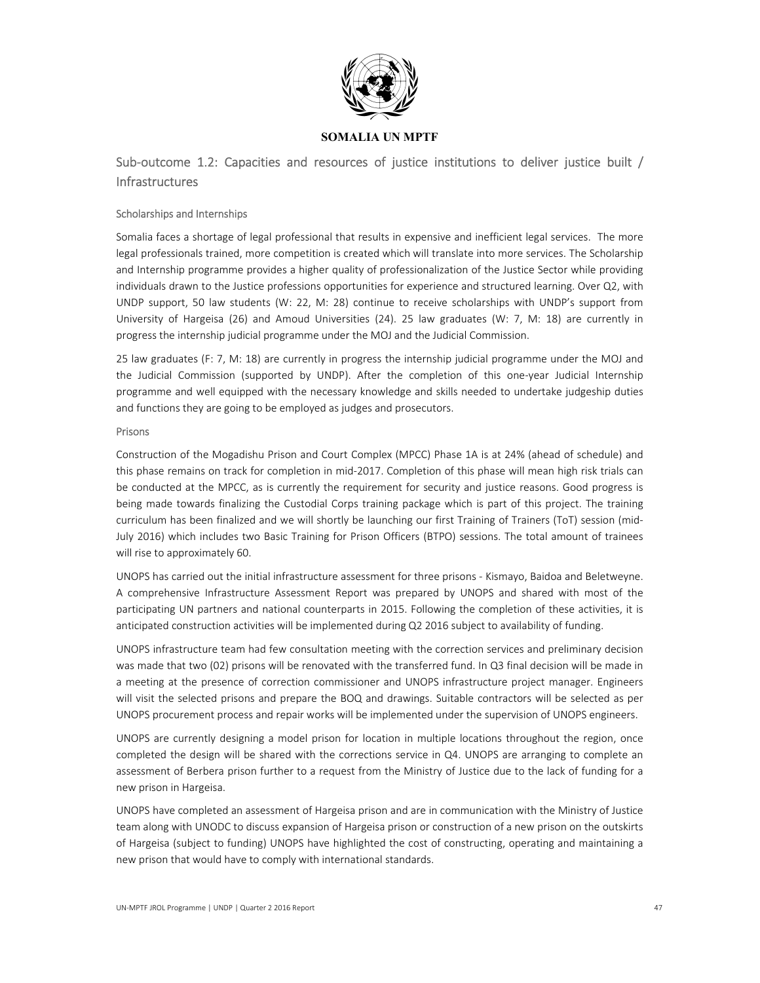

Sub-outcome 1.2: Capacities and resources of justice institutions to deliver justice built / **Infrastructures** 

#### Scholarships and Internships

Somalia faces a shortage of legal professional that results in expensive and inefficient legal services. The more legal professionals trained, more competition is created which will translate into more services. The Scholarship and Internship programme provides a higher quality of professionalization of the Justice Sector while providing individuals drawn to the Justice professions opportunities for experience and structured learning. Over Q2, with UNDP support, 50 law students (W: 22, M: 28) continue to receive scholarships with UNDP's support from University of Hargeisa (26) and Amoud Universities (24). 25 law graduates (W: 7, M: 18) are currently in progress the internship judicial programme under the MOJ and the Judicial Commission.

25 law graduates (F: 7, M: 18) are currently in progress the internship judicial programme under the MOJ and the Judicial Commission (supported by UNDP). After the completion of this one-year Judicial Internship programme and well equipped with the necessary knowledge and skills needed to undertake judgeship duties and functions they are going to be employed as judges and prosecutors.

#### Prisons

Construction of the Mogadishu Prison and Court Complex (MPCC) Phase 1A is at 24% (ahead of schedule) and this phase remains on track for completion in mid‐2017. Completion of this phase will mean high risk trials can be conducted at the MPCC, as is currently the requirement for security and justice reasons. Good progress is being made towards finalizing the Custodial Corps training package which is part of this project. The training curriculum has been finalized and we will shortly be launching our first Training of Trainers (ToT) session (mid‐ July 2016) which includes two Basic Training for Prison Officers (BTPO) sessions. The total amount of trainees will rise to approximately 60.

UNOPS has carried out the initial infrastructure assessment for three prisons ‐ Kismayo, Baidoa and Beletweyne. A comprehensive Infrastructure Assessment Report was prepared by UNOPS and shared with most of the participating UN partners and national counterparts in 2015. Following the completion of these activities, it is anticipated construction activities will be implemented during Q2 2016 subject to availability of funding.

UNOPS infrastructure team had few consultation meeting with the correction services and preliminary decision was made that two (02) prisons will be renovated with the transferred fund. In Q3 final decision will be made in a meeting at the presence of correction commissioner and UNOPS infrastructure project manager. Engineers will visit the selected prisons and prepare the BOQ and drawings. Suitable contractors will be selected as per UNOPS procurement process and repair works will be implemented under the supervision of UNOPS engineers.

UNOPS are currently designing a model prison for location in multiple locations throughout the region, once completed the design will be shared with the corrections service in Q4. UNOPS are arranging to complete an assessment of Berbera prison further to a request from the Ministry of Justice due to the lack of funding for a new prison in Hargeisa.

UNOPS have completed an assessment of Hargeisa prison and are in communication with the Ministry of Justice team along with UNODC to discuss expansion of Hargeisa prison or construction of a new prison on the outskirts of Hargeisa (subject to funding) UNOPS have highlighted the cost of constructing, operating and maintaining a new prison that would have to comply with international standards.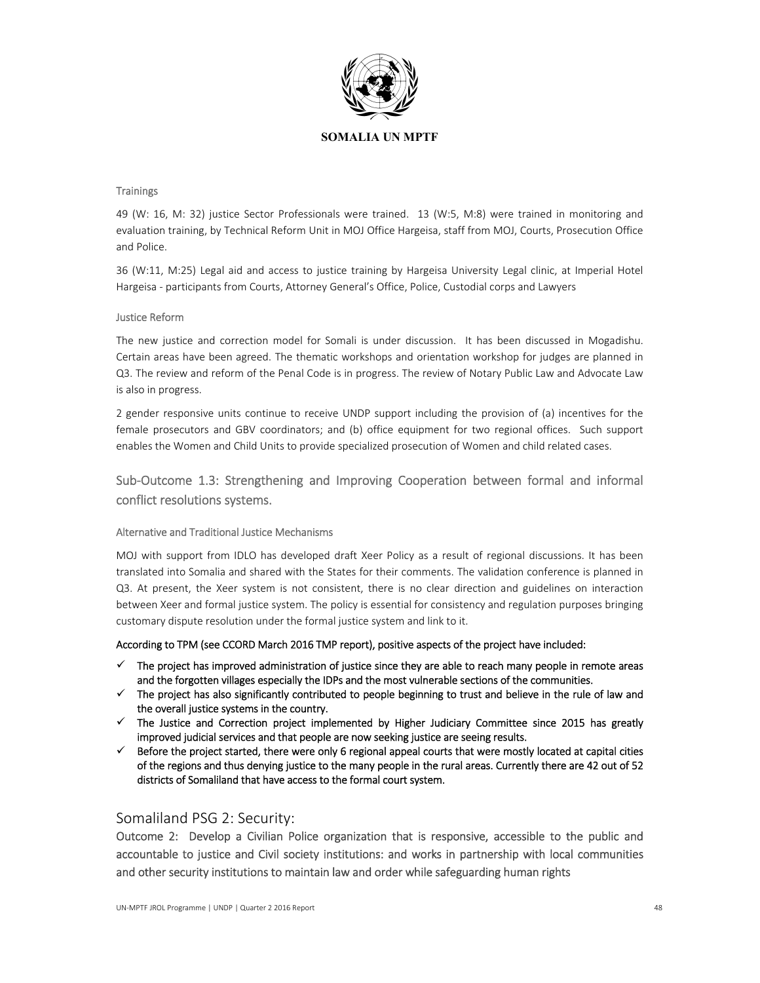

#### **Trainings**

49 (W: 16, M: 32) justice Sector Professionals were trained. 13 (W:5, M:8) were trained in monitoring and evaluation training, by Technical Reform Unit in MOJ Office Hargeisa, staff from MOJ, Courts, Prosecution Office and Police.

36 (W:11, M:25) Legal aid and access to justice training by Hargeisa University Legal clinic, at Imperial Hotel Hargeisa ‐ participants from Courts, Attorney General's Office, Police, Custodial corps and Lawyers

#### Justice Reform

The new justice and correction model for Somali is under discussion. It has been discussed in Mogadishu. Certain areas have been agreed. The thematic workshops and orientation workshop for judges are planned in Q3. The review and reform of the Penal Code is in progress. The review of Notary Public Law and Advocate Law is also in progress.

2 gender responsive units continue to receive UNDP support including the provision of (a) incentives for the female prosecutors and GBV coordinators; and (b) office equipment for two regional offices. Such support enables the Women and Child Units to provide specialized prosecution of Women and child related cases.

# Sub‐Outcome 1.3: Strengthening and Improving Cooperation between formal and informal conflict resolutions systems.

#### Alternative and Traditional Justice Mechanisms

MOJ with support from IDLO has developed draft Xeer Policy as a result of regional discussions. It has been translated into Somalia and shared with the States for their comments. The validation conference is planned in Q3. At present, the Xeer system is not consistent, there is no clear direction and guidelines on interaction between Xeer and formal justice system. The policy is essential for consistency and regulation purposes bringing customary dispute resolution under the formal justice system and link to it.

#### According to TPM (see CCORD March 2016 TMP report), positive aspects of the project have included:

- $\checkmark$  The project has improved administration of justice since they are able to reach many people in remote areas and the forgotten villages especially the IDPs and the most vulnerable sections of the communities.
- $\checkmark$  The project has also significantly contributed to people beginning to trust and believe in the rule of law and the overall justice systems in the country.
- $\checkmark$  The Justice and Correction project implemented by Higher Judiciary Committee since 2015 has greatly improved judicial services and that people are now seeking justice are seeing results.
- $\checkmark$  Before the project started, there were only 6 regional appeal courts that were mostly located at capital cities of the regions and thus denying justice to the many people in the rural areas. Currently there are 42 out of 52 districts of Somaliland that have access to the formal court system.

## Somaliland PSG 2: Security:

Outcome 2: Develop a Civilian Police organization that is responsive, accessible to the public and accountable to justice and Civil society institutions: and works in partnership with local communities and other security institutions to maintain law and order while safeguarding human rights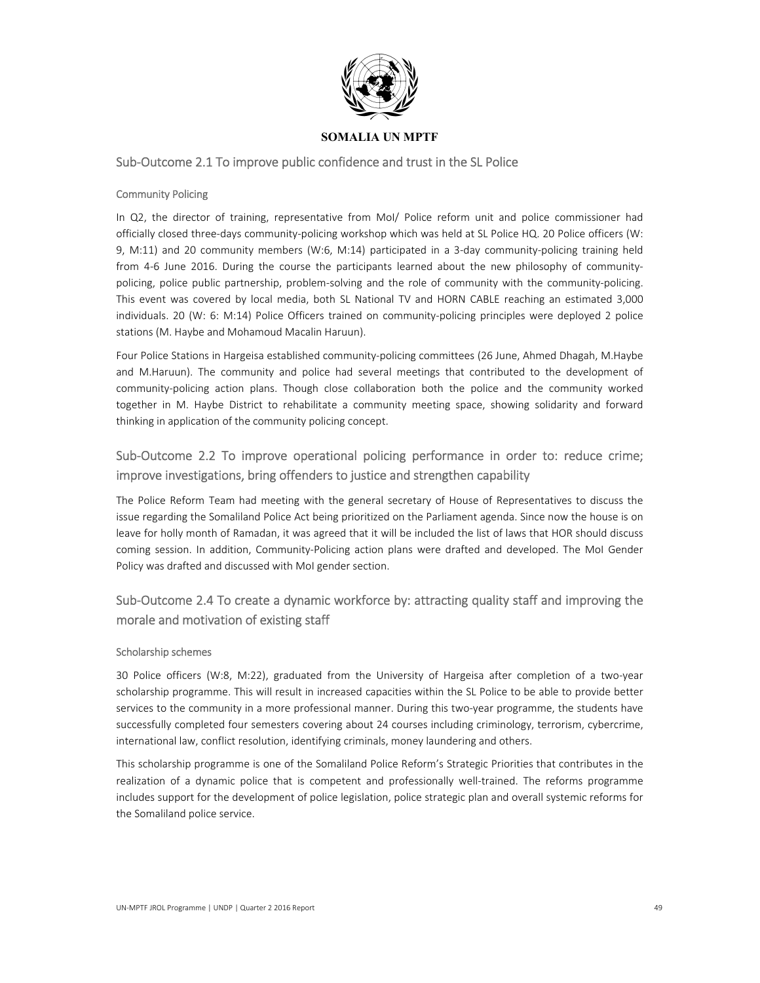

## Sub‐Outcome 2.1 To improve public confidence and trust in the SL Police

#### Community Policing

In Q2, the director of training, representative from MoI/ Police reform unit and police commissioner had officially closed three‐days community‐policing workshop which was held at SL Police HQ. 20 Police officers (W: 9, M:11) and 20 community members (W:6, M:14) participated in a 3-day community-policing training held from 4-6 June 2016. During the course the participants learned about the new philosophy of communitypolicing, police public partnership, problem-solving and the role of community with the community-policing. This event was covered by local media, both SL National TV and HORN CABLE reaching an estimated 3,000 individuals. 20 (W: 6: M:14) Police Officers trained on community‐policing principles were deployed 2 police stations (M. Haybe and Mohamoud Macalin Haruun).

Four Police Stations in Hargeisa established community-policing committees (26 June, Ahmed Dhagah, M.Haybe and M.Haruun). The community and police had several meetings that contributed to the development of community-policing action plans. Though close collaboration both the police and the community worked together in M. Haybe District to rehabilitate a community meeting space, showing solidarity and forward thinking in application of the community policing concept.

# Sub-Outcome 2.2 To improve operational policing performance in order to: reduce crime; improve investigations, bring offenders to justice and strengthen capability

The Police Reform Team had meeting with the general secretary of House of Representatives to discuss the issue regarding the Somaliland Police Act being prioritized on the Parliament agenda. Since now the house is on leave for holly month of Ramadan, it was agreed that it will be included the list of laws that HOR should discuss coming session. In addition, Community-Policing action plans were drafted and developed. The MoI Gender Policy was drafted and discussed with MoI gender section.

# Sub-Outcome 2.4 To create a dynamic workforce by: attracting quality staff and improving the morale and motivation of existing staff

#### Scholarship schemes

30 Police officers (W:8, M:22), graduated from the University of Hargeisa after completion of a two-year scholarship programme. This will result in increased capacities within the SL Police to be able to provide better services to the community in a more professional manner. During this two-year programme, the students have successfully completed four semesters covering about 24 courses including criminology, terrorism, cybercrime, international law, conflict resolution, identifying criminals, money laundering and others.

This scholarship programme is one of the Somaliland Police Reform's Strategic Priorities that contributes in the realization of a dynamic police that is competent and professionally well-trained. The reforms programme includes support for the development of police legislation, police strategic plan and overall systemic reforms for the Somaliland police service.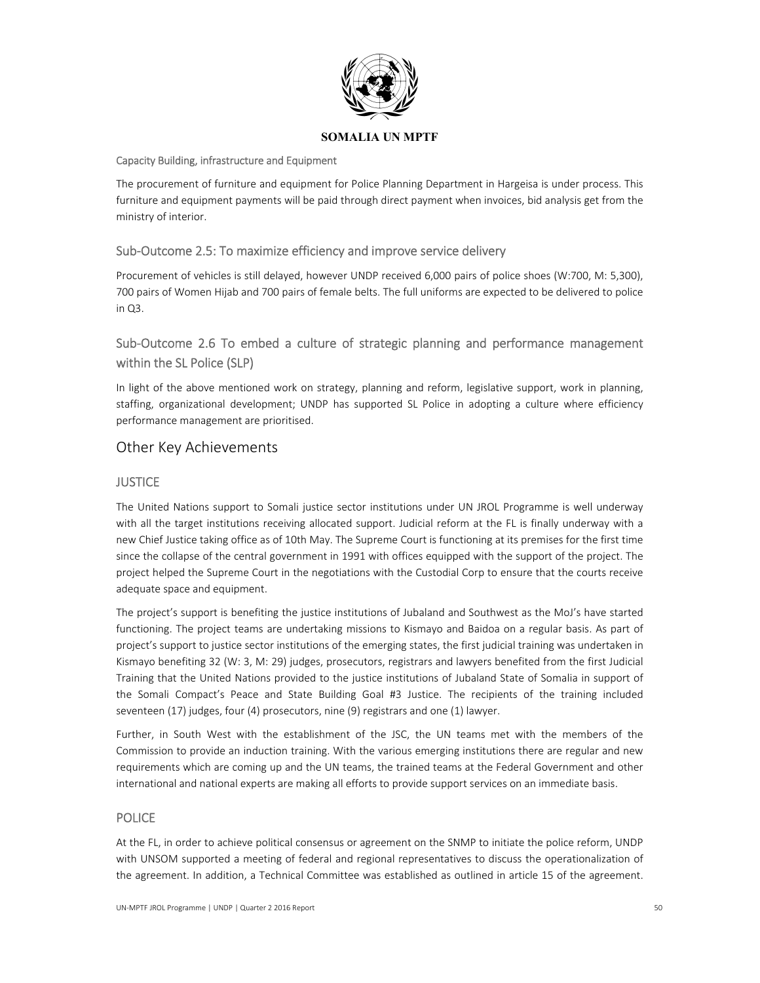

#### Capacity Building, infrastructure and Equipment

The procurement of furniture and equipment for Police Planning Department in Hargeisa is under process. This furniture and equipment payments will be paid through direct payment when invoices, bid analysis get from the ministry of interior.

## Sub‐Outcome 2.5: To maximize efficiency and improve service delivery

Procurement of vehicles is still delayed, however UNDP received 6,000 pairs of police shoes (W:700, M: 5,300), 700 pairs of Women Hijab and 700 pairs of female belts. The full uniforms are expected to be delivered to police in Q3.

# Sub‐Outcome 2.6 To embed a culture of strategic planning and performance management within the SL Police (SLP)

In light of the above mentioned work on strategy, planning and reform, legislative support, work in planning, staffing, organizational development; UNDP has supported SL Police in adopting a culture where efficiency performance management are prioritised.

# Other Key Achievements

## **JUSTICE**

The United Nations support to Somali justice sector institutions under UN JROL Programme is well underway with all the target institutions receiving allocated support. Judicial reform at the FL is finally underway with a new Chief Justice taking office as of 10th May. The Supreme Court is functioning at its premises for the first time since the collapse of the central government in 1991 with offices equipped with the support of the project. The project helped the Supreme Court in the negotiations with the Custodial Corp to ensure that the courts receive adequate space and equipment.

The project's support is benefiting the justice institutions of Jubaland and Southwest as the MoJ's have started functioning. The project teams are undertaking missions to Kismayo and Baidoa on a regular basis. As part of project's support to justice sector institutions of the emerging states, the first judicial training was undertaken in Kismayo benefiting 32 (W: 3, M: 29) judges, prosecutors, registrars and lawyers benefited from the first Judicial Training that the United Nations provided to the justice institutions of Jubaland State of Somalia in support of the Somali Compact's Peace and State Building Goal #3 Justice. The recipients of the training included seventeen (17) judges, four (4) prosecutors, nine (9) registrars and one (1) lawyer.

Further, in South West with the establishment of the JSC, the UN teams met with the members of the Commission to provide an induction training. With the various emerging institutions there are regular and new requirements which are coming up and the UN teams, the trained teams at the Federal Government and other international and national experts are making all efforts to provide support services on an immediate basis.

## POLICE

At the FL, in order to achieve political consensus or agreement on the SNMP to initiate the police reform, UNDP with UNSOM supported a meeting of federal and regional representatives to discuss the operationalization of the agreement. In addition, a Technical Committee was established as outlined in article 15 of the agreement.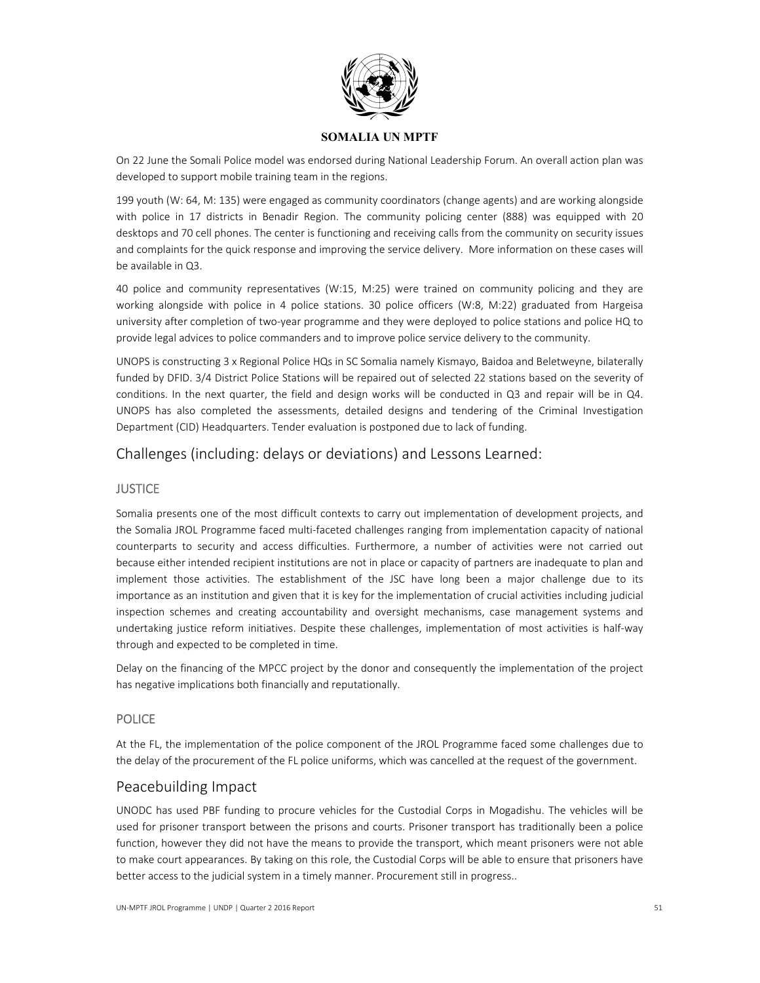

On 22 June the Somali Police model was endorsed during National Leadership Forum. An overall action plan was developed to support mobile training team in the regions.

199 youth (W: 64, M: 135) were engaged as community coordinators (change agents) and are working alongside with police in 17 districts in Benadir Region. The community policing center (888) was equipped with 20 desktops and 70 cell phones. The center is functioning and receiving calls from the community on security issues and complaints for the quick response and improving the service delivery. More information on these cases will be available in Q3.

40 police and community representatives (W:15, M:25) were trained on community policing and they are working alongside with police in 4 police stations. 30 police officers (W:8, M:22) graduated from Hargeisa university after completion of two‐year programme and they were deployed to police stations and police HQ to provide legal advices to police commanders and to improve police service delivery to the community.

UNOPS is constructing 3 x Regional Police HQs in SC Somalia namely Kismayo, Baidoa and Beletweyne, bilaterally funded by DFID. 3/4 District Police Stations will be repaired out of selected 22 stations based on the severity of conditions. In the next quarter, the field and design works will be conducted in Q3 and repair will be in Q4. UNOPS has also completed the assessments, detailed designs and tendering of the Criminal Investigation Department (CID) Headquarters. Tender evaluation is postponed due to lack of funding.

# Challenges (including: delays or deviations) and Lessons Learned:

## **JUSTICE**

Somalia presents one of the most difficult contexts to carry out implementation of development projects, and the Somalia JROL Programme faced multi‐faceted challenges ranging from implementation capacity of national counterparts to security and access difficulties. Furthermore, a number of activities were not carried out because either intended recipient institutions are not in place or capacity of partners are inadequate to plan and implement those activities. The establishment of the JSC have long been a major challenge due to its importance as an institution and given that it is key for the implementation of crucial activities including judicial inspection schemes and creating accountability and oversight mechanisms, case management systems and undertaking justice reform initiatives. Despite these challenges, implementation of most activities is half-way through and expected to be completed in time.

Delay on the financing of the MPCC project by the donor and consequently the implementation of the project has negative implications both financially and reputationally.

## POLICE

At the FL, the implementation of the police component of the JROL Programme faced some challenges due to the delay of the procurement of the FL police uniforms, which was cancelled at the request of the government.

# Peacebuilding Impact

UNODC has used PBF funding to procure vehicles for the Custodial Corps in Mogadishu. The vehicles will be used for prisoner transport between the prisons and courts. Prisoner transport has traditionally been a police function, however they did not have the means to provide the transport, which meant prisoners were not able to make court appearances. By taking on this role, the Custodial Corps will be able to ensure that prisoners have better access to the judicial system in a timely manner. Procurement still in progress..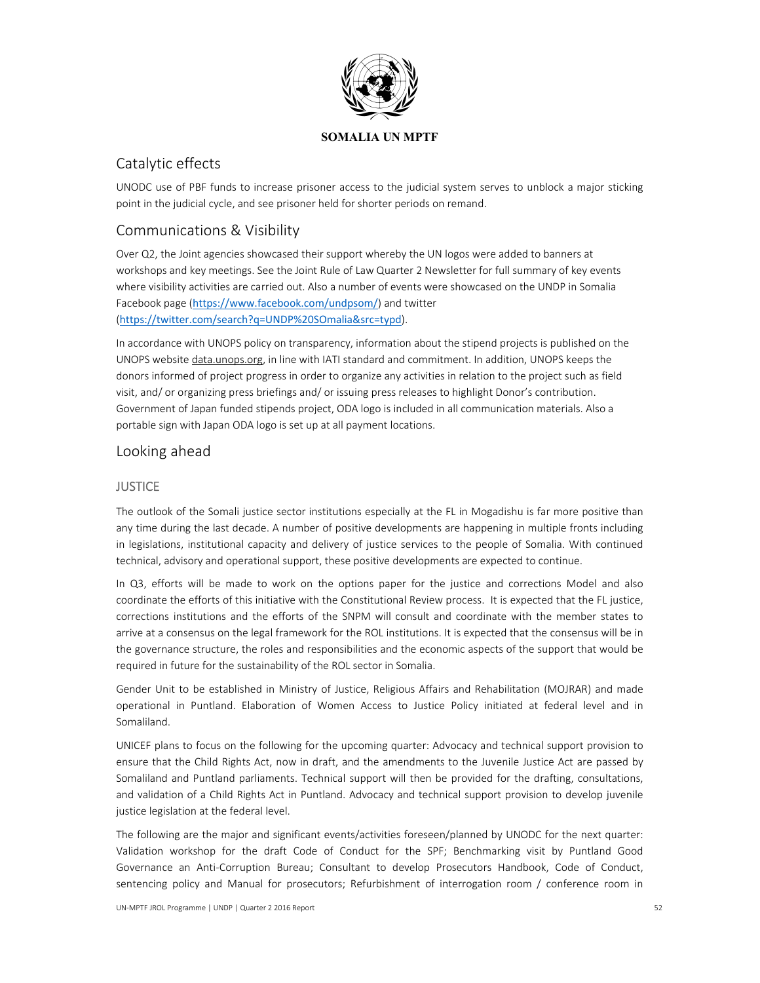

# Catalytic effects

UNODC use of PBF funds to increase prisoner access to the judicial system serves to unblock a major sticking point in the judicial cycle, and see prisoner held for shorter periods on remand.

# Communications & Visibility

Over Q2, the Joint agencies showcased their support whereby the UN logos were added to banners at workshops and key meetings. See the Joint Rule of Law Quarter 2 Newsletter for full summary of key events where visibility activities are carried out. Also a number of events were showcased on the UNDP in Somalia Facebook page (https://www.facebook.com/undpsom/) and twitter (https://twitter.com/search?q=UNDP%20SOmalia&src=typd).

In accordance with UNOPS policy on transparency, information about the stipend projects is published on the UNOPS website data.unops.org, in line with IATI standard and commitment. In addition, UNOPS keeps the donors informed of project progress in order to organize any activities in relation to the project such as field visit, and/ or organizing press briefings and/ or issuing press releases to highlight Donor's contribution. Government of Japan funded stipends project, ODA logo is included in all communication materials. Also a portable sign with Japan ODA logo is set up at all payment locations.

## Looking ahead

## **JUSTICE**

The outlook of the Somali justice sector institutions especially at the FL in Mogadishu is far more positive than any time during the last decade. A number of positive developments are happening in multiple fronts including in legislations, institutional capacity and delivery of justice services to the people of Somalia. With continued technical, advisory and operational support, these positive developments are expected to continue.

In Q3, efforts will be made to work on the options paper for the justice and corrections Model and also coordinate the efforts of this initiative with the Constitutional Review process. It is expected that the FL justice, corrections institutions and the efforts of the SNPM will consult and coordinate with the member states to arrive at a consensus on the legal framework for the ROL institutions. It is expected that the consensus will be in the governance structure, the roles and responsibilities and the economic aspects of the support that would be required in future for the sustainability of the ROL sector in Somalia.

Gender Unit to be established in Ministry of Justice, Religious Affairs and Rehabilitation (MOJRAR) and made operational in Puntland. Elaboration of Women Access to Justice Policy initiated at federal level and in Somaliland.

UNICEF plans to focus on the following for the upcoming quarter: Advocacy and technical support provision to ensure that the Child Rights Act, now in draft, and the amendments to the Juvenile Justice Act are passed by Somaliland and Puntland parliaments. Technical support will then be provided for the drafting, consultations, and validation of a Child Rights Act in Puntland. Advocacy and technical support provision to develop juvenile justice legislation at the federal level.

The following are the major and significant events/activities foreseen/planned by UNODC for the next quarter: Validation workshop for the draft Code of Conduct for the SPF; Benchmarking visit by Puntland Good Governance an Anti‐Corruption Bureau; Consultant to develop Prosecutors Handbook, Code of Conduct, sentencing policy and Manual for prosecutors; Refurbishment of interrogation room / conference room in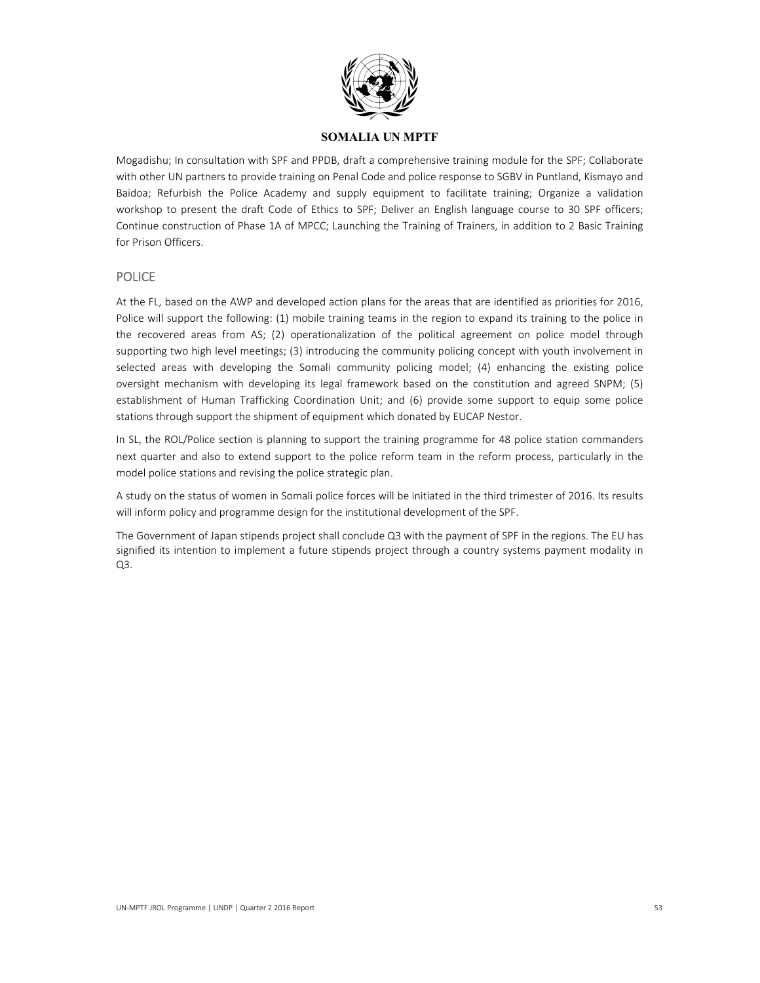

Mogadishu; In consultation with SPF and PPDB, draft a comprehensive training module for the SPF; Collaborate with other UN partners to provide training on Penal Code and police response to SGBV in Puntland, Kismayo and Baidoa; Refurbish the Police Academy and supply equipment to facilitate training; Organize a validation workshop to present the draft Code of Ethics to SPF; Deliver an English language course to 30 SPF officers; Continue construction of Phase 1A of MPCC; Launching the Training of Trainers, in addition to 2 Basic Training for Prison Officers.

## POLICE

At the FL, based on the AWP and developed action plans for the areas that are identified as priorities for 2016, Police will support the following: (1) mobile training teams in the region to expand its training to the police in the recovered areas from AS; (2) operationalization of the political agreement on police model through supporting two high level meetings; (3) introducing the community policing concept with youth involvement in selected areas with developing the Somali community policing model; (4) enhancing the existing police oversight mechanism with developing its legal framework based on the constitution and agreed SNPM; (5) establishment of Human Trafficking Coordination Unit; and (6) provide some support to equip some police stations through support the shipment of equipment which donated by EUCAP Nestor.

In SL, the ROL/Police section is planning to support the training programme for 48 police station commanders next quarter and also to extend support to the police reform team in the reform process, particularly in the model police stations and revising the police strategic plan.

A study on the status of women in Somali police forces will be initiated in the third trimester of 2016. Its results will inform policy and programme design for the institutional development of the SPF.

The Government of Japan stipends project shall conclude Q3 with the payment of SPF in the regions. The EU has signified its intention to implement a future stipends project through a country systems payment modality in Q3.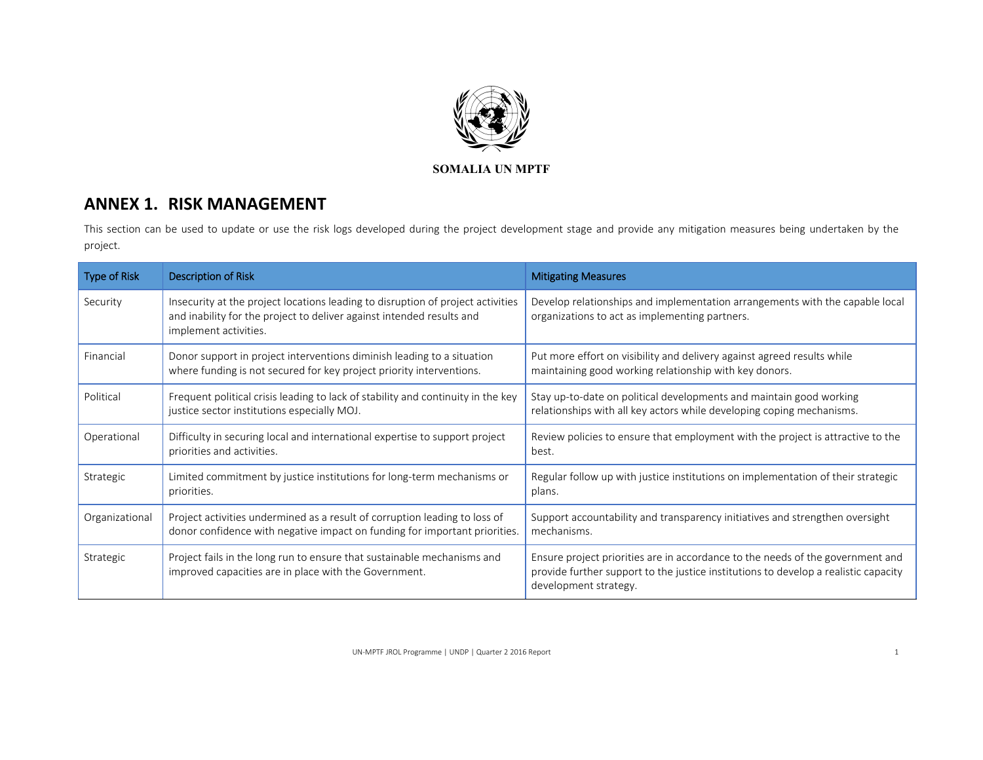

# **ANNEX 1. RISK MANAGEMENT**

This section can be used to update or use the risk logs developed during the project development stage and provide any mitigation measures being undertaken by the project.

| <b>Type of Risk</b> | <b>Description of Risk</b>                                                                                                                                                        | <b>Mitigating Measures</b>                                                                                                                                                                     |
|---------------------|-----------------------------------------------------------------------------------------------------------------------------------------------------------------------------------|------------------------------------------------------------------------------------------------------------------------------------------------------------------------------------------------|
| Security            | Insecurity at the project locations leading to disruption of project activities<br>and inability for the project to deliver against intended results and<br>implement activities. | Develop relationships and implementation arrangements with the capable local<br>organizations to act as implementing partners.                                                                 |
| Financial           | Donor support in project interventions diminish leading to a situation<br>where funding is not secured for key project priority interventions.                                    | Put more effort on visibility and delivery against agreed results while<br>maintaining good working relationship with key donors.                                                              |
| Political           | Frequent political crisis leading to lack of stability and continuity in the key<br>justice sector institutions especially MOJ.                                                   | Stay up-to-date on political developments and maintain good working<br>relationships with all key actors while developing coping mechanisms.                                                   |
| Operational         | Difficulty in securing local and international expertise to support project<br>priorities and activities.                                                                         | Review policies to ensure that employment with the project is attractive to the<br>best.                                                                                                       |
| Strategic           | Limited commitment by justice institutions for long-term mechanisms or<br>priorities.                                                                                             | Regular follow up with justice institutions on implementation of their strategic<br>plans.                                                                                                     |
| Organizational      | Project activities undermined as a result of corruption leading to loss of<br>donor confidence with negative impact on funding for important priorities.                          | Support accountability and transparency initiatives and strengthen oversight<br>mechanisms.                                                                                                    |
| Strategic           | Project fails in the long run to ensure that sustainable mechanisms and<br>improved capacities are in place with the Government.                                                  | Ensure project priorities are in accordance to the needs of the government and<br>provide further support to the justice institutions to develop a realistic capacity<br>development strategy. |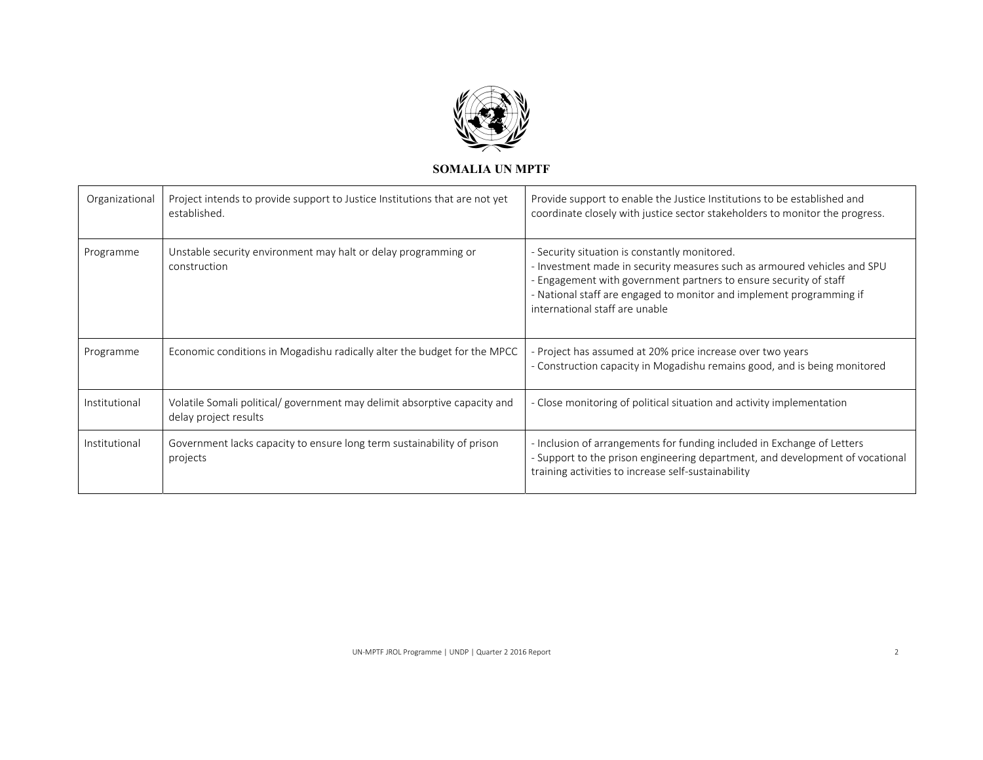

| Organizational | Project intends to provide support to Justice Institutions that are not yet<br>established.        | Provide support to enable the Justice Institutions to be established and<br>coordinate closely with justice sector stakeholders to monitor the progress.                                                                                                                                                 |
|----------------|----------------------------------------------------------------------------------------------------|----------------------------------------------------------------------------------------------------------------------------------------------------------------------------------------------------------------------------------------------------------------------------------------------------------|
| Programme      | Unstable security environment may halt or delay programming or<br>construction                     | - Security situation is constantly monitored.<br>- Investment made in security measures such as armoured vehicles and SPU<br>- Engagement with government partners to ensure security of staff<br>- National staff are engaged to monitor and implement programming if<br>international staff are unable |
| Programme      | Economic conditions in Mogadishu radically alter the budget for the MPCC                           | - Project has assumed at 20% price increase over two years<br>- Construction capacity in Mogadishu remains good, and is being monitored                                                                                                                                                                  |
| Institutional  | Volatile Somali political/ government may delimit absorptive capacity and<br>delay project results | - Close monitoring of political situation and activity implementation                                                                                                                                                                                                                                    |
| Institutional  | Government lacks capacity to ensure long term sustainability of prison<br>projects                 | - Inclusion of arrangements for funding included in Exchange of Letters<br>- Support to the prison engineering department, and development of vocational<br>training activities to increase self-sustainability                                                                                          |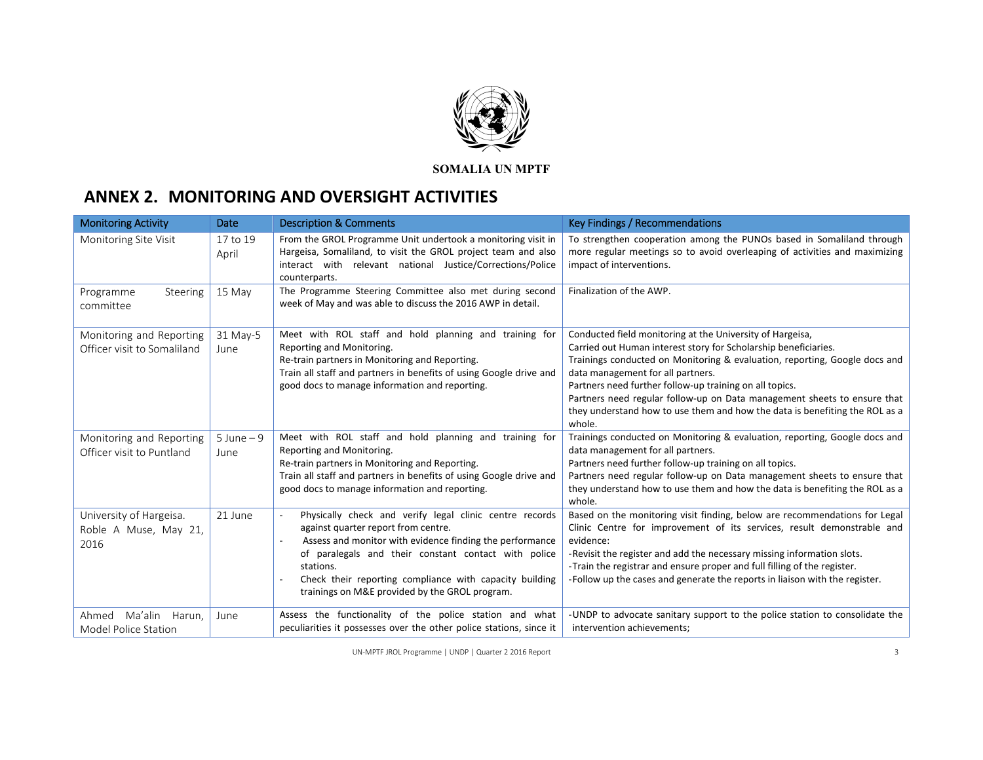

# **ANNEX 2. MONITORING AND OVERSIGHT ACTIVITIES**

| <b>Monitoring Activity</b>                               | <b>Date</b>           | <b>Description &amp; Comments</b>                                                                                                                                                                                                                                                                                                            | Key Findings / Recommendations                                                                                                                                                                                                                                                                                                                                                                                                                                                  |
|----------------------------------------------------------|-----------------------|----------------------------------------------------------------------------------------------------------------------------------------------------------------------------------------------------------------------------------------------------------------------------------------------------------------------------------------------|---------------------------------------------------------------------------------------------------------------------------------------------------------------------------------------------------------------------------------------------------------------------------------------------------------------------------------------------------------------------------------------------------------------------------------------------------------------------------------|
| Monitoring Site Visit                                    | 17 to 19<br>April     | From the GROL Programme Unit undertook a monitoring visit in<br>Hargeisa, Somaliland, to visit the GROL project team and also<br>interact with relevant national Justice/Corrections/Police<br>counterparts.                                                                                                                                 | To strengthen cooperation among the PUNOs based in Somaliland through<br>more regular meetings so to avoid overleaping of activities and maximizing<br>impact of interventions.                                                                                                                                                                                                                                                                                                 |
| Steering<br>Programme<br>committee                       | 15 May                | The Programme Steering Committee also met during second<br>week of May and was able to discuss the 2016 AWP in detail.                                                                                                                                                                                                                       | Finalization of the AWP.                                                                                                                                                                                                                                                                                                                                                                                                                                                        |
| Monitoring and Reporting<br>Officer visit to Somaliland  | 31 May-5<br>June      | Meet with ROL staff and hold planning and training for<br>Reporting and Monitoring.<br>Re-train partners in Monitoring and Reporting.<br>Train all staff and partners in benefits of using Google drive and<br>good docs to manage information and reporting.                                                                                | Conducted field monitoring at the University of Hargeisa,<br>Carried out Human interest story for Scholarship beneficiaries.<br>Trainings conducted on Monitoring & evaluation, reporting, Google docs and<br>data management for all partners.<br>Partners need further follow-up training on all topics.<br>Partners need regular follow-up on Data management sheets to ensure that<br>they understand how to use them and how the data is benefiting the ROL as a<br>whole. |
| Monitoring and Reporting<br>Officer visit to Puntland    | $5$ June $-9$<br>June | Meet with ROL staff and hold planning and training for<br>Reporting and Monitoring.<br>Re-train partners in Monitoring and Reporting.<br>Train all staff and partners in benefits of using Google drive and<br>good docs to manage information and reporting.                                                                                | Trainings conducted on Monitoring & evaluation, reporting, Google docs and<br>data management for all partners.<br>Partners need further follow-up training on all topics.<br>Partners need regular follow-up on Data management sheets to ensure that<br>they understand how to use them and how the data is benefiting the ROL as a<br>whole.                                                                                                                                 |
| University of Hargeisa.<br>Roble A Muse, May 21,<br>2016 | 21 June               | Physically check and verify legal clinic centre records<br>against quarter report from centre.<br>Assess and monitor with evidence finding the performance<br>of paralegals and their constant contact with police<br>stations.<br>Check their reporting compliance with capacity building<br>trainings on M&E provided by the GROL program. | Based on the monitoring visit finding, below are recommendations for Legal<br>Clinic Centre for improvement of its services, result demonstrable and<br>evidence:<br>-Revisit the register and add the necessary missing information slots.<br>-Train the registrar and ensure proper and full filling of the register.<br>-Follow up the cases and generate the reports in liaison with the register.                                                                          |
| Ma'alin<br>Harun,<br>Ahmed<br>Model Police Station       | June                  | Assess the functionality of the police station and what<br>peculiarities it possesses over the other police stations, since it                                                                                                                                                                                                               | -UNDP to advocate sanitary support to the police station to consolidate the<br>intervention achievements;                                                                                                                                                                                                                                                                                                                                                                       |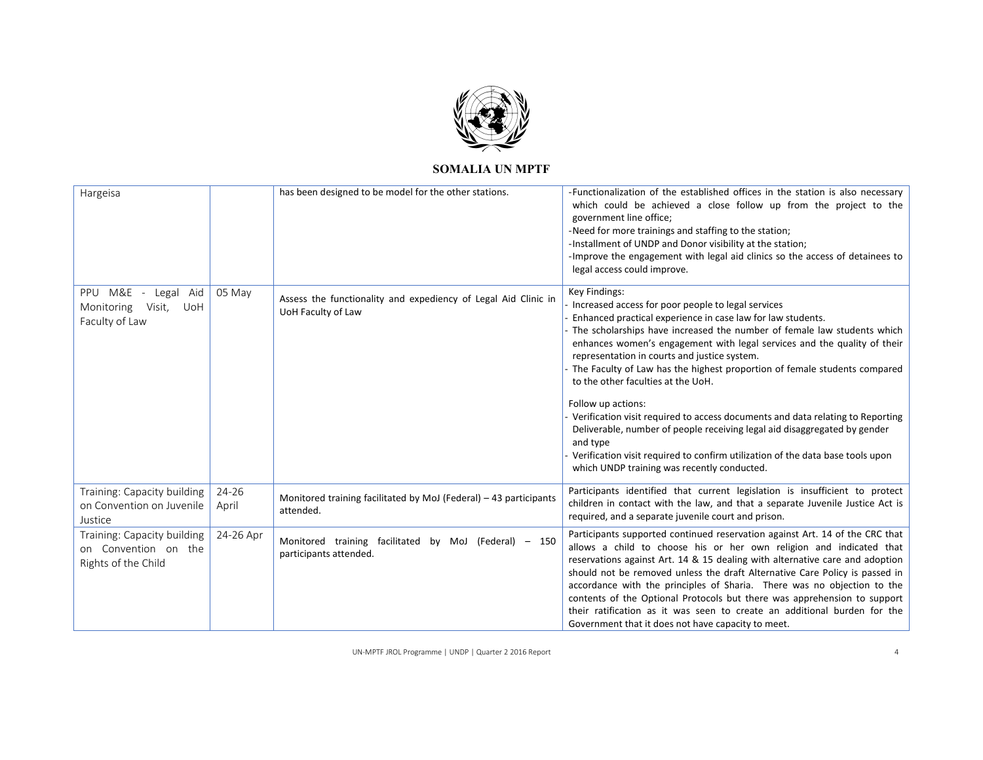

| Hargeisa                                                                   |                    | has been designed to be model for the other stations.                                | -Functionalization of the established offices in the station is also necessary<br>which could be achieved a close follow up from the project to the<br>government line office;<br>-Need for more trainings and staffing to the station;<br>-Installment of UNDP and Donor visibility at the station;<br>-Improve the engagement with legal aid clinics so the access of detainees to<br>legal access could improve.                                                                                                                                                                                                                                                                                                                                                                            |
|----------------------------------------------------------------------------|--------------------|--------------------------------------------------------------------------------------|------------------------------------------------------------------------------------------------------------------------------------------------------------------------------------------------------------------------------------------------------------------------------------------------------------------------------------------------------------------------------------------------------------------------------------------------------------------------------------------------------------------------------------------------------------------------------------------------------------------------------------------------------------------------------------------------------------------------------------------------------------------------------------------------|
| PPU M&E - Legal Aid<br>Monitoring<br>Visit,<br>UoH<br>Faculty of Law       | 05 May             | Assess the functionality and expediency of Legal Aid Clinic in<br>UoH Faculty of Law | Key Findings:<br>Increased access for poor people to legal services<br>Enhanced practical experience in case law for law students.<br>The scholarships have increased the number of female law students which<br>enhances women's engagement with legal services and the quality of their<br>representation in courts and justice system.<br>The Faculty of Law has the highest proportion of female students compared<br>to the other faculties at the UoH.<br>Follow up actions:<br>Verification visit required to access documents and data relating to Reporting<br>Deliverable, number of people receiving legal aid disaggregated by gender<br>and type<br>Verification visit required to confirm utilization of the data base tools upon<br>which UNDP training was recently conducted. |
| Training: Capacity building<br>on Convention on Juvenile<br>Justice        | $24 - 26$<br>April | Monitored training facilitated by MoJ (Federal) - 43 participants<br>attended.       | Participants identified that current legislation is insufficient to protect<br>children in contact with the law, and that a separate Juvenile Justice Act is<br>required, and a separate juvenile court and prison.                                                                                                                                                                                                                                                                                                                                                                                                                                                                                                                                                                            |
| Training: Capacity building<br>on Convention on the<br>Rights of the Child | 24-26 Apr          | Monitored training facilitated by MoJ (Federal) - 150<br>participants attended.      | Participants supported continued reservation against Art. 14 of the CRC that<br>allows a child to choose his or her own religion and indicated that<br>reservations against Art. 14 & 15 dealing with alternative care and adoption<br>should not be removed unless the draft Alternative Care Policy is passed in<br>accordance with the principles of Sharia. There was no objection to the<br>contents of the Optional Protocols but there was apprehension to support<br>their ratification as it was seen to create an additional burden for the<br>Government that it does not have capacity to meet.                                                                                                                                                                                    |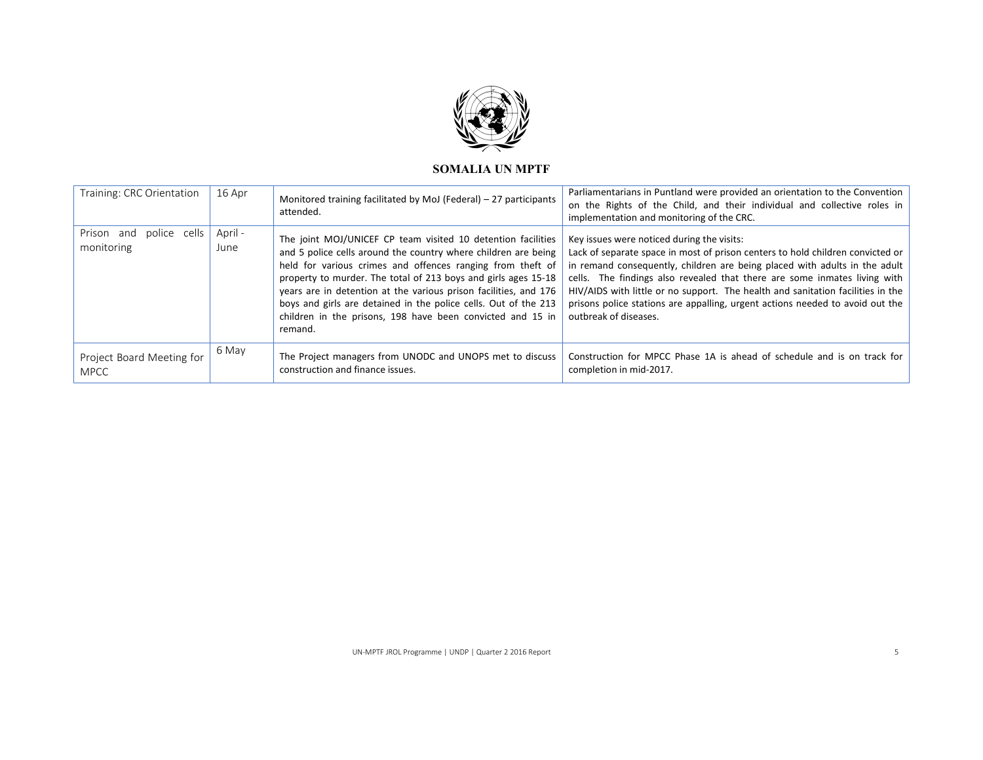

| Training: CRC Orientation                | 16 Apr          | Monitored training facilitated by MoJ (Federal) – 27 participants<br>attended.                                                                                                                                                                                                                                                                                                                                                                                                 | Parliamentarians in Puntland were provided an orientation to the Convention<br>on the Rights of the Child, and their individual and collective roles in<br>implementation and monitoring of the CRC.                                                                                                                                                                                                                                                                                 |
|------------------------------------------|-----------------|--------------------------------------------------------------------------------------------------------------------------------------------------------------------------------------------------------------------------------------------------------------------------------------------------------------------------------------------------------------------------------------------------------------------------------------------------------------------------------|--------------------------------------------------------------------------------------------------------------------------------------------------------------------------------------------------------------------------------------------------------------------------------------------------------------------------------------------------------------------------------------------------------------------------------------------------------------------------------------|
| Prison and<br>police cells<br>monitoring | April -<br>June | The joint MOJ/UNICEF CP team visited 10 detention facilities<br>and 5 police cells around the country where children are being<br>held for various crimes and offences ranging from theft of<br>property to murder. The total of 213 boys and girls ages 15-18<br>years are in detention at the various prison facilities, and 176<br>boys and girls are detained in the police cells. Out of the 213<br>children in the prisons, 198 have been convicted and 15 in<br>remand. | Key issues were noticed during the visits:<br>Lack of separate space in most of prison centers to hold children convicted or<br>in remand consequently, children are being placed with adults in the adult<br>cells. The findings also revealed that there are some inmates living with<br>HIV/AIDS with little or no support. The health and sanitation facilities in the<br>prisons police stations are appalling, urgent actions needed to avoid out the<br>outbreak of diseases. |
| Project Board Meeting for<br><b>MPCC</b> | 6 May           | The Project managers from UNODC and UNOPS met to discuss<br>construction and finance issues.                                                                                                                                                                                                                                                                                                                                                                                   | Construction for MPCC Phase 1A is ahead of schedule and is on track for<br>completion in mid-2017.                                                                                                                                                                                                                                                                                                                                                                                   |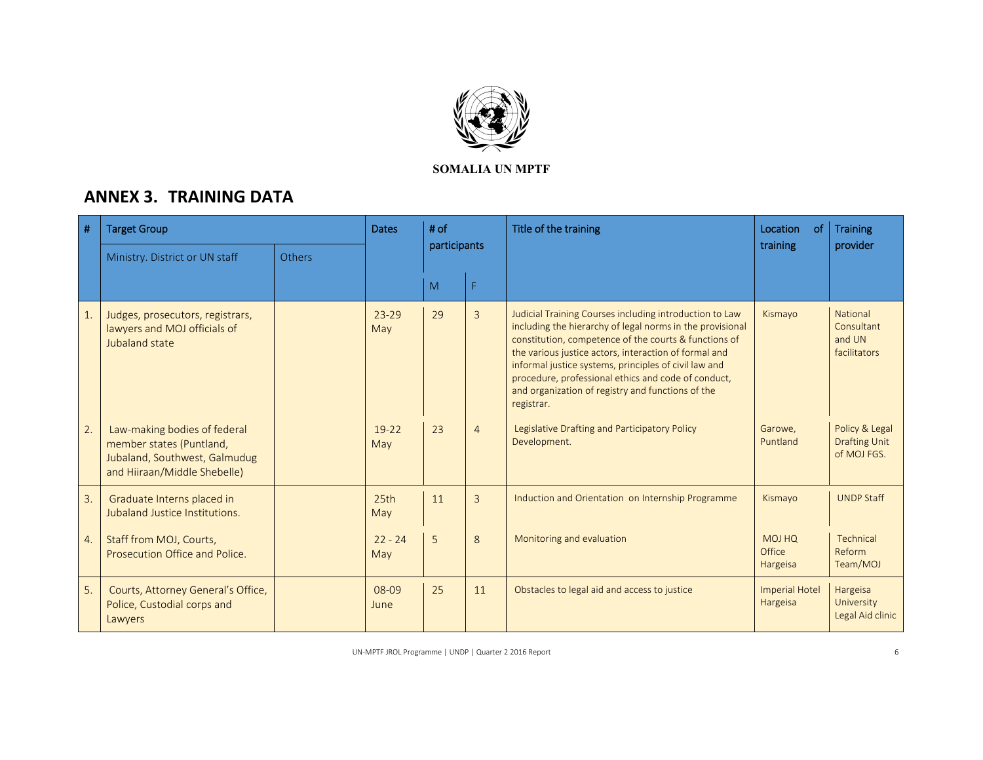

# **ANNEX 3. TRAINING DATA**

| #  | <b>Target Group</b>                                                                                                       |               | <b>Dates</b>     | $#$ of       |                | Title of the training                                                                                                                                                                                                                                                                                                                                                                                                     | Location<br><sub>of</sub>         | <b>Training</b>                                       |
|----|---------------------------------------------------------------------------------------------------------------------------|---------------|------------------|--------------|----------------|---------------------------------------------------------------------------------------------------------------------------------------------------------------------------------------------------------------------------------------------------------------------------------------------------------------------------------------------------------------------------------------------------------------------------|-----------------------------------|-------------------------------------------------------|
|    | Ministry. District or UN staff                                                                                            | <b>Others</b> |                  | participants |                |                                                                                                                                                                                                                                                                                                                                                                                                                           | training                          | provider                                              |
|    |                                                                                                                           |               |                  | M            | F.             |                                                                                                                                                                                                                                                                                                                                                                                                                           |                                   |                                                       |
| 1. | Judges, prosecutors, registrars,<br>lawyers and MOJ officials of<br>Jubaland state                                        |               | $23 - 29$<br>May | 29           | $\overline{3}$ | Judicial Training Courses including introduction to Law<br>including the hierarchy of legal norms in the provisional<br>constitution, competence of the courts & functions of<br>the various justice actors, interaction of formal and<br>informal justice systems, principles of civil law and<br>procedure, professional ethics and code of conduct,<br>and organization of registry and functions of the<br>registrar. | Kismayo                           | National<br>Consultant<br>and UN<br>facilitators      |
| 2. | Law-making bodies of federal<br>member states (Puntland,<br>Jubaland, Southwest, Galmudug<br>and Hiiraan/Middle Shebelle) |               | $19 - 22$<br>May | 23           | $\overline{4}$ | Legislative Drafting and Participatory Policy<br>Development.                                                                                                                                                                                                                                                                                                                                                             | Garowe.<br>Puntland               | Policy & Legal<br><b>Drafting Unit</b><br>of MOJ FGS. |
| 3. | Graduate Interns placed in<br>Jubaland Justice Institutions.                                                              |               | 25th<br>May      | 11           | $\overline{3}$ | Induction and Orientation on Internship Programme                                                                                                                                                                                                                                                                                                                                                                         | Kismayo                           | <b>UNDP Staff</b>                                     |
| 4. | Staff from MOJ, Courts,<br>Prosecution Office and Police.                                                                 |               | $22 - 24$<br>May | 5            | 8              | Monitoring and evaluation                                                                                                                                                                                                                                                                                                                                                                                                 | MOJ HQ<br>Office<br>Hargeisa      | Technical<br>Reform<br>Team/MOJ                       |
| 5. | Courts, Attorney General's Office,<br>Police, Custodial corps and<br>Lawyers                                              |               | 08-09<br>June    | 25           | 11             | Obstacles to legal aid and access to justice                                                                                                                                                                                                                                                                                                                                                                              | <b>Imperial Hotel</b><br>Hargeisa | Hargeisa<br>University<br>Legal Aid clinic            |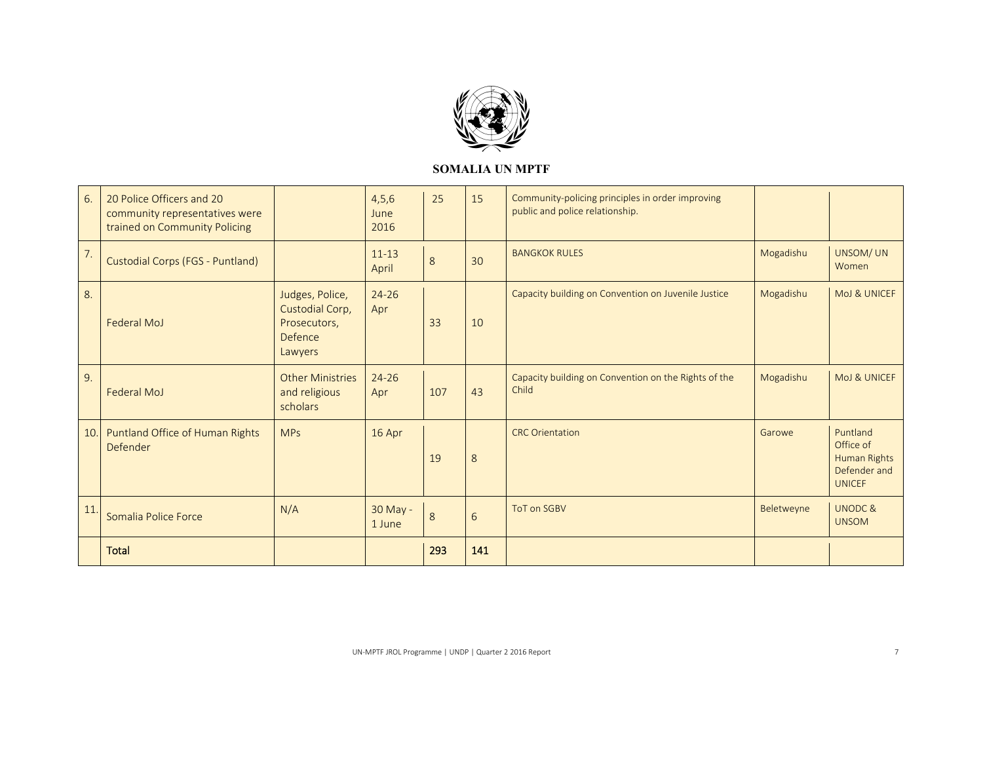

| 6.               | 20 Police Officers and 20<br>community representatives were<br>trained on Community Policing |                                                                          | 4,5,6<br>June<br>2016 | 25      | 15  | Community-policing principles in order improving<br>public and police relationship. |            |                                                                        |
|------------------|----------------------------------------------------------------------------------------------|--------------------------------------------------------------------------|-----------------------|---------|-----|-------------------------------------------------------------------------------------|------------|------------------------------------------------------------------------|
| $\overline{7}$ . | Custodial Corps (FGS - Puntland)                                                             |                                                                          | $11 - 13$<br>April    | $\,8\,$ | 30  | <b>BANGKOK RULES</b>                                                                | Mogadishu  | UNSOM/ UN<br>Women                                                     |
| 8.               | <b>Federal MoJ</b>                                                                           | Judges, Police,<br>Custodial Corp,<br>Prosecutors,<br>Defence<br>Lawyers | $24 - 26$<br>Apr      | 33      | 10  | Capacity building on Convention on Juvenile Justice                                 | Mogadishu  | MoJ & UNICEF                                                           |
| 9.               | Federal MoJ                                                                                  | <b>Other Ministries</b><br>and religious<br>scholars                     | $24 - 26$<br>Apr      | 107     | 43  | Capacity building on Convention on the Rights of the<br>Child                       | Mogadishu  | MoJ & UNICEF                                                           |
| 10.              | Puntland Office of Human Rights<br>Defender                                                  | <b>MPs</b>                                                               | 16 Apr                | 19      | 8   | <b>CRC Orientation</b>                                                              | Garowe     | Puntland<br>Office of<br>Human Rights<br>Defender and<br><b>UNICEF</b> |
| 11               | Somalia Police Force                                                                         | N/A                                                                      | 30 May -<br>1 June    | 8       | 6   | ToT on SGBV                                                                         | Beletweyne | <b>UNODC&amp;</b><br><b>UNSOM</b>                                      |
|                  | <b>Total</b>                                                                                 |                                                                          |                       | 293     | 141 |                                                                                     |            |                                                                        |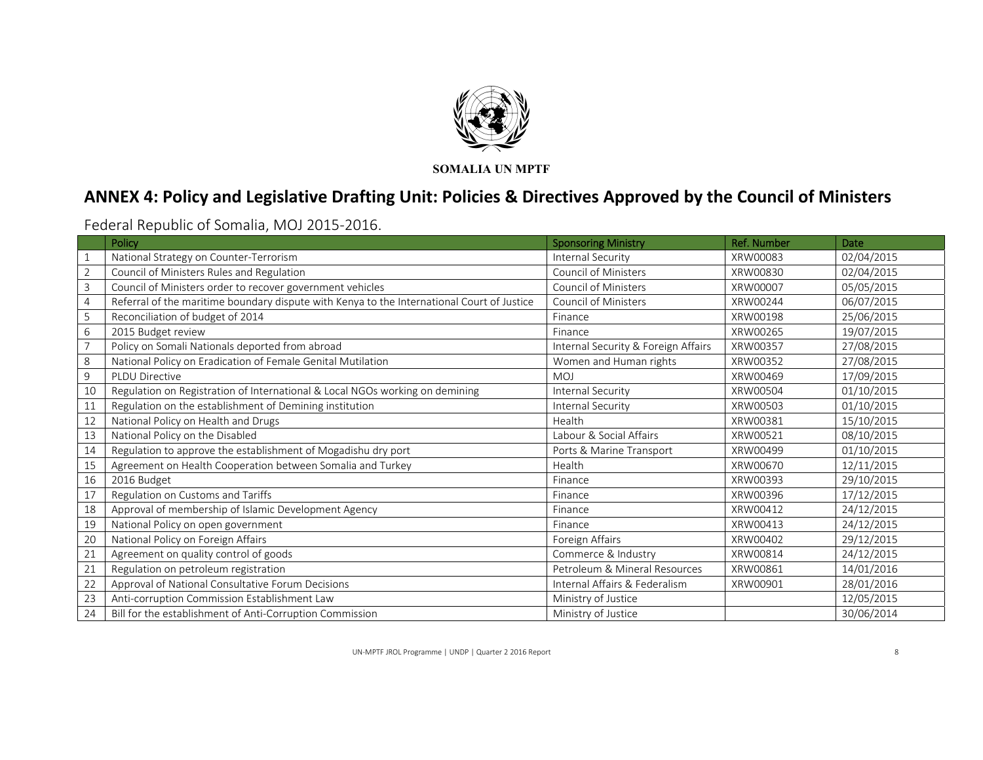

# **ANNEX 4: Policy and Legislative Drafting Unit: Policies & Directives Approved by the Council of Ministers**

Federal Republic of Somalia, MOJ 2015‐2016.

|                | Policy                                                                                     | <b>Sponsoring Ministry</b>          | <b>Ref. Number</b> | Date       |
|----------------|--------------------------------------------------------------------------------------------|-------------------------------------|--------------------|------------|
|                | National Strategy on Counter-Terrorism                                                     | Internal Security                   | XRW00083           | 02/04/2015 |
| $\overline{2}$ | Council of Ministers Rules and Regulation                                                  | <b>Council of Ministers</b>         | XRW00830           | 02/04/2015 |
| 3              | Council of Ministers order to recover government vehicles                                  | Council of Ministers                | XRW00007           | 05/05/2015 |
| 4              | Referral of the maritime boundary dispute with Kenya to the International Court of Justice | <b>Council of Ministers</b>         | XRW00244           | 06/07/2015 |
| 5              | Reconciliation of budget of 2014                                                           | Finance                             | XRW00198           | 25/06/2015 |
| 6              | 2015 Budget review                                                                         | Finance                             | XRW00265           | 19/07/2015 |
|                | Policy on Somali Nationals deported from abroad                                            | Internal Security & Foreign Affairs | XRW00357           | 27/08/2015 |
| 8              | National Policy on Eradication of Female Genital Mutilation                                | Women and Human rights              | XRW00352           | 27/08/2015 |
| 9              | <b>PLDU Directive</b>                                                                      | <b>MOJ</b>                          | XRW00469           | 17/09/2015 |
| 10             | Regulation on Registration of International & Local NGOs working on demining               | Internal Security                   | XRW00504           | 01/10/2015 |
| 11             | Regulation on the establishment of Demining institution                                    | Internal Security                   | XRW00503           | 01/10/2015 |
| 12             | National Policy on Health and Drugs                                                        | Health                              | XRW00381           | 15/10/2015 |
| 13             | National Policy on the Disabled                                                            | Labour & Social Affairs             | XRW00521           | 08/10/2015 |
| 14             | Regulation to approve the establishment of Mogadishu dry port                              | Ports & Marine Transport            | XRW00499           | 01/10/2015 |
| 15             | Agreement on Health Cooperation between Somalia and Turkey                                 | Health                              | XRW00670           | 12/11/2015 |
| 16             | 2016 Budget                                                                                | Finance                             | XRW00393           | 29/10/2015 |
| 17             | Regulation on Customs and Tariffs                                                          | Finance                             | XRW00396           | 17/12/2015 |
| 18             | Approval of membership of Islamic Development Agency                                       | Finance                             | XRW00412           | 24/12/2015 |
| 19             | National Policy on open government                                                         | Finance                             | XRW00413           | 24/12/2015 |
| 20             | National Policy on Foreign Affairs                                                         | Foreign Affairs                     | XRW00402           | 29/12/2015 |
| 21             | Agreement on quality control of goods                                                      | Commerce & Industry                 | XRW00814           | 24/12/2015 |
| 21             | Regulation on petroleum registration                                                       | Petroleum & Mineral Resources       | XRW00861           | 14/01/2016 |
| 22             | Approval of National Consultative Forum Decisions                                          | Internal Affairs & Federalism       | XRW00901           | 28/01/2016 |
| 23             | Anti-corruption Commission Establishment Law                                               | Ministry of Justice                 |                    | 12/05/2015 |
| 24             | Bill for the establishment of Anti-Corruption Commission                                   | Ministry of Justice                 |                    | 30/06/2014 |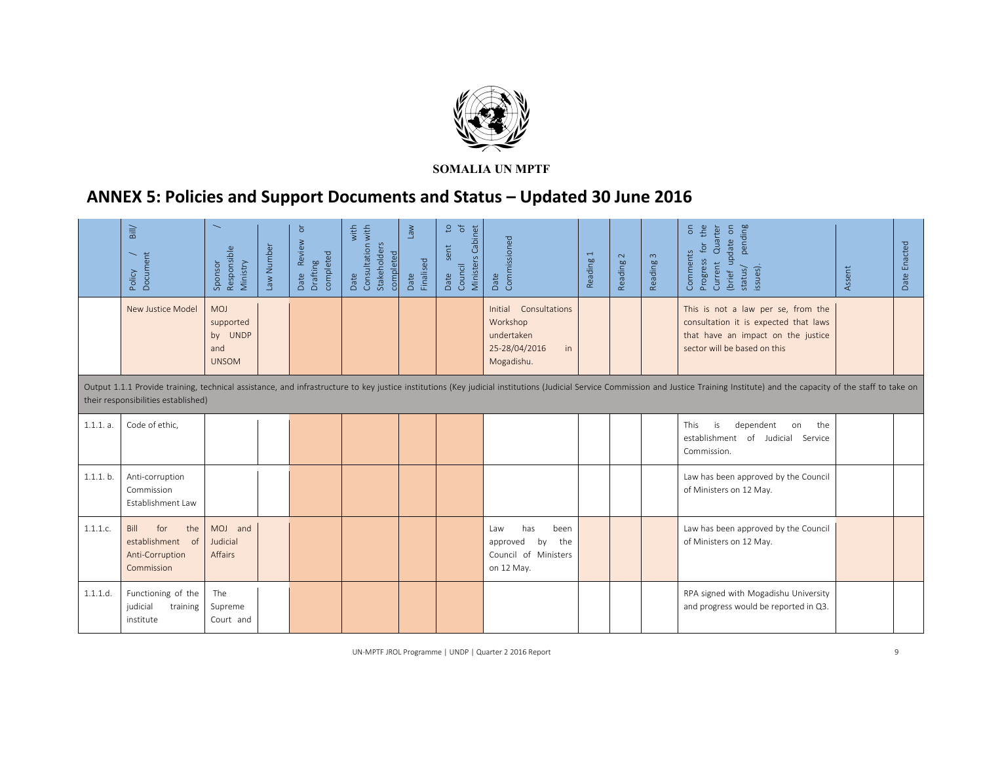

# **ANNEX 5: Policies and Support Documents and Status – Updated 30 June 2016**

|           | $\mathsf{Bill}$<br>Document<br>Policy                                   | $\overline{\phantom{0}}$<br>Responsible<br>Ministry<br>Sponsor | Law Number | $\overline{\sigma}$<br>Review<br>completed<br>Drafting<br>Date | Consultation with<br>with<br>Stakeholders<br>completed<br>Date | Mel<br>Finalised<br>Date | S,<br>$\frac{1}{\sigma}$<br>Ministers Cabinet<br>sent<br>Council<br>Date | Commissioned<br>Date                                                                    | $\overline{\phantom{0}}$<br>Reading | $\sim$<br>Reading | Reading 3 | the<br>pending<br>$\epsilon$<br>Quarter<br>$\mathsf{S}% _{T}=\mathsf{S}_{T}\!\left( a,b\right) ,\mathsf{S}_{T}=\mathsf{S}_{T}\!\left( a,b\right) ,$<br>(brief update<br>for<br>Comments<br>Progress<br>Current<br>issues).<br>status/ | Assent | Date Enacted |
|-----------|-------------------------------------------------------------------------|----------------------------------------------------------------|------------|----------------------------------------------------------------|----------------------------------------------------------------|--------------------------|--------------------------------------------------------------------------|-----------------------------------------------------------------------------------------|-------------------------------------|-------------------|-----------|---------------------------------------------------------------------------------------------------------------------------------------------------------------------------------------------------------------------------------------|--------|--------------|
|           | New Justice Model                                                       | <b>MOJ</b><br>supported<br>by UNDP<br>and<br><b>UNSOM</b>      |            |                                                                |                                                                |                          |                                                                          | Initial<br>Consultations<br>Workshop<br>undertaken<br>25-28/04/2016<br>in<br>Mogadishu. |                                     |                   |           | This is not a law per se, from the<br>consultation it is expected that laws<br>that have an impact on the justice<br>sector will be based on this                                                                                     |        |              |
|           | their responsibilities established)                                     |                                                                |            |                                                                |                                                                |                          |                                                                          |                                                                                         |                                     |                   |           | Output 1.1.1 Provide training, technical assistance, and infrastructure to key justice institutions (Key judicial institutions (Judicial Service Commission and Justice Training Institute) and the capacity of the staff to t        |        |              |
| 1.1.1. a. | Code of ethic.                                                          |                                                                |            |                                                                |                                                                |                          |                                                                          |                                                                                         |                                     |                   |           | This<br>is<br>dependent<br>the<br>on<br>establishment of Judicial Service<br>Commission.                                                                                                                                              |        |              |
| 1.1.1. b. | Anti-corruption<br>Commission<br>Establishment Law                      |                                                                |            |                                                                |                                                                |                          |                                                                          |                                                                                         |                                     |                   |           | Law has been approved by the Council<br>of Ministers on 12 May.                                                                                                                                                                       |        |              |
| 1.1.1.c.  | for<br>Bill<br>the<br>establishment of<br>Anti-Corruption<br>Commission | MOJ and<br>Judicial<br><b>Affairs</b>                          |            |                                                                |                                                                |                          |                                                                          | has<br>been<br>Law<br>the<br>approved<br>by<br>Council of Ministers<br>on 12 May.       |                                     |                   |           | Law has been approved by the Council<br>of Ministers on 12 May.                                                                                                                                                                       |        |              |
| 1.1.1.d.  | Functioning of the<br>judicial<br>training<br>institute                 | The<br>Supreme<br>Court and                                    |            |                                                                |                                                                |                          |                                                                          |                                                                                         |                                     |                   |           | RPA signed with Mogadishu University<br>and progress would be reported in Q3.                                                                                                                                                         |        |              |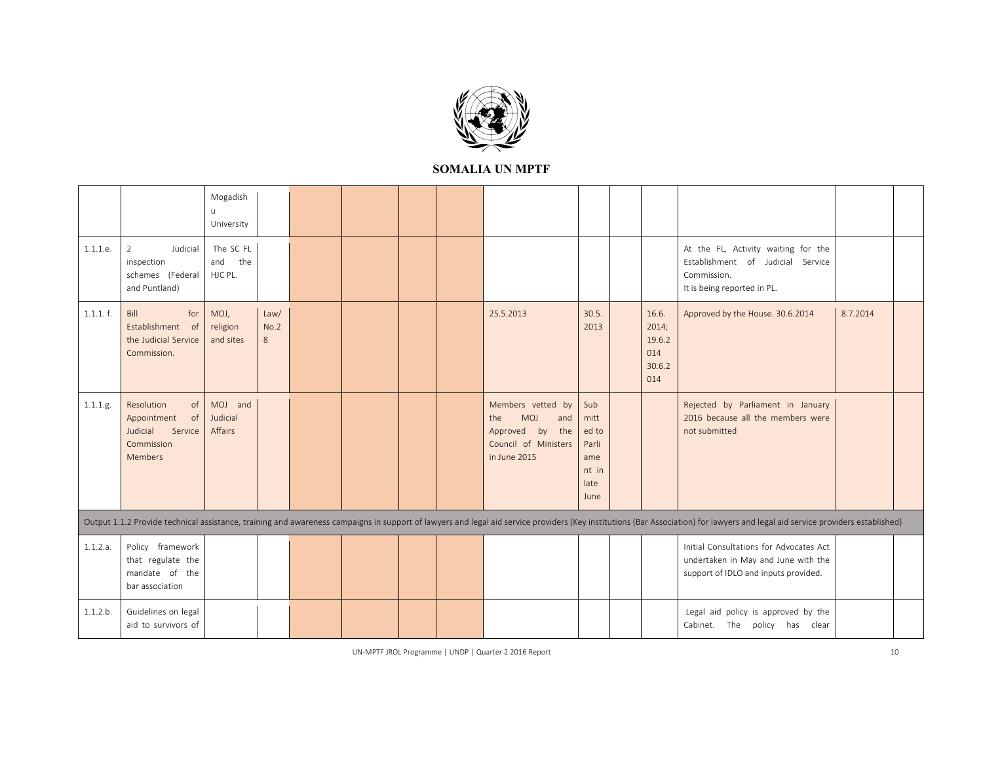

|          |                                                                                       | Mogadish<br>u<br>University        |                   |  |  |                                                                                                      |                                                               |                                                  |                                                                                                                                                                                                                                |          |  |
|----------|---------------------------------------------------------------------------------------|------------------------------------|-------------------|--|--|------------------------------------------------------------------------------------------------------|---------------------------------------------------------------|--------------------------------------------------|--------------------------------------------------------------------------------------------------------------------------------------------------------------------------------------------------------------------------------|----------|--|
| 1.1.1.e. | Judicial<br>$\overline{2}$<br>inspection<br>schemes (Federal<br>and Puntland)         | The SC FL<br>and<br>the<br>HJC PL. |                   |  |  |                                                                                                      |                                                               |                                                  | At the FL, Activity waiting for the<br>Establishment of Judicial Service<br>Commission.<br>It is being reported in PL.                                                                                                         |          |  |
| 1.1.1.f. | Bill<br>for<br>Establishment of<br>the Judicial Service<br>Commission.                | MOJ,<br>religion<br>and sites      | Law/<br>No.2<br>8 |  |  | 25.5.2013                                                                                            | 30.5.<br>2013                                                 | 16.6.<br>2014;<br>19.6.2<br>014<br>30.6.2<br>014 | Approved by the House. 30.6.2014                                                                                                                                                                                               | 8.7.2014 |  |
| 1.1.1.g. | Resolution<br>of<br>Appointment<br>of<br>Judicial<br>Service<br>Commission<br>Members | MOJ and<br>Judicial<br>Affairs     |                   |  |  | Members vetted by<br>MOJ<br>and<br>the<br>the<br>Approved by<br>Council of Ministers<br>in June 2015 | Sub<br>mitt<br>ed to<br>Parli<br>ame<br>nt in<br>late<br>June |                                                  | Rejected by Parliament in January<br>2016 because all the members were<br>not submitted                                                                                                                                        |          |  |
|          |                                                                                       |                                    |                   |  |  |                                                                                                      |                                                               |                                                  | Output 1.1.2 Provide technical assistance, training and awareness campaigns in support of lawyers and legal aid service providers (Key institutions (Bar Association) for lawyers and legal aid service providers established) |          |  |
| 1.1.2.a. | Policy framework<br>that regulate the<br>mandate of the<br>bar association            |                                    |                   |  |  |                                                                                                      |                                                               |                                                  | Initial Consultations for Advocates Act<br>undertaken in May and June with the<br>support of IDLO and inputs provided.                                                                                                         |          |  |
| 1.1.2.b. | Guidelines on legal<br>aid to survivors of                                            |                                    |                   |  |  |                                                                                                      |                                                               |                                                  | Legal aid policy is approved by the<br>Cabinet.<br>The<br>policy has<br>clear                                                                                                                                                  |          |  |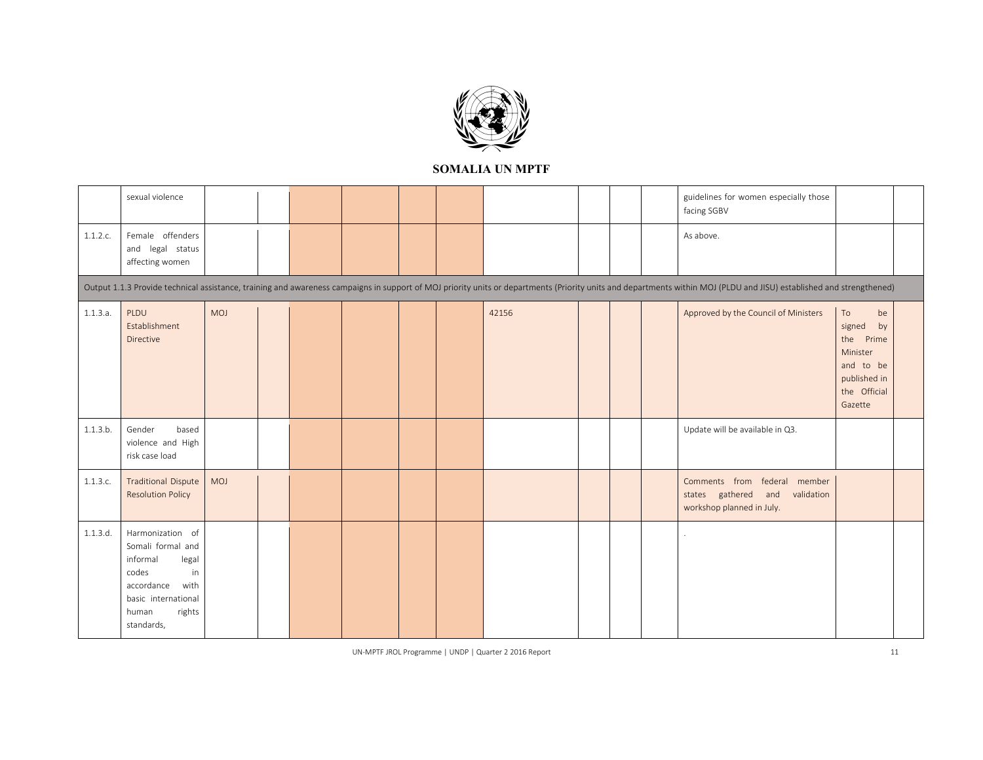

|          | sexual violence                                                                                                                                         |     |  |  |       |  | guidelines for women especially those<br>facing SGBV                                                                                                                                                                 |                                                                                                              |  |
|----------|---------------------------------------------------------------------------------------------------------------------------------------------------------|-----|--|--|-------|--|----------------------------------------------------------------------------------------------------------------------------------------------------------------------------------------------------------------------|--------------------------------------------------------------------------------------------------------------|--|
| 1.1.2.c. | Female offenders<br>and legal status<br>affecting women                                                                                                 |     |  |  |       |  | As above.                                                                                                                                                                                                            |                                                                                                              |  |
|          |                                                                                                                                                         |     |  |  |       |  | Output 1.1.3 Provide technical assistance, training and awareness campaigns in support of MOJ priority units or departments (Priority units and departments within MOJ (PLDU and JISU) established and strengthened) |                                                                                                              |  |
| 1.1.3.a. | PLDU<br>Establishment<br>Directive                                                                                                                      | MOJ |  |  | 42156 |  | Approved by the Council of Ministers                                                                                                                                                                                 | To<br>be<br>by<br>signed<br>the<br>Prime<br>Minister<br>and to be<br>published in<br>the Official<br>Gazette |  |
| 1.1.3.b. | Gender<br>based<br>violence and High<br>risk case load                                                                                                  |     |  |  |       |  | Update will be available in Q3.                                                                                                                                                                                      |                                                                                                              |  |
| 1.1.3.c. | <b>Traditional Dispute</b><br><b>Resolution Policy</b>                                                                                                  | MOJ |  |  |       |  | Comments from federal member<br>states gathered<br>and<br>validation<br>workshop planned in July.                                                                                                                    |                                                                                                              |  |
| 1.1.3.d. | Harmonization of<br>Somali formal and<br>informal<br>legal<br>codes<br>in<br>accordance<br>with<br>basic international<br>rights<br>human<br>standards, |     |  |  |       |  |                                                                                                                                                                                                                      |                                                                                                              |  |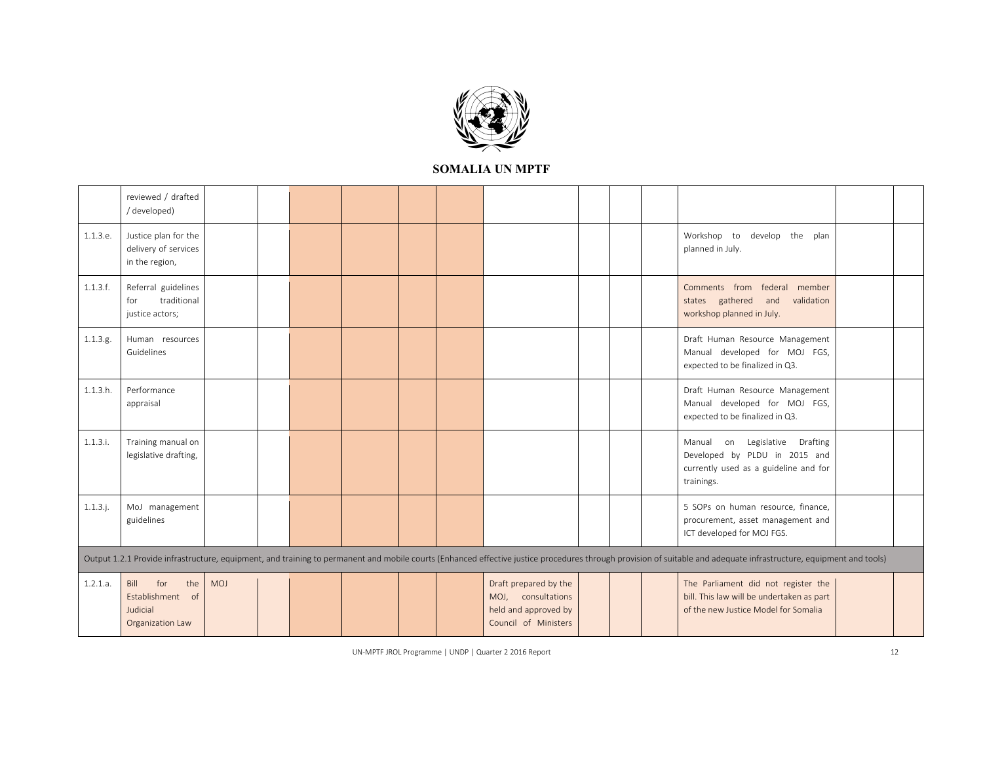

|             | reviewed / drafted<br>/developed)                                      |     |  |  |                                                                                             |  |                                                                                                                                                                                                                    |  |
|-------------|------------------------------------------------------------------------|-----|--|--|---------------------------------------------------------------------------------------------|--|--------------------------------------------------------------------------------------------------------------------------------------------------------------------------------------------------------------------|--|
| 1.1.3.e.    | Justice plan for the<br>delivery of services<br>in the region,         |     |  |  |                                                                                             |  | Workshop to develop the plan<br>planned in July.                                                                                                                                                                   |  |
| 1.1.3.f.    | Referral guidelines<br>traditional<br>for<br>justice actors;           |     |  |  |                                                                                             |  | Comments from federal member<br>states gathered and<br>validation<br>workshop planned in July.                                                                                                                     |  |
| 1.1.3.g.    | Human resources<br>Guidelines                                          |     |  |  |                                                                                             |  | Draft Human Resource Management<br>Manual developed for MOJ FGS,<br>expected to be finalized in Q3.                                                                                                                |  |
| 1.1.3.h.    | Performance<br>appraisal                                               |     |  |  |                                                                                             |  | Draft Human Resource Management<br>Manual developed for MOJ FGS,<br>expected to be finalized in Q3.                                                                                                                |  |
| 1.1.3.i.    | Training manual on<br>legislative drafting,                            |     |  |  |                                                                                             |  | Manual on Legislative Drafting<br>Developed by PLDU in 2015 and<br>currently used as a guideline and for<br>trainings.                                                                                             |  |
| $1.1.3.$ j. | MoJ management<br>guidelines                                           |     |  |  |                                                                                             |  | 5 SOPs on human resource, finance,<br>procurement, asset management and<br>ICT developed for MOJ FGS.                                                                                                              |  |
|             |                                                                        |     |  |  |                                                                                             |  | Output 1.2.1 Provide infrastructure, equipment, and training to permanent and mobile courts (Enhanced effective justice procedures through provision of suitable and adequate infrastructure, equipment and tools) |  |
| 1.2.1.a.    | Bill<br>for<br>the<br>Establishment of<br>Judicial<br>Organization Law | MOJ |  |  | Draft prepared by the<br>MOJ, consultations<br>held and approved by<br>Council of Ministers |  | The Parliament did not register the<br>bill. This law will be undertaken as part<br>of the new Justice Model for Somalia                                                                                           |  |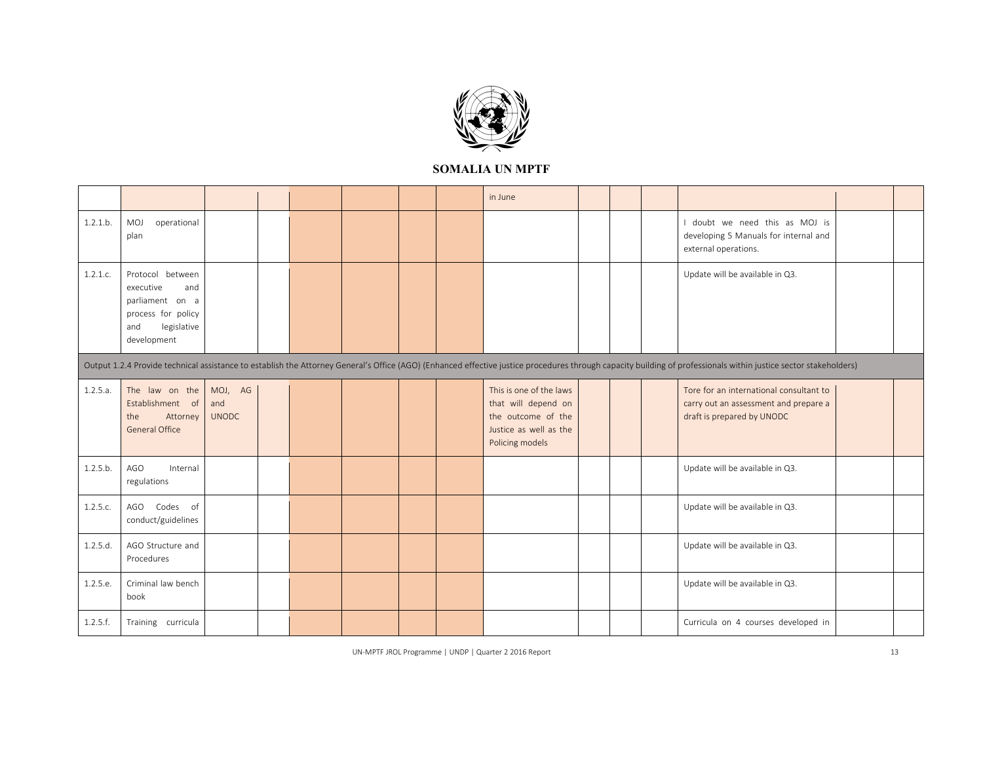

|                                                                                                                                                                                                                  |                                                                                                                    |                                |  |  |  |  |  | in June                                                                                                           |  |  |  |                                                                                                                |  |
|------------------------------------------------------------------------------------------------------------------------------------------------------------------------------------------------------------------|--------------------------------------------------------------------------------------------------------------------|--------------------------------|--|--|--|--|--|-------------------------------------------------------------------------------------------------------------------|--|--|--|----------------------------------------------------------------------------------------------------------------|--|
| 1.2.1.b.                                                                                                                                                                                                         | MOJ<br>operational<br>plan                                                                                         |                                |  |  |  |  |  |                                                                                                                   |  |  |  | doubt we need this as MOJ is<br>developing 5 Manuals for internal and<br>external operations.                  |  |
| 1.2.1.c.                                                                                                                                                                                                         | Protocol between<br>executive<br>and<br>parliament on a<br>process for policy<br>legislative<br>and<br>development |                                |  |  |  |  |  |                                                                                                                   |  |  |  | Update will be available in Q3.                                                                                |  |
| Output 1.2.4 Provide technical assistance to establish the Attorney General's Office (AGO) (Enhanced effective justice procedures through capacity building of professionals within justice sector stakeholders) |                                                                                                                    |                                |  |  |  |  |  |                                                                                                                   |  |  |  |                                                                                                                |  |
| 1.2.5.a.                                                                                                                                                                                                         | The law on the<br>Establishment of<br>Attorney<br>the<br>General Office                                            | MOJ, AG<br>and<br><b>UNODC</b> |  |  |  |  |  | This is one of the laws<br>that will depend on<br>the outcome of the<br>Justice as well as the<br>Policing models |  |  |  | Tore for an international consultant to<br>carry out an assessment and prepare a<br>draft is prepared by UNODC |  |
| 1.2.5.b.                                                                                                                                                                                                         | AGO<br>Internal<br>regulations                                                                                     |                                |  |  |  |  |  |                                                                                                                   |  |  |  | Update will be available in Q3.                                                                                |  |
| 1.2.5.c.                                                                                                                                                                                                         | Codes of<br>AGO<br>conduct/guidelines                                                                              |                                |  |  |  |  |  |                                                                                                                   |  |  |  | Update will be available in Q3.                                                                                |  |
| 1.2.5.d.                                                                                                                                                                                                         | AGO Structure and<br>Procedures                                                                                    |                                |  |  |  |  |  |                                                                                                                   |  |  |  | Update will be available in Q3.                                                                                |  |
| 1.2.5.e.                                                                                                                                                                                                         | Criminal law bench<br>book                                                                                         |                                |  |  |  |  |  |                                                                                                                   |  |  |  | Update will be available in Q3.                                                                                |  |
| 1.2.5.f.                                                                                                                                                                                                         | Training curricula                                                                                                 |                                |  |  |  |  |  |                                                                                                                   |  |  |  | Curricula on 4 courses developed in                                                                            |  |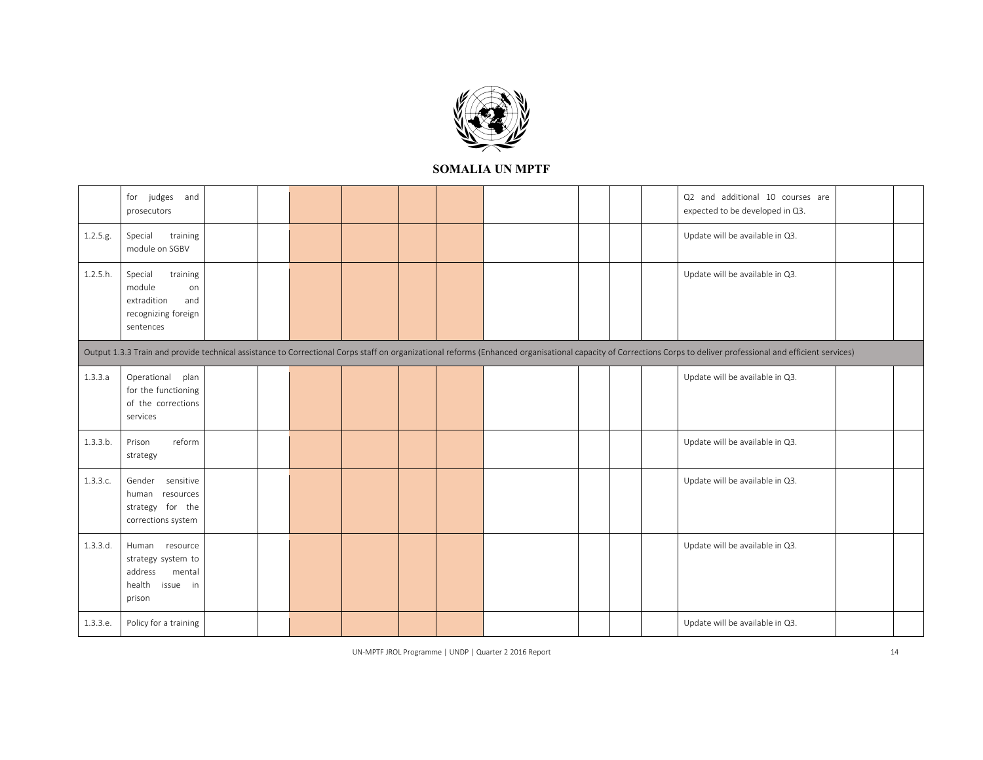

|                                                                                                                                                                                                                  | for judges<br>and<br>prosecutors                                                              |  |  |  |  |  |  |  |  |  |  | Q2 and additional 10 courses are<br>expected to be developed in Q3. |  |
|------------------------------------------------------------------------------------------------------------------------------------------------------------------------------------------------------------------|-----------------------------------------------------------------------------------------------|--|--|--|--|--|--|--|--|--|--|---------------------------------------------------------------------|--|
| 1.2.5.g.                                                                                                                                                                                                         | Special<br>training<br>module on SGBV                                                         |  |  |  |  |  |  |  |  |  |  | Update will be available in Q3.                                     |  |
| 1.2.5.h.                                                                                                                                                                                                         | Special<br>training<br>module<br>on<br>extradition<br>and<br>recognizing foreign<br>sentences |  |  |  |  |  |  |  |  |  |  | Update will be available in Q3.                                     |  |
| Output 1.3.3 Train and provide technical assistance to Correctional Corps staff on organizational reforms (Enhanced organisational capacity of Corrections Corps to deliver professional and efficient services) |                                                                                               |  |  |  |  |  |  |  |  |  |  |                                                                     |  |
| 1.3.3.a                                                                                                                                                                                                          | Operational plan<br>for the functioning<br>of the corrections<br>services                     |  |  |  |  |  |  |  |  |  |  | Update will be available in Q3.                                     |  |
| 1.3.3.b.                                                                                                                                                                                                         | Prison<br>reform<br>strategy                                                                  |  |  |  |  |  |  |  |  |  |  | Update will be available in Q3.                                     |  |
| 1.3.3.c.                                                                                                                                                                                                         | Gender sensitive<br>human resources<br>strategy for the<br>corrections system                 |  |  |  |  |  |  |  |  |  |  | Update will be available in Q3.                                     |  |
| 1.3.3.d.                                                                                                                                                                                                         | Human resource<br>strategy system to<br>address<br>mental<br>health<br>issue in<br>prison     |  |  |  |  |  |  |  |  |  |  | Update will be available in Q3.                                     |  |
| 1.3.3.e.                                                                                                                                                                                                         | Policy for a training                                                                         |  |  |  |  |  |  |  |  |  |  | Update will be available in Q3.                                     |  |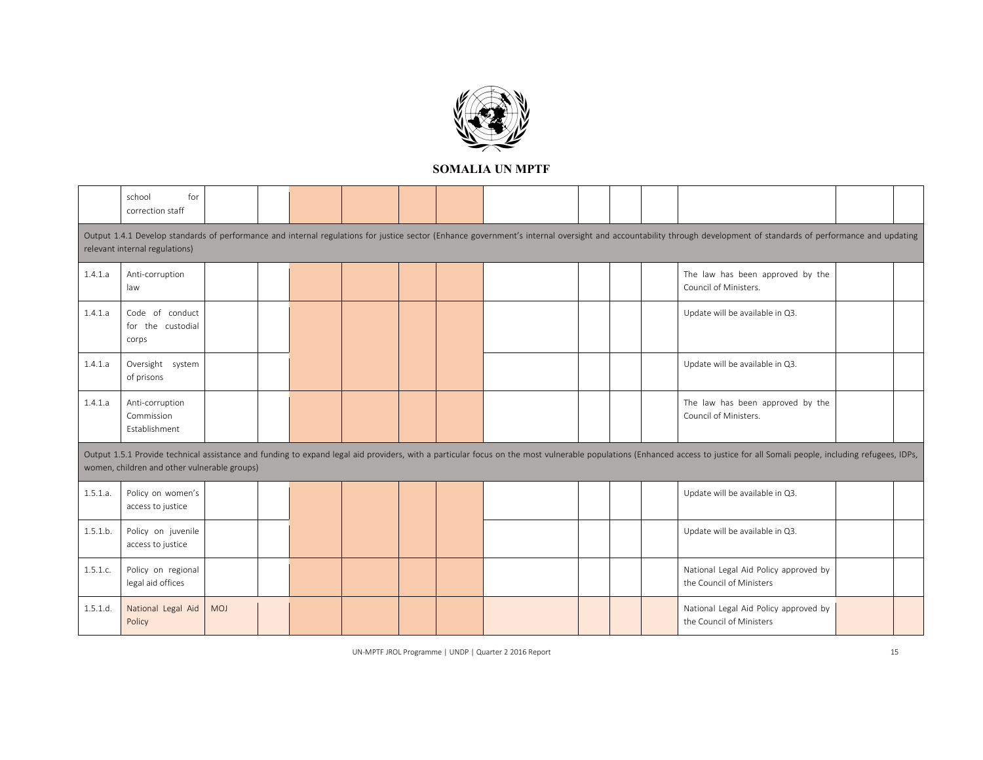

|                                                                                                                                                                                                                                                                              | for<br>school<br>correction staff              |     |  |  |  |  |  |  |  |  |  |                                                                                                                                                                                                                    |  |
|------------------------------------------------------------------------------------------------------------------------------------------------------------------------------------------------------------------------------------------------------------------------------|------------------------------------------------|-----|--|--|--|--|--|--|--|--|--|--------------------------------------------------------------------------------------------------------------------------------------------------------------------------------------------------------------------|--|
|                                                                                                                                                                                                                                                                              | relevant internal regulations)                 |     |  |  |  |  |  |  |  |  |  | Output 1.4.1 Develop standards of performance and internal regulations for justice sector (Enhance government's internal oversight and accountability through development of standards of performance and updating |  |
|                                                                                                                                                                                                                                                                              |                                                |     |  |  |  |  |  |  |  |  |  |                                                                                                                                                                                                                    |  |
| 1.4.1.a                                                                                                                                                                                                                                                                      | Anti-corruption<br>law                         |     |  |  |  |  |  |  |  |  |  | The law has been approved by the<br>Council of Ministers.                                                                                                                                                          |  |
| 1.4.1.a                                                                                                                                                                                                                                                                      | Code of conduct<br>for the custodial<br>corps  |     |  |  |  |  |  |  |  |  |  | Update will be available in Q3.                                                                                                                                                                                    |  |
| 1.4.1.a                                                                                                                                                                                                                                                                      | Oversight system<br>of prisons                 |     |  |  |  |  |  |  |  |  |  | Update will be available in Q3.                                                                                                                                                                                    |  |
| 1.4.1.a                                                                                                                                                                                                                                                                      | Anti-corruption<br>Commission<br>Establishment |     |  |  |  |  |  |  |  |  |  | The law has been approved by the<br>Council of Ministers.                                                                                                                                                          |  |
| Output 1.5.1 Provide technical assistance and funding to expand legal aid providers, with a particular focus on the most vulnerable populations (Enhanced access to justice for all Somali people, including refugees, IDPs,<br>women, children and other vulnerable groups) |                                                |     |  |  |  |  |  |  |  |  |  |                                                                                                                                                                                                                    |  |
| 1.5.1.a.                                                                                                                                                                                                                                                                     | Policy on women's<br>access to justice         |     |  |  |  |  |  |  |  |  |  | Update will be available in Q3.                                                                                                                                                                                    |  |
| 1.5.1.b.                                                                                                                                                                                                                                                                     | Policy on juvenile<br>access to justice        |     |  |  |  |  |  |  |  |  |  | Update will be available in Q3.                                                                                                                                                                                    |  |
| 1.5.1.c.                                                                                                                                                                                                                                                                     | Policy on regional<br>legal aid offices        |     |  |  |  |  |  |  |  |  |  | National Legal Aid Policy approved by<br>the Council of Ministers                                                                                                                                                  |  |
| 1.5.1.d.                                                                                                                                                                                                                                                                     | National Legal Aid<br>Policy                   | MOJ |  |  |  |  |  |  |  |  |  | National Legal Aid Policy approved by<br>the Council of Ministers                                                                                                                                                  |  |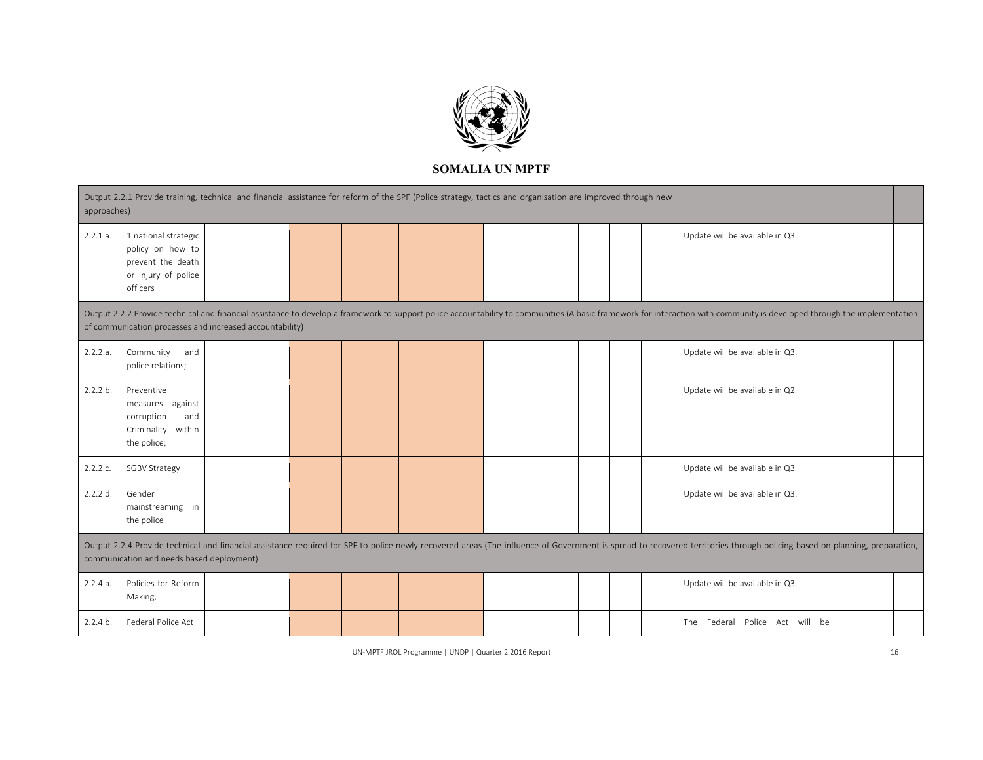

| approaches)                                                                                                                                                                                                                                                                          | Output 2.2.1 Provide training, technical and financial assistance for reform of the SPF (Police strategy, tactics and organisation are improved through new                                                                                                            |  |  |  |  |  |  |  |  |  |                                 |                                 |  |
|--------------------------------------------------------------------------------------------------------------------------------------------------------------------------------------------------------------------------------------------------------------------------------------|------------------------------------------------------------------------------------------------------------------------------------------------------------------------------------------------------------------------------------------------------------------------|--|--|--|--|--|--|--|--|--|---------------------------------|---------------------------------|--|
| 2.2.1.a.                                                                                                                                                                                                                                                                             | 1 national strategic<br>policy on how to<br>prevent the death<br>or injury of police<br>officers                                                                                                                                                                       |  |  |  |  |  |  |  |  |  | Update will be available in Q3. |                                 |  |
| Output 2.2.2 Provide technical and financial assistance to develop a framework to support police accountability to communities (A basic framework for interaction with community is developed through the implementation<br>of communication processes and increased accountability) |                                                                                                                                                                                                                                                                        |  |  |  |  |  |  |  |  |  |                                 |                                 |  |
| 2.2.2.a.                                                                                                                                                                                                                                                                             | Community and<br>police relations;                                                                                                                                                                                                                                     |  |  |  |  |  |  |  |  |  |                                 | Update will be available in Q3. |  |
| 2.2.2.b.                                                                                                                                                                                                                                                                             | Preventive<br>measures against<br>corruption<br>and<br>Criminality<br>within<br>the police;                                                                                                                                                                            |  |  |  |  |  |  |  |  |  |                                 | Update will be available in Q2. |  |
| 2.2.2.c.                                                                                                                                                                                                                                                                             | <b>SGBV Strategy</b>                                                                                                                                                                                                                                                   |  |  |  |  |  |  |  |  |  |                                 | Update will be available in Q3. |  |
| 2.2.2.d.                                                                                                                                                                                                                                                                             | Gender<br>mainstreaming in<br>the police                                                                                                                                                                                                                               |  |  |  |  |  |  |  |  |  |                                 | Update will be available in Q3. |  |
|                                                                                                                                                                                                                                                                                      | Output 2.2.4 Provide technical and financial assistance required for SPF to police newly recovered areas (The influence of Government is spread to recovered territories through policing based on planning, preparation,<br>communication and needs based deployment) |  |  |  |  |  |  |  |  |  |                                 |                                 |  |
| 2.2.4.a.                                                                                                                                                                                                                                                                             | Policies for Reform<br>Making,                                                                                                                                                                                                                                         |  |  |  |  |  |  |  |  |  |                                 | Update will be available in Q3. |  |
| 2.2.4.b.                                                                                                                                                                                                                                                                             | Federal Police Act                                                                                                                                                                                                                                                     |  |  |  |  |  |  |  |  |  |                                 | The Federal Police Act will be  |  |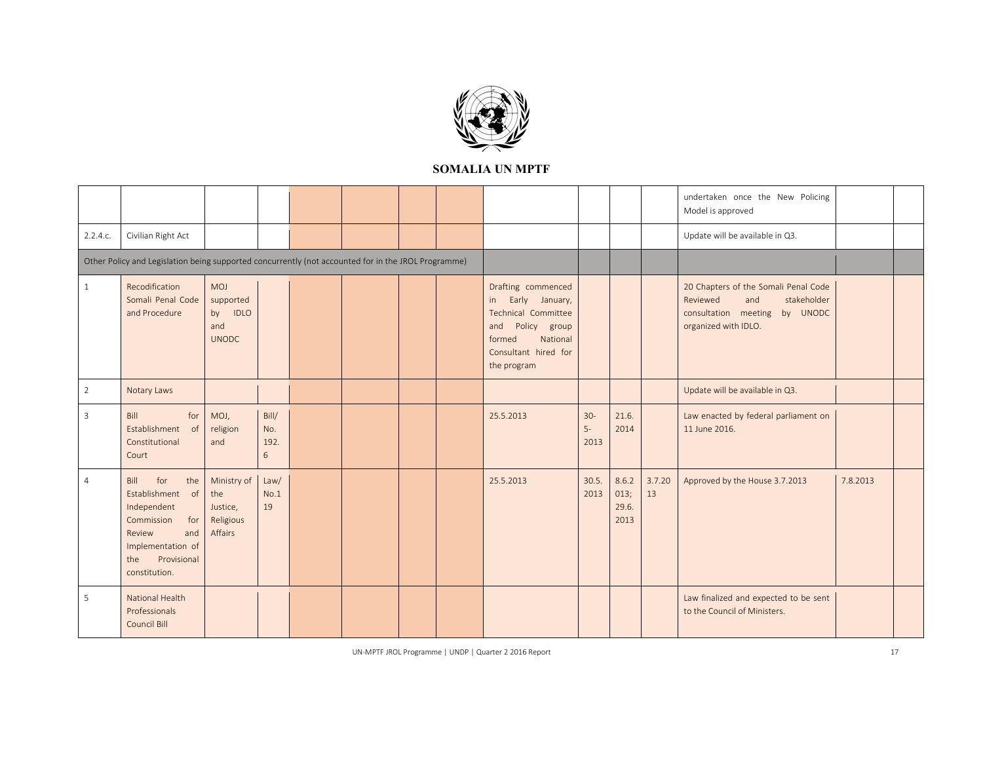

|                |                                                                                                                                                         |                                                        |                           |  |  |                                                                                                                                                       |                        |                                |              | undertaken once the New Policing<br>Model is approved                                                                           |          |  |
|----------------|---------------------------------------------------------------------------------------------------------------------------------------------------------|--------------------------------------------------------|---------------------------|--|--|-------------------------------------------------------------------------------------------------------------------------------------------------------|------------------------|--------------------------------|--------------|---------------------------------------------------------------------------------------------------------------------------------|----------|--|
| 2.2.4.c.       | Civilian Right Act                                                                                                                                      |                                                        |                           |  |  |                                                                                                                                                       |                        |                                |              | Update will be available in Q3.                                                                                                 |          |  |
|                | Other Policy and Legislation being supported concurrently (not accounted for in the JROL Programme)                                                     |                                                        |                           |  |  |                                                                                                                                                       |                        |                                |              |                                                                                                                                 |          |  |
| $\mathbf{1}$   | Recodification<br>Somali Penal Code<br>and Procedure                                                                                                    | MOJ<br>supported<br>by IDLO<br>and<br><b>UNODC</b>     |                           |  |  | Drafting commenced<br>Early January,<br>in<br>Technical Committee<br>Policy group<br>and<br>National<br>formed<br>Consultant hired for<br>the program |                        |                                |              | 20 Chapters of the Somali Penal Code<br>Reviewed<br>stakeholder<br>and<br>consultation meeting by UNODC<br>organized with IDLO. |          |  |
| $\overline{2}$ | Notary Laws                                                                                                                                             |                                                        |                           |  |  |                                                                                                                                                       |                        |                                |              | Update will be available in Q3.                                                                                                 |          |  |
| 3              | Bill<br>for<br>Establishment<br>of<br>Constitutional<br>Court                                                                                           | MOJ,<br>religion<br>and                                | Bill/<br>No.<br>192.<br>6 |  |  | 25.5.2013                                                                                                                                             | $30 -$<br>$5-$<br>2013 | 21.6.<br>2014                  |              | Law enacted by federal parliament on<br>11 June 2016.                                                                           |          |  |
| $\overline{4}$ | for<br>the<br>Bill<br>Establishment of<br>Independent<br>for<br>Commission<br>Review<br>and<br>Implementation of<br>the<br>Provisional<br>constitution. | Ministry of<br>the<br>Justice,<br>Religious<br>Affairs | Law/<br>No.1<br>19        |  |  | 25.5.2013                                                                                                                                             | 30.5.<br>2013          | 8.6.2<br>013;<br>29.6.<br>2013 | 3.7.20<br>13 | Approved by the House 3.7.2013                                                                                                  | 7.8.2013 |  |
| 5              | National Health<br>Professionals<br>Council Bill                                                                                                        |                                                        |                           |  |  |                                                                                                                                                       |                        |                                |              | Law finalized and expected to be sent<br>to the Council of Ministers.                                                           |          |  |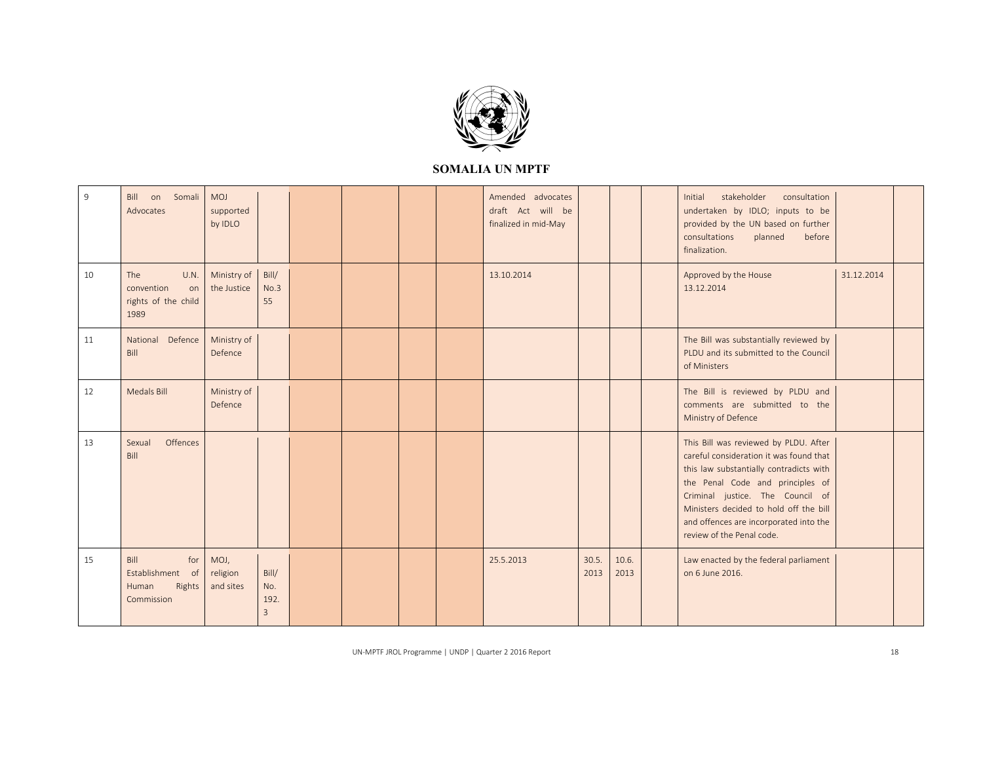

| 9  | Bill on Somali<br>Advocates                                      | MOJ<br>supported<br>by IDLO   |                                        |  |  | Amended advocates<br>draft Act will be<br>finalized in mid-May |               |               | stakeholder<br>consultation<br>Initial<br>undertaken by IDLO; inputs to be<br>provided by the UN based on further<br>consultations<br>planned<br>before<br>finalization.                                                                                                                                             |            |  |
|----|------------------------------------------------------------------|-------------------------------|----------------------------------------|--|--|----------------------------------------------------------------|---------------|---------------|----------------------------------------------------------------------------------------------------------------------------------------------------------------------------------------------------------------------------------------------------------------------------------------------------------------------|------------|--|
| 10 | The<br>U.N.<br>convention<br>on<br>rights of the child<br>1989   | Ministry of<br>the Justice    | Bill/<br>No.3<br>55                    |  |  | 13.10.2014                                                     |               |               | Approved by the House<br>13.12.2014                                                                                                                                                                                                                                                                                  | 31.12.2014 |  |
| 11 | National Defence<br>Bill                                         | Ministry of<br>Defence        |                                        |  |  |                                                                |               |               | The Bill was substantially reviewed by<br>PLDU and its submitted to the Council<br>of Ministers                                                                                                                                                                                                                      |            |  |
| 12 | Medals Bill                                                      | Ministry of<br>Defence        |                                        |  |  |                                                                |               |               | The Bill is reviewed by PLDU and<br>comments are submitted to the<br>Ministry of Defence                                                                                                                                                                                                                             |            |  |
| 13 | Offences<br>Sexual<br>Bill                                       |                               |                                        |  |  |                                                                |               |               | This Bill was reviewed by PLDU. After<br>careful consideration it was found that<br>this law substantially contradicts with<br>the Penal Code and principles of<br>Criminal justice. The Council of<br>Ministers decided to hold off the bill<br>and offences are incorporated into the<br>review of the Penal code. |            |  |
| 15 | Bill<br>for<br>Establishment of<br>Rights<br>Human<br>Commission | MOJ,<br>religion<br>and sites | Bill/<br>No.<br>192.<br>$\overline{3}$ |  |  | 25.5.2013                                                      | 30.5.<br>2013 | 10.6.<br>2013 | Law enacted by the federal parliament<br>on 6 June 2016.                                                                                                                                                                                                                                                             |            |  |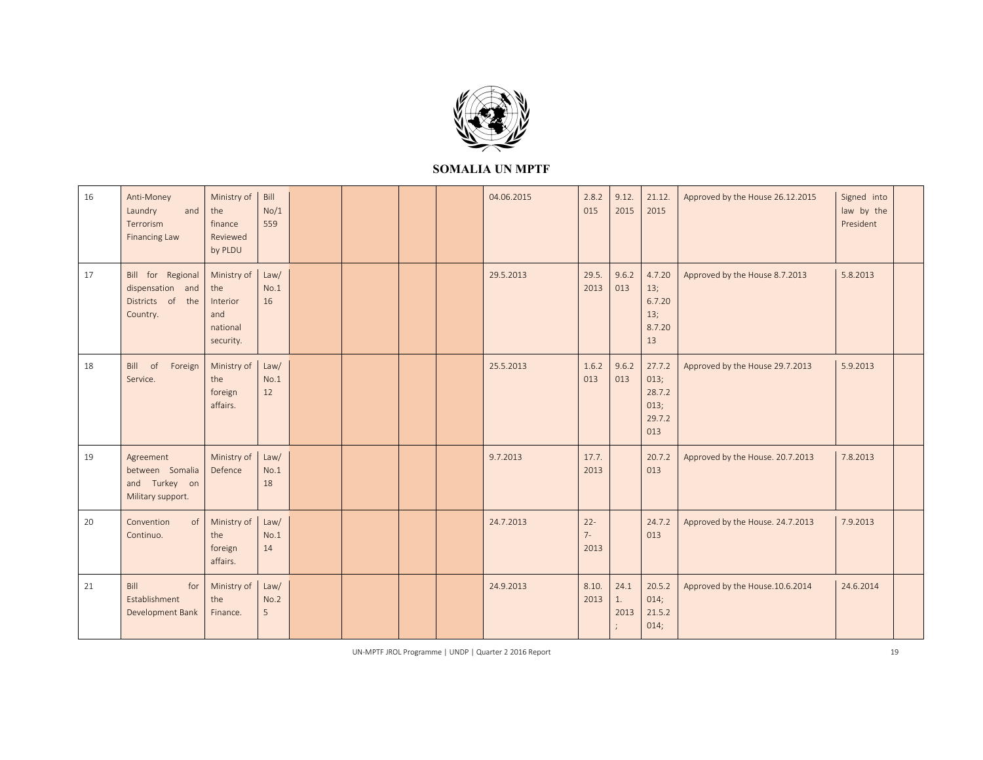

| 16 | Anti-Money<br>Laundry<br>and<br>Terrorism<br><b>Financing Law</b>     | Ministry of<br>the<br>finance<br>Reviewed<br>by PLDU           | Bill<br>No/1<br>559 |  |  | 04.06.2015 | 2.8.2<br>015            | 9.12.<br>2015      | 21.12.<br>2015                                    | Approved by the House 26.12.2015 | Signed into<br>law by the<br>President |  |
|----|-----------------------------------------------------------------------|----------------------------------------------------------------|---------------------|--|--|------------|-------------------------|--------------------|---------------------------------------------------|----------------------------------|----------------------------------------|--|
| 17 | Bill for Regional<br>dispensation and<br>Districts of the<br>Country. | Ministry of<br>the<br>Interior<br>and<br>national<br>security. | Law/<br>No.1<br>16  |  |  | 29.5.2013  | 29.5.<br>2013           | 9.6.2<br>013       | 4.7.20<br>13;<br>6.7.20<br>13;<br>8.7.20<br>13    | Approved by the House 8.7.2013   | 5.8.2013                               |  |
| 18 | Bill of<br>Foreign<br>Service.                                        | Ministry of<br>the<br>foreign<br>affairs.                      | Law/<br>No.1<br>12  |  |  | 25.5.2013  | 1.6.2<br>013            | 9.6.2<br>013       | 27.7.2<br>013;<br>28.7.2<br>013;<br>29.7.2<br>013 | Approved by the House 29.7.2013  | 5.9.2013                               |  |
| 19 | Agreement<br>between Somalia<br>and Turkey on<br>Military support.    | Ministry of<br>Defence                                         | Law/<br>No.1<br>18  |  |  | 9.7.2013   | 17.7.<br>2013           |                    | 20.7.2<br>013                                     | Approved by the House. 20.7.2013 | 7.8.2013                               |  |
| 20 | Convention<br>of<br>Continuo.                                         | Ministry of<br>the<br>foreign<br>affairs.                      | Law/<br>No.1<br>14  |  |  | 24.7.2013  | $22 -$<br>$7 -$<br>2013 |                    | 24.7.2<br>013                                     | Approved by the House. 24.7.2013 | 7.9.2013                               |  |
| 21 | Bill<br>for<br>Establishment<br>Development Bank                      | Ministry of<br>the<br>Finance.                                 | Law/<br>No.2<br>5   |  |  | 24.9.2013  | 8.10.<br>2013           | 24.1<br>1.<br>2013 | 20.5.2<br>014;<br>21.5.2<br>014;                  | Approved by the House.10.6.2014  | 24.6.2014                              |  |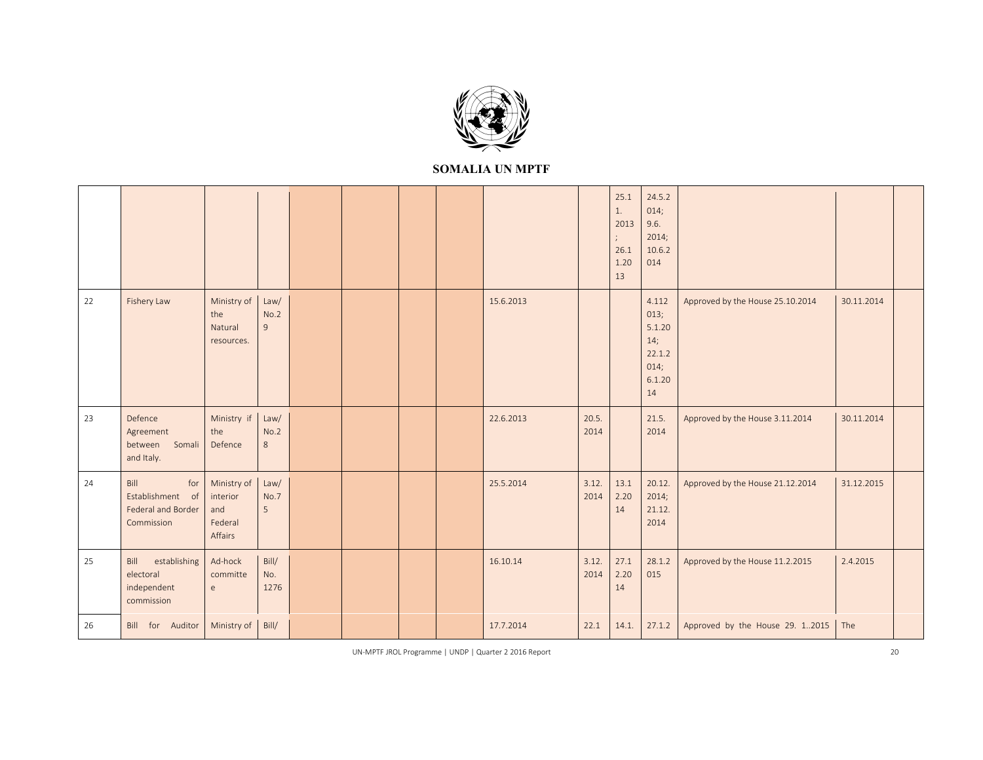

|    |                                                                     |                                                          |                                |  |  |           |               | 25.1<br>1.<br>2013<br>$\frac{1}{\epsilon}$<br>26.1<br>1.20<br>13 | 24.5.2<br>014;<br>9.6.<br>2014;<br>10.6.2<br>014                 |                                  |            |  |
|----|---------------------------------------------------------------------|----------------------------------------------------------|--------------------------------|--|--|-----------|---------------|------------------------------------------------------------------|------------------------------------------------------------------|----------------------------------|------------|--|
| 22 | Fishery Law                                                         | Ministry of<br>the<br>Natural<br>resources.              | Law/<br>No.2<br>$\overline{9}$ |  |  | 15.6.2013 |               |                                                                  | 4.112<br>013;<br>5.1.20<br>14;<br>22.1.2<br>014;<br>6.1.20<br>14 | Approved by the House 25.10.2014 | 30.11.2014 |  |
| 23 | Defence<br>Agreement<br>Somali<br>between<br>and Italy.             | Ministry if<br>the<br>Defence                            | Law/<br>No.2<br>$8\phantom{1}$ |  |  | 22.6.2013 | 20.5.<br>2014 |                                                                  | 21.5.<br>2014                                                    | Approved by the House 3.11.2014  | 30.11.2014 |  |
| 24 | Bill<br>for<br>Establishment of<br>Federal and Border<br>Commission | Ministry of<br>interior<br>and<br>Federal<br>Affairs     | Law/<br>No.7<br>5              |  |  | 25.5.2014 | 3.12.<br>2014 | 13.1<br>2.20<br>14                                               | 20.12.<br>2014;<br>21.12.<br>2014                                | Approved by the House 21.12.2014 | 31.12.2015 |  |
| 25 | establishing<br>Bill<br>electoral<br>independent<br>commission      | Ad-hock<br>committe<br>$\mathsf{e}% _{t}\left( t\right)$ | Bill/<br>No.<br>1276           |  |  | 16.10.14  | 3.12.<br>2014 | 27.1<br>2.20<br>14                                               | 28.1.2<br>015                                                    | Approved by the House 11.2.2015  | 2.4.2015   |  |
| 26 | Bill for Auditor                                                    | Ministry of                                              | Bill/                          |  |  | 17.7.2014 | 22.1          | 14.1.                                                            | 27.1.2                                                           | Approved by the House 29. 12015  | The        |  |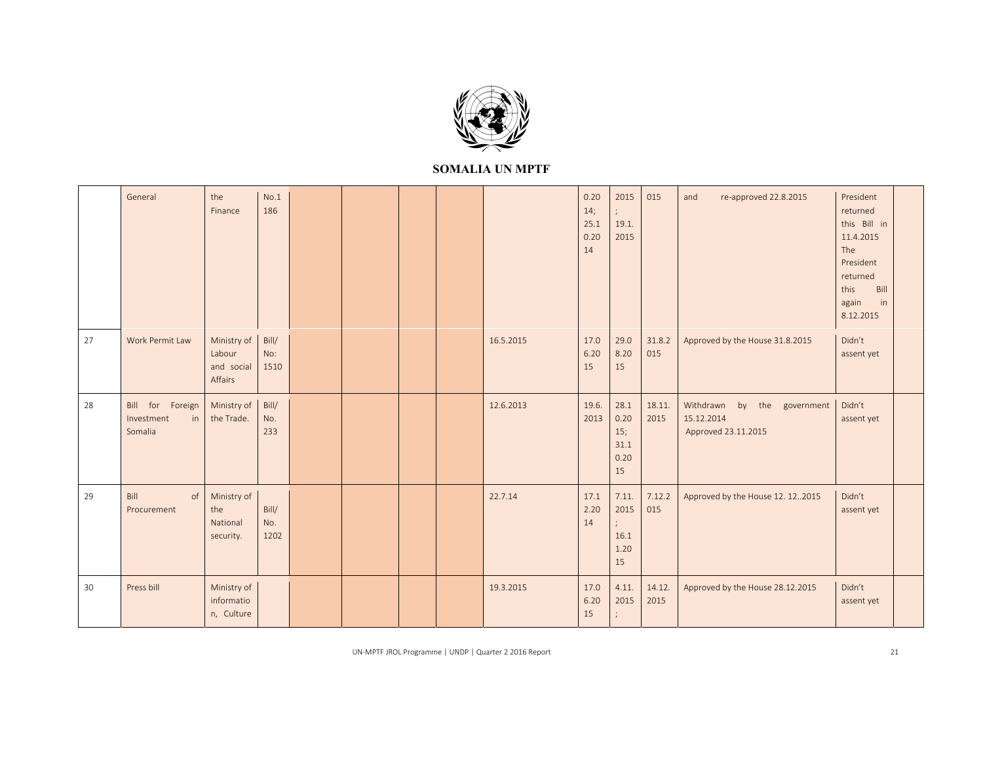

|    | General                                         | the<br>Finance                                 | No.1<br>186          |  |  |           | 0.20<br>14;<br>25.1<br>0.20<br>14 | 2015<br>19.1.<br>2015                     | 015            | re-approved 22.8.2015<br>and                                           | President<br>returned<br>this Bill in<br>11.4.2015<br>The<br>President<br>returned<br>this<br>Bill<br>in<br>again<br>8.12.2015 |  |
|----|-------------------------------------------------|------------------------------------------------|----------------------|--|--|-----------|-----------------------------------|-------------------------------------------|----------------|------------------------------------------------------------------------|--------------------------------------------------------------------------------------------------------------------------------|--|
| 27 | Work Permit Law                                 | Ministry of<br>Labour<br>and social<br>Affairs | Bill/<br>No:<br>1510 |  |  | 16.5.2015 | 17.0<br>6.20<br>15                | 29.0<br>8.20<br>15                        | 31.8.2<br>015  | Approved by the House 31.8.2015                                        | Didn't<br>assent yet                                                                                                           |  |
| 28 | Bill for Foreign<br>Investment<br>in<br>Somalia | Ministry of<br>the Trade.                      | Bill/<br>No.<br>233  |  |  | 12.6.2013 | 19.6.<br>2013                     | 28.1<br>0.20<br>15;<br>31.1<br>0.20<br>15 | 18.11.<br>2015 | Withdrawn<br>by<br>the government<br>15.12.2014<br>Approved 23.11.2015 | Didn't<br>assent yet                                                                                                           |  |
| 29 | Bill<br>of<br>Procurement                       | Ministry of<br>the<br>National<br>security.    | Bill/<br>No.<br>1202 |  |  | 22.7.14   | 17.1<br>2.20<br>14                | 7.11.<br>2015<br>16.1<br>1.20<br>15       | 7.12.2<br>015  | Approved by the House 12. 122015                                       | Didn't<br>assent yet                                                                                                           |  |
| 30 | Press bill                                      | Ministry of<br>informatio<br>n, Culture        |                      |  |  | 19.3.2015 | 17.0<br>6.20<br>15                | 4.11.<br>2015                             | 14.12.<br>2015 | Approved by the House 28.12.2015                                       | Didn't<br>assent yet                                                                                                           |  |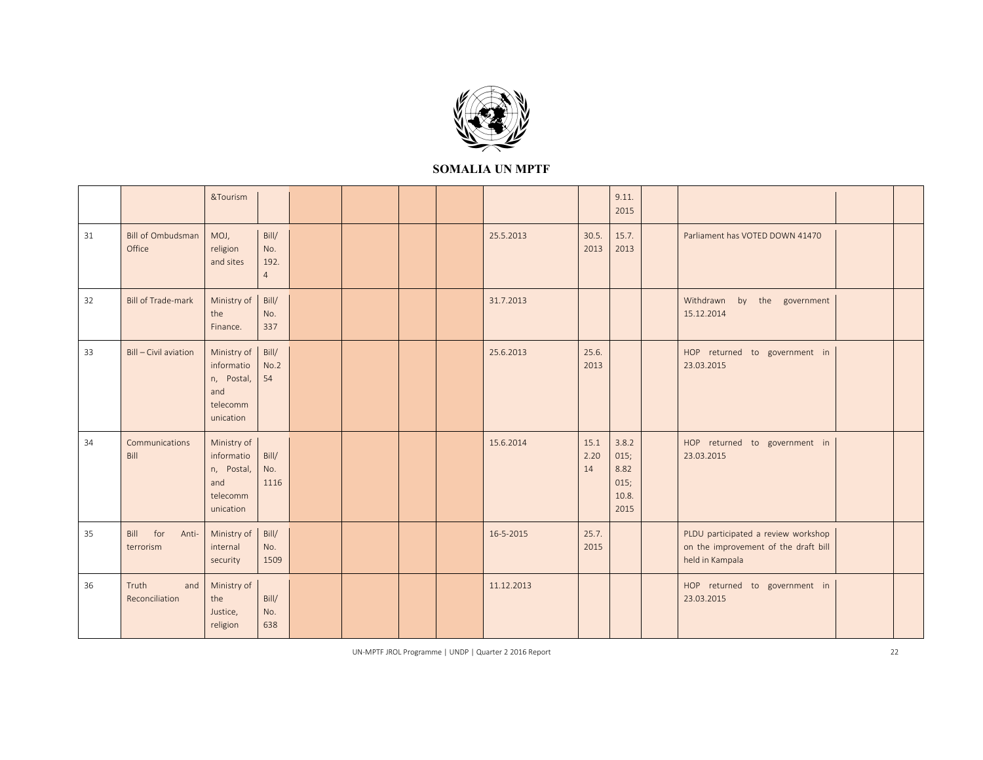

|    |                                    | &Tourism                                                                |                                        |  |  |            |                    | 9.11.<br>2015                                  |                                                                                                |  |
|----|------------------------------------|-------------------------------------------------------------------------|----------------------------------------|--|--|------------|--------------------|------------------------------------------------|------------------------------------------------------------------------------------------------|--|
| 31 | <b>Bill of Ombudsman</b><br>Office | MOJ,<br>religion<br>and sites                                           | Bill/<br>No.<br>192.<br>$\overline{4}$ |  |  | 25.5.2013  | 30.5.<br>2013      | 15.7.<br>2013                                  | Parliament has VOTED DOWN 41470                                                                |  |
| 32 | <b>Bill of Trade-mark</b>          | Ministry of<br>the<br>Finance.                                          | Bill/<br>No.<br>337                    |  |  | 31.7.2013  |                    |                                                | Withdrawn<br>by<br>the government<br>15.12.2014                                                |  |
| 33 | Bill - Civil aviation              | Ministry of<br>informatio<br>n, Postal,<br>and<br>telecomm<br>unication | Bill/<br>No.2<br>54                    |  |  | 25.6.2013  | 25.6.<br>2013      |                                                | HOP returned to government in<br>23.03.2015                                                    |  |
| 34 | Communications<br>Bill             | Ministry of<br>informatio<br>n, Postal,<br>and<br>telecomm<br>unication | Bill/<br>No.<br>1116                   |  |  | 15.6.2014  | 15.1<br>2.20<br>14 | 3.8.2<br>015;<br>8.82<br>015;<br>10.8.<br>2015 | HOP returned to government in<br>23.03.2015                                                    |  |
| 35 | Bill<br>for<br>Anti-<br>terrorism  | Ministry of<br>internal<br>security                                     | Bill/<br>No.<br>1509                   |  |  | 16-5-2015  | 25.7.<br>2015      |                                                | PLDU participated a review workshop<br>on the improvement of the draft bill<br>held in Kampala |  |
| 36 | Truth<br>and<br>Reconciliation     | Ministry of<br>the<br>Justice,<br>religion                              | Bill/<br>No.<br>638                    |  |  | 11.12.2013 |                    |                                                | HOP returned to government in<br>23.03.2015                                                    |  |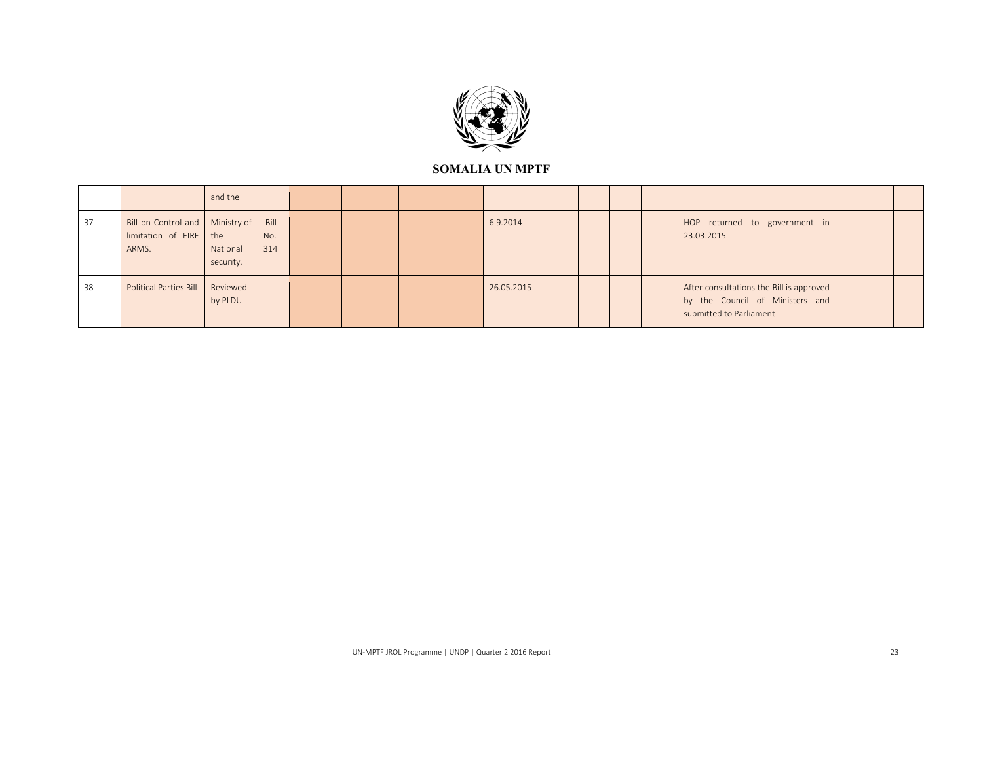

|    |                                                                      | and the               |                    |  |  |            |  |                                                                                                        |  |
|----|----------------------------------------------------------------------|-----------------------|--------------------|--|--|------------|--|--------------------------------------------------------------------------------------------------------|--|
| 37 | Bill on Control and   Ministry of<br>limitation of FIRE the<br>ARMS. | National<br>security. | Bill<br>No.<br>314 |  |  | 6.9.2014   |  | HOP returned to government in<br>23.03.2015                                                            |  |
| 38 | <b>Political Parties Bill</b>                                        | Reviewed<br>by PLDU   |                    |  |  | 26.05.2015 |  | After consultations the Bill is approved<br>by the Council of Ministers and<br>submitted to Parliament |  |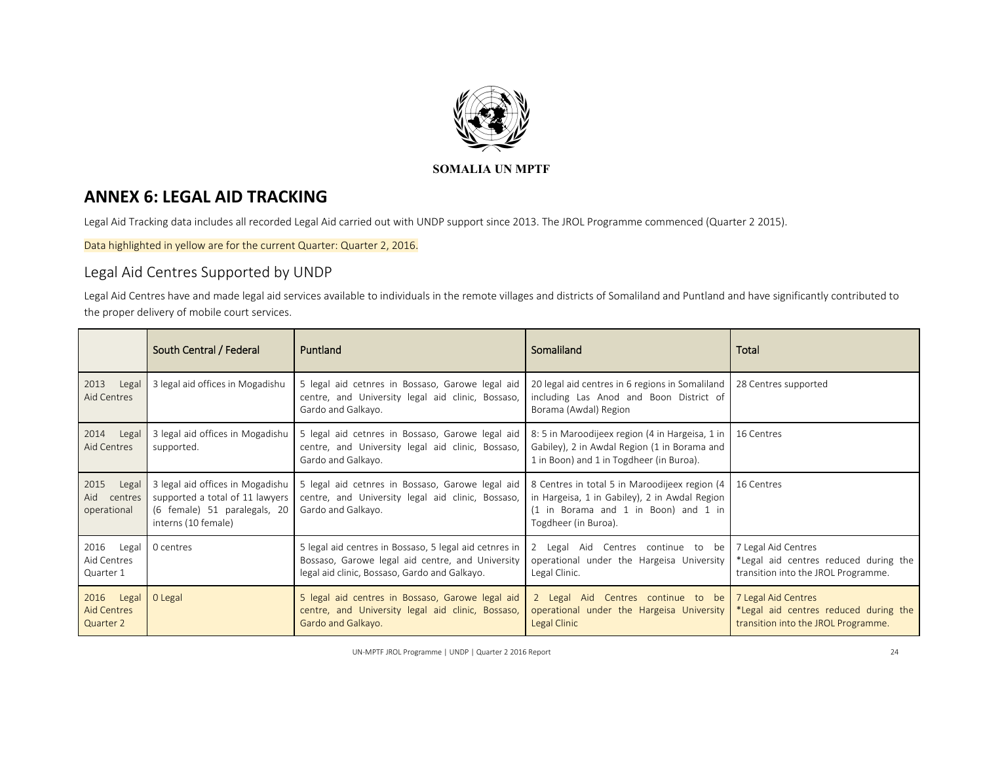

# **ANNEX 6: LEGAL AID TRACKING**

Legal Aid Tracking data includes all recorded Legal Aid carried out with UNDP support since 2013. The JROL Programme commenced (Quarter 2 2015).

Data highlighted in yellow are for the current Quarter: Quarter 2, 2016.

# Legal Aid Centres Supported by UNDP

Legal Aid Centres have and made legal aid services available to individuals in the remote villages and districts of Somaliland and Puntland and have significantly contributed to the proper delivery of mobile court services.

|                                                  | South Central / Federal                                                                                                    | Puntland                                                                                                                                                    | Somaliland                                                                                                                                                     | Total                                                                                               |
|--------------------------------------------------|----------------------------------------------------------------------------------------------------------------------------|-------------------------------------------------------------------------------------------------------------------------------------------------------------|----------------------------------------------------------------------------------------------------------------------------------------------------------------|-----------------------------------------------------------------------------------------------------|
| 2013<br>Legal<br>Aid Centres                     | 3 legal aid offices in Mogadishu                                                                                           | 5 legal aid cetnres in Bossaso, Garowe legal aid<br>centre, and University legal aid clinic, Bossaso,<br>Gardo and Galkayo.                                 | 20 legal aid centres in 6 regions in Somaliland<br>including Las Anod and Boon District of<br>Borama (Awdal) Region                                            | 28 Centres supported                                                                                |
| 2014<br>Legal<br>Aid Centres                     | 3 legal aid offices in Mogadishu<br>supported.                                                                             | 5 legal aid cetnres in Bossaso, Garowe legal aid<br>centre, and University legal aid clinic, Bossaso,<br>Gardo and Galkayo.                                 | 8: 5 in Maroodijeex region (4 in Hargeisa, 1 in<br>Gabiley), 2 in Awdal Region (1 in Borama and<br>1 in Boon) and 1 in Togdheer (in Buroa).                    | 16 Centres                                                                                          |
| 2015<br>Legal<br>Aid centres<br>operational      | 3 legal aid offices in Mogadishu<br>supported a total of 11 lawyers<br>(6 female) 51 paralegals, 20<br>interns (10 female) | 5 legal aid cetnres in Bossaso, Garowe legal aid<br>centre, and University legal aid clinic, Bossaso,<br>Gardo and Galkayo.                                 | 8 Centres in total 5 in Maroodijeex region (4<br>in Hargeisa, 1 in Gabiley), 2 in Awdal Region<br>(1 in Borama and 1 in Boon) and 1 in<br>Togdheer (in Buroa). | 16 Centres                                                                                          |
| 2016 Legal<br>Aid Centres<br>Quarter 1           | 0 centres                                                                                                                  | 5 legal aid centres in Bossaso, 5 legal aid cetnres in<br>Bossaso, Garowe legal aid centre, and University<br>legal aid clinic, Bossaso, Gardo and Galkayo. | 2 Legal Aid Centres continue to be<br>operational under the Hargeisa University<br>Legal Clinic.                                                               | 7 Legal Aid Centres<br>*Legal aid centres reduced during the<br>transition into the JROL Programme. |
| 2016<br>Legal<br><b>Aid Centres</b><br>Quarter 2 | 0 Legal                                                                                                                    | 5 legal aid centres in Bossaso, Garowe legal aid<br>centre, and University legal aid clinic, Bossaso,<br>Gardo and Galkayo.                                 | 2 Legal Aid Centres continue to be<br>operational under the Hargeisa University<br>Legal Clinic                                                                | 7 Legal Aid Centres<br>*Legal aid centres reduced during the<br>transition into the JROL Programme. |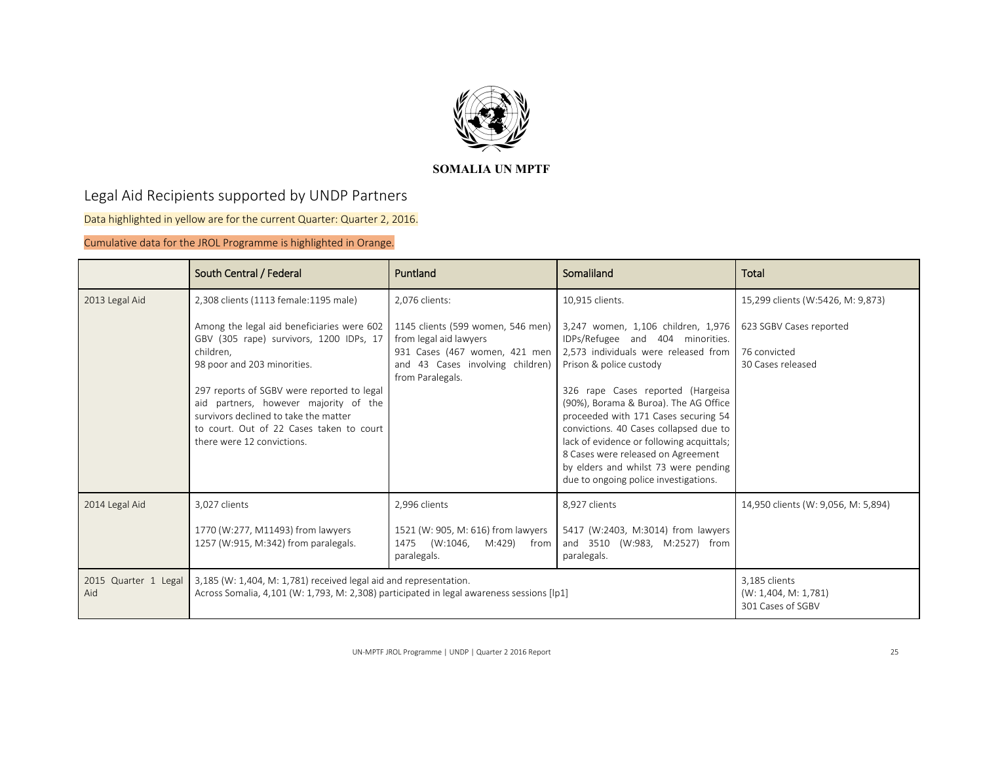

# Legal Aid Recipients supported by UNDP Partners

Data highlighted in yellow are for the current Quarter: Quarter 2, 2016.

Cumulative data for the JROL Programme is highlighted in Orange.

|                             | South Central / Federal                                                                                                                                                                                                                                                                                                                     | Puntland                                                                                                                                             | Somaliland                                                                                                                                                                                                                                                                                                                                                                                                                                                                    | Total                                                        |
|-----------------------------|---------------------------------------------------------------------------------------------------------------------------------------------------------------------------------------------------------------------------------------------------------------------------------------------------------------------------------------------|------------------------------------------------------------------------------------------------------------------------------------------------------|-------------------------------------------------------------------------------------------------------------------------------------------------------------------------------------------------------------------------------------------------------------------------------------------------------------------------------------------------------------------------------------------------------------------------------------------------------------------------------|--------------------------------------------------------------|
| 2013 Legal Aid              | 2,308 clients (1113 female:1195 male)                                                                                                                                                                                                                                                                                                       | 2,076 clients:                                                                                                                                       | 10.915 clients.                                                                                                                                                                                                                                                                                                                                                                                                                                                               | 15,299 clients (W:5426, M: 9,873)                            |
|                             | Among the legal aid beneficiaries were 602<br>GBV (305 rape) survivors, 1200 IDPs, 17<br>children,<br>98 poor and 203 minorities.<br>297 reports of SGBV were reported to legal<br>aid partners, however majority of the<br>survivors declined to take the matter<br>to court. Out of 22 Cases taken to court<br>there were 12 convictions. | 1145 clients (599 women, 546 men)<br>from legal aid lawyers<br>931 Cases (467 women, 421 men<br>and 43 Cases involving children)<br>from Paralegals. | 3,247 women, 1,106 children, 1,976<br>IDPs/Refugee and 404 minorities.<br>2,573 individuals were released from<br>Prison & police custody<br>326 rape Cases reported (Hargeisa<br>(90%), Borama & Buroa). The AG Office<br>proceeded with 171 Cases securing 54<br>convictions. 40 Cases collapsed due to<br>lack of evidence or following acquittals;<br>8 Cases were released on Agreement<br>by elders and whilst 73 were pending<br>due to ongoing police investigations. | 623 SGBV Cases reported<br>76 convicted<br>30 Cases released |
| 2014 Legal Aid              | 3,027 clients<br>1770 (W:277, M11493) from lawyers<br>1257 (W:915, M:342) from paralegals.                                                                                                                                                                                                                                                  | 2,996 clients<br>1521 (W: 905, M: 616) from lawyers<br>1475 (W:1046,<br>M:429) from<br>paralegals.                                                   | 8,927 clients<br>5417 (W:2403, M:3014) from lawyers<br>and 3510 (W:983, M:2527) from<br>paralegals.                                                                                                                                                                                                                                                                                                                                                                           | 14,950 clients (W: 9,056, M: 5,894)                          |
| 2015 Quarter 1 Legal<br>Aid | 3,185 (W: 1,404, M: 1,781) received legal aid and representation.<br>Across Somalia, 4,101 (W: 1,793, M: 2,308) participated in legal awareness sessions [lp1]                                                                                                                                                                              |                                                                                                                                                      | 3,185 clients<br>(W: 1,404, M: 1,781)<br>301 Cases of SGBV                                                                                                                                                                                                                                                                                                                                                                                                                    |                                                              |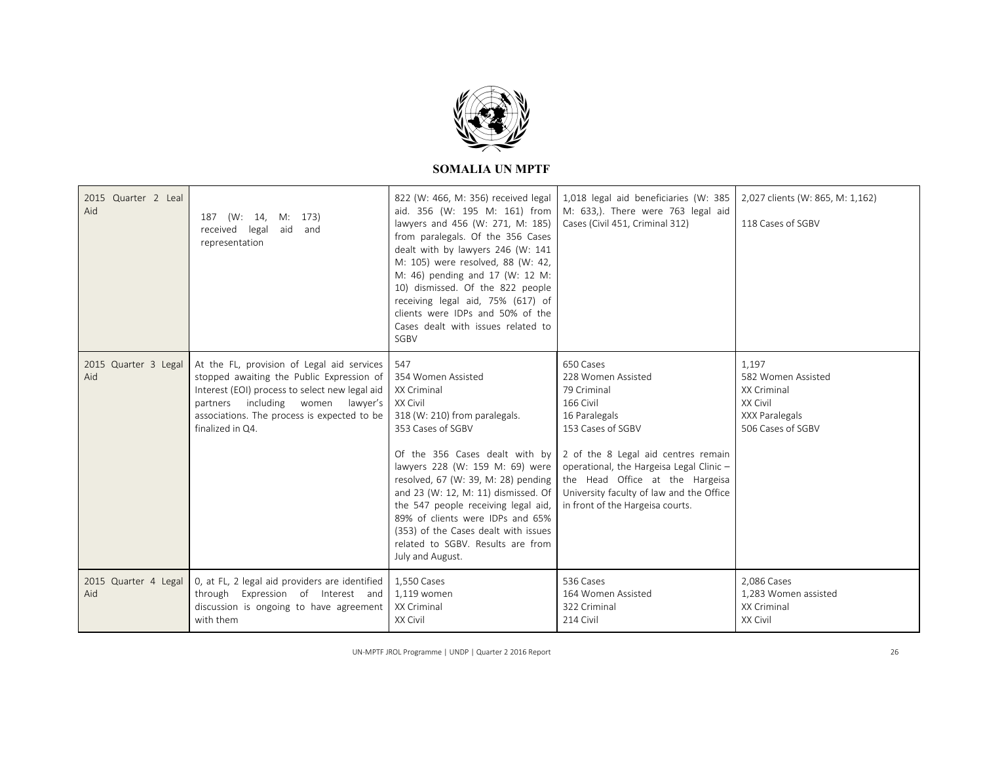

| 2015 Quarter 2 Leal<br>Aid  | 187 (W: 14, M: 173)<br>received<br>aid and<br>legal<br>representation                                                                                                                                                                                | 822 (W: 466, M: 356) received legal<br>aid. 356 (W: 195 M: 161) from<br>lawyers and 456 (W: 271, M: 185)<br>from paralegals. Of the 356 Cases<br>dealt with by lawyers 246 (W: 141<br>M: 105) were resolved, 88 (W: 42,<br>M: 46) pending and 17 (W: 12 M:<br>10) dismissed. Of the 822 people<br>receiving legal aid, 75% (617) of<br>clients were IDPs and 50% of the<br>Cases dealt with issues related to<br>SGBV                     | 1,018 legal aid beneficiaries (W: 385<br>M: 633,). There were 763 legal aid<br>Cases (Civil 451, Criminal 312)                                                                                                                                                                                          | 2,027 clients (W: 865, M: 1,162)<br>118 Cases of SGBV                                         |
|-----------------------------|------------------------------------------------------------------------------------------------------------------------------------------------------------------------------------------------------------------------------------------------------|-------------------------------------------------------------------------------------------------------------------------------------------------------------------------------------------------------------------------------------------------------------------------------------------------------------------------------------------------------------------------------------------------------------------------------------------|---------------------------------------------------------------------------------------------------------------------------------------------------------------------------------------------------------------------------------------------------------------------------------------------------------|-----------------------------------------------------------------------------------------------|
| 2015 Quarter 3 Legal<br>Aid | At the FL, provision of Legal aid services<br>stopped awaiting the Public Expression of<br>Interest (EOI) process to select new legal aid<br>partners including women<br>lawyer's<br>associations. The process is expected to be<br>finalized in Q4. | 547<br>354 Women Assisted<br>XX Criminal<br>XX Civil<br>318 (W: 210) from paralegals.<br>353 Cases of SGBV<br>Of the 356 Cases dealt with by<br>lawyers 228 (W: 159 M: 69) were<br>resolved, 67 (W: 39, M: 28) pending<br>and 23 (W: 12, M: 11) dismissed. Of<br>the 547 people receiving legal aid,<br>89% of clients were IDPs and 65%<br>(353) of the Cases dealt with issues<br>related to SGBV. Results are from<br>July and August. | 650 Cases<br>228 Women Assisted<br>79 Criminal<br>166 Civil<br>16 Paralegals<br>153 Cases of SGBV<br>2 of the 8 Legal aid centres remain<br>operational, the Hargeisa Legal Clinic -<br>the Head Office at the Hargeisa<br>University faculty of law and the Office<br>in front of the Hargeisa courts. | 1,197<br>582 Women Assisted<br>XX Criminal<br>XX Civil<br>XXX Paralegals<br>506 Cases of SGBV |
| 2015 Quarter 4 Legal<br>Aid | 0, at FL, 2 legal aid providers are identified<br>through Expression of Interest and<br>discussion is ongoing to have agreement<br>with them                                                                                                         | 1,550 Cases<br>1,119 women<br>XX Criminal<br>XX Civil                                                                                                                                                                                                                                                                                                                                                                                     | 536 Cases<br>164 Women Assisted<br>322 Criminal<br>214 Civil                                                                                                                                                                                                                                            | 2.086 Cases<br>1,283 Women assisted<br>XX Criminal<br>XX Civil                                |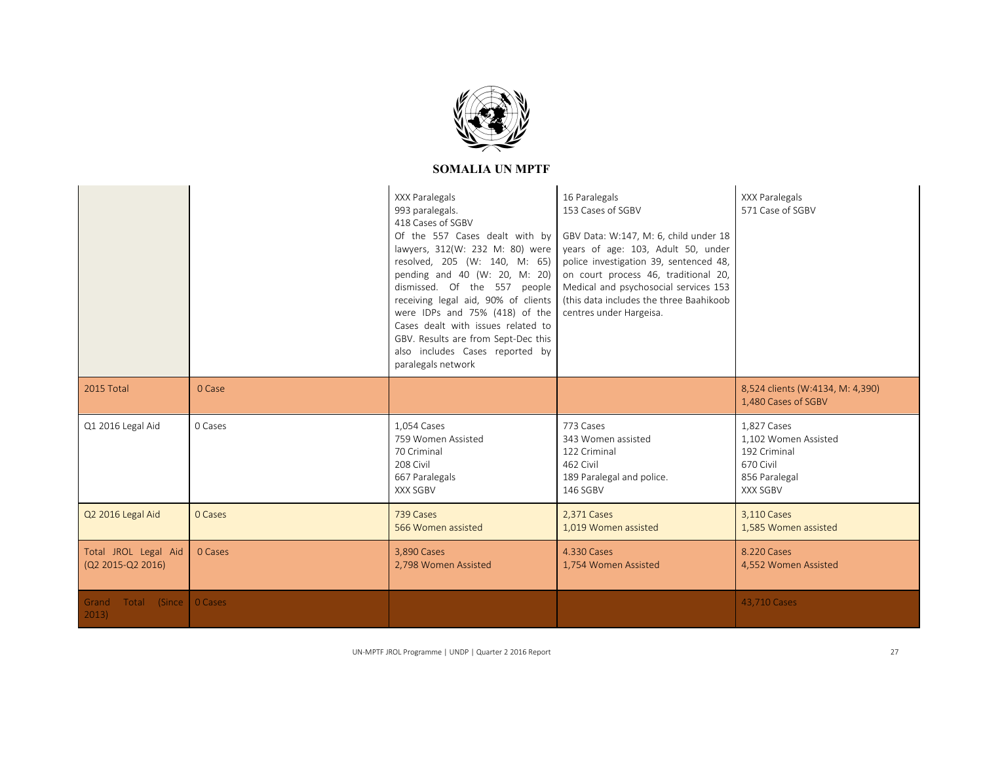

|                                           |                | XXX Paralegals<br>993 paralegals.<br>418 Cases of SGBV<br>Of the 557 Cases dealt with by<br>lawyers, 312(W: 232 M: 80) were<br>resolved, 205 (W: 140, M: 65)<br>pending and 40 (W: 20, M: 20)<br>dismissed. Of the 557 people<br>receiving legal aid, 90% of clients<br>were IDPs and 75% (418) of the<br>Cases dealt with issues related to<br>GBV. Results are from Sept-Dec this<br>also includes Cases reported by<br>paralegals network | 16 Paralegals<br>153 Cases of SGBV<br>GBV Data: W:147, M: 6, child under 18<br>years of age: 103, Adult 50, under<br>police investigation 39, sentenced 48,<br>on court process 46, traditional 20,<br>Medical and psychosocial services 153<br>(this data includes the three Baahikoob<br>centres under Hargeisa. | XXX Paralegals<br>571 Case of SGBV                                                            |
|-------------------------------------------|----------------|----------------------------------------------------------------------------------------------------------------------------------------------------------------------------------------------------------------------------------------------------------------------------------------------------------------------------------------------------------------------------------------------------------------------------------------------|--------------------------------------------------------------------------------------------------------------------------------------------------------------------------------------------------------------------------------------------------------------------------------------------------------------------|-----------------------------------------------------------------------------------------------|
| 2015 Total                                | 0 Case         |                                                                                                                                                                                                                                                                                                                                                                                                                                              |                                                                                                                                                                                                                                                                                                                    | 8,524 clients (W:4134, M: 4,390)<br>1,480 Cases of SGBV                                       |
| Q1 2016 Legal Aid                         | 0 Cases        | 1.054 Cases<br>759 Women Assisted<br>70 Criminal<br>208 Civil<br>667 Paralegals<br>XXX SGBV                                                                                                                                                                                                                                                                                                                                                  | 773 Cases<br>343 Women assisted<br>122 Criminal<br>462 Civil<br>189 Paralegal and police.<br>146 SGBV                                                                                                                                                                                                              | 1.827 Cases<br>1.102 Women Assisted<br>192 Criminal<br>670 Civil<br>856 Paralegal<br>XXX SGBV |
| Q2 2016 Legal Aid                         | 0 Cases        | 739 Cases<br>566 Women assisted                                                                                                                                                                                                                                                                                                                                                                                                              | 2,371 Cases<br>1,019 Women assisted                                                                                                                                                                                                                                                                                | 3,110 Cases<br>1,585 Women assisted                                                           |
| Total JROL Legal Aid<br>(Q2 2015-Q2 2016) | 0 Cases        | 3.890 Cases<br>2,798 Women Assisted                                                                                                                                                                                                                                                                                                                                                                                                          | 4.330 Cases<br>1,754 Women Assisted                                                                                                                                                                                                                                                                                | 8.220 Cases<br>4,552 Women Assisted                                                           |
| Total<br>Grand<br>2013)                   | (Since 0 Cases |                                                                                                                                                                                                                                                                                                                                                                                                                                              |                                                                                                                                                                                                                                                                                                                    | 43,710 Cases                                                                                  |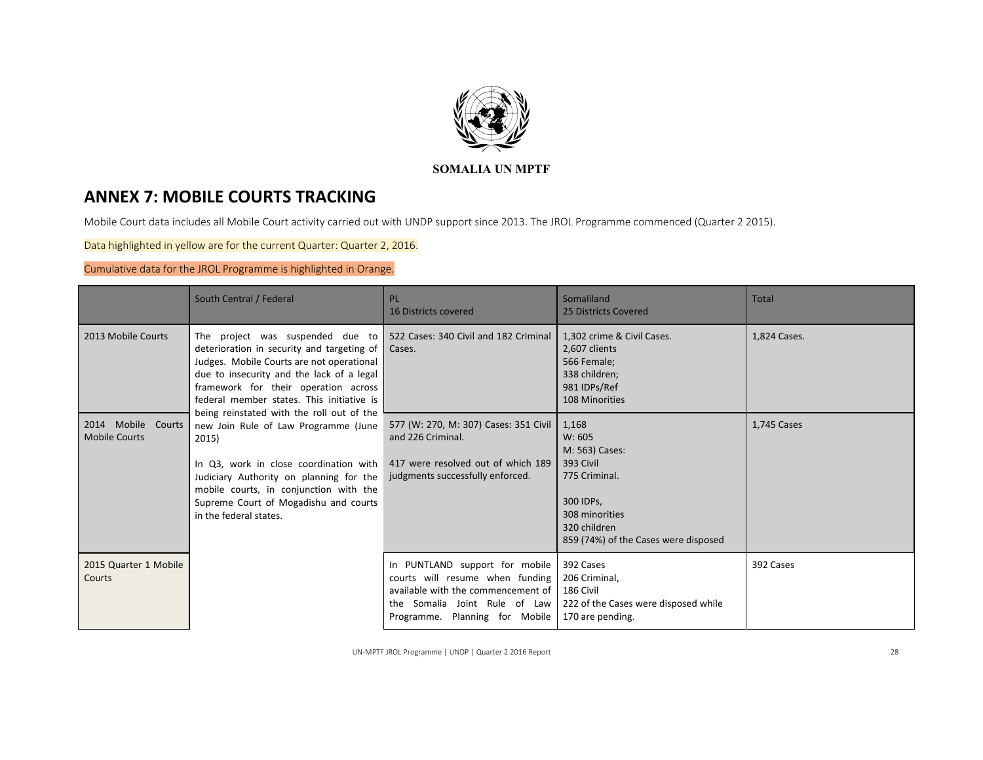

# **ANNEX 7: MOBILE COURTS TRACKING**

Mobile Court data includes all Mobile Court activity carried out with UNDP support since 2013. The JROL Programme commenced (Quarter 2 2015).

Data highlighted in yellow are for the current Quarter: Quarter 2, 2016.

# Cumulative data for the JROL Programme is highlighted in Orange.

|                                            | South Central / Federal                                                                                                                                                                                                                                                                             | PL<br><b>16 Districts covered</b>                                                                                                                                          | Somaliland<br>25 Districts Covered                                                                                                                     | Total        |
|--------------------------------------------|-----------------------------------------------------------------------------------------------------------------------------------------------------------------------------------------------------------------------------------------------------------------------------------------------------|----------------------------------------------------------------------------------------------------------------------------------------------------------------------------|--------------------------------------------------------------------------------------------------------------------------------------------------------|--------------|
| 2013 Mobile Courts                         | The project was suspended due to 522 Cases: 340 Civil and 182 Criminal<br>deterioration in security and targeting of<br>Judges. Mobile Courts are not operational<br>due to insecurity and the lack of a legal<br>framework for their operation across<br>federal member states. This initiative is | Cases.                                                                                                                                                                     | 1,302 crime & Civil Cases.<br>2,607 clients<br>566 Female;<br>338 children;<br>981 IDPs/Ref<br>108 Minorities                                          | 1,824 Cases. |
| 2014 Mobile Courts<br><b>Mobile Courts</b> | being reinstated with the roll out of the<br>new Join Rule of Law Programme (June<br>2015)<br>In Q3, work in close coordination with<br>Judiciary Authority on planning for the<br>mobile courts, in conjunction with the<br>Supreme Court of Mogadishu and courts<br>in the federal states.        | 577 (W: 270, M: 307) Cases: 351 Civil<br>and 226 Criminal.<br>417 were resolved out of which 189<br>judgments successfully enforced.                                       | 1,168<br>W: 605<br>M: 563) Cases:<br>393 Civil<br>775 Criminal.<br>300 IDPs,<br>308 minorities<br>320 children<br>859 (74%) of the Cases were disposed | 1,745 Cases  |
| 2015 Quarter 1 Mobile<br>Courts            |                                                                                                                                                                                                                                                                                                     | In PUNTLAND support for mobile<br>courts will resume when funding<br>available with the commencement of<br>the Somalia Joint Rule of Law<br>Programme. Planning for Mobile | 392 Cases<br>206 Criminal,<br>186 Civil<br>222 of the Cases were disposed while<br>170 are pending.                                                    | 392 Cases    |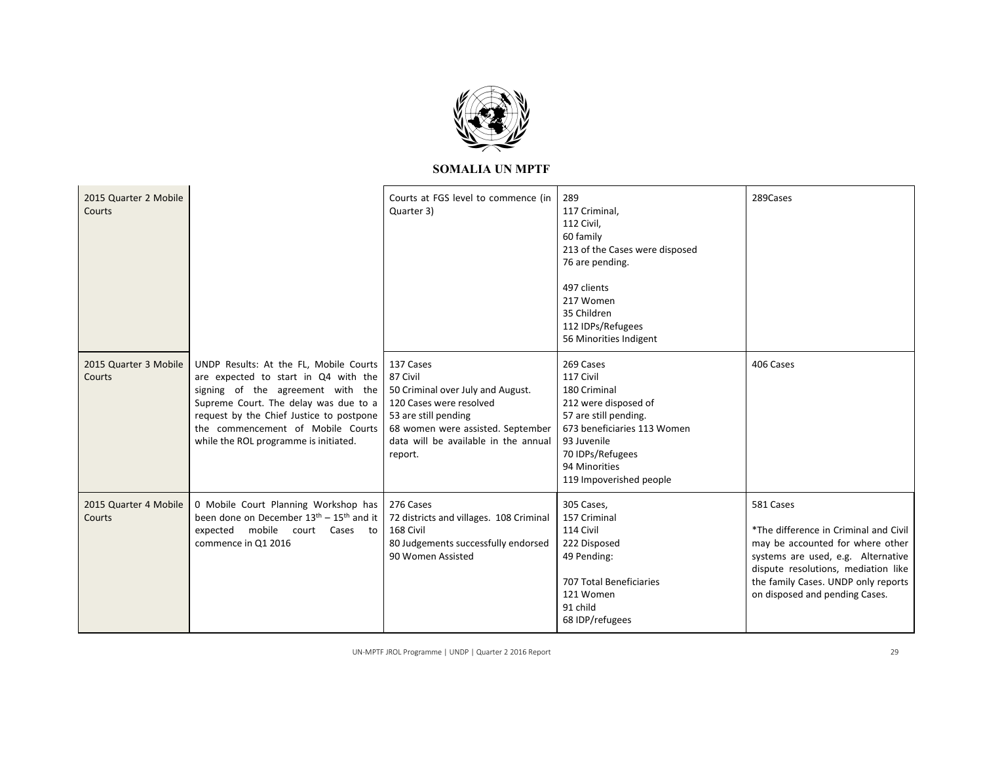

| 2015 Quarter 2 Mobile<br>Courts |                                                                                                                                                                                                                                                                                        | Courts at FGS level to commence (in<br>Quarter 3)                                                                                                                                                     | 289<br>117 Criminal,<br>112 Civil,<br>60 family<br>213 of the Cases were disposed<br>76 are pending.<br>497 clients<br>217 Women<br>35 Children<br>112 IDPs/Refugees<br>56 Minorities Indigent        | 289Cases                                                                                                                                                                                                                                     |
|---------------------------------|----------------------------------------------------------------------------------------------------------------------------------------------------------------------------------------------------------------------------------------------------------------------------------------|-------------------------------------------------------------------------------------------------------------------------------------------------------------------------------------------------------|-------------------------------------------------------------------------------------------------------------------------------------------------------------------------------------------------------|----------------------------------------------------------------------------------------------------------------------------------------------------------------------------------------------------------------------------------------------|
| 2015 Quarter 3 Mobile<br>Courts | UNDP Results: At the FL, Mobile Courts<br>are expected to start in Q4 with the<br>signing of the agreement with the<br>Supreme Court. The delay was due to a<br>request by the Chief Justice to postpone<br>the commencement of Mobile Courts<br>while the ROL programme is initiated. | 137 Cases<br>87 Civil<br>50 Criminal over July and August.<br>120 Cases were resolved<br>53 are still pending<br>68 women were assisted. September<br>data will be available in the annual<br>report. | 269 Cases<br>117 Civil<br>180 Criminal<br>212 were disposed of<br>57 are still pending.<br>673 beneficiaries 113 Women<br>93 Juvenile<br>70 IDPs/Refugees<br>94 Minorities<br>119 Impoverished people | 406 Cases                                                                                                                                                                                                                                    |
| 2015 Quarter 4 Mobile<br>Courts | 0 Mobile Court Planning Workshop has<br>been done on December $13th - 15th$ and it<br>expected mobile court Cases to<br>commence in Q1 2016                                                                                                                                            | 276 Cases<br>72 districts and villages. 108 Criminal<br>168 Civil<br>80 Judgements successfully endorsed<br>90 Women Assisted                                                                         | 305 Cases,<br>157 Criminal<br>114 Civil<br>222 Disposed<br>49 Pending:<br>707 Total Beneficiaries<br>121 Women<br>91 child<br>68 IDP/refugees                                                         | 581 Cases<br>*The difference in Criminal and Civil<br>may be accounted for where other<br>systems are used, e.g. Alternative<br>dispute resolutions, mediation like<br>the family Cases. UNDP only reports<br>on disposed and pending Cases. |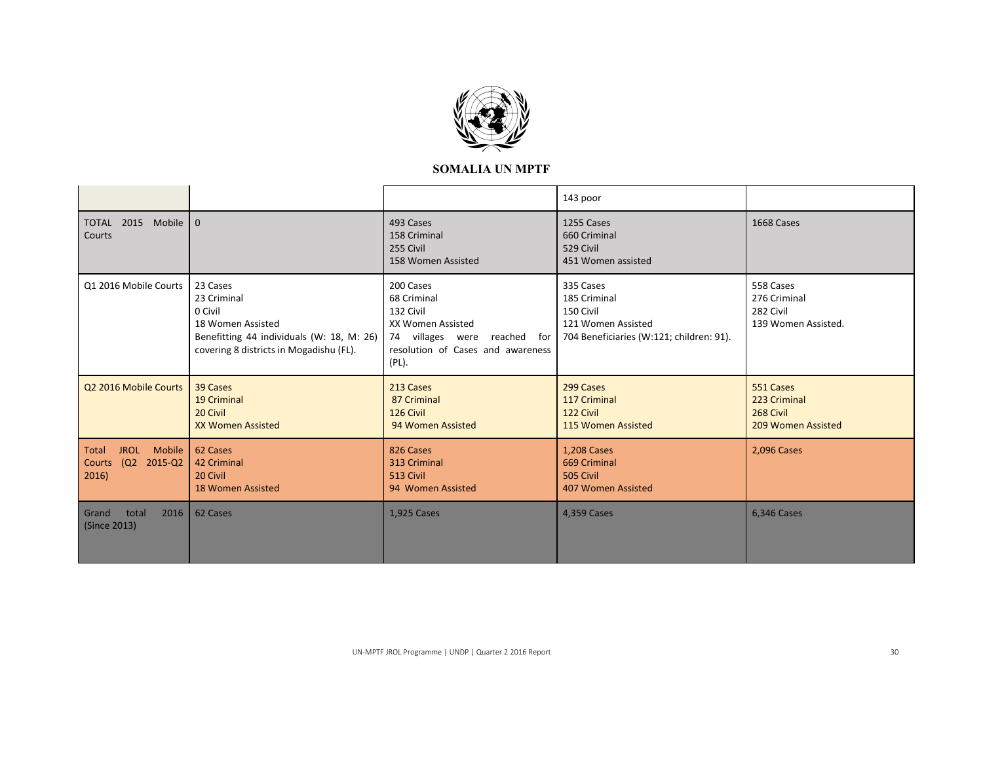

|                                                                 |                                                                                                                                                 |                                                                                                                                          | 143 poor                                                                                                 |                                                               |
|-----------------------------------------------------------------|-------------------------------------------------------------------------------------------------------------------------------------------------|------------------------------------------------------------------------------------------------------------------------------------------|----------------------------------------------------------------------------------------------------------|---------------------------------------------------------------|
| TOTAL 2015 Mobile 0<br>Courts                                   |                                                                                                                                                 | 493 Cases<br>158 Criminal<br>255 Civil<br>158 Women Assisted                                                                             | 1255 Cases<br>660 Criminal<br>529 Civil<br>451 Women assisted                                            | 1668 Cases                                                    |
| Q1 2016 Mobile Courts                                           | 23 Cases<br>23 Criminal<br>0 Civil<br>18 Women Assisted<br>Benefitting 44 individuals (W: 18, M: 26)<br>covering 8 districts in Mogadishu (FL). | 200 Cases<br>68 Criminal<br>132 Civil<br>XX Women Assisted<br>74 villages were reached for<br>resolution of Cases and awareness<br>(PL). | 335 Cases<br>185 Criminal<br>150 Civil<br>121 Women Assisted<br>704 Beneficiaries (W:121; children: 91). | 558 Cases<br>276 Criminal<br>282 Civil<br>139 Women Assisted. |
| Q2 2016 Mobile Courts                                           | 39 Cases<br>19 Criminal<br>20 Civil<br><b>XX Women Assisted</b>                                                                                 | 213 Cases<br>87 Criminal<br>126 Civil<br>94 Women Assisted                                                                               | 299 Cases<br>117 Criminal<br>122 Civil<br>115 Women Assisted                                             | 551 Cases<br>223 Criminal<br>268 Civil<br>209 Women Assisted  |
| <b>JROL</b><br>Mobile  <br>Total<br>Courts (Q2 2015-Q2<br>2016) | 62 Cases<br>42 Criminal<br>20 Civil<br><b>18 Women Assisted</b>                                                                                 | 826 Cases<br>313 Criminal<br>513 Civil<br>94 Women Assisted                                                                              | <b>1,208 Cases</b><br>669 Criminal<br>505 Civil<br>407 Women Assisted                                    | 2,096 Cases                                                   |
| 2016<br>total<br>Grand<br>(Since 2013)                          | 62 Cases                                                                                                                                        | <b>1,925 Cases</b>                                                                                                                       | 4,359 Cases                                                                                              | <b>6,346 Cases</b>                                            |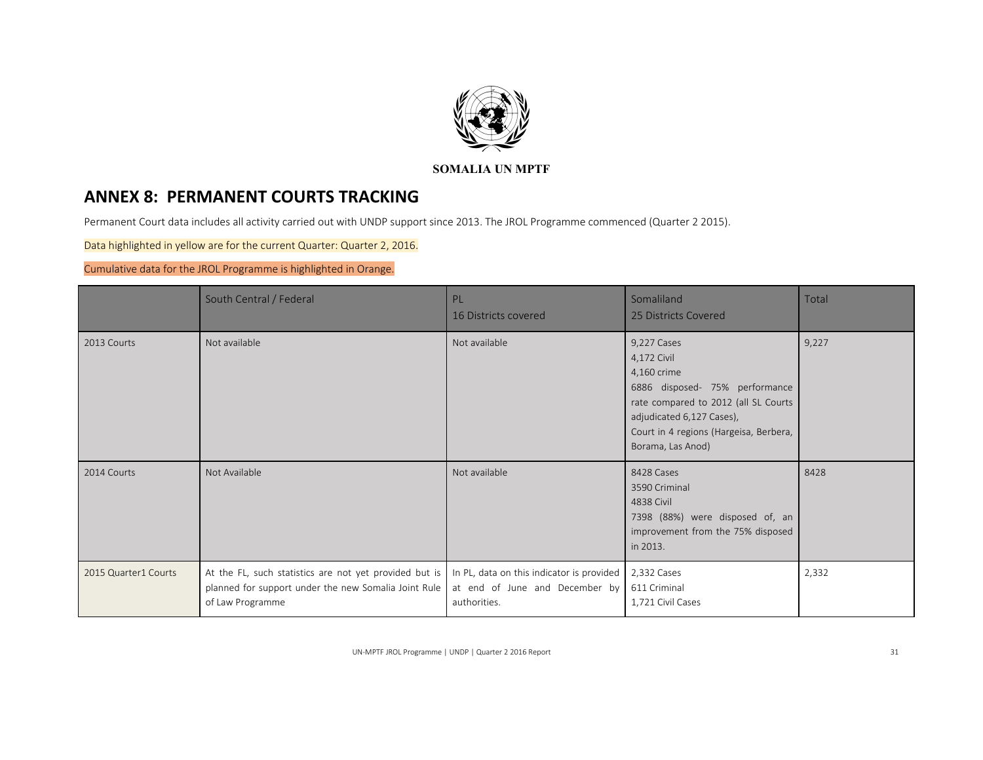

# **ANNEX 8: PERMANENT COURTS TRACKING**

Permanent Court data includes all activity carried out with UNDP support since 2013. The JROL Programme commenced (Quarter 2 2015).

Data highlighted in yellow are for the current Quarter: Quarter 2, 2016.

Cumulative data for the JROL Programme is highlighted in Orange.

|                      | South Central / Federal                                                                                                            | PL.<br>16 Districts covered                                                                 | Somaliland<br>25 Districts Covered                                                                                                                                                                              | Total |
|----------------------|------------------------------------------------------------------------------------------------------------------------------------|---------------------------------------------------------------------------------------------|-----------------------------------------------------------------------------------------------------------------------------------------------------------------------------------------------------------------|-------|
| 2013 Courts          | Not available                                                                                                                      | Not available                                                                               | 9,227 Cases<br>4,172 Civil<br>4,160 crime<br>6886 disposed- 75% performance<br>rate compared to 2012 (all SL Courts<br>adjudicated 6,127 Cases),<br>Court in 4 regions (Hargeisa, Berbera,<br>Borama, Las Anod) | 9,227 |
| 2014 Courts          | Not Available                                                                                                                      | Not available                                                                               | 8428 Cases<br>3590 Criminal<br>4838 Civil<br>7398 (88%) were disposed of, an<br>improvement from the 75% disposed<br>in 2013.                                                                                   | 8428  |
| 2015 Quarter1 Courts | At the FL, such statistics are not yet provided but is<br>planned for support under the new Somalia Joint Rule<br>of Law Programme | In PL, data on this indicator is provided<br>at end of June and December by<br>authorities. | 2,332 Cases<br>611 Criminal<br>1,721 Civil Cases                                                                                                                                                                | 2,332 |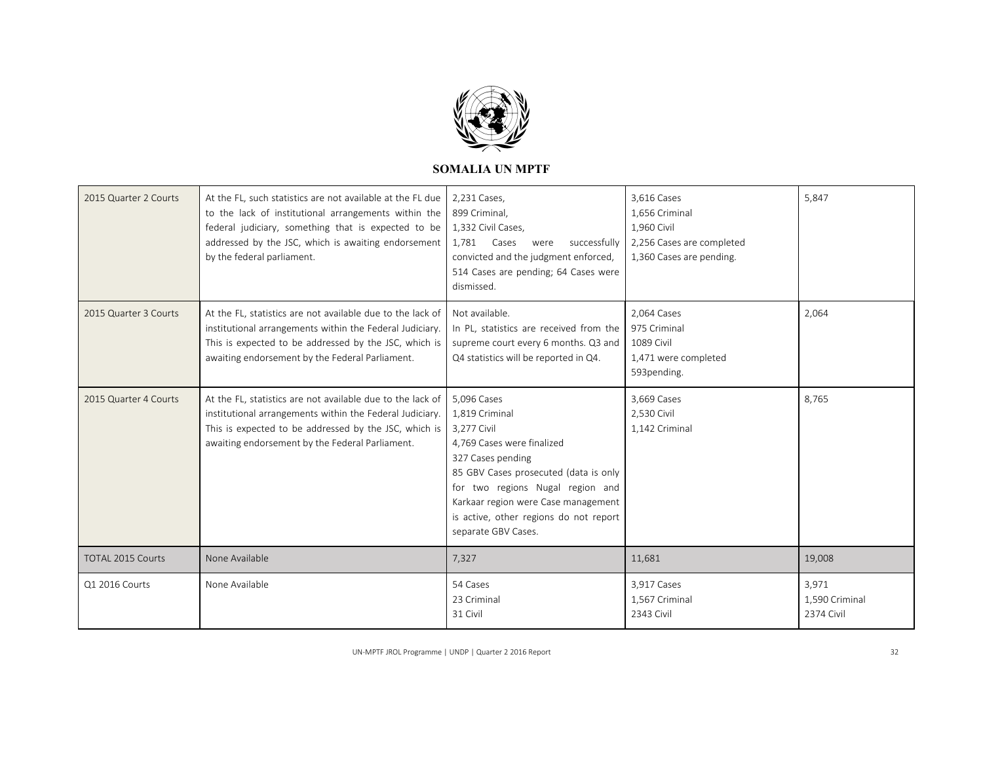

| 2015 Quarter 2 Courts    | At the FL, such statistics are not available at the FL due<br>to the lack of institutional arrangements within the<br>federal judiciary, something that is expected to be<br>addressed by the JSC, which is awaiting endorsement<br>by the federal parliament. | 2,231 Cases,<br>899 Criminal,<br>1,332 Civil Cases,<br>1,781 Cases<br>were<br>successfully<br>convicted and the judgment enforced,<br>514 Cases are pending; 64 Cases were<br>dismissed.                                                                                             | 3,616 Cases<br>1,656 Criminal<br>1,960 Civil<br>2,256 Cases are completed<br>1,360 Cases are pending. | 5,847                                 |
|--------------------------|----------------------------------------------------------------------------------------------------------------------------------------------------------------------------------------------------------------------------------------------------------------|--------------------------------------------------------------------------------------------------------------------------------------------------------------------------------------------------------------------------------------------------------------------------------------|-------------------------------------------------------------------------------------------------------|---------------------------------------|
| 2015 Quarter 3 Courts    | At the FL, statistics are not available due to the lack of<br>institutional arrangements within the Federal Judiciary.<br>This is expected to be addressed by the JSC, which is<br>awaiting endorsement by the Federal Parliament.                             | Not available.<br>In PL, statistics are received from the<br>supreme court every 6 months. Q3 and<br>Q4 statistics will be reported in Q4.                                                                                                                                           | 2,064 Cases<br>975 Criminal<br><b>1089 Civil</b><br>1,471 were completed<br>593pending.               | 2,064                                 |
| 2015 Quarter 4 Courts    | At the FL, statistics are not available due to the lack of<br>institutional arrangements within the Federal Judiciary.<br>This is expected to be addressed by the JSC, which is<br>awaiting endorsement by the Federal Parliament.                             | 5,096 Cases<br>1,819 Criminal<br>3,277 Civil<br>4.769 Cases were finalized<br>327 Cases pending<br>85 GBV Cases prosecuted (data is only<br>for two regions Nugal region and<br>Karkaar region were Case management<br>is active, other regions do not report<br>separate GBV Cases. | 3,669 Cases<br>2,530 Civil<br>1,142 Criminal                                                          | 8,765                                 |
| <b>TOTAL 2015 Courts</b> | None Available                                                                                                                                                                                                                                                 | 7,327                                                                                                                                                                                                                                                                                | 11,681                                                                                                | 19,008                                |
| Q1 2016 Courts           | None Available                                                                                                                                                                                                                                                 | 54 Cases<br>23 Criminal<br>31 Civil                                                                                                                                                                                                                                                  | 3,917 Cases<br>1,567 Criminal<br>2343 Civil                                                           | 3,971<br>1,590 Criminal<br>2374 Civil |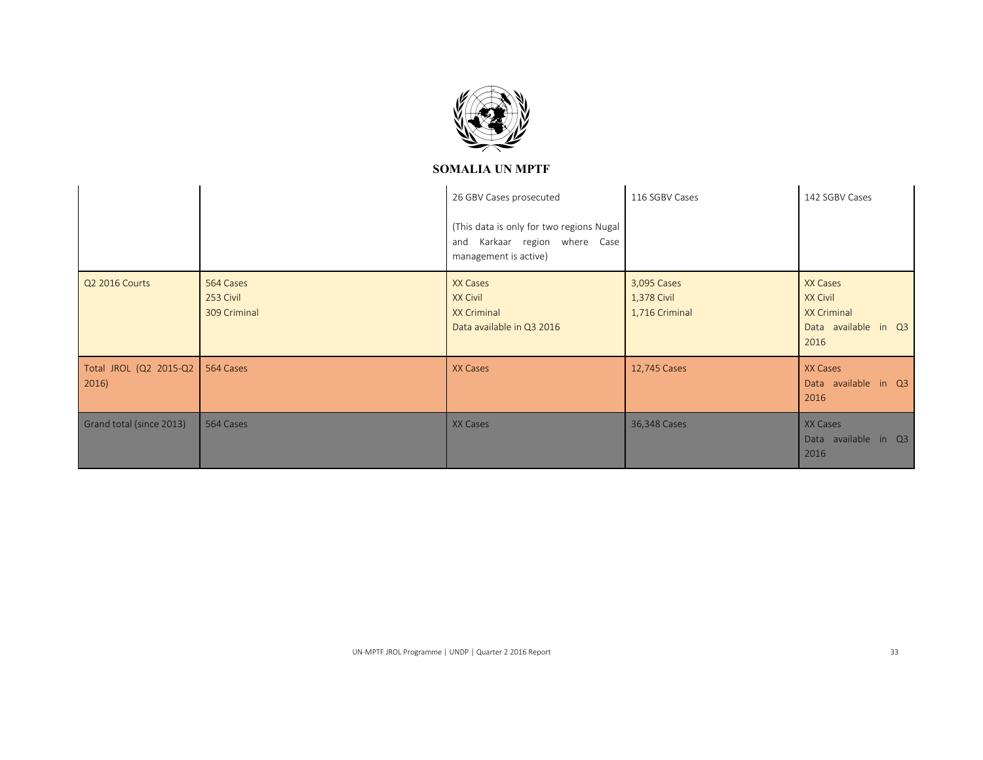

|                                   |                                        | 26 GBV Cases prosecuted<br>(This data is only for two regions Nugal<br>Karkaar region where Case<br>and<br>management is active) | 116 SGBV Cases                               | 142 SGBV Cases                                                             |
|-----------------------------------|----------------------------------------|----------------------------------------------------------------------------------------------------------------------------------|----------------------------------------------|----------------------------------------------------------------------------|
| Q2 2016 Courts                    | 564 Cases<br>253 Civil<br>309 Criminal | XX Cases<br><b>XX Civil</b><br><b>XX Criminal</b><br>Data available in Q3 2016                                                   | 3,095 Cases<br>1,378 Civil<br>1,716 Criminal | XX Cases<br>XX Civil<br><b>XX Criminal</b><br>Data available in Q3<br>2016 |
| Total JROL (Q2 2015-Q2  <br>2016) | 564 Cases                              | XX Cases                                                                                                                         | 12,745 Cases                                 | XX Cases<br>Data available in Q3<br>2016                                   |
| Grand total (since 2013)          | 564 Cases                              | XX Cases                                                                                                                         | 36,348 Cases                                 | XX Cases<br>Data available in Q3<br>2016                                   |